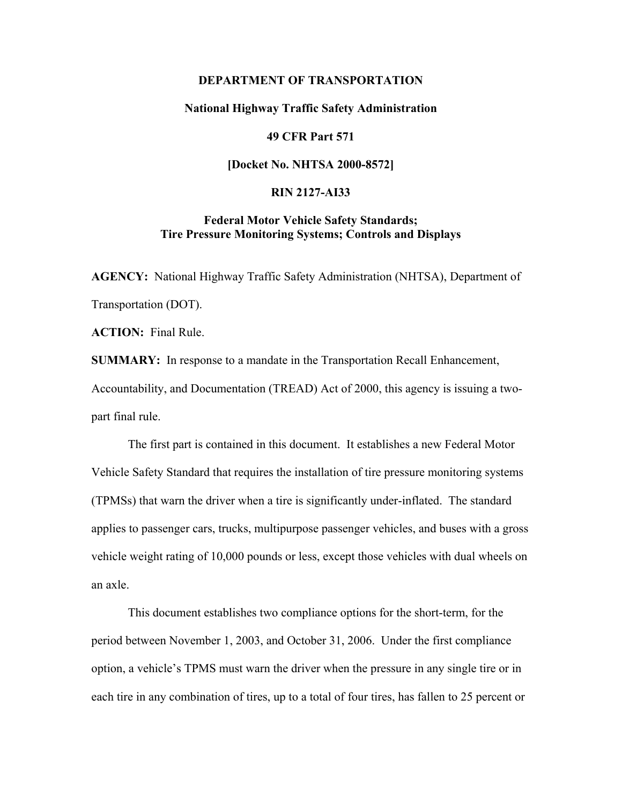### **DEPARTMENT OF TRANSPORTATION**

### **National Highway Traffic Safety Administration**

### **49 CFR Part 571**

### **[Docket No. NHTSA 2000-8572]**

### **RIN 2127-AI33**

## **Federal Motor Vehicle Safety Standards; Tire Pressure Monitoring Systems; Controls and Displays**

**AGENCY:** National Highway Traffic Safety Administration (NHTSA), Department of Transportation (DOT).

**ACTION:** Final Rule.

**SUMMARY:** In response to a mandate in the Transportation Recall Enhancement, Accountability, and Documentation (TREAD) Act of 2000, this agency is issuing a twopart final rule.

The first part is contained in this document. It establishes a new Federal Motor Vehicle Safety Standard that requires the installation of tire pressure monitoring systems (TPMSs) that warn the driver when a tire is significantly under-inflated. The standard applies to passenger cars, trucks, multipurpose passenger vehicles, and buses with a gross vehicle weight rating of 10,000 pounds or less, except those vehicles with dual wheels on an axle.

This document establishes two compliance options for the short-term, for the period between November 1, 2003, and October 31, 2006. Under the first compliance option, a vehicle's TPMS must warn the driver when the pressure in any single tire or in each tire in any combination of tires, up to a total of four tires, has fallen to 25 percent or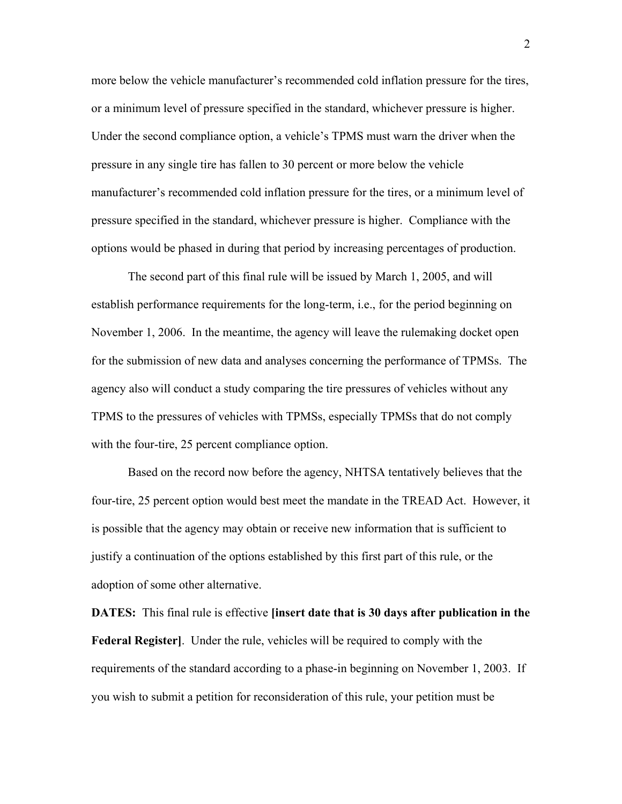more below the vehicle manufacturer's recommended cold inflation pressure for the tires, or a minimum level of pressure specified in the standard, whichever pressure is higher. Under the second compliance option, a vehicle's TPMS must warn the driver when the pressure in any single tire has fallen to 30 percent or more below the vehicle manufacturer's recommended cold inflation pressure for the tires, or a minimum level of pressure specified in the standard, whichever pressure is higher. Compliance with the options would be phased in during that period by increasing percentages of production.

The second part of this final rule will be issued by March 1, 2005, and will establish performance requirements for the long-term, i.e., for the period beginning on November 1, 2006. In the meantime, the agency will leave the rulemaking docket open for the submission of new data and analyses concerning the performance of TPMSs. The agency also will conduct a study comparing the tire pressures of vehicles without any TPMS to the pressures of vehicles with TPMSs, especially TPMSs that do not comply with the four-tire, 25 percent compliance option.

Based on the record now before the agency, NHTSA tentatively believes that the four-tire, 25 percent option would best meet the mandate in the TREAD Act. However, it is possible that the agency may obtain or receive new information that is sufficient to justify a continuation of the options established by this first part of this rule, or the adoption of some other alternative.

**DATES:** This final rule is effective **[insert date that is 30 days after publication in the Federal Register]**. Under the rule, vehicles will be required to comply with the requirements of the standard according to a phase-in beginning on November 1, 2003. If you wish to submit a petition for reconsideration of this rule, your petition must be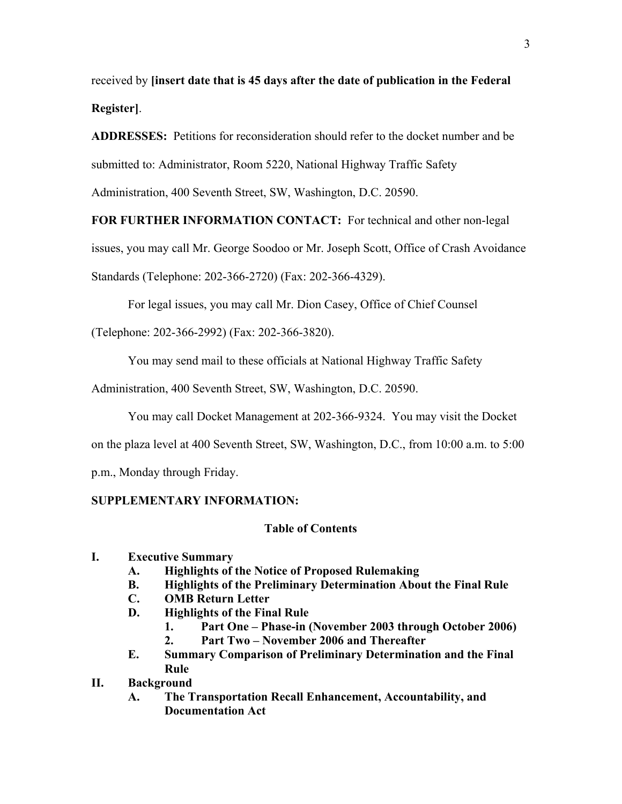received by **[insert date that is 45 days after the date of publication in the Federal Register]**.

**ADDRESSES:** Petitions for reconsideration should refer to the docket number and be submitted to: Administrator, Room 5220, National Highway Traffic Safety Administration, 400 Seventh Street, SW, Washington, D.C. 20590.

**FOR FURTHER INFORMATION CONTACT:** For technical and other non-legal

issues, you may call Mr. George Soodoo or Mr. Joseph Scott, Office of Crash Avoidance

Standards (Telephone: 202-366-2720) (Fax: 202-366-4329).

For legal issues, you may call Mr. Dion Casey, Office of Chief Counsel

(Telephone: 202-366-2992) (Fax: 202-366-3820).

You may send mail to these officials at National Highway Traffic Safety

Administration, 400 Seventh Street, SW, Washington, D.C. 20590.

You may call Docket Management at 202-366-9324. You may visit the Docket

on the plaza level at 400 Seventh Street, SW, Washington, D.C., from 10:00 a.m. to 5:00

p.m., Monday through Friday.

### **SUPPLEMENTARY INFORMATION:**

### **Table of Contents**

### **I. Executive Summary**

- **A. Highlights of the Notice of Proposed Rulemaking**
- **B. Highlights of the Preliminary Determination About the Final Rule**
- **C. OMB Return Letter**
- **D. Highlights of the Final Rule** 
	- **1.** Part One Phase-in (November 2003 through October 2006)
	- 2. **Part Two November 2006 and Thereafter**
- **E. Summary Comparison of Preliminary Determination and the Final Rule**

### **II. Background**

**A. The Transportation Recall Enhancement, Accountability, and Documentation Act**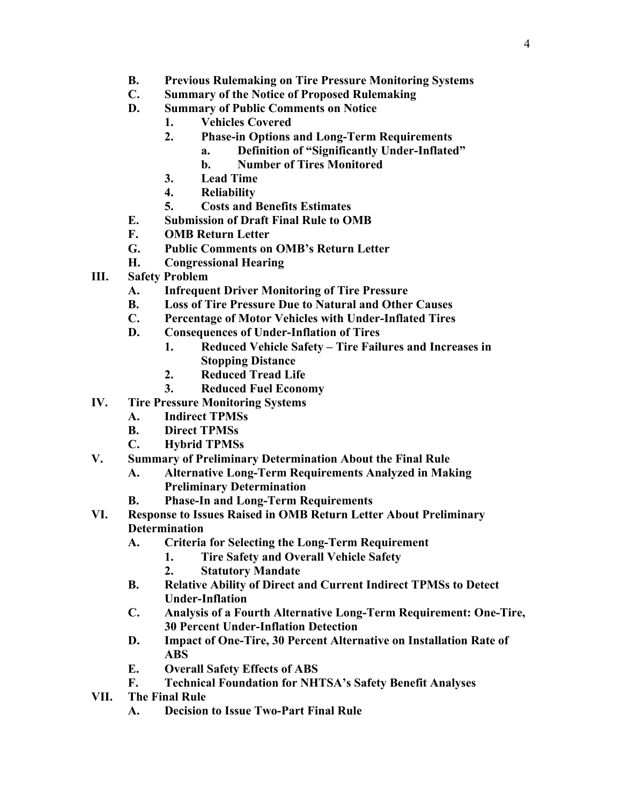- **B. Previous Rulemaking on Tire Pressure Monitoring Systems**
- **C. Summary of the Notice of Proposed Rulemaking**
- **D. Summary of Public Comments on Notice** 
	- **1. Vehicles Covered**
	- **2. Phase-in Options and Long-Term Requirements** 
		- a. Definition of "Significantly Under-Inflated"
		- **b. Number of Tires Monitored**
	- **3. Lead Time**
	- **4. Reliability**
	- **5. Costs and Benefits Estimates**
- **E. Submission of Draft Final Rule to OMB**
- **F. OMB Return Letter**
- **G. Public Comments on OMBís Return Letter**
- **H. Congressional Hearing**
- **III. Safety Problem** 
	- **A. Infrequent Driver Monitoring of Tire Pressure**
	- **B. Loss of Tire Pressure Due to Natural and Other Causes**
	- **C. Percentage of Motor Vehicles with Under-Inflated Tires**
	- **D. Consequences of Under-Inflation of Tires** 
		- 1. Reduced Vehicle Safety Tire Failures and Increases in **Stopping Distance**
		- **2. Reduced Tread Life**
		- **3. Reduced Fuel Economy**
- **IV. Tire Pressure Monitoring Systems** 
	- **A. Indirect TPMSs**
	- **B. Direct TPMSs**
	- **C. Hybrid TPMSs**
- **V. Summary of Preliminary Determination About the Final Rule** 
	- **A. Alternative Long-Term Requirements Analyzed in Making Preliminary Determination**
	- **B. Phase-In and Long-Term Requirements**
- **VI. Response to Issues Raised in OMB Return Letter About Preliminary Determination** 
	- **A. Criteria for Selecting the Long-Term Requirement** 
		- **1. Tire Safety and Overall Vehicle Safety**
		- **2. Statutory Mandate**
	- **B. Relative Ability of Direct and Current Indirect TPMSs to Detect Under-Inflation**
	- **C. Analysis of a Fourth Alternative Long-Term Requirement: One-Tire, 30 Percent Under-Inflation Detection**
	- **D. Impact of One-Tire, 30 Percent Alternative on Installation Rate of ABS**
	- **E. Overall Safety Effects of ABS**
	- **F. Technical Foundation for NHTSAís Safety Benefit Analyses**
- **VII. The Final Rule** 
	- **A. Decision to Issue Two-Part Final Rule**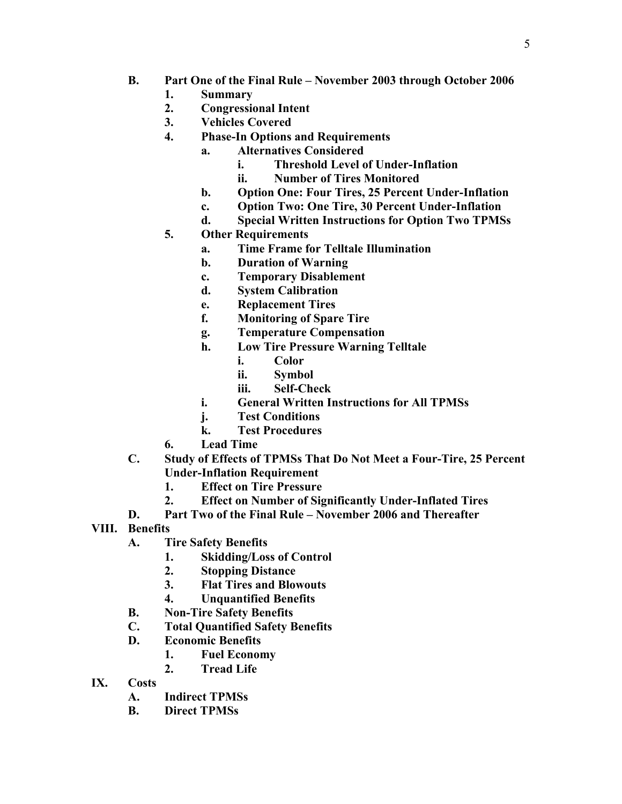- **B.** Part One of the Final Rule November 2003 through October 2006
	- **1. Summary**
	- **2. Congressional Intent**
	- **3. Vehicles Covered**
	- **4. Phase-In Options and Requirements** 
		- **a. Alternatives Considered** 
			- **i. Threshold Level of Under-Inflation**
			- **ii. Number of Tires Monitored**
			- **b. Option One: Four Tires, 25 Percent Under-Inflation**
			- **c. Option Two: One Tire, 30 Percent Under-Inflation**
			- **d. Special Written Instructions for Option Two TPMSs**
	- **5. Other Requirements** 
		- **a. Time Frame for Telltale Illumination**
		- **b. Duration of Warning**
		- **c. Temporary Disablement**
		- **d. System Calibration**
		- **e. Replacement Tires**
		- **f. Monitoring of Spare Tire**
		- **g. Temperature Compensation**
		- **h. Low Tire Pressure Warning Telltale** 
			- **i. Color**
			- **ii. Symbol**
			- **iii. Self-Check**
		- **i. General Written Instructions for All TPMSs**
		- **j. Test Conditions**
		- **k. Test Procedures**
	- **6. Lead Time**
- **C. Study of Effects of TPMSs That Do Not Meet a Four-Tire, 25 Percent Under-Inflation Requirement** 
	- **1. Effect on Tire Pressure**
	- **2. Effect on Number of Significantly Under-Inflated Tires**
- **D.** Part Two of the Final Rule November 2006 and Thereafter
- **VIII. Benefits** 
	- **A. Tire Safety Benefits** 
		- **1. Skidding/Loss of Control**
		- **2. Stopping Distance**
		- **3. Flat Tires and Blowouts**
		- **4. Unquantified Benefits**
	- **B. Non-Tire Safety Benefits**
	- **C. Total Quantified Safety Benefits**
	- **D. Economic Benefits** 
		- **1. Fuel Economy**
		- **2. Tread Life**
- **IX. Costs** 
	- **A. Indirect TPMSs**
	- **B. Direct TPMSs**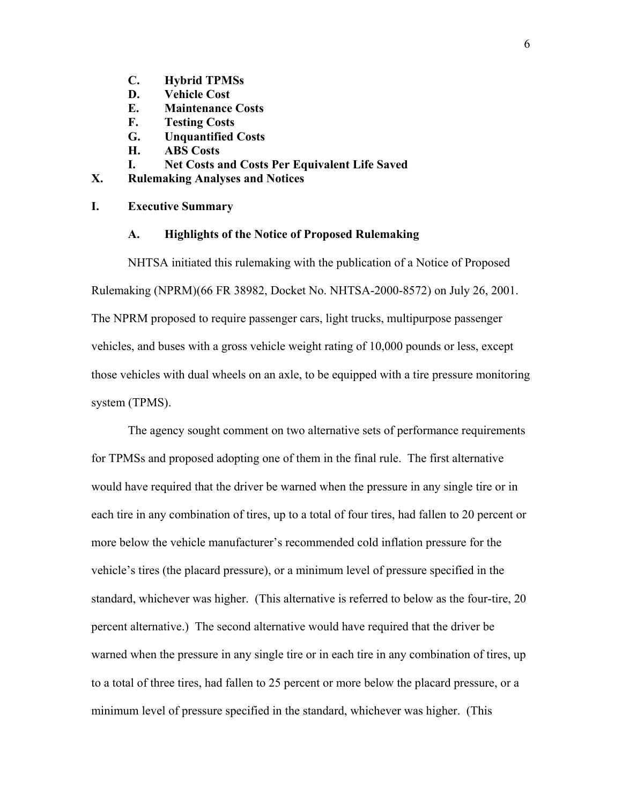- **C. Hybrid TPMSs**
- **D. Vehicle Cost**
- **E. Maintenance Costs**
- **F. Testing Costs**
- **G. Unquantified Costs**
- **H. ABS Costs**
- **I. Net Costs and Costs Per Equivalent Life Saved**
- **X. Rulemaking Analyses and Notices**

### **I. Executive Summary**

### **A. Highlights of the Notice of Proposed Rulemaking**

 NHTSA initiated this rulemaking with the publication of a Notice of Proposed Rulemaking (NPRM)(66 FR 38982, Docket No. NHTSA-2000-8572) on July 26, 2001. The NPRM proposed to require passenger cars, light trucks, multipurpose passenger vehicles, and buses with a gross vehicle weight rating of 10,000 pounds or less, except those vehicles with dual wheels on an axle, to be equipped with a tire pressure monitoring system (TPMS).

The agency sought comment on two alternative sets of performance requirements for TPMSs and proposed adopting one of them in the final rule. The first alternative would have required that the driver be warned when the pressure in any single tire or in each tire in any combination of tires, up to a total of four tires, had fallen to 20 percent or more below the vehicle manufacturer's recommended cold inflation pressure for the vehicle's tires (the placard pressure), or a minimum level of pressure specified in the standard, whichever was higher. (This alternative is referred to below as the four-tire, 20 percent alternative.) The second alternative would have required that the driver be warned when the pressure in any single tire or in each tire in any combination of tires, up to a total of three tires, had fallen to 25 percent or more below the placard pressure, or a minimum level of pressure specified in the standard, whichever was higher. (This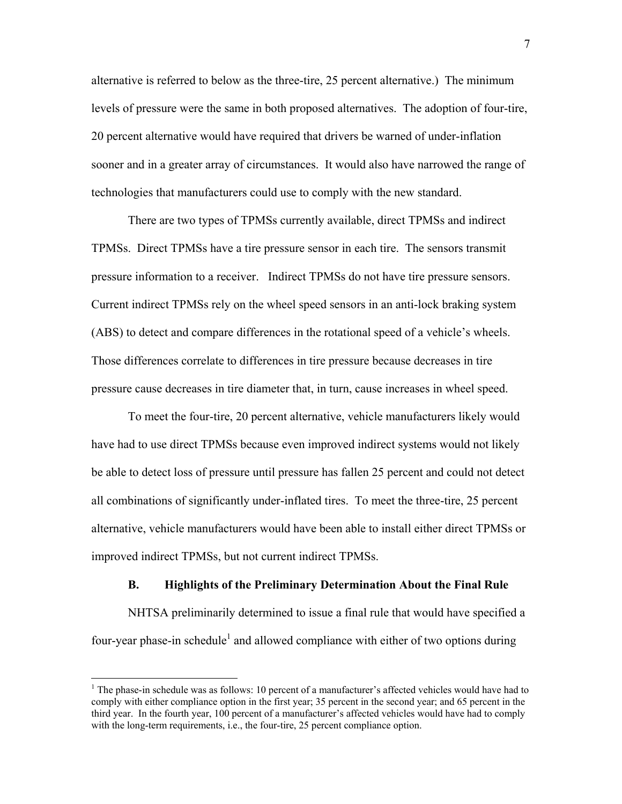alternative is referred to below as the three-tire, 25 percent alternative.) The minimum levels of pressure were the same in both proposed alternatives. The adoption of four-tire, 20 percent alternative would have required that drivers be warned of under-inflation sooner and in a greater array of circumstances. It would also have narrowed the range of technologies that manufacturers could use to comply with the new standard.

There are two types of TPMSs currently available, direct TPMSs and indirect TPMSs. Direct TPMSs have a tire pressure sensor in each tire. The sensors transmit pressure information to a receiver. Indirect TPMSs do not have tire pressure sensors. Current indirect TPMSs rely on the wheel speed sensors in an anti-lock braking system (ABS) to detect and compare differences in the rotational speed of a vehicle's wheels. Those differences correlate to differences in tire pressure because decreases in tire pressure cause decreases in tire diameter that, in turn, cause increases in wheel speed.

To meet the four-tire, 20 percent alternative, vehicle manufacturers likely would have had to use direct TPMSs because even improved indirect systems would not likely be able to detect loss of pressure until pressure has fallen 25 percent and could not detect all combinations of significantly under-inflated tires. To meet the three-tire, 25 percent alternative, vehicle manufacturers would have been able to install either direct TPMSs or improved indirect TPMSs, but not current indirect TPMSs.

### **B. Highlights of the Preliminary Determination About the Final Rule**

NHTSA preliminarily determined to issue a final rule that would have specified a four-year phase-in schedule<sup>1</sup> and allowed compliance with either of two options during

<span id="page-6-0"></span><sup>&</sup>lt;sup>1</sup> The phase-in schedule was as follows: 10 percent of a manufacturer's affected vehicles would have had to comply with either compliance option in the first year; 35 percent in the second year; and 65 percent in the third year. In the fourth year, 100 percent of a manufacturer's affected vehicles would have had to comply with the long-term requirements, i.e., the four-tire, 25 percent compliance option.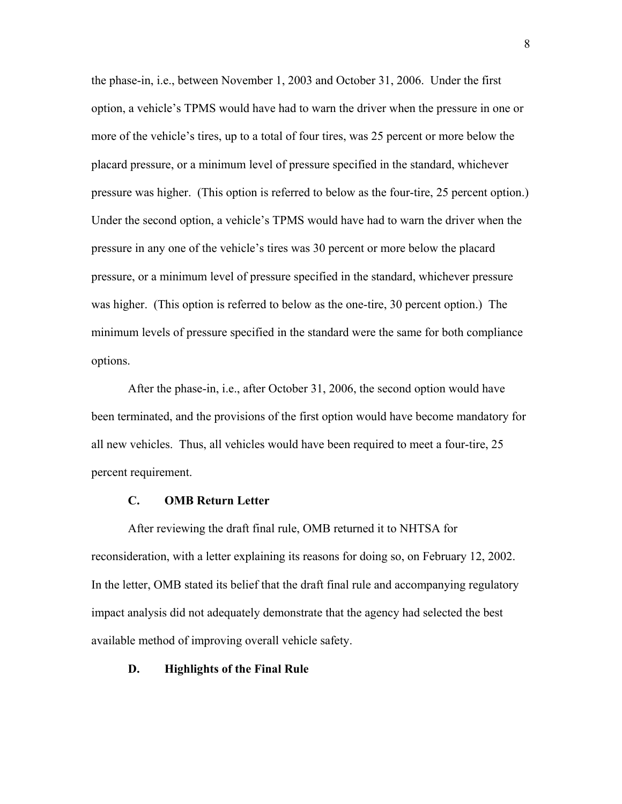the phase-in, i.e., between November 1, 2003 and October 31, 2006. Under the first option, a vehicle's TPMS would have had to warn the driver when the pressure in one or more of the vehicle's tires, up to a total of four tires, was 25 percent or more below the placard pressure, or a minimum level of pressure specified in the standard, whichever pressure was higher. (This option is referred to below as the four-tire, 25 percent option.) Under the second option, a vehicle's TPMS would have had to warn the driver when the pressure in any one of the vehicle's tires was 30 percent or more below the placard pressure, or a minimum level of pressure specified in the standard, whichever pressure was higher. (This option is referred to below as the one-tire, 30 percent option.) The minimum levels of pressure specified in the standard were the same for both compliance options.

After the phase-in, i.e., after October 31, 2006, the second option would have been terminated, and the provisions of the first option would have become mandatory for all new vehicles. Thus, all vehicles would have been required to meet a four-tire, 25 percent requirement.

### **C. OMB Return Letter**

After reviewing the draft final rule, OMB returned it to NHTSA for reconsideration, with a letter explaining its reasons for doing so, on February 12, 2002. In the letter, OMB stated its belief that the draft final rule and accompanying regulatory impact analysis did not adequately demonstrate that the agency had selected the best available method of improving overall vehicle safety.

### **D. Highlights of the Final Rule**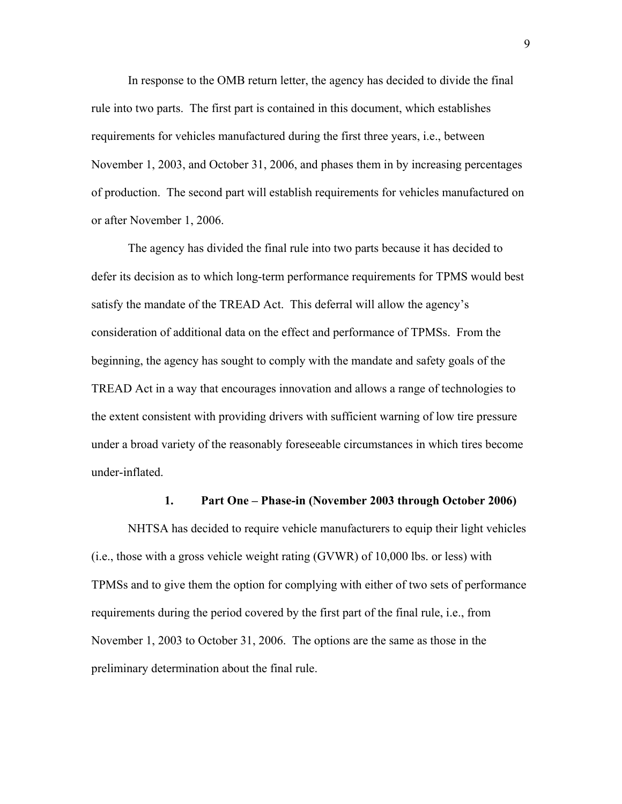In response to the OMB return letter, the agency has decided to divide the final rule into two parts. The first part is contained in this document, which establishes requirements for vehicles manufactured during the first three years, i.e., between November 1, 2003, and October 31, 2006, and phases them in by increasing percentages of production. The second part will establish requirements for vehicles manufactured on or after November 1, 2006.

The agency has divided the final rule into two parts because it has decided to defer its decision as to which long-term performance requirements for TPMS would best satisfy the mandate of the TREAD Act. This deferral will allow the agency's consideration of additional data on the effect and performance of TPMSs. From the beginning, the agency has sought to comply with the mandate and safety goals of the TREAD Act in a way that encourages innovation and allows a range of technologies to the extent consistent with providing drivers with sufficient warning of low tire pressure under a broad variety of the reasonably foreseeable circumstances in which tires become under-inflated.

### 1. Part One – Phase-in (November 2003 through October 2006)

NHTSA has decided to require vehicle manufacturers to equip their light vehicles (i.e., those with a gross vehicle weight rating (GVWR) of 10,000 lbs. or less) with TPMSs and to give them the option for complying with either of two sets of performance requirements during the period covered by the first part of the final rule, i.e., from November 1, 2003 to October 31, 2006. The options are the same as those in the preliminary determination about the final rule.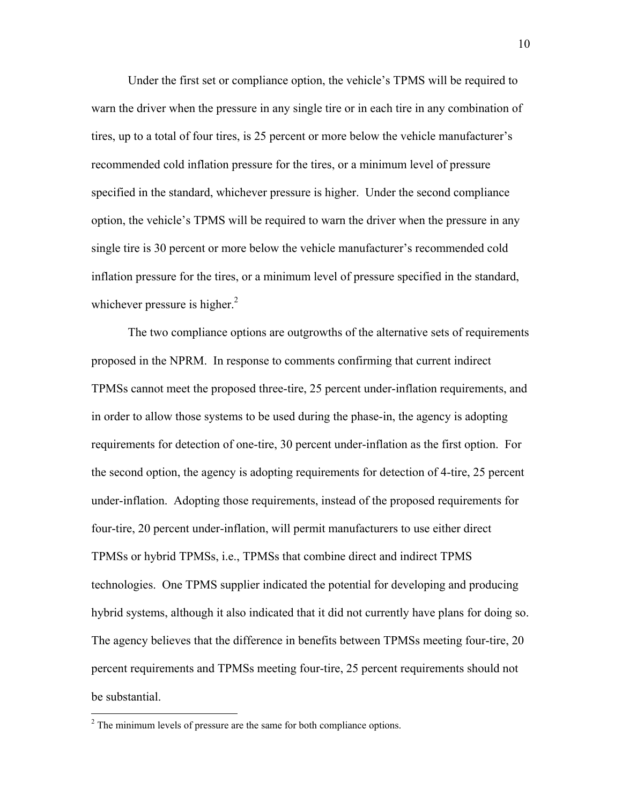Under the first set or compliance option, the vehicle's TPMS will be required to warn the driver when the pressure in any single tire or in each tire in any combination of tires, up to a total of four tires, is 25 percent or more below the vehicle manufacturer's recommended cold inflation pressure for the tires, or a minimum level of pressure specified in the standard, whichever pressure is higher. Under the second compliance option, the vehicle's TPMS will be required to warn the driver when the pressure in any single tire is 30 percent or more below the vehicle manufacturer's recommended cold inflation pressure for the tires, or a minimum level of pressure specified in the standard, whichever pressure is higher. $<sup>2</sup>$  $<sup>2</sup>$  $<sup>2</sup>$ </sup>

The two compliance options are outgrowths of the alternative sets of requirements proposed in the NPRM. In response to comments confirming that current indirect TPMSs cannot meet the proposed three-tire, 25 percent under-inflation requirements, and in order to allow those systems to be used during the phase-in, the agency is adopting requirements for detection of one-tire, 30 percent under-inflation as the first option. For the second option, the agency is adopting requirements for detection of 4-tire, 25 percent under-inflation. Adopting those requirements, instead of the proposed requirements for four-tire, 20 percent under-inflation, will permit manufacturers to use either direct TPMSs or hybrid TPMSs, i.e., TPMSs that combine direct and indirect TPMS technologies. One TPMS supplier indicated the potential for developing and producing hybrid systems, although it also indicated that it did not currently have plans for doing so. The agency believes that the difference in benefits between TPMSs meeting four-tire, 20 percent requirements and TPMSs meeting four-tire, 25 percent requirements should not be substantial.

<u>.</u>

<span id="page-9-0"></span> $2^2$  The minimum levels of pressure are the same for both compliance options.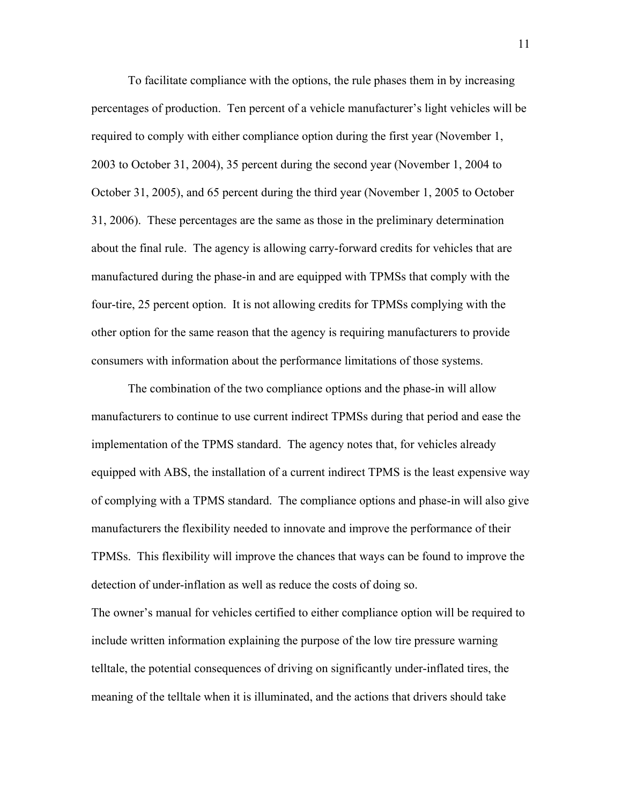To facilitate compliance with the options, the rule phases them in by increasing percentages of production. Ten percent of a vehicle manufacturer's light vehicles will be required to comply with either compliance option during the first year (November 1, 2003 to October 31, 2004), 35 percent during the second year (November 1, 2004 to October 31, 2005), and 65 percent during the third year (November 1, 2005 to October 31, 2006). These percentages are the same as those in the preliminary determination about the final rule. The agency is allowing carry-forward credits for vehicles that are manufactured during the phase-in and are equipped with TPMSs that comply with the four-tire, 25 percent option. It is not allowing credits for TPMSs complying with the other option for the same reason that the agency is requiring manufacturers to provide consumers with information about the performance limitations of those systems.

The combination of the two compliance options and the phase-in will allow manufacturers to continue to use current indirect TPMSs during that period and ease the implementation of the TPMS standard. The agency notes that, for vehicles already equipped with ABS, the installation of a current indirect TPMS is the least expensive way of complying with a TPMS standard. The compliance options and phase-in will also give manufacturers the flexibility needed to innovate and improve the performance of their TPMSs. This flexibility will improve the chances that ways can be found to improve the detection of under-inflation as well as reduce the costs of doing so.

The owner's manual for vehicles certified to either compliance option will be required to include written information explaining the purpose of the low tire pressure warning telltale, the potential consequences of driving on significantly under-inflated tires, the meaning of the telltale when it is illuminated, and the actions that drivers should take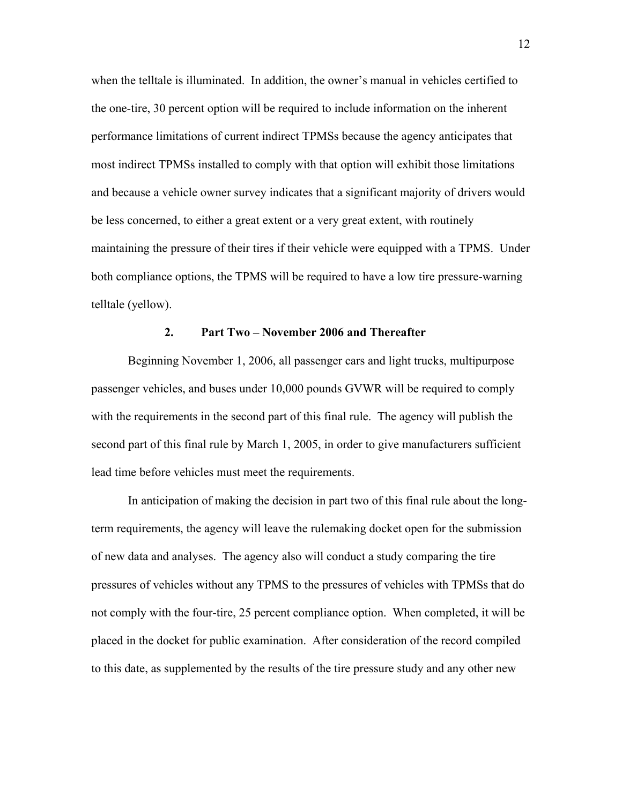when the telltale is illuminated. In addition, the owner's manual in vehicles certified to the one-tire, 30 percent option will be required to include information on the inherent performance limitations of current indirect TPMSs because the agency anticipates that most indirect TPMSs installed to comply with that option will exhibit those limitations and because a vehicle owner survey indicates that a significant majority of drivers would be less concerned, to either a great extent or a very great extent, with routinely maintaining the pressure of their tires if their vehicle were equipped with a TPMS. Under both compliance options, the TPMS will be required to have a low tire pressure-warning telltale (yellow).

### **2.** Part Two – November 2006 and Thereafter

Beginning November 1, 2006, all passenger cars and light trucks, multipurpose passenger vehicles, and buses under 10,000 pounds GVWR will be required to comply with the requirements in the second part of this final rule. The agency will publish the second part of this final rule by March 1, 2005, in order to give manufacturers sufficient lead time before vehicles must meet the requirements.

In anticipation of making the decision in part two of this final rule about the longterm requirements, the agency will leave the rulemaking docket open for the submission of new data and analyses. The agency also will conduct a study comparing the tire pressures of vehicles without any TPMS to the pressures of vehicles with TPMSs that do not comply with the four-tire, 25 percent compliance option. When completed, it will be placed in the docket for public examination. After consideration of the record compiled to this date, as supplemented by the results of the tire pressure study and any other new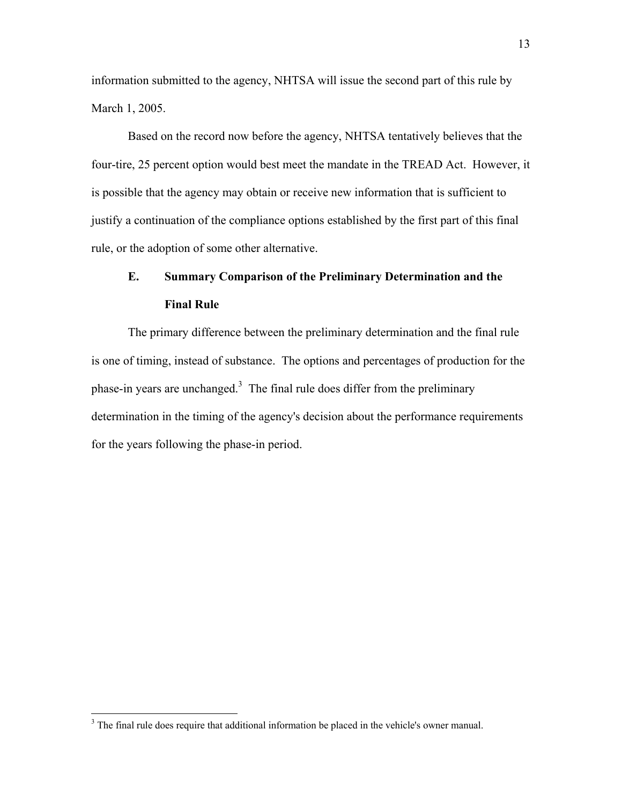information submitted to the agency, NHTSA will issue the second part of this rule by March 1, 2005.

Based on the record now before the agency, NHTSA tentatively believes that the four-tire, 25 percent option would best meet the mandate in the TREAD Act. However, it is possible that the agency may obtain or receive new information that is sufficient to justify a continuation of the compliance options established by the first part of this final rule, or the adoption of some other alternative.

# **E. Summary Comparison of the Preliminary Determination and the Final Rule**

The primary difference between the preliminary determination and the final rule is one of timing, instead of substance. The options and percentages of production for the phase-in years are unchanged.<sup>[3](#page-12-0)</sup> The final rule does differ from the preliminary determination in the timing of the agency's decision about the performance requirements for the years following the phase-in period.

<span id="page-12-0"></span><sup>&</sup>lt;sup>3</sup> The final rule does require that additional information be placed in the vehicle's owner manual.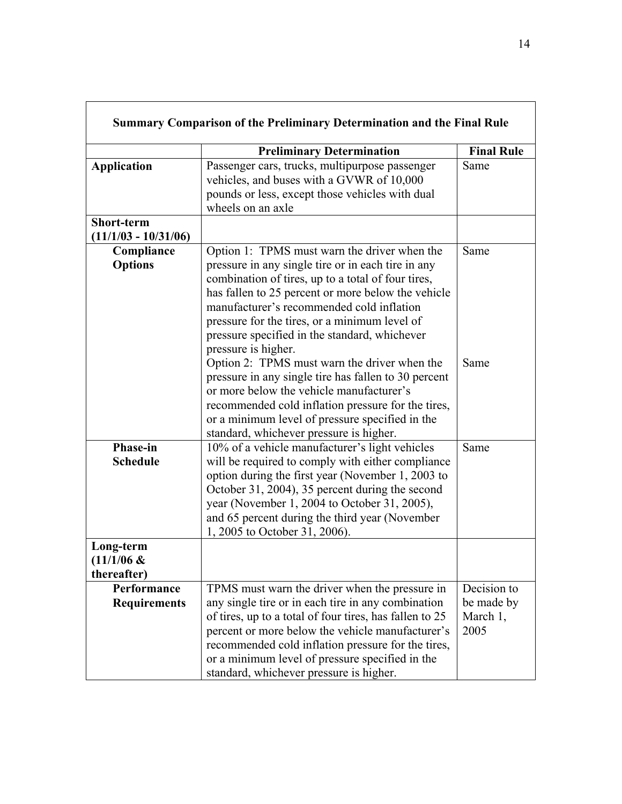|                                             | <b>Preliminary Determination</b>                                                                                                                                                                                                                                                                                                                                                     | <b>Final Rule</b>                             |
|---------------------------------------------|--------------------------------------------------------------------------------------------------------------------------------------------------------------------------------------------------------------------------------------------------------------------------------------------------------------------------------------------------------------------------------------|-----------------------------------------------|
| <b>Application</b>                          | Passenger cars, trucks, multipurpose passenger<br>vehicles, and buses with a GVWR of 10,000<br>pounds or less, except those vehicles with dual<br>wheels on an axle                                                                                                                                                                                                                  | Same                                          |
| <b>Short-term</b><br>$(11/1/03 - 10/31/06)$ |                                                                                                                                                                                                                                                                                                                                                                                      |                                               |
| Compliance<br><b>Options</b>                | Option 1: TPMS must warn the driver when the<br>pressure in any single tire or in each tire in any<br>combination of tires, up to a total of four tires,<br>has fallen to 25 percent or more below the vehicle<br>manufacturer's recommended cold inflation<br>pressure for the tires, or a minimum level of<br>pressure specified in the standard, whichever<br>pressure is higher. | Same                                          |
|                                             | Option 2: TPMS must warn the driver when the<br>pressure in any single tire has fallen to 30 percent<br>or more below the vehicle manufacturer's<br>recommended cold inflation pressure for the tires,<br>or a minimum level of pressure specified in the<br>standard, whichever pressure is higher.                                                                                 | Same                                          |
| <b>Phase-in</b><br><b>Schedule</b>          | 10% of a vehicle manufacturer's light vehicles<br>will be required to comply with either compliance<br>option during the first year (November 1, 2003 to<br>October 31, 2004), 35 percent during the second<br>year (November 1, 2004 to October 31, 2005),<br>and 65 percent during the third year (November<br>1, 2005 to October 31, 2006).                                       | Same                                          |
| Long-term<br>$(11/1/06 \&$<br>thereafter)   |                                                                                                                                                                                                                                                                                                                                                                                      |                                               |
| Performance<br><b>Requirements</b>          | TPMS must warn the driver when the pressure in<br>any single tire or in each tire in any combination<br>of tires, up to a total of four tires, has fallen to 25<br>percent or more below the vehicle manufacturer's<br>recommended cold inflation pressure for the tires,<br>or a minimum level of pressure specified in the<br>standard, whichever pressure is higher.              | Decision to<br>be made by<br>March 1,<br>2005 |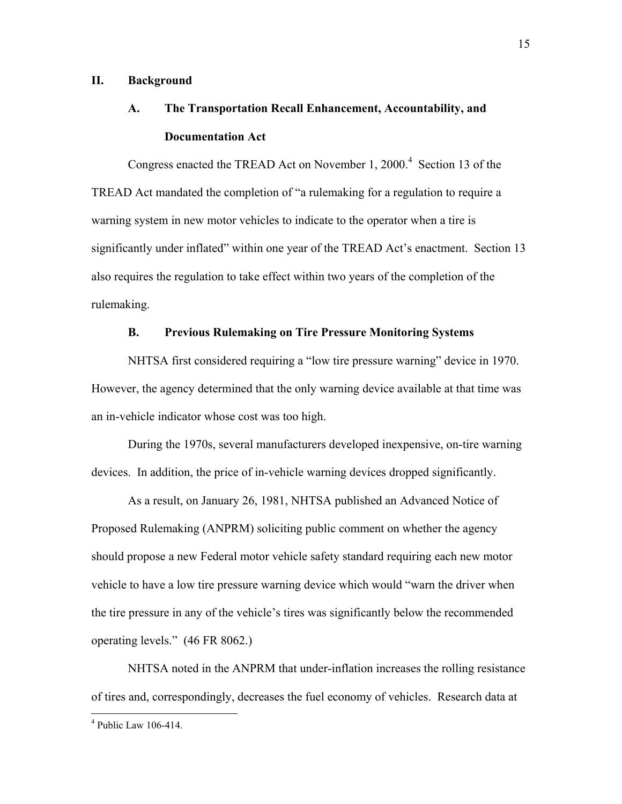### **II. Background**

## **A. The Transportation Recall Enhancement, Accountability, and Documentation Act**

Congress enacted the TREAD Act on November 1, 2000.<sup>[4](#page-14-0)</sup> Section 13 of the TREAD Act mandated the completion of "a rulemaking for a regulation to require a warning system in new motor vehicles to indicate to the operator when a tire is significantly under inflated" within one year of the TREAD Act's enactment. Section 13 also requires the regulation to take effect within two years of the completion of the rulemaking.

## **B. Previous Rulemaking on Tire Pressure Monitoring Systems**

NHTSA first considered requiring a "low tire pressure warning" device in 1970. However, the agency determined that the only warning device available at that time was an in-vehicle indicator whose cost was too high.

During the 1970s, several manufacturers developed inexpensive, on-tire warning devices. In addition, the price of in-vehicle warning devices dropped significantly.

As a result, on January 26, 1981, NHTSA published an Advanced Notice of Proposed Rulemaking (ANPRM) soliciting public comment on whether the agency should propose a new Federal motor vehicle safety standard requiring each new motor vehicle to have a low tire pressure warning device which would "warn the driver when the tire pressure in any of the vehicle's tires was significantly below the recommended operating levels.î (46 FR 8062.)

NHTSA noted in the ANPRM that under-inflation increases the rolling resistance of tires and, correspondingly, decreases the fuel economy of vehicles. Research data at

<span id="page-14-0"></span> 4 Public Law 106-414.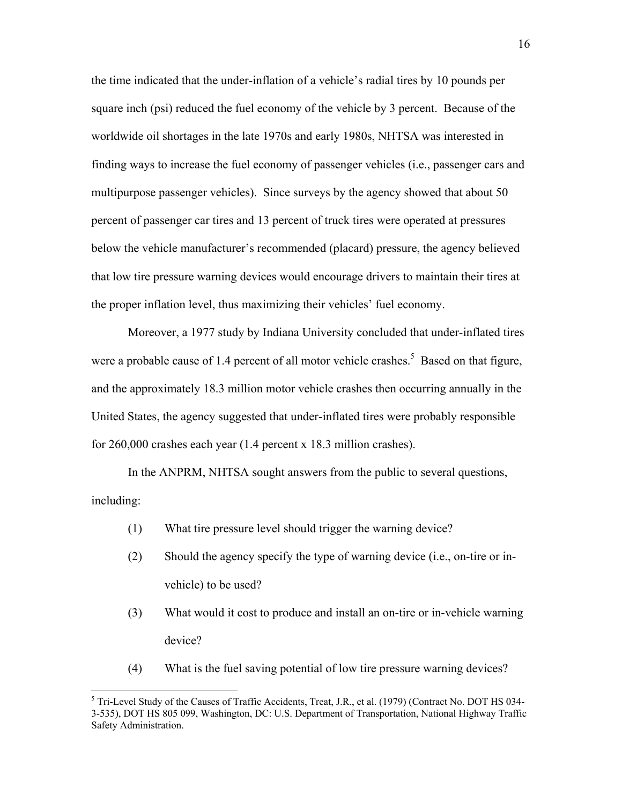the time indicated that the under-inflation of a vehicle's radial tires by 10 pounds per square inch (psi) reduced the fuel economy of the vehicle by 3 percent. Because of the worldwide oil shortages in the late 1970s and early 1980s, NHTSA was interested in finding ways to increase the fuel economy of passenger vehicles (i.e., passenger cars and multipurpose passenger vehicles). Since surveys by the agency showed that about 50 percent of passenger car tires and 13 percent of truck tires were operated at pressures below the vehicle manufacturer's recommended (placard) pressure, the agency believed that low tire pressure warning devices would encourage drivers to maintain their tires at the proper inflation level, thus maximizing their vehicles' fuel economy.

Moreover, a 1977 study by Indiana University concluded that under-inflated tires were a probable cause of 1.4 percent of all motor vehicle crashes.<sup>5</sup> Based on that figure, and the approximately 18.3 million motor vehicle crashes then occurring annually in the United States, the agency suggested that under-inflated tires were probably responsible for 260,000 crashes each year (1.4 percent x 18.3 million crashes).

In the ANPRM, NHTSA sought answers from the public to several questions, including:

- (1) What tire pressure level should trigger the warning device?
- (2) Should the agency specify the type of warning device (i.e., on-tire or invehicle) to be used?
- (3) What would it cost to produce and install an on-tire or in-vehicle warning device?
- (4) What is the fuel saving potential of low tire pressure warning devices?

 $\overline{a}$ 

<span id="page-15-0"></span><sup>&</sup>lt;sup>5</sup> Tri-Level Study of the Causes of Traffic Accidents, Treat, J.R., et al. (1979) (Contract No. DOT HS 034-3-535), DOT HS 805 099, Washington, DC: U.S. Department of Transportation, National Highway Traffic Safety Administration.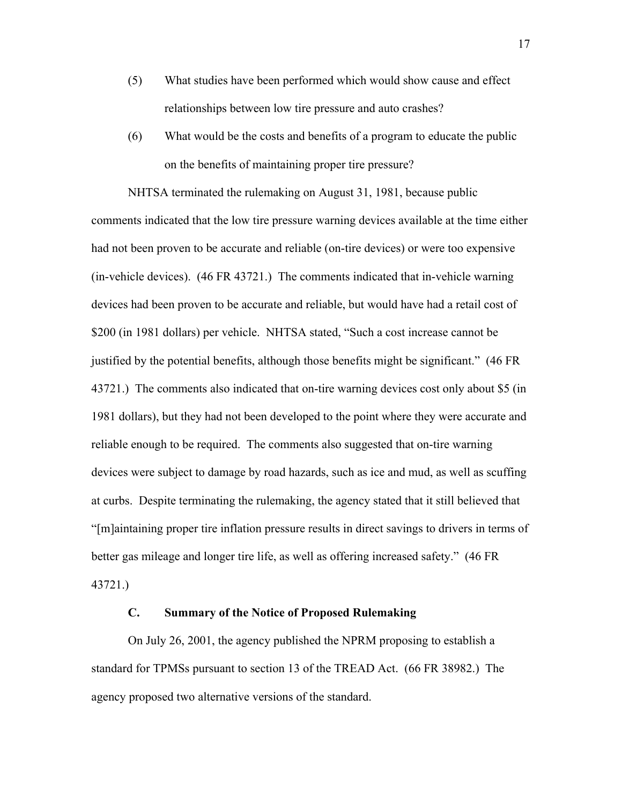- (5) What studies have been performed which would show cause and effect relationships between low tire pressure and auto crashes?
- (6) What would be the costs and benefits of a program to educate the public on the benefits of maintaining proper tire pressure?

NHTSA terminated the rulemaking on August 31, 1981, because public comments indicated that the low tire pressure warning devices available at the time either had not been proven to be accurate and reliable (on-tire devices) or were too expensive (in-vehicle devices). (46 FR 43721.) The comments indicated that in-vehicle warning devices had been proven to be accurate and reliable, but would have had a retail cost of \$200 (in 1981 dollars) per vehicle. NHTSA stated, "Such a cost increase cannot be justified by the potential benefits, although those benefits might be significant." (46 FR 43721.) The comments also indicated that on-tire warning devices cost only about \$5 (in 1981 dollars), but they had not been developed to the point where they were accurate and reliable enough to be required. The comments also suggested that on-tire warning devices were subject to damage by road hazards, such as ice and mud, as well as scuffing at curbs. Despite terminating the rulemaking, the agency stated that it still believed that ì[m]aintaining proper tire inflation pressure results in direct savings to drivers in terms of better gas mileage and longer tire life, as well as offering increased safety." (46 FR 43721.)

### **C. Summary of the Notice of Proposed Rulemaking**

On July 26, 2001, the agency published the NPRM proposing to establish a standard for TPMSs pursuant to section 13 of the TREAD Act. (66 FR 38982.) The agency proposed two alternative versions of the standard.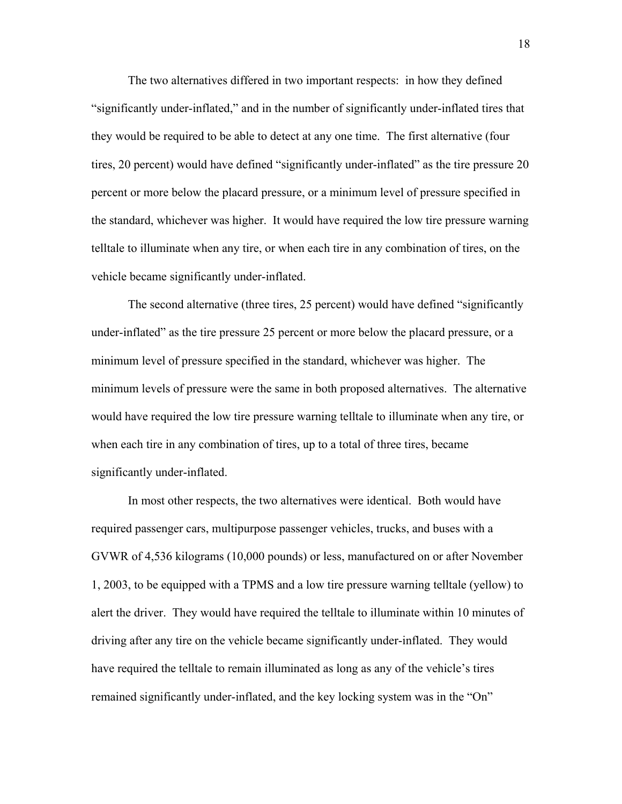The two alternatives differed in two important respects: in how they defined "significantly under-inflated," and in the number of significantly under-inflated tires that they would be required to be able to detect at any one time. The first alternative (four tires, 20 percent) would have defined "significantly under-inflated" as the tire pressure 20 percent or more below the placard pressure, or a minimum level of pressure specified in the standard, whichever was higher. It would have required the low tire pressure warning telltale to illuminate when any tire, or when each tire in any combination of tires, on the vehicle became significantly under-inflated.

The second alternative (three tires, 25 percent) would have defined "significantly under-inflated" as the tire pressure 25 percent or more below the placard pressure, or a minimum level of pressure specified in the standard, whichever was higher. The minimum levels of pressure were the same in both proposed alternatives. The alternative would have required the low tire pressure warning telltale to illuminate when any tire, or when each tire in any combination of tires, up to a total of three tires, became significantly under-inflated.

In most other respects, the two alternatives were identical. Both would have required passenger cars, multipurpose passenger vehicles, trucks, and buses with a GVWR of 4,536 kilograms (10,000 pounds) or less, manufactured on or after November 1, 2003, to be equipped with a TPMS and a low tire pressure warning telltale (yellow) to alert the driver. They would have required the telltale to illuminate within 10 minutes of driving after any tire on the vehicle became significantly under-inflated. They would have required the telltale to remain illuminated as long as any of the vehicle's tires remained significantly under-inflated, and the key locking system was in the "On"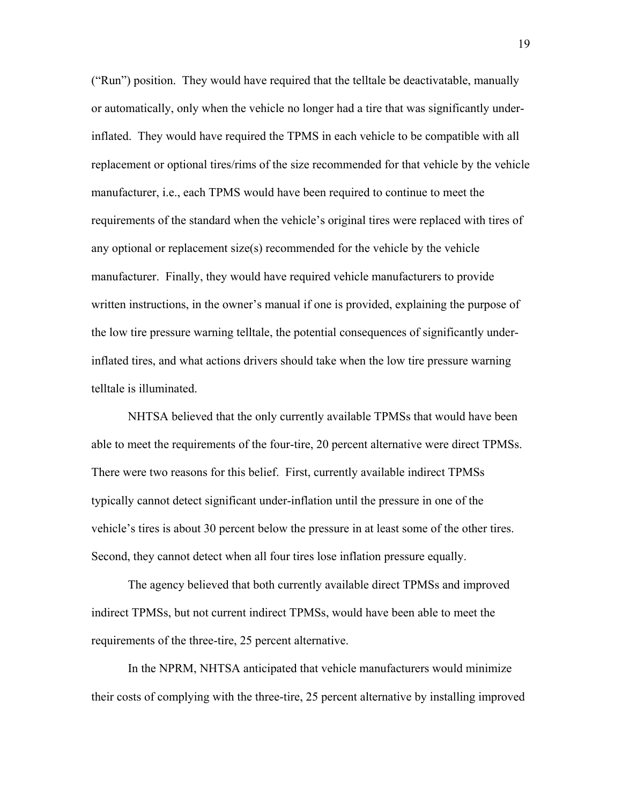("Run") position. They would have required that the telltale be deactivatable, manually or automatically, only when the vehicle no longer had a tire that was significantly underinflated. They would have required the TPMS in each vehicle to be compatible with all replacement or optional tires/rims of the size recommended for that vehicle by the vehicle manufacturer, i.e., each TPMS would have been required to continue to meet the requirements of the standard when the vehicle's original tires were replaced with tires of any optional or replacement size(s) recommended for the vehicle by the vehicle manufacturer. Finally, they would have required vehicle manufacturers to provide written instructions, in the owner's manual if one is provided, explaining the purpose of the low tire pressure warning telltale, the potential consequences of significantly underinflated tires, and what actions drivers should take when the low tire pressure warning telltale is illuminated.

NHTSA believed that the only currently available TPMSs that would have been able to meet the requirements of the four-tire, 20 percent alternative were direct TPMSs. There were two reasons for this belief. First, currently available indirect TPMSs typically cannot detect significant under-inflation until the pressure in one of the vehicle's tires is about 30 percent below the pressure in at least some of the other tires. Second, they cannot detect when all four tires lose inflation pressure equally.

 The agency believed that both currently available direct TPMSs and improved indirect TPMSs, but not current indirect TPMSs, would have been able to meet the requirements of the three-tire, 25 percent alternative.

 In the NPRM, NHTSA anticipated that vehicle manufacturers would minimize their costs of complying with the three-tire, 25 percent alternative by installing improved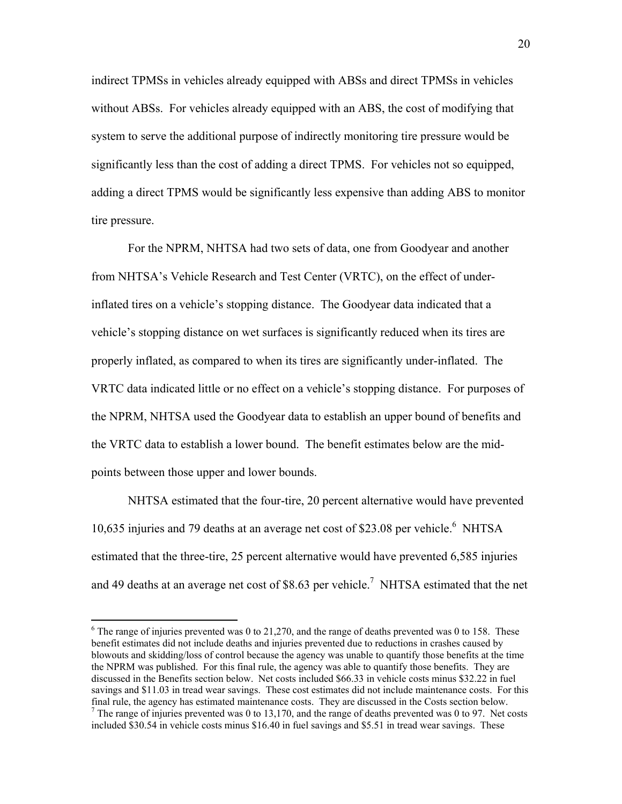<span id="page-19-1"></span>indirect TPMSs in vehicles already equipped with ABSs and direct TPMSs in vehicles without ABSs. For vehicles already equipped with an ABS, the cost of modifying that system to serve the additional purpose of indirectly monitoring tire pressure would be significantly less than the cost of adding a direct TPMS. For vehicles not so equipped, adding a direct TPMS would be significantly less expensive than adding ABS to monitor tire pressure.

 For the NPRM, NHTSA had two sets of data, one from Goodyear and another from NHTSA's Vehicle Research and Test Center (VRTC), on the effect of underinflated tires on a vehicle's stopping distance. The Goodyear data indicated that a vehicle's stopping distance on wet surfaces is significantly reduced when its tires are properly inflated, as compared to when its tires are significantly under-inflated. The VRTC data indicated little or no effect on a vehicle's stopping distance. For purposes of the NPRM, NHTSA used the Goodyear data to establish an upper bound of benefits and the VRTC data to establish a lower bound. The benefit estimates below are the midpoints between those upper and lower bounds.

 NHTSA estimated that the four-tire, 20 percent alternative would have prevented 10,635 injuries and 79 deaths at an average net cost of \$23.08 per vehicle.<sup>6</sup> NHTSA estimated that the three-tire, 25 percent alternative would have prevented 6,585 injuries and 49 deaths at an average net cost of \$8.63 per vehicle.<sup>7</sup> NHTSA estimated that the net

 $\overline{a}$ 

<span id="page-19-0"></span> $6$  The range of injuries prevented was 0 to 21,270, and the range of deaths prevented was 0 to 158. These benefit estimates did not include deaths and injuries prevented due to reductions in crashes caused by blowouts and skidding/loss of control because the agency was unable to quantify those benefits at the time the NPRM was published. For this final rule, the agency was able to quantify those benefits. They are discussed in the Benefits section below. Net costs included \$66.33 in vehicle costs minus \$32.22 in fuel savings and \$11.03 in tread wear savings. These cost estimates did not include maintenance costs. For this final rule, the agency has estimated maintenance costs. They are discussed in the Costs section below. 7  $\frac{7}{1}$  The range of injuries prevented was 0 to 13,170, and the range of deaths prevented was 0 to 97. Net costs included \$30.54 in vehicle costs minus \$16.40 in fuel savings and \$5.51 in tread wear savings. These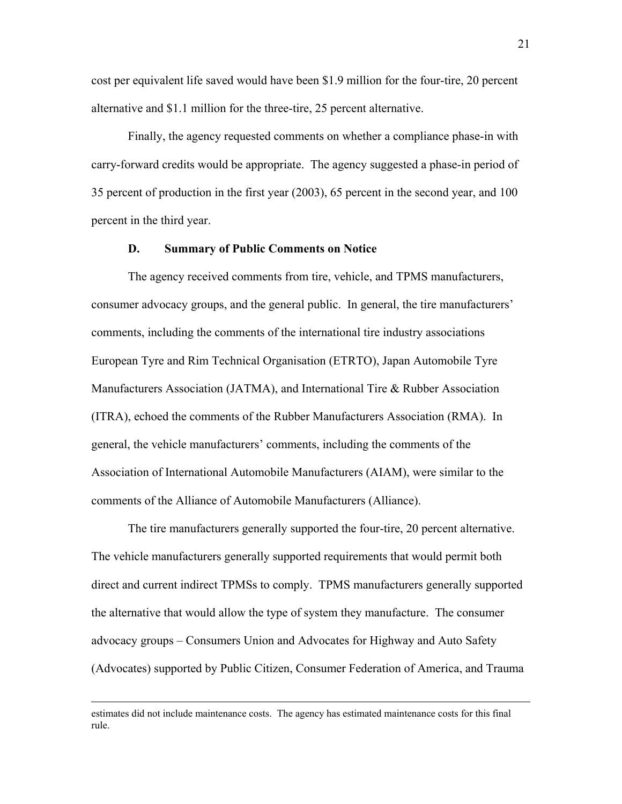cost per equivalent life saved would have been \$1.9 million for the four-tire, 20 percent alternative and \$1.1 million for the three-tire, 25 percent alternative.

 Finally, the agency requested comments on whether a compliance phase-in with carry-forward credits would be appropriate. The agency suggested a phase-in period of 35 percent of production in the first year (2003), 65 percent in the second year, and 100 percent in the third year.

### **D. Summary of Public Comments on Notice**

 The agency received comments from tire, vehicle, and TPMS manufacturers, consumer advocacy groups, and the general public. In general, the tire manufacturers' comments, including the comments of the international tire industry associations European Tyre and Rim Technical Organisation (ETRTO), Japan Automobile Tyre Manufacturers Association (JATMA), and International Tire & Rubber Association (ITRA), echoed the comments of the Rubber Manufacturers Association (RMA). In general, the vehicle manufacturers' comments, including the comments of the Association of International Automobile Manufacturers (AIAM), were similar to the comments of the Alliance of Automobile Manufacturers (Alliance).

The tire manufacturers generally supported the four-tire, 20 percent alternative. The vehicle manufacturers generally supported requirements that would permit both direct and current indirect TPMSs to comply. TPMS manufacturers generally supported the alternative that would allow the type of system they manufacture. The consumer advocacy groups – Consumers Union and Advocates for Highway and Auto Safety (Advocates) supported by Public Citizen, Consumer Federation of America, and Trauma

estimates did not include maintenance costs. The agency has estimated maintenance costs for this final rule.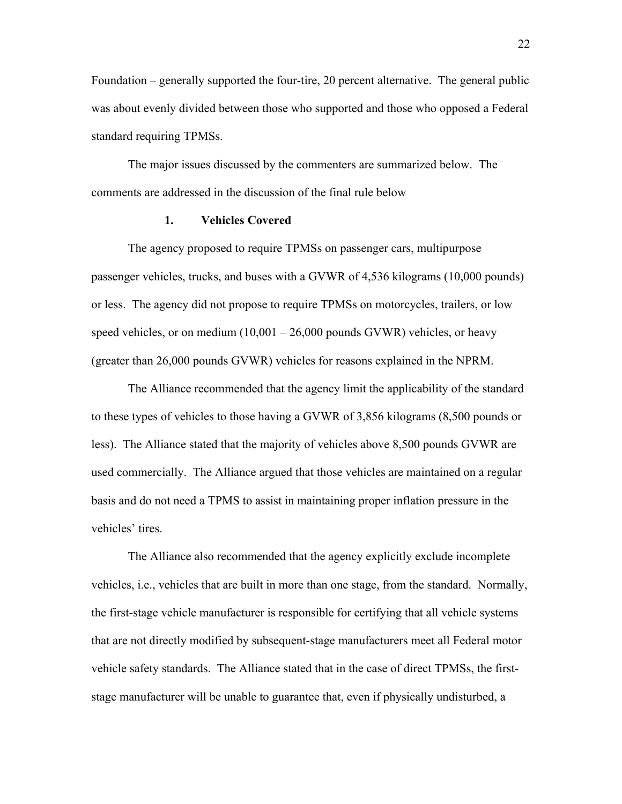Foundation  $-$  generally supported the four-tire, 20 percent alternative. The general public was about evenly divided between those who supported and those who opposed a Federal standard requiring TPMSs.

 The major issues discussed by the commenters are summarized below. The comments are addressed in the discussion of the final rule below

### **1. Vehicles Covered**

The agency proposed to require TPMSs on passenger cars, multipurpose passenger vehicles, trucks, and buses with a GVWR of 4,536 kilograms (10,000 pounds) or less. The agency did not propose to require TPMSs on motorcycles, trailers, or low speed vehicles, or on medium  $(10,001 - 26,000$  pounds GVWR) vehicles, or heavy (greater than 26,000 pounds GVWR) vehicles for reasons explained in the NPRM.

The Alliance recommended that the agency limit the applicability of the standard to these types of vehicles to those having a GVWR of 3,856 kilograms (8,500 pounds or less). The Alliance stated that the majority of vehicles above 8,500 pounds GVWR are used commercially. The Alliance argued that those vehicles are maintained on a regular basis and do not need a TPMS to assist in maintaining proper inflation pressure in the vehicles' tires.

The Alliance also recommended that the agency explicitly exclude incomplete vehicles, i.e., vehicles that are built in more than one stage, from the standard. Normally, the first-stage vehicle manufacturer is responsible for certifying that all vehicle systems that are not directly modified by subsequent-stage manufacturers meet all Federal motor vehicle safety standards. The Alliance stated that in the case of direct TPMSs, the firststage manufacturer will be unable to guarantee that, even if physically undisturbed, a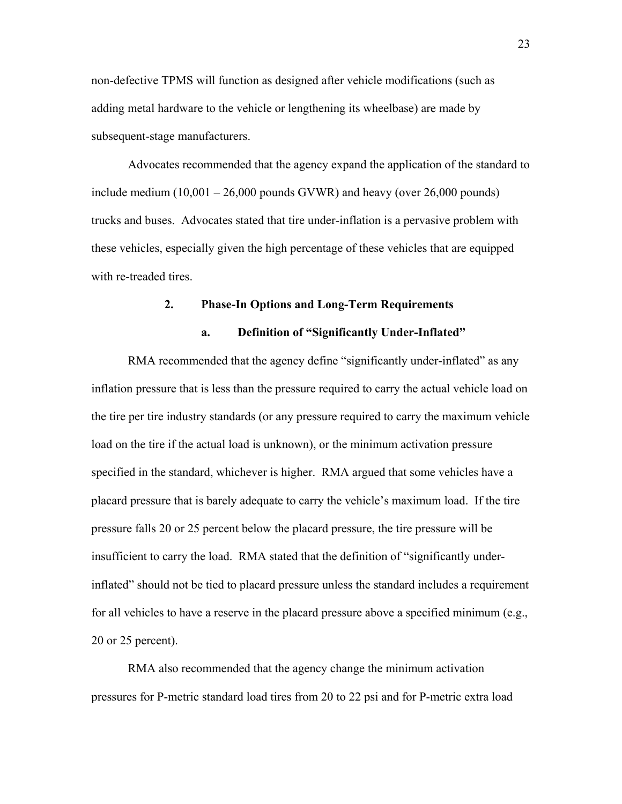non-defective TPMS will function as designed after vehicle modifications (such as adding metal hardware to the vehicle or lengthening its wheelbase) are made by subsequent-stage manufacturers.

Advocates recommended that the agency expand the application of the standard to include medium  $(10,001 - 26,000$  pounds GVWR) and heavy (over 26,000 pounds) trucks and buses. Advocates stated that tire under-inflation is a pervasive problem with these vehicles, especially given the high percentage of these vehicles that are equipped with re-treaded tires.

### **2. Phase-In Options and Long-Term Requirements**

### a. Definition of "Significantly Under-Inflated"

RMA recommended that the agency define "significantly under-inflated" as any inflation pressure that is less than the pressure required to carry the actual vehicle load on the tire per tire industry standards (or any pressure required to carry the maximum vehicle load on the tire if the actual load is unknown), or the minimum activation pressure specified in the standard, whichever is higher. RMA argued that some vehicles have a placard pressure that is barely adequate to carry the vehicle's maximum load. If the tire pressure falls 20 or 25 percent below the placard pressure, the tire pressure will be insufficient to carry the load. RMA stated that the definition of "significantly underinflated" should not be tied to placard pressure unless the standard includes a requirement for all vehicles to have a reserve in the placard pressure above a specified minimum (e.g., 20 or 25 percent).

RMA also recommended that the agency change the minimum activation pressures for P-metric standard load tires from 20 to 22 psi and for P-metric extra load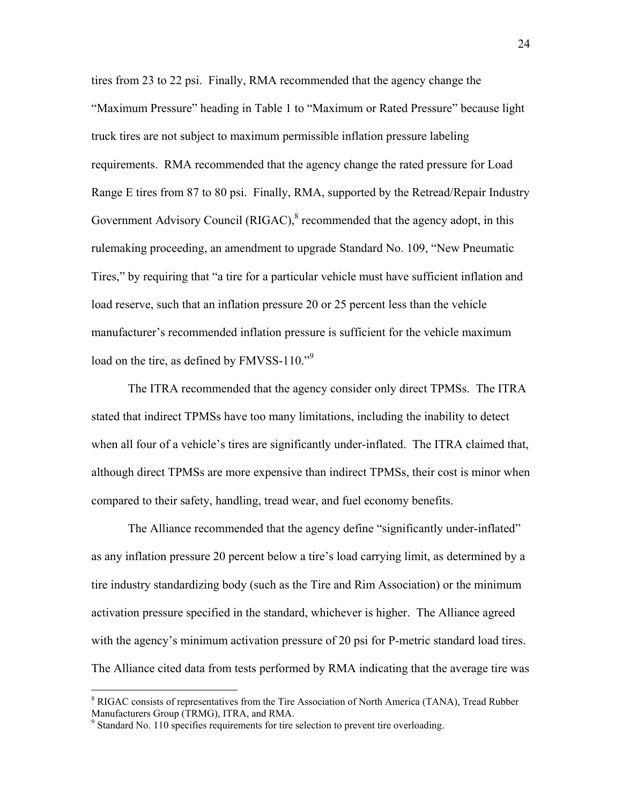tires from 23 to 22 psi. Finally, RMA recommended that the agency change the "Maximum Pressure" heading in Table 1 to "Maximum or Rated Pressure" because light truck tires are not subject to maximum permissible inflation pressure labeling requirements. RMA recommended that the agency change the rated pressure for Load Range E tires from 87 to 80 psi. Finally, RMA, supported by the Retread/Repair Industry Government Advisory Council ( $RIGAC$ ), $8$  recommended that the agency adopt, in this rulemaking proceeding, an amendment to upgrade Standard No. 109, "New Pneumatic Tires," by requiring that "a tire for a particular vehicle must have sufficient inflation and load reserve, such that an inflation pressure 20 or 25 percent less than the vehicle manufacturer's recommended inflation pressure is sufficient for the vehicle maximum load on the tire, as defined by FMVSS-110.<sup>7[9](#page-23-1)</sup>

The ITRA recommended that the agency consider only direct TPMSs. The ITRA stated that indirect TPMSs have too many limitations, including the inability to detect when all four of a vehicle's tires are significantly under-inflated. The ITRA claimed that, although direct TPMSs are more expensive than indirect TPMSs, their cost is minor when compared to their safety, handling, tread wear, and fuel economy benefits.

The Alliance recommended that the agency define "significantly under-inflated" as any inflation pressure 20 percent below a tire's load carrying limit, as determined by a tire industry standardizing body (such as the Tire and Rim Association) or the minimum activation pressure specified in the standard, whichever is higher. The Alliance agreed with the agency's minimum activation pressure of 20 psi for P-metric standard load tires. The Alliance cited data from tests performed by RMA indicating that the average tire was

 $\overline{a}$ 

<span id="page-23-0"></span><sup>&</sup>lt;sup>8</sup> RIGAC consists of representatives from the Tire Association of North America (TANA), Tread Rubber Manufacturers Group (TRMG), ITRA, and RMA.

<span id="page-23-1"></span><sup>&</sup>lt;sup>9</sup> Standard No. 110 specifies requirements for tire selection to prevent tire overloading.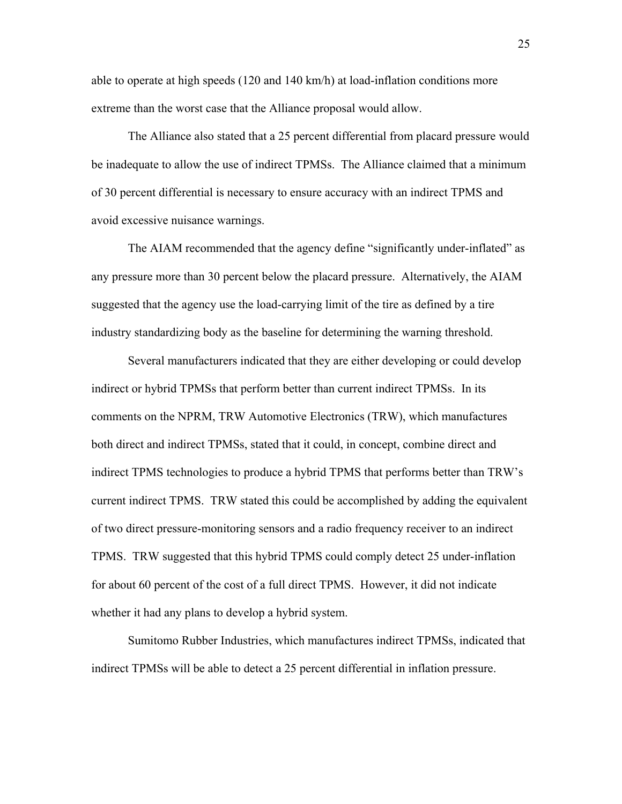able to operate at high speeds (120 and 140 km/h) at load-inflation conditions more extreme than the worst case that the Alliance proposal would allow.

The Alliance also stated that a 25 percent differential from placard pressure would be inadequate to allow the use of indirect TPMSs. The Alliance claimed that a minimum of 30 percent differential is necessary to ensure accuracy with an indirect TPMS and avoid excessive nuisance warnings.

The AIAM recommended that the agency define "significantly under-inflated" as any pressure more than 30 percent below the placard pressure. Alternatively, the AIAM suggested that the agency use the load-carrying limit of the tire as defined by a tire industry standardizing body as the baseline for determining the warning threshold.

Several manufacturers indicated that they are either developing or could develop indirect or hybrid TPMSs that perform better than current indirect TPMSs. In its comments on the NPRM, TRW Automotive Electronics (TRW), which manufactures both direct and indirect TPMSs, stated that it could, in concept, combine direct and indirect TPMS technologies to produce a hybrid TPMS that performs better than TRW's current indirect TPMS. TRW stated this could be accomplished by adding the equivalent of two direct pressure-monitoring sensors and a radio frequency receiver to an indirect TPMS. TRW suggested that this hybrid TPMS could comply detect 25 under-inflation for about 60 percent of the cost of a full direct TPMS. However, it did not indicate whether it had any plans to develop a hybrid system.

Sumitomo Rubber Industries, which manufactures indirect TPMSs, indicated that indirect TPMSs will be able to detect a 25 percent differential in inflation pressure.

25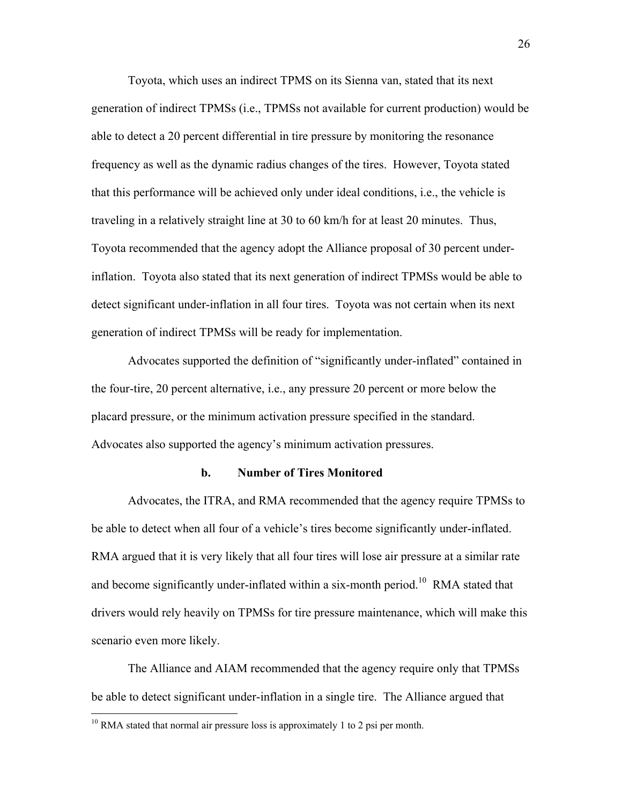Toyota, which uses an indirect TPMS on its Sienna van, stated that its next generation of indirect TPMSs (i.e., TPMSs not available for current production) would be able to detect a 20 percent differential in tire pressure by monitoring the resonance frequency as well as the dynamic radius changes of the tires. However, Toyota stated that this performance will be achieved only under ideal conditions, i.e., the vehicle is traveling in a relatively straight line at 30 to 60 km/h for at least 20 minutes. Thus, Toyota recommended that the agency adopt the Alliance proposal of 30 percent underinflation. Toyota also stated that its next generation of indirect TPMSs would be able to detect significant under-inflation in all four tires. Toyota was not certain when its next generation of indirect TPMSs will be ready for implementation.

Advocates supported the definition of "significantly under-inflated" contained in the four-tire, 20 percent alternative, i.e., any pressure 20 percent or more below the placard pressure, or the minimum activation pressure specified in the standard. Advocates also supported the agency's minimum activation pressures.

### **b. Number of Tires Monitored**

Advocates, the ITRA, and RMA recommended that the agency require TPMSs to be able to detect when all four of a vehicle's tires become significantly under-inflated. RMA argued that it is very likely that all four tires will lose air pressure at a similar rate and become significantly under-inflated within a six-month period.<sup>10</sup> RMA stated that drivers would rely heavily on TPMSs for tire pressure maintenance, which will make this scenario even more likely.

The Alliance and AIAM recommended that the agency require only that TPMSs be able to detect significant under-inflation in a single tire. The Alliance argued that

 $\overline{a}$ 

<span id="page-25-0"></span> $10$  RMA stated that normal air pressure loss is approximately 1 to 2 psi per month.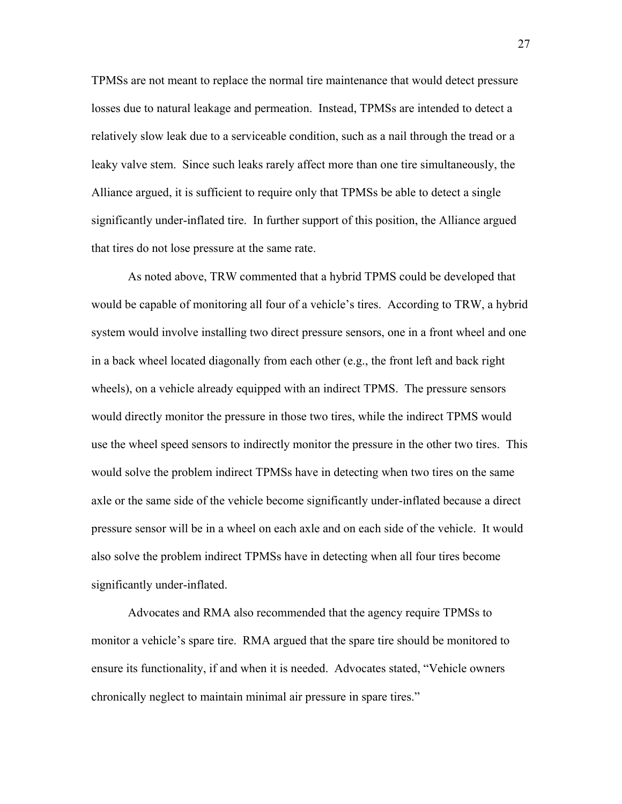TPMSs are not meant to replace the normal tire maintenance that would detect pressure losses due to natural leakage and permeation. Instead, TPMSs are intended to detect a relatively slow leak due to a serviceable condition, such as a nail through the tread or a leaky valve stem. Since such leaks rarely affect more than one tire simultaneously, the Alliance argued, it is sufficient to require only that TPMSs be able to detect a single significantly under-inflated tire. In further support of this position, the Alliance argued that tires do not lose pressure at the same rate.

As noted above, TRW commented that a hybrid TPMS could be developed that would be capable of monitoring all four of a vehicle's tires. According to TRW, a hybrid system would involve installing two direct pressure sensors, one in a front wheel and one in a back wheel located diagonally from each other (e.g., the front left and back right wheels), on a vehicle already equipped with an indirect TPMS. The pressure sensors would directly monitor the pressure in those two tires, while the indirect TPMS would use the wheel speed sensors to indirectly monitor the pressure in the other two tires. This would solve the problem indirect TPMSs have in detecting when two tires on the same axle or the same side of the vehicle become significantly under-inflated because a direct pressure sensor will be in a wheel on each axle and on each side of the vehicle. It would also solve the problem indirect TPMSs have in detecting when all four tires become significantly under-inflated.

Advocates and RMA also recommended that the agency require TPMSs to monitor a vehicle's spare tire. RMA argued that the spare tire should be monitored to ensure its functionality, if and when it is needed. Advocates stated, "Vehicle owners" chronically neglect to maintain minimal air pressure in spare tires."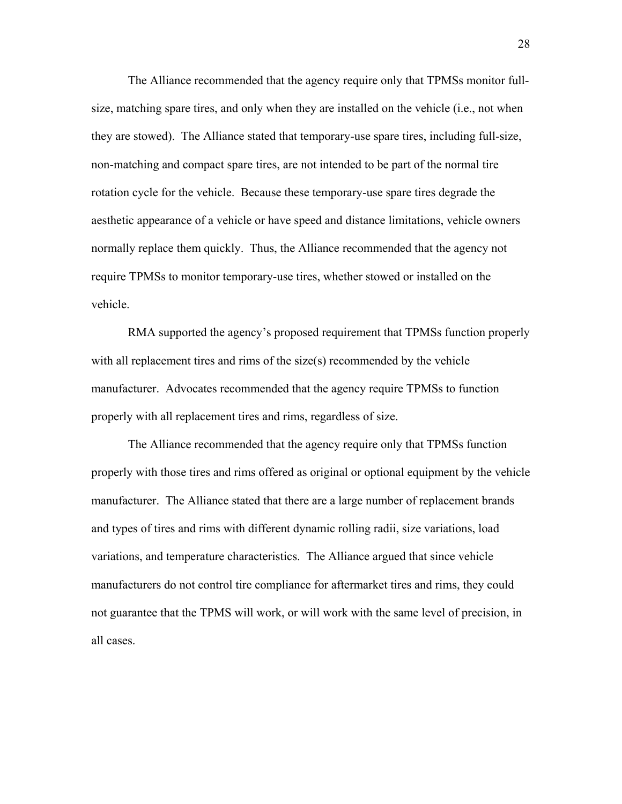The Alliance recommended that the agency require only that TPMSs monitor fullsize, matching spare tires, and only when they are installed on the vehicle (i.e., not when they are stowed). The Alliance stated that temporary-use spare tires, including full-size, non-matching and compact spare tires, are not intended to be part of the normal tire rotation cycle for the vehicle. Because these temporary-use spare tires degrade the aesthetic appearance of a vehicle or have speed and distance limitations, vehicle owners normally replace them quickly. Thus, the Alliance recommended that the agency not require TPMSs to monitor temporary-use tires, whether stowed or installed on the vehicle.

RMA supported the agency's proposed requirement that TPMSs function properly with all replacement tires and rims of the size(s) recommended by the vehicle manufacturer. Advocates recommended that the agency require TPMSs to function properly with all replacement tires and rims, regardless of size.

The Alliance recommended that the agency require only that TPMSs function properly with those tires and rims offered as original or optional equipment by the vehicle manufacturer. The Alliance stated that there are a large number of replacement brands and types of tires and rims with different dynamic rolling radii, size variations, load variations, and temperature characteristics. The Alliance argued that since vehicle manufacturers do not control tire compliance for aftermarket tires and rims, they could not guarantee that the TPMS will work, or will work with the same level of precision, in all cases.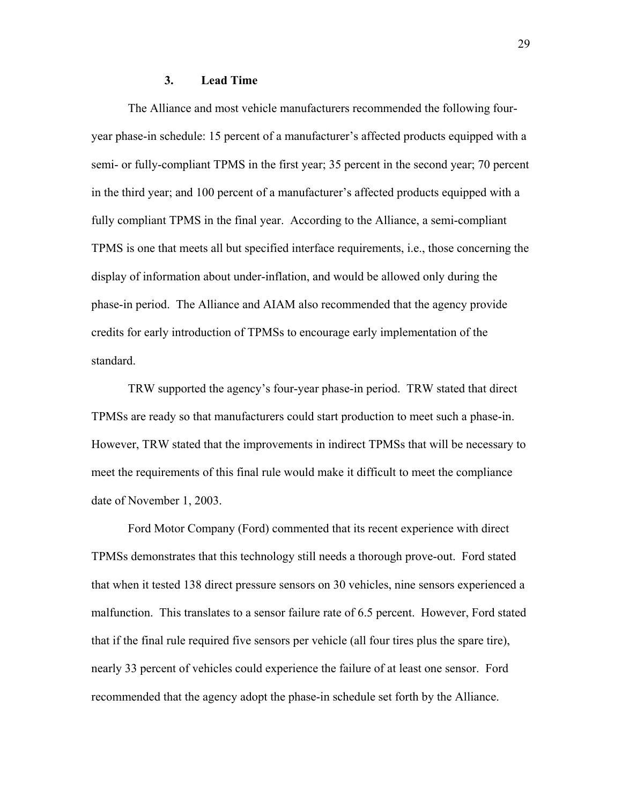### **3. Lead Time**

The Alliance and most vehicle manufacturers recommended the following fouryear phase-in schedule: 15 percent of a manufacturer's affected products equipped with a semi- or fully-compliant TPMS in the first year; 35 percent in the second year; 70 percent in the third year; and 100 percent of a manufacturer's affected products equipped with a fully compliant TPMS in the final year. According to the Alliance, a semi-compliant TPMS is one that meets all but specified interface requirements, i.e., those concerning the display of information about under-inflation, and would be allowed only during the phase-in period. The Alliance and AIAM also recommended that the agency provide credits for early introduction of TPMSs to encourage early implementation of the standard.

TRW supported the agency's four-year phase-in period. TRW stated that direct TPMSs are ready so that manufacturers could start production to meet such a phase-in. However, TRW stated that the improvements in indirect TPMSs that will be necessary to meet the requirements of this final rule would make it difficult to meet the compliance date of November 1, 2003.

Ford Motor Company (Ford) commented that its recent experience with direct TPMSs demonstrates that this technology still needs a thorough prove-out. Ford stated that when it tested 138 direct pressure sensors on 30 vehicles, nine sensors experienced a malfunction. This translates to a sensor failure rate of 6.5 percent. However, Ford stated that if the final rule required five sensors per vehicle (all four tires plus the spare tire), nearly 33 percent of vehicles could experience the failure of at least one sensor. Ford recommended that the agency adopt the phase-in schedule set forth by the Alliance.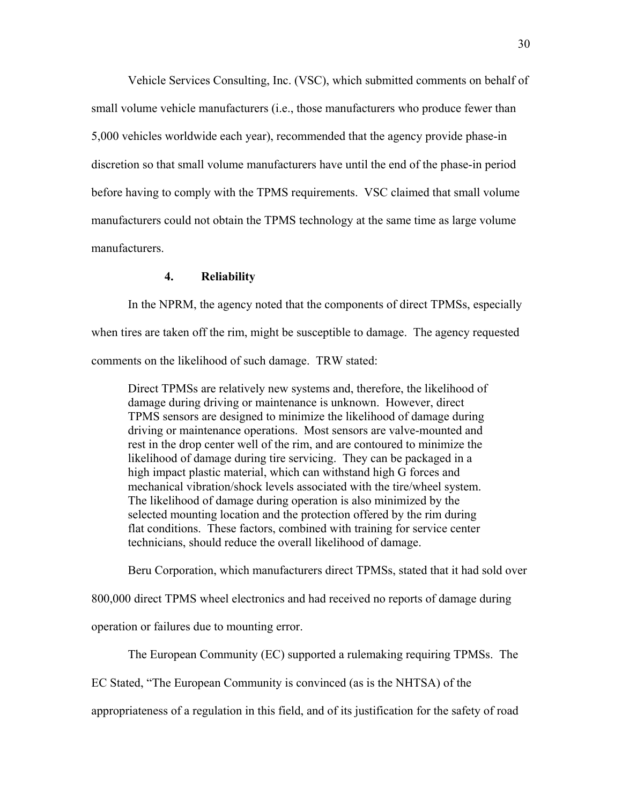Vehicle Services Consulting, Inc. (VSC), which submitted comments on behalf of small volume vehicle manufacturers (i.e., those manufacturers who produce fewer than 5,000 vehicles worldwide each year), recommended that the agency provide phase-in discretion so that small volume manufacturers have until the end of the phase-in period before having to comply with the TPMS requirements. VSC claimed that small volume manufacturers could not obtain the TPMS technology at the same time as large volume manufacturers.

## **4. Reliability**

In the NPRM, the agency noted that the components of direct TPMSs, especially when tires are taken off the rim, might be susceptible to damage. The agency requested comments on the likelihood of such damage. TRW stated:

Direct TPMSs are relatively new systems and, therefore, the likelihood of damage during driving or maintenance is unknown. However, direct TPMS sensors are designed to minimize the likelihood of damage during driving or maintenance operations. Most sensors are valve-mounted and rest in the drop center well of the rim, and are contoured to minimize the likelihood of damage during tire servicing. They can be packaged in a high impact plastic material, which can withstand high G forces and mechanical vibration/shock levels associated with the tire/wheel system. The likelihood of damage during operation is also minimized by the selected mounting location and the protection offered by the rim during flat conditions. These factors, combined with training for service center technicians, should reduce the overall likelihood of damage.

Beru Corporation, which manufacturers direct TPMSs, stated that it had sold over

800,000 direct TPMS wheel electronics and had received no reports of damage during

operation or failures due to mounting error.

The European Community (EC) supported a rulemaking requiring TPMSs. The

EC Stated, "The European Community is convinced (as is the NHTSA) of the

appropriateness of a regulation in this field, and of its justification for the safety of road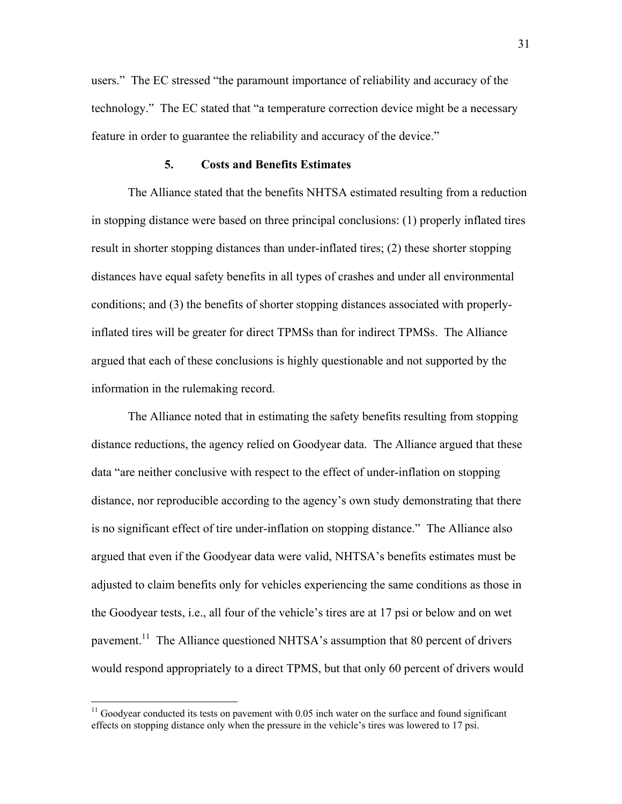users." The EC stressed "the paramount importance of reliability and accuracy of the technology." The EC stated that "a temperature correction device might be a necessary feature in order to guarantee the reliability and accuracy of the device."

### **5. Costs and Benefits Estimates**

The Alliance stated that the benefits NHTSA estimated resulting from a reduction in stopping distance were based on three principal conclusions: (1) properly inflated tires result in shorter stopping distances than under-inflated tires; (2) these shorter stopping distances have equal safety benefits in all types of crashes and under all environmental conditions; and (3) the benefits of shorter stopping distances associated with properlyinflated tires will be greater for direct TPMSs than for indirect TPMSs. The Alliance argued that each of these conclusions is highly questionable and not supported by the information in the rulemaking record.

The Alliance noted that in estimating the safety benefits resulting from stopping distance reductions, the agency relied on Goodyear data. The Alliance argued that these data "are neither conclusive with respect to the effect of under-inflation on stopping distance, nor reproducible according to the agency's own study demonstrating that there is no significant effect of tire under-inflation on stopping distance." The Alliance also argued that even if the Goodyear data were valid, NHTSA's benefits estimates must be adjusted to claim benefits only for vehicles experiencing the same conditions as those in the Goodyear tests, i.e., all four of the vehicle's tires are at 17 psi or below and on wet pavement.<sup>11</sup> The Alliance questioned NHTSA's assumption that 80 percent of drivers would respond appropriately to a direct TPMS, but that only 60 percent of drivers would

 $\overline{a}$ 

<span id="page-30-0"></span> $11$  Goodyear conducted its tests on pavement with  $0.05$  inch water on the surface and found significant effects on stopping distance only when the pressure in the vehicle's tires was lowered to 17 psi.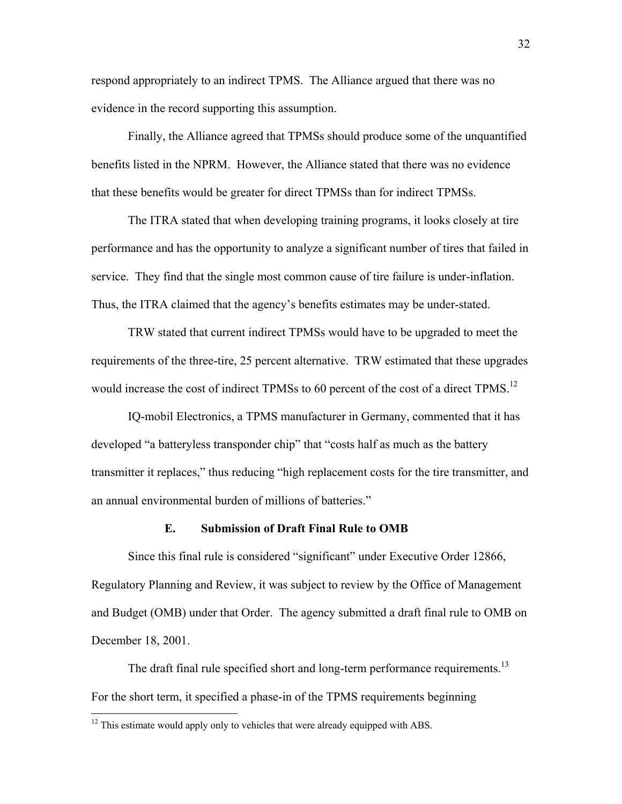respond appropriately to an indirect TPMS. The Alliance argued that there was no evidence in the record supporting this assumption.

Finally, the Alliance agreed that TPMSs should produce some of the unquantified benefits listed in the NPRM. However, the Alliance stated that there was no evidence that these benefits would be greater for direct TPMSs than for indirect TPMSs.

The ITRA stated that when developing training programs, it looks closely at tire performance and has the opportunity to analyze a significant number of tires that failed in service. They find that the single most common cause of tire failure is under-inflation. Thus, the ITRA claimed that the agency's benefits estimates may be under-stated.

TRW stated that current indirect TPMSs would have to be upgraded to meet the requirements of the three-tire, 25 percent alternative. TRW estimated that these upgrades would increase the cost of indirect TPMSs to 60 percent of the cost of a direct TPMS.<sup>[12](#page-31-0)</sup>

IQ-mobil Electronics, a TPMS manufacturer in Germany, commented that it has developed "a batteryless transponder chip" that "costs half as much as the battery transmitter it replaces," thus reducing "high replacement costs for the tire transmitter, and an annual environmental burden of millions of batteries."

### **E. Submission of Draft Final Rule to OMB**

Since this final rule is considered "significant" under Executive Order 12866, Regulatory Planning and Review, it was subject to review by the Office of Management and Budget (OMB) under that Order. The agency submitted a draft final rule to OMB on December 18, 2001.

<span id="page-31-1"></span>The draft final rule specified short and long-term performance requirements.<sup>13</sup> For the short term, it specified a phase-in of the TPMS requirements beginning

<u>.</u>

<span id="page-31-0"></span> $12$  This estimate would apply only to vehicles that were already equipped with ABS.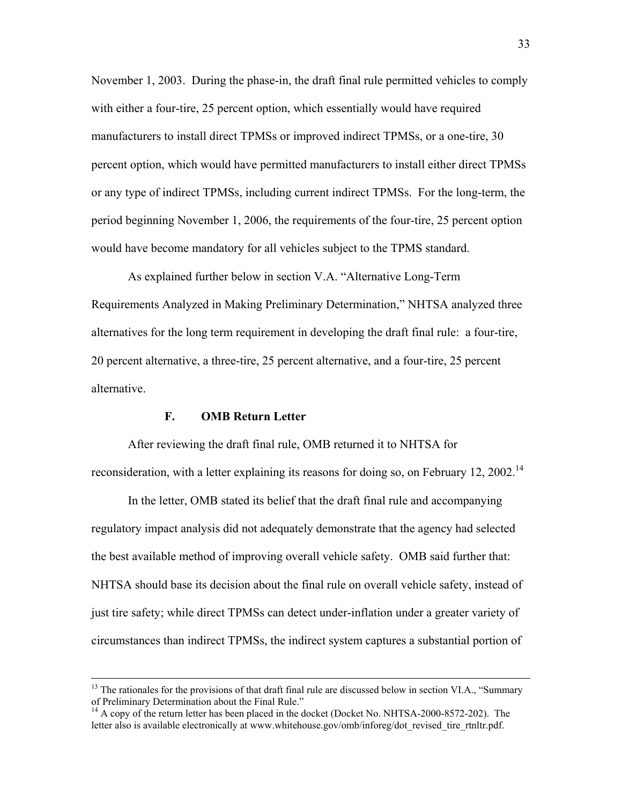November 1, 2003. During the phase-in, the draft final rule permitted vehicles to comply with either a four-tire, 25 percent option, which essentially would have required manufacturers to install direct TPMSs or improved indirect TPMSs, or a one-tire, 30 percent option, which would have permitted manufacturers to install either direct TPMSs or any type of indirect TPMSs, including current indirect TPMSs. For the long-term, the period beginning November 1, 2006, the requirements of the four-tire, 25 percent option would have become mandatory for all vehicles subject to the TPMS standard.

As explained further below in section V.A. "Alternative Long-Term" Requirements Analyzed in Making Preliminary Determination," NHTSA analyzed three alternatives for the long term requirement in developing the draft final rule: a four-tire, 20 percent alternative, a three-tire, 25 percent alternative, and a four-tire, 25 percent alternative.

### **F. OMB Return Letter**

After reviewing the draft final rule, OMB returned it to NHTSA for reconsideration, with a letter explaining its reasons for doing so, on February 12, 2002.<sup>14</sup>

In the letter, OMB stated its belief that the draft final rule and accompanying regulatory impact analysis did not adequately demonstrate that the agency had selected the best available method of improving overall vehicle safety. OMB said further that: NHTSA should base its decision about the final rule on overall vehicle safety, instead of just tire safety; while direct TPMSs can detect under-inflation under a greater variety of circumstances than indirect TPMSs, the indirect system captures a substantial portion of

 $13$  The rationales for the provisions of that draft final rule are discussed below in section VI.A., "Summary" of Preliminary Determination about the Final Rule.<sup>"</sup>

<span id="page-32-0"></span><sup>&</sup>lt;sup>14</sup> A copy of the return letter has been placed in the docket (Docket No. NHTSA-2000-8572-202). The letter also is available electronically at www.whitehouse.gov/omb/inforeg/dot revised tire rtnltr.pdf.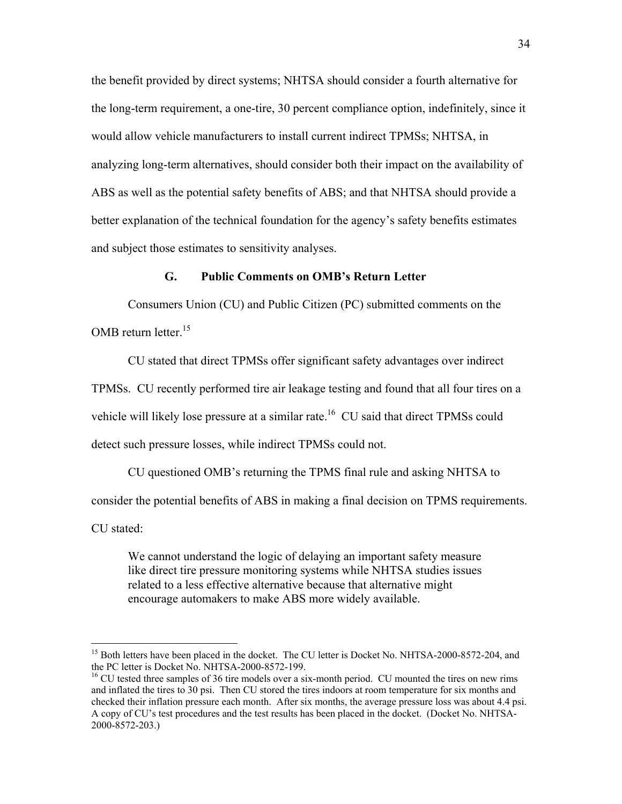the benefit provided by direct systems; NHTSA should consider a fourth alternative for the long-term requirement, a one-tire, 30 percent compliance option, indefinitely, since it would allow vehicle manufacturers to install current indirect TPMSs; NHTSA, in analyzing long-term alternatives, should consider both their impact on the availability of ABS as well as the potential safety benefits of ABS; and that NHTSA should provide a better explanation of the technical foundation for the agency's safety benefits estimates and subject those estimates to sensitivity analyses.

### **G. Public Comments on OMBís Return Letter**

 Consumers Union (CU) and Public Citizen (PC) submitted comments on the OMB return letter.<sup>15</sup>

CU stated that direct TPMSs offer significant safety advantages over indirect

TPMSs. CU recently performed tire air leakage testing and found that all four tires on a

vehicle will likely lose pressure at a similar rate.<sup>16</sup> CU said that direct TPMSs could

detect such pressure losses, while indirect TPMSs could not.

 $\overline{a}$ 

CU questioned OMB's returning the TPMS final rule and asking NHTSA to consider the potential benefits of ABS in making a final decision on TPMS requirements. CU stated:

We cannot understand the logic of delaying an important safety measure like direct tire pressure monitoring systems while NHTSA studies issues related to a less effective alternative because that alternative might encourage automakers to make ABS more widely available.

<span id="page-33-0"></span><sup>&</sup>lt;sup>15</sup> Both letters have been placed in the docket. The CU letter is Docket No. NHTSA-2000-8572-204, and the PC letter is Docket No. NHTSA-2000-8572-199.

<span id="page-33-1"></span><sup>&</sup>lt;sup>16</sup> CU tested three samples of 36 tire models over a six-month period. CU mounted the tires on new rims and inflated the tires to 30 psi. Then CU stored the tires indoors at room temperature for six months and checked their inflation pressure each month. After six months, the average pressure loss was about 4.4 psi. A copy of CU's test procedures and the test results has been placed in the docket. (Docket No. NHTSA-2000-8572-203.)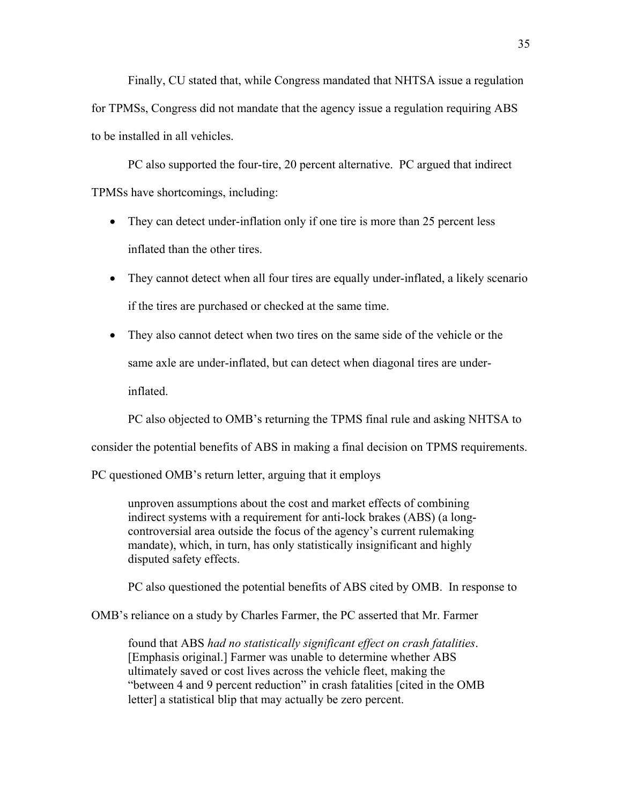Finally, CU stated that, while Congress mandated that NHTSA issue a regulation for TPMSs, Congress did not mandate that the agency issue a regulation requiring ABS to be installed in all vehicles.

 PC also supported the four-tire, 20 percent alternative. PC argued that indirect TPMSs have shortcomings, including:

- They can detect under-inflation only if one tire is more than 25 percent less inflated than the other tires.
- They cannot detect when all four tires are equally under-inflated, a likely scenario if the tires are purchased or checked at the same time.
- They also cannot detect when two tires on the same side of the vehicle or the same axle are under-inflated, but can detect when diagonal tires are underinflated.

PC also objected to OMB's returning the TPMS final rule and asking NHTSA to

consider the potential benefits of ABS in making a final decision on TPMS requirements.

PC questioned OMB's return letter, arguing that it employs

unproven assumptions about the cost and market effects of combining indirect systems with a requirement for anti-lock brakes (ABS) (a longcontroversial area outside the focus of the agency's current rulemaking mandate), which, in turn, has only statistically insignificant and highly disputed safety effects.

PC also questioned the potential benefits of ABS cited by OMB. In response to

OMBís reliance on a study by Charles Farmer, the PC asserted that Mr. Farmer

found that ABS *had no statistically significant effect on crash fatalities*. [Emphasis original.] Farmer was unable to determine whether ABS ultimately saved or cost lives across the vehicle fleet, making the "between 4 and 9 percent reduction" in crash fatalities [cited in the OMB letter] a statistical blip that may actually be zero percent.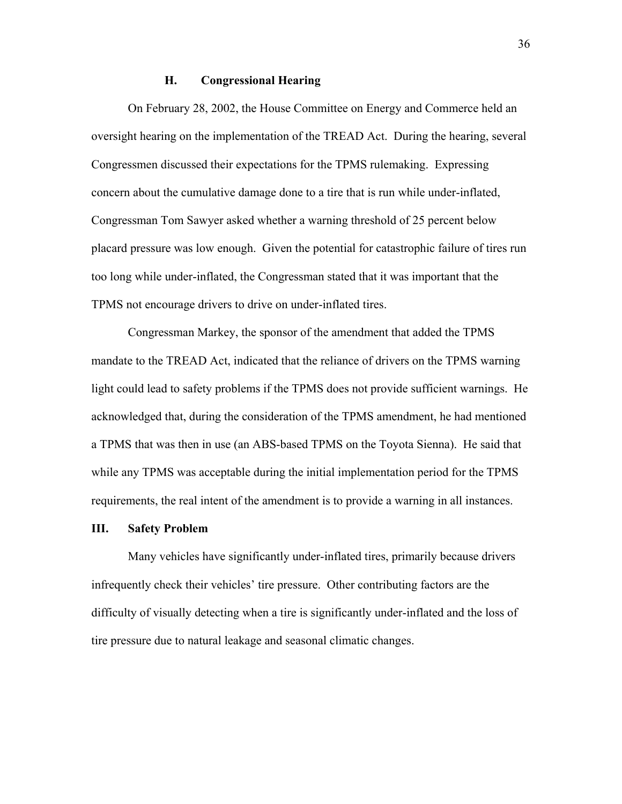## **H. Congressional Hearing**

On February 28, 2002, the House Committee on Energy and Commerce held an oversight hearing on the implementation of the TREAD Act. During the hearing, several Congressmen discussed their expectations for the TPMS rulemaking. Expressing concern about the cumulative damage done to a tire that is run while under-inflated, Congressman Tom Sawyer asked whether a warning threshold of 25 percent below placard pressure was low enough. Given the potential for catastrophic failure of tires run too long while under-inflated, the Congressman stated that it was important that the TPMS not encourage drivers to drive on under-inflated tires.

Congressman Markey, the sponsor of the amendment that added the TPMS mandate to the TREAD Act, indicated that the reliance of drivers on the TPMS warning light could lead to safety problems if the TPMS does not provide sufficient warnings. He acknowledged that, during the consideration of the TPMS amendment, he had mentioned a TPMS that was then in use (an ABS-based TPMS on the Toyota Sienna). He said that while any TPMS was acceptable during the initial implementation period for the TPMS requirements, the real intent of the amendment is to provide a warning in all instances.

#### **III. Safety Problem**

 Many vehicles have significantly under-inflated tires, primarily because drivers infrequently check their vehicles' tire pressure. Other contributing factors are the difficulty of visually detecting when a tire is significantly under-inflated and the loss of tire pressure due to natural leakage and seasonal climatic changes.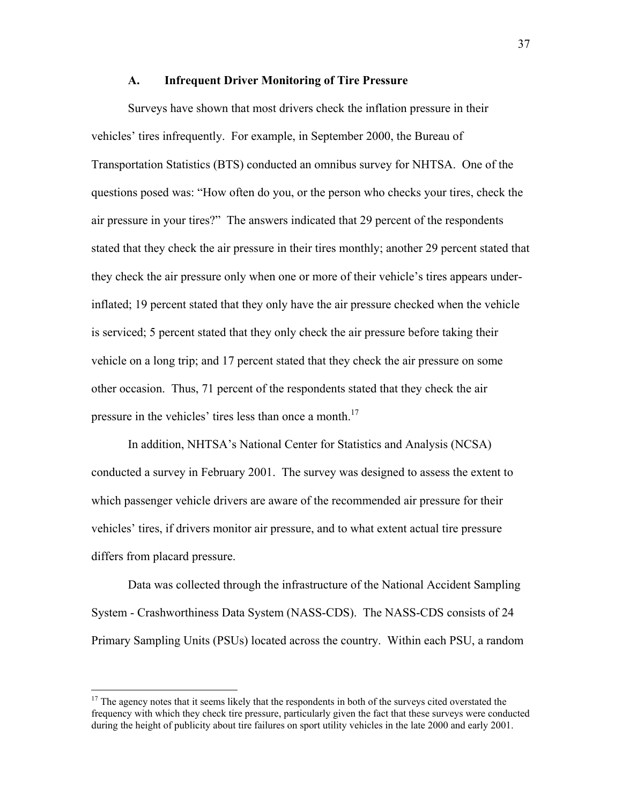#### **A. Infrequent Driver Monitoring of Tire Pressure**

 Surveys have shown that most drivers check the inflation pressure in their vehicles' tires infrequently. For example, in September 2000, the Bureau of Transportation Statistics (BTS) conducted an omnibus survey for NHTSA. One of the questions posed was: "How often do you, or the person who checks your tires, check the air pressure in your tires?" The answers indicated that 29 percent of the respondents stated that they check the air pressure in their tires monthly; another 29 percent stated that they check the air pressure only when one or more of their vehicle's tires appears underinflated; 19 percent stated that they only have the air pressure checked when the vehicle is serviced; 5 percent stated that they only check the air pressure before taking their vehicle on a long trip; and 17 percent stated that they check the air pressure on some other occasion. Thus, 71 percent of the respondents stated that they check the air pressure in the vehicles' tires less than once a month.<sup>17</sup>

In addition, NHTSA's National Center for Statistics and Analysis (NCSA) conducted a survey in February 2001. The survey was designed to assess the extent to which passenger vehicle drivers are aware of the recommended air pressure for their vehiclesí tires, if drivers monitor air pressure, and to what extent actual tire pressure differs from placard pressure.

 Data was collected through the infrastructure of the National Accident Sampling System - Crashworthiness Data System (NASS-CDS). The NASS-CDS consists of 24 Primary Sampling Units (PSUs) located across the country. Within each PSU, a random

1

<span id="page-36-0"></span><sup>&</sup>lt;sup>17</sup> The agency notes that it seems likely that the respondents in both of the surveys cited overstated the frequency with which they check tire pressure, particularly given the fact that these surveys were conducted during the height of publicity about tire failures on sport utility vehicles in the late 2000 and early 2001.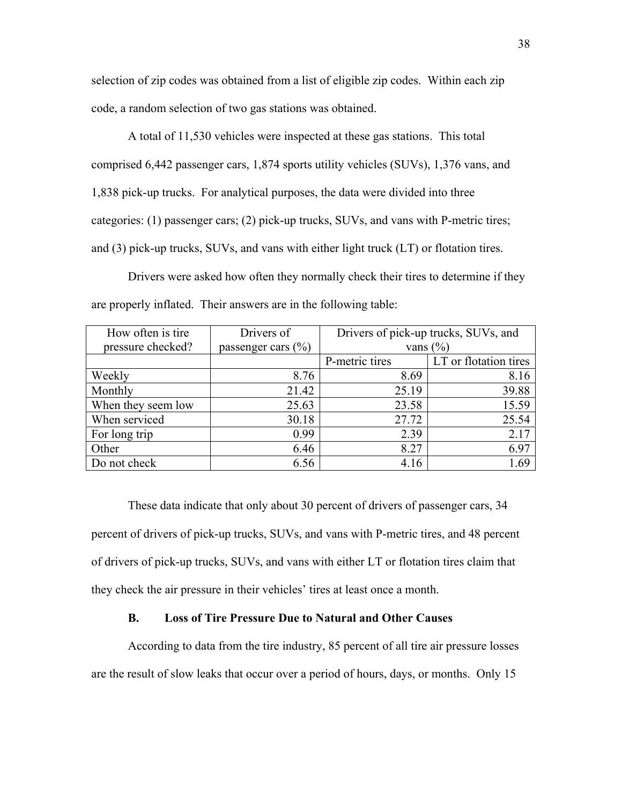selection of zip codes was obtained from a list of eligible zip codes. Within each zip code, a random selection of two gas stations was obtained.

A total of 11,530 vehicles were inspected at these gas stations. This total comprised 6,442 passenger cars, 1,874 sports utility vehicles (SUVs), 1,376 vans, and 1,838 pick-up trucks. For analytical purposes, the data were divided into three categories: (1) passenger cars; (2) pick-up trucks, SUVs, and vans with P-metric tires; and (3) pick-up trucks, SUVs, and vans with either light truck (LT) or flotation tires.

Drivers were asked how often they normally check their tires to determine if they are properly inflated. Their answers are in the following table:

| How often is tire  | Drivers of           | Drivers of pick-up trucks, SUVs, and |                       |
|--------------------|----------------------|--------------------------------------|-----------------------|
| pressure checked?  | passenger cars $(\%$ | vans $(\% )$                         |                       |
|                    |                      | P-metric tires                       | LT or flotation tires |
| Weekly             | 8.76                 | 8.69                                 | 8.16                  |
| Monthly            | 21.42                | 25.19                                | 39.88                 |
| When they seem low | 25.63                | 23.58                                | 15.59                 |
| When serviced      | 30.18                | 27.72                                | 25.54                 |
| For long trip      | 0.99                 | 2.39                                 | 2.17                  |
| Other              | 6.46                 | 8.27                                 | 6.97                  |
| Do not check       | 6.56                 | 4.16                                 | 1.69                  |

These data indicate that only about 30 percent of drivers of passenger cars, 34 percent of drivers of pick-up trucks, SUVs, and vans with P-metric tires, and 48 percent of drivers of pick-up trucks, SUVs, and vans with either LT or flotation tires claim that they check the air pressure in their vehicles' tires at least once a month.

#### **B. Loss of Tire Pressure Due to Natural and Other Causes**

According to data from the tire industry, 85 percent of all tire air pressure losses are the result of slow leaks that occur over a period of hours, days, or months. Only 15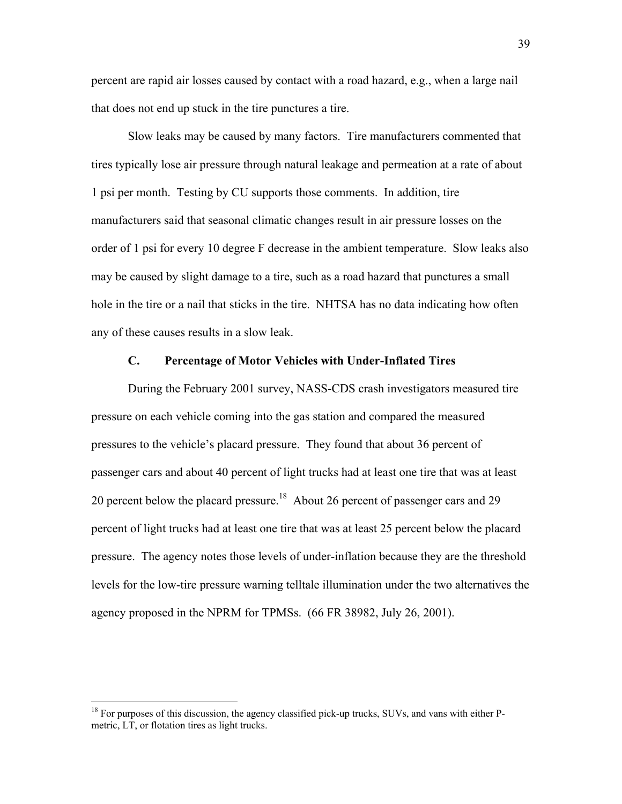percent are rapid air losses caused by contact with a road hazard, e.g., when a large nail that does not end up stuck in the tire punctures a tire.

Slow leaks may be caused by many factors. Tire manufacturers commented that tires typically lose air pressure through natural leakage and permeation at a rate of about 1 psi per month. Testing by CU supports those comments. In addition, tire manufacturers said that seasonal climatic changes result in air pressure losses on the order of 1 psi for every 10 degree F decrease in the ambient temperature. Slow leaks also may be caused by slight damage to a tire, such as a road hazard that punctures a small hole in the tire or a nail that sticks in the tire. NHTSA has no data indicating how often any of these causes results in a slow leak.

#### **C. Percentage of Motor Vehicles with Under-Inflated Tires**

During the February 2001 survey, NASS-CDS crash investigators measured tire pressure on each vehicle coming into the gas station and compared the measured pressures to the vehicle's placard pressure. They found that about 36 percent of passenger cars and about 40 percent of light trucks had at least one tire that was at least 20 percent below the placard pressure.<sup>18</sup> About 26 percent of passenger cars and 29 percent of light trucks had at least one tire that was at least 25 percent below the placard pressure. The agency notes those levels of under-inflation because they are the threshold levels for the low-tire pressure warning telltale illumination under the two alternatives the agency proposed in the NPRM for TPMSs. (66 FR 38982, July 26, 2001).

<span id="page-38-0"></span><sup>&</sup>lt;sup>18</sup> For purposes of this discussion, the agency classified pick-up trucks, SUVs, and vans with either Pmetric, LT, or flotation tires as light trucks.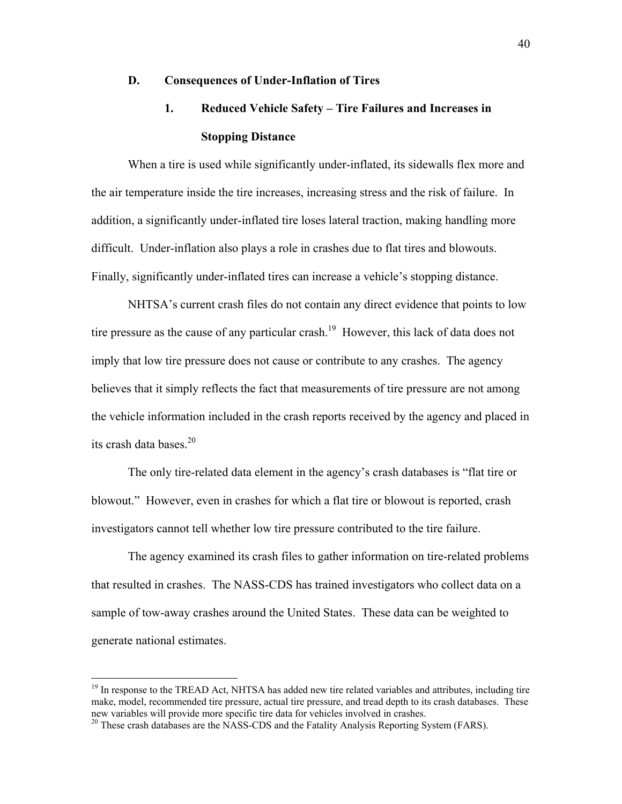#### **D. Consequences of Under-Inflation of Tires**

## **1.** Reduced Vehicle Safety – Tire Failures and Increases in **Stopping Distance**

When a tire is used while significantly under-inflated, its sidewalls flex more and the air temperature inside the tire increases, increasing stress and the risk of failure. In addition, a significantly under-inflated tire loses lateral traction, making handling more difficult. Under-inflation also plays a role in crashes due to flat tires and blowouts. Finally, significantly under-inflated tires can increase a vehicle's stopping distance.

NHTSA's current crash files do not contain any direct evidence that points to low tire pressure as the cause of any particular crash.<sup>19</sup> However, this lack of data does not imply that low tire pressure does not cause or contribute to any crashes. The agency believes that it simply reflects the fact that measurements of tire pressure are not among the vehicle information included in the crash reports received by the agency and placed in its crash data bases.[20](#page-39-1)

The only tire-related data element in the agency's crash databases is "flat tire or blowout." However, even in crashes for which a flat tire or blowout is reported, crash investigators cannot tell whether low tire pressure contributed to the tire failure.

 The agency examined its crash files to gather information on tire-related problems that resulted in crashes. The NASS-CDS has trained investigators who collect data on a sample of tow-away crashes around the United States. These data can be weighted to generate national estimates.

<span id="page-39-0"></span><sup>&</sup>lt;sup>19</sup> In response to the TREAD Act, NHTSA has added new tire related variables and attributes, including tire make, model, recommended tire pressure, actual tire pressure, and tread depth to its crash databases. These new variables will provide more specific tire data for vehicles involved in crashes.

<span id="page-39-1"></span><sup>&</sup>lt;sup>20</sup> These crash databases are the NASS-CDS and the Fatality Analysis Reporting System (FARS).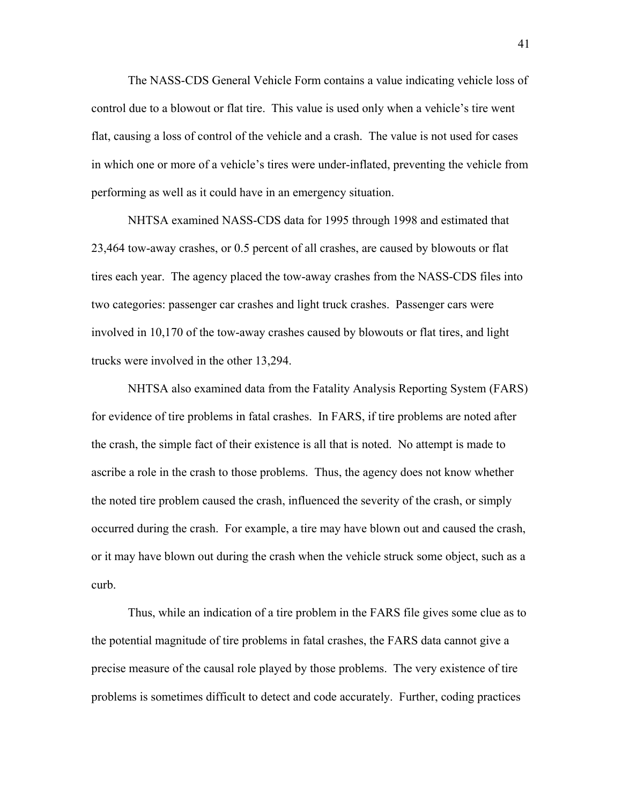The NASS-CDS General Vehicle Form contains a value indicating vehicle loss of control due to a blowout or flat tire. This value is used only when a vehicle's tire went flat, causing a loss of control of the vehicle and a crash. The value is not used for cases in which one or more of a vehicle's tires were under-inflated, preventing the vehicle from performing as well as it could have in an emergency situation.

 NHTSA examined NASS-CDS data for 1995 through 1998 and estimated that 23,464 tow-away crashes, or 0.5 percent of all crashes, are caused by blowouts or flat tires each year. The agency placed the tow-away crashes from the NASS-CDS files into two categories: passenger car crashes and light truck crashes. Passenger cars were involved in 10,170 of the tow-away crashes caused by blowouts or flat tires, and light trucks were involved in the other 13,294.

 NHTSA also examined data from the Fatality Analysis Reporting System (FARS) for evidence of tire problems in fatal crashes. In FARS, if tire problems are noted after the crash, the simple fact of their existence is all that is noted. No attempt is made to ascribe a role in the crash to those problems. Thus, the agency does not know whether the noted tire problem caused the crash, influenced the severity of the crash, or simply occurred during the crash. For example, a tire may have blown out and caused the crash, or it may have blown out during the crash when the vehicle struck some object, such as a curb.

 Thus, while an indication of a tire problem in the FARS file gives some clue as to the potential magnitude of tire problems in fatal crashes, the FARS data cannot give a precise measure of the causal role played by those problems. The very existence of tire problems is sometimes difficult to detect and code accurately. Further, coding practices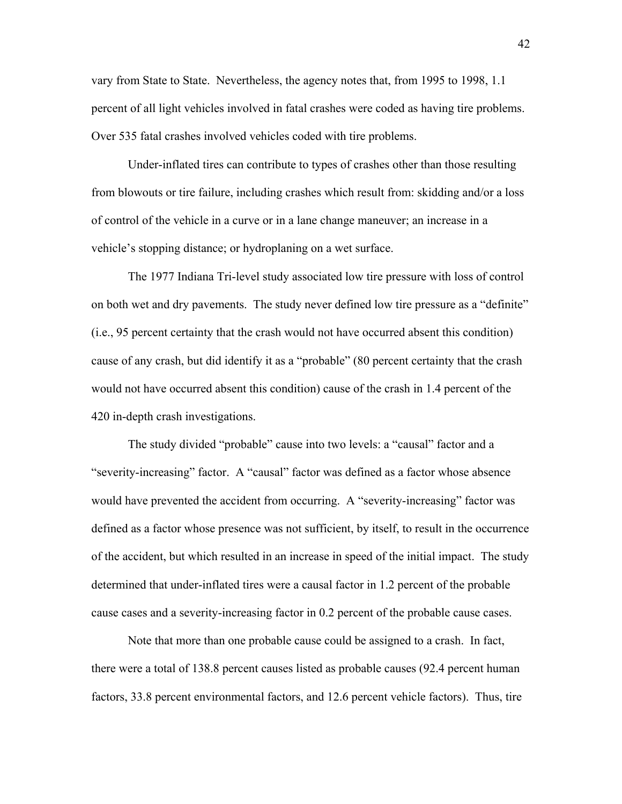vary from State to State. Nevertheless, the agency notes that, from 1995 to 1998, 1.1 percent of all light vehicles involved in fatal crashes were coded as having tire problems. Over 535 fatal crashes involved vehicles coded with tire problems.

 Under-inflated tires can contribute to types of crashes other than those resulting from blowouts or tire failure, including crashes which result from: skidding and/or a loss of control of the vehicle in a curve or in a lane change maneuver; an increase in a vehicle's stopping distance; or hydroplaning on a wet surface.

 The 1977 Indiana Tri-level study associated low tire pressure with loss of control on both wet and dry pavements. The study never defined low tire pressure as a "definite" (i.e., 95 percent certainty that the crash would not have occurred absent this condition) cause of any crash, but did identify it as a "probable" (80 percent certainty that the crash would not have occurred absent this condition) cause of the crash in 1.4 percent of the 420 in-depth crash investigations.

The study divided "probable" cause into two levels: a "causal" factor and a "severity-increasing" factor. A "causal" factor was defined as a factor whose absence would have prevented the accident from occurring. A "severity-increasing" factor was defined as a factor whose presence was not sufficient, by itself, to result in the occurrence of the accident, but which resulted in an increase in speed of the initial impact. The study determined that under-inflated tires were a causal factor in 1.2 percent of the probable cause cases and a severity-increasing factor in 0.2 percent of the probable cause cases.

 Note that more than one probable cause could be assigned to a crash. In fact, there were a total of 138.8 percent causes listed as probable causes (92.4 percent human factors, 33.8 percent environmental factors, and 12.6 percent vehicle factors). Thus, tire

42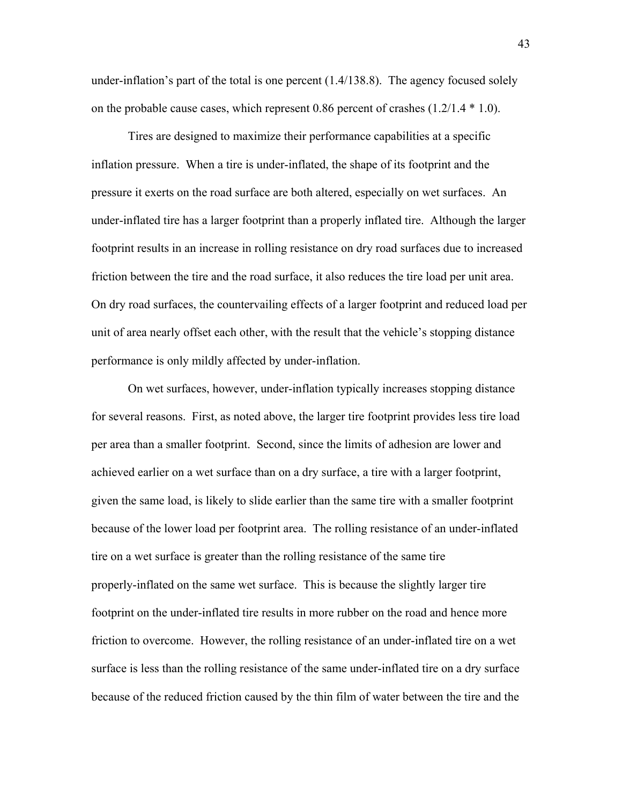under-inflation's part of the total is one percent  $(1.4/138.8)$ . The agency focused solely on the probable cause cases, which represent 0.86 percent of crashes (1.2/1.4 \* 1.0).

 Tires are designed to maximize their performance capabilities at a specific inflation pressure. When a tire is under-inflated, the shape of its footprint and the pressure it exerts on the road surface are both altered, especially on wet surfaces. An under-inflated tire has a larger footprint than a properly inflated tire. Although the larger footprint results in an increase in rolling resistance on dry road surfaces due to increased friction between the tire and the road surface, it also reduces the tire load per unit area. On dry road surfaces, the countervailing effects of a larger footprint and reduced load per unit of area nearly offset each other, with the result that the vehicle's stopping distance performance is only mildly affected by under-inflation.

On wet surfaces, however, under-inflation typically increases stopping distance for several reasons. First, as noted above, the larger tire footprint provides less tire load per area than a smaller footprint. Second, since the limits of adhesion are lower and achieved earlier on a wet surface than on a dry surface, a tire with a larger footprint, given the same load, is likely to slide earlier than the same tire with a smaller footprint because of the lower load per footprint area. The rolling resistance of an under-inflated tire on a wet surface is greater than the rolling resistance of the same tire properly-inflated on the same wet surface. This is because the slightly larger tire footprint on the under-inflated tire results in more rubber on the road and hence more friction to overcome. However, the rolling resistance of an under-inflated tire on a wet surface is less than the rolling resistance of the same under-inflated tire on a dry surface because of the reduced friction caused by the thin film of water between the tire and the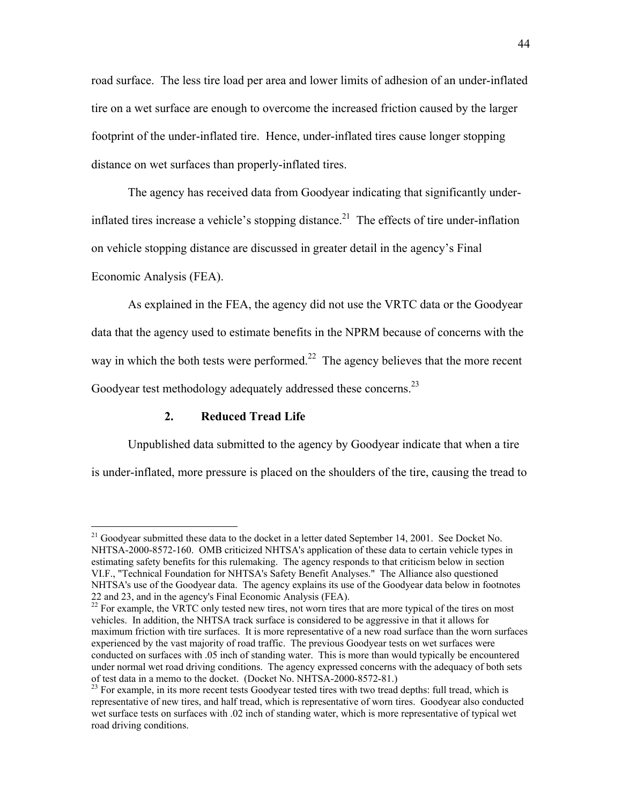road surface. The less tire load per area and lower limits of adhesion of an under-inflated tire on a wet surface are enough to overcome the increased friction caused by the larger footprint of the under-inflated tire. Hence, under-inflated tires cause longer stopping distance on wet surfaces than properly-inflated tires.

The agency has received data from Goodyear indicating that significantly underinflated tires increase a vehicle's stopping distance.<sup>21</sup> The effects of tire under-inflation on vehicle stopping distance are discussed in greater detail in the agencyís Final Economic Analysis (FEA).

As explained in the FEA, the agency did not use the VRTC data or the Goodyear data that the agency used to estimate benefits in the NPRM because of concerns with the way in which the both tests were performed.<sup>22</sup> The agency believes that the more recent Goodyear test methodology adequately addressed these concerns.<sup>[23](#page-43-2)</sup>

## **2. Reduced Tread Life**

 $\overline{a}$ 

Unpublished data submitted to the agency by Goodyear indicate that when a tire is under-inflated, more pressure is placed on the shoulders of the tire, causing the tread to

<span id="page-43-0"></span><sup>&</sup>lt;sup>21</sup> Goodyear submitted these data to the docket in a letter dated September 14, 2001. See Docket No. NHTSA-2000-8572-160. OMB criticized NHTSA's application of these data to certain vehicle types in estimating safety benefits for this rulemaking. The agency responds to that criticism below in section VI.F., "Technical Foundation for NHTSA's Safety Benefit Analyses." The Alliance also questioned NHTSA's use of the Goodyear data. The agency explains its use of the Goodyear data below in footnotes 22 and 23, and in the agency's Final Economic Analysis (FEA).

<span id="page-43-1"></span><sup>&</sup>lt;sup>22</sup> For example, the VRTC only tested new tires, not worn tires that are more typical of the tires on most vehicles. In addition, the NHTSA track surface is considered to be aggressive in that it allows for maximum friction with tire surfaces. It is more representative of a new road surface than the worn surfaces experienced by the vast majority of road traffic. The previous Goodyear tests on wet surfaces were conducted on surfaces with .05 inch of standing water. This is more than would typically be encountered under normal wet road driving conditions. The agency expressed concerns with the adequacy of both sets of test data in a memo to the docket. (Docket No. NHTSA-2000-8572-81.)

<span id="page-43-2"></span><sup>&</sup>lt;sup>23</sup> For example, in its more recent tests Goodyear tested tires with two tread depths: full tread, which is representative of new tires, and half tread, which is representative of worn tires. Goodyear also conducted wet surface tests on surfaces with .02 inch of standing water, which is more representative of typical wet road driving conditions.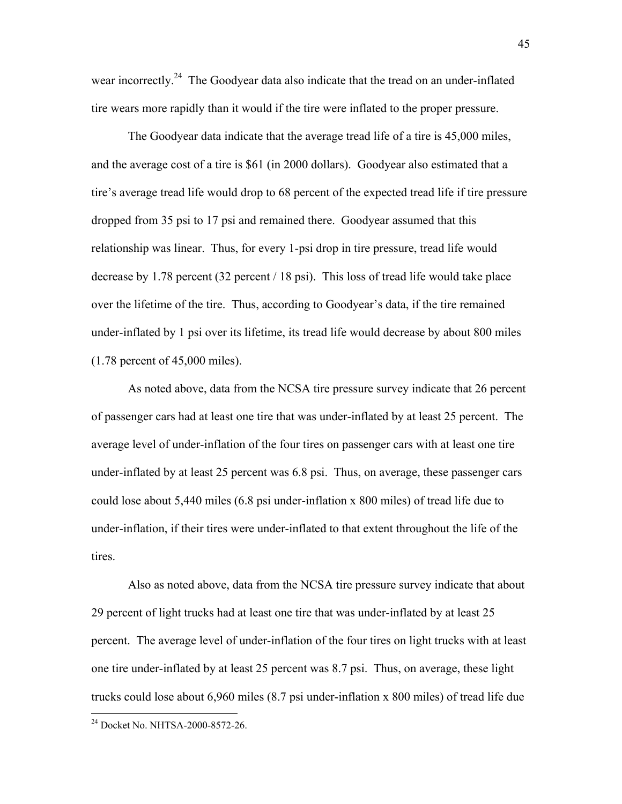wear incorrectly.<sup>24</sup> The Goodyear data also indicate that the tread on an under-inflated tire wears more rapidly than it would if the tire were inflated to the proper pressure.

The Goodyear data indicate that the average tread life of a tire is 45,000 miles, and the average cost of a tire is \$61 (in 2000 dollars). Goodyear also estimated that a tire's average tread life would drop to 68 percent of the expected tread life if tire pressure dropped from 35 psi to 17 psi and remained there. Goodyear assumed that this relationship was linear. Thus, for every 1-psi drop in tire pressure, tread life would decrease by 1.78 percent (32 percent / 18 psi). This loss of tread life would take place over the lifetime of the tire. Thus, according to Goodyear's data, if the tire remained under-inflated by 1 psi over its lifetime, its tread life would decrease by about 800 miles (1.78 percent of 45,000 miles).

 As noted above, data from the NCSA tire pressure survey indicate that 26 percent of passenger cars had at least one tire that was under-inflated by at least 25 percent. The average level of under-inflation of the four tires on passenger cars with at least one tire under-inflated by at least 25 percent was 6.8 psi. Thus, on average, these passenger cars could lose about 5,440 miles (6.8 psi under-inflation x 800 miles) of tread life due to under-inflation, if their tires were under-inflated to that extent throughout the life of the tires.

 Also as noted above, data from the NCSA tire pressure survey indicate that about 29 percent of light trucks had at least one tire that was under-inflated by at least 25 percent. The average level of under-inflation of the four tires on light trucks with at least one tire under-inflated by at least 25 percent was 8.7 psi. Thus, on average, these light trucks could lose about 6,960 miles (8.7 psi under-inflation x 800 miles) of tread life due

<span id="page-44-0"></span><sup>&</sup>lt;sup>24</sup> Docket No. NHTSA-2000-8572-26.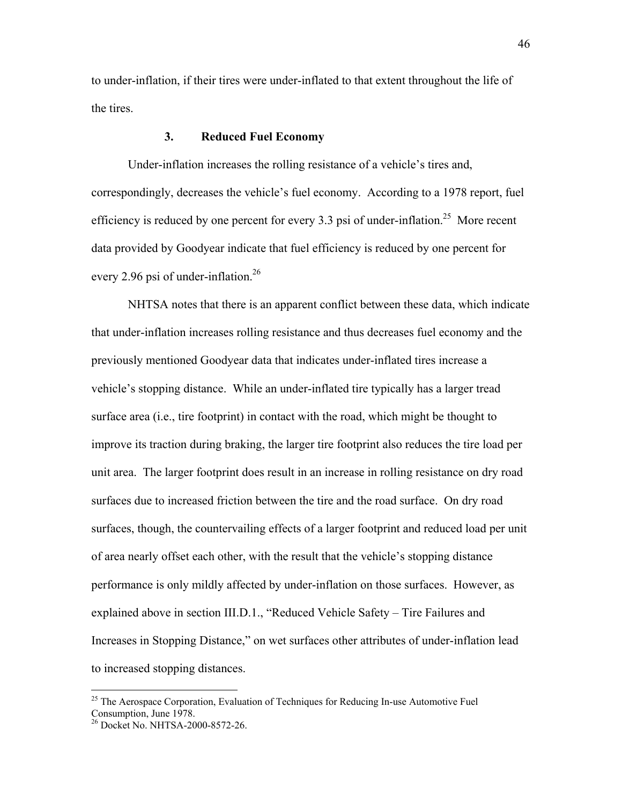to under-inflation, if their tires were under-inflated to that extent throughout the life of the tires.

### **3. Reduced Fuel Economy**

Under-inflation increases the rolling resistance of a vehicle's tires and, correspondingly, decreases the vehicle's fuel economy. According to a 1978 report, fuel efficiency is reduced by one percent for every 3.3 psi of under-inflation.<sup>25</sup> More recent data provided by Goodyear indicate that fuel efficiency is reduced by one percent for every 2.96 psi of under-inflation.<sup>[26](#page-45-1)</sup>

NHTSA notes that there is an apparent conflict between these data, which indicate that under-inflation increases rolling resistance and thus decreases fuel economy and the previously mentioned Goodyear data that indicates under-inflated tires increase a vehicle's stopping distance. While an under-inflated tire typically has a larger tread surface area (i.e., tire footprint) in contact with the road, which might be thought to improve its traction during braking, the larger tire footprint also reduces the tire load per unit area. The larger footprint does result in an increase in rolling resistance on dry road surfaces due to increased friction between the tire and the road surface. On dry road surfaces, though, the countervailing effects of a larger footprint and reduced load per unit of area nearly offset each other, with the result that the vehicle's stopping distance performance is only mildly affected by under-inflation on those surfaces. However, as explained above in section III.D.1., "Reduced Vehicle Safety – Tire Failures and Increases in Stopping Distance," on wet surfaces other attributes of under-inflation lead to increased stopping distances.

1

<span id="page-45-0"></span><sup>&</sup>lt;sup>25</sup> The Aerospace Corporation, Evaluation of Techniques for Reducing In-use Automotive Fuel Consumption, June 1978.

<span id="page-45-1"></span><sup>&</sup>lt;sup>26</sup> Docket No. NHTSA-2000-8572-26.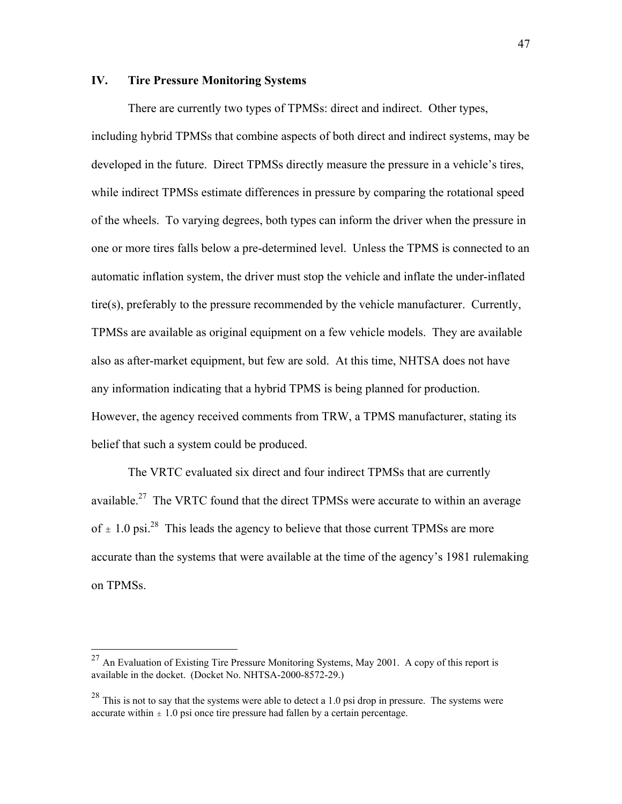## **IV. Tire Pressure Monitoring Systems**

There are currently two types of TPMSs: direct and indirect. Other types, including hybrid TPMSs that combine aspects of both direct and indirect systems, may be developed in the future. Direct TPMSs directly measure the pressure in a vehicle's tires, while indirect TPMSs estimate differences in pressure by comparing the rotational speed of the wheels. To varying degrees, both types can inform the driver when the pressure in one or more tires falls below a pre-determined level. Unless the TPMS is connected to an automatic inflation system, the driver must stop the vehicle and inflate the under-inflated tire(s), preferably to the pressure recommended by the vehicle manufacturer. Currently, TPMSs are available as original equipment on a few vehicle models. They are available also as after-market equipment, but few are sold. At this time, NHTSA does not have any information indicating that a hybrid TPMS is being planned for production. However, the agency received comments from TRW, a TPMS manufacturer, stating its belief that such a system could be produced.

The VRTC evaluated six direct and four indirect TPMSs that are currently available.<sup>27</sup> The VRTC found that the direct TPMSs were accurate to within an average of  $\pm$  1.0 psi.<sup>28</sup> This leads the agency to believe that those current TPMSs are more accurate than the systems that were available at the time of the agency's 1981 rulemaking on TPMSs.

<span id="page-46-0"></span> $^{27}$  An Evaluation of Existing Tire Pressure Monitoring Systems, May 2001. A copy of this report is available in the docket. (Docket No. NHTSA-2000-8572-29.)

<span id="page-46-1"></span> $28$  This is not to say that the systems were able to detect a 1.0 psi drop in pressure. The systems were accurate within  $\pm 1.0$  psi once tire pressure had fallen by a certain percentage.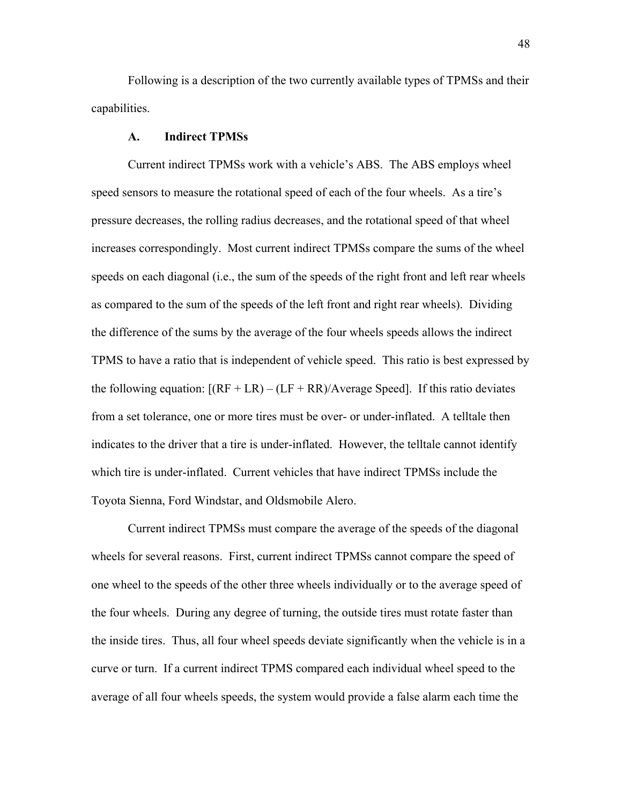Following is a description of the two currently available types of TPMSs and their capabilities.

## **A. Indirect TPMSs**

Current indirect TPMSs work with a vehicle's ABS. The ABS employs wheel speed sensors to measure the rotational speed of each of the four wheels. As a tire's pressure decreases, the rolling radius decreases, and the rotational speed of that wheel increases correspondingly. Most current indirect TPMSs compare the sums of the wheel speeds on each diagonal (i.e., the sum of the speeds of the right front and left rear wheels as compared to the sum of the speeds of the left front and right rear wheels). Dividing the difference of the sums by the average of the four wheels speeds allows the indirect TPMS to have a ratio that is independent of vehicle speed. This ratio is best expressed by the following equation:  $[(RF + LR) - (LF + RR)/Average Speed]$ . If this ratio deviates from a set tolerance, one or more tires must be over- or under-inflated. A telltale then indicates to the driver that a tire is under-inflated. However, the telltale cannot identify which tire is under-inflated. Current vehicles that have indirect TPMSs include the Toyota Sienna, Ford Windstar, and Oldsmobile Alero.

 Current indirect TPMSs must compare the average of the speeds of the diagonal wheels for several reasons. First, current indirect TPMSs cannot compare the speed of one wheel to the speeds of the other three wheels individually or to the average speed of the four wheels. During any degree of turning, the outside tires must rotate faster than the inside tires. Thus, all four wheel speeds deviate significantly when the vehicle is in a curve or turn. If a current indirect TPMS compared each individual wheel speed to the average of all four wheels speeds, the system would provide a false alarm each time the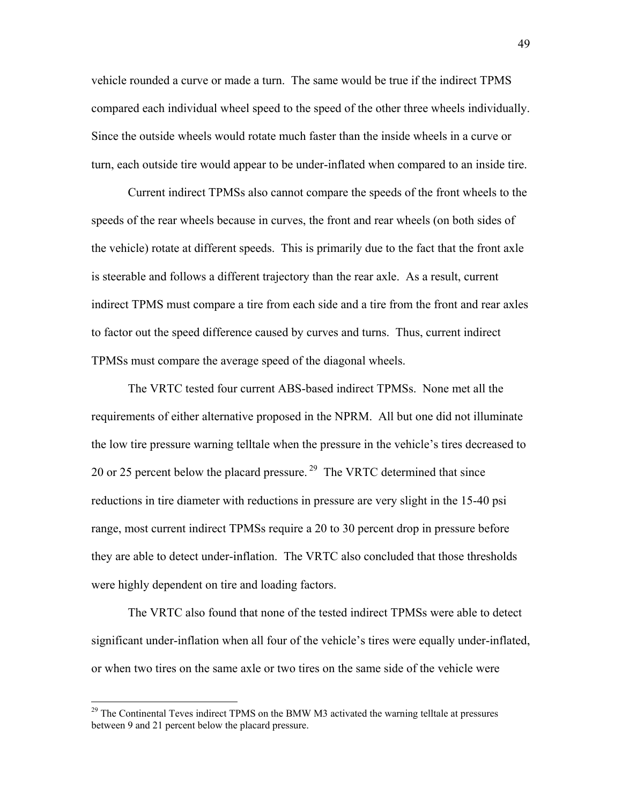vehicle rounded a curve or made a turn. The same would be true if the indirect TPMS compared each individual wheel speed to the speed of the other three wheels individually. Since the outside wheels would rotate much faster than the inside wheels in a curve or turn, each outside tire would appear to be under-inflated when compared to an inside tire.

 Current indirect TPMSs also cannot compare the speeds of the front wheels to the speeds of the rear wheels because in curves, the front and rear wheels (on both sides of the vehicle) rotate at different speeds. This is primarily due to the fact that the front axle is steerable and follows a different trajectory than the rear axle. As a result, current indirect TPMS must compare a tire from each side and a tire from the front and rear axles to factor out the speed difference caused by curves and turns. Thus, current indirect TPMSs must compare the average speed of the diagonal wheels.

 The VRTC tested four current ABS-based indirect TPMSs. None met all the requirements of either alternative proposed in the NPRM. All but one did not illuminate the low tire pressure warning telltale when the pressure in the vehicle's tires decreased to 20 or 25 percent below the placard pressure.<sup>29</sup> The VRTC determined that since reductions in tire diameter with reductions in pressure are very slight in the 15-40 psi range, most current indirect TPMSs require a 20 to 30 percent drop in pressure before they are able to detect under-inflation. The VRTC also concluded that those thresholds were highly dependent on tire and loading factors.

 The VRTC also found that none of the tested indirect TPMSs were able to detect significant under-inflation when all four of the vehicle's tires were equally under-inflated, or when two tires on the same axle or two tires on the same side of the vehicle were

<span id="page-48-0"></span> $29$  The Continental Teves indirect TPMS on the BMW M3 activated the warning telltale at pressures between 9 and 21 percent below the placard pressure.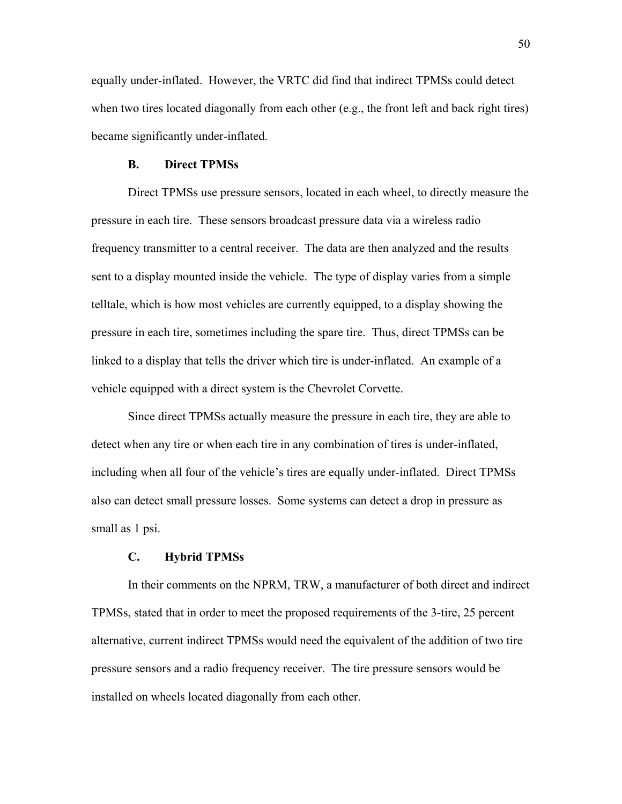equally under-inflated. However, the VRTC did find that indirect TPMSs could detect when two tires located diagonally from each other (e.g., the front left and back right tires) became significantly under-inflated.

#### **B. Direct TPMSs**

Direct TPMSs use pressure sensors, located in each wheel, to directly measure the pressure in each tire. These sensors broadcast pressure data via a wireless radio frequency transmitter to a central receiver. The data are then analyzed and the results sent to a display mounted inside the vehicle. The type of display varies from a simple telltale, which is how most vehicles are currently equipped, to a display showing the pressure in each tire, sometimes including the spare tire. Thus, direct TPMSs can be linked to a display that tells the driver which tire is under-inflated. An example of a vehicle equipped with a direct system is the Chevrolet Corvette.

Since direct TPMSs actually measure the pressure in each tire, they are able to detect when any tire or when each tire in any combination of tires is under-inflated, including when all four of the vehicle's tires are equally under-inflated. Direct TPMSs also can detect small pressure losses. Some systems can detect a drop in pressure as small as 1 psi.

### **C. Hybrid TPMSs**

 In their comments on the NPRM, TRW, a manufacturer of both direct and indirect TPMSs, stated that in order to meet the proposed requirements of the 3-tire, 25 percent alternative, current indirect TPMSs would need the equivalent of the addition of two tire pressure sensors and a radio frequency receiver. The tire pressure sensors would be installed on wheels located diagonally from each other.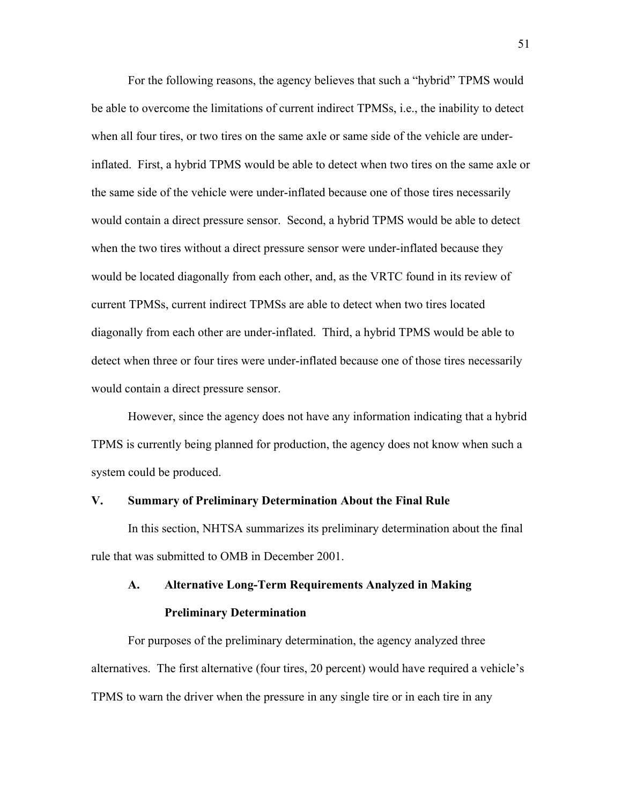For the following reasons, the agency believes that such a "hybrid" TPMS would be able to overcome the limitations of current indirect TPMSs, i.e., the inability to detect when all four tires, or two tires on the same axle or same side of the vehicle are underinflated. First, a hybrid TPMS would be able to detect when two tires on the same axle or the same side of the vehicle were under-inflated because one of those tires necessarily would contain a direct pressure sensor. Second, a hybrid TPMS would be able to detect when the two tires without a direct pressure sensor were under-inflated because they would be located diagonally from each other, and, as the VRTC found in its review of current TPMSs, current indirect TPMSs are able to detect when two tires located diagonally from each other are under-inflated. Third, a hybrid TPMS would be able to detect when three or four tires were under-inflated because one of those tires necessarily would contain a direct pressure sensor.

 However, since the agency does not have any information indicating that a hybrid TPMS is currently being planned for production, the agency does not know when such a system could be produced.

### **V. Summary of Preliminary Determination About the Final Rule**

In this section, NHTSA summarizes its preliminary determination about the final rule that was submitted to OMB in December 2001.

# **A. Alternative Long-Term Requirements Analyzed in Making Preliminary Determination**

For purposes of the preliminary determination, the agency analyzed three alternatives. The first alternative (four tires, 20 percent) would have required a vehicle's TPMS to warn the driver when the pressure in any single tire or in each tire in any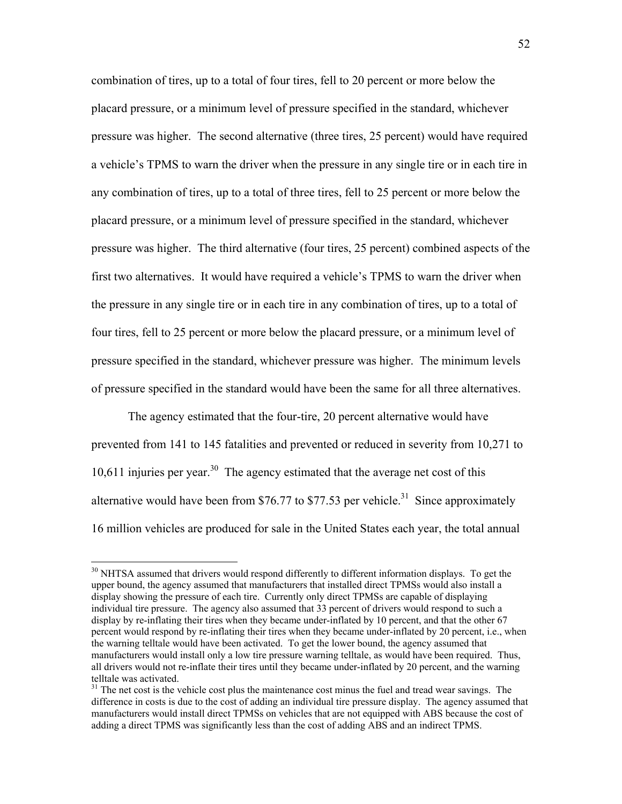combination of tires, up to a total of four tires, fell to 20 percent or more below the placard pressure, or a minimum level of pressure specified in the standard, whichever pressure was higher. The second alternative (three tires, 25 percent) would have required a vehicle's TPMS to warn the driver when the pressure in any single tire or in each tire in any combination of tires, up to a total of three tires, fell to 25 percent or more below the placard pressure, or a minimum level of pressure specified in the standard, whichever pressure was higher. The third alternative (four tires, 25 percent) combined aspects of the first two alternatives. It would have required a vehicle's TPMS to warn the driver when the pressure in any single tire or in each tire in any combination of tires, up to a total of four tires, fell to 25 percent or more below the placard pressure, or a minimum level of pressure specified in the standard, whichever pressure was higher. The minimum levels of pressure specified in the standard would have been the same for all three alternatives.

The agency estimated that the four-tire, 20 percent alternative would have prevented from 141 to 145 fatalities and prevented or reduced in severity from 10,271 to 10,611 injuries per year.<sup>30</sup> The agency estimated that the average net cost of this alternative would have been from \$76.77 to \$77.53 per vehicle.<sup>31</sup> Since approximately 16 million vehicles are produced for sale in the United States each year, the total annual

<span id="page-51-0"></span><sup>&</sup>lt;sup>30</sup> NHTSA assumed that drivers would respond differently to different information displays. To get the upper bound, the agency assumed that manufacturers that installed direct TPMSs would also install a display showing the pressure of each tire. Currently only direct TPMSs are capable of displaying individual tire pressure. The agency also assumed that 33 percent of drivers would respond to such a display by re-inflating their tires when they became under-inflated by 10 percent, and that the other 67 percent would respond by re-inflating their tires when they became under-inflated by 20 percent, i.e., when the warning telltale would have been activated. To get the lower bound, the agency assumed that manufacturers would install only a low tire pressure warning telltale, as would have been required. Thus, all drivers would not re-inflate their tires until they became under-inflated by 20 percent, and the warning telltale was activated.

<span id="page-51-1"></span> $31$  The net cost is the vehicle cost plus the maintenance cost minus the fuel and tread wear savings. The difference in costs is due to the cost of adding an individual tire pressure display. The agency assumed that manufacturers would install direct TPMSs on vehicles that are not equipped with ABS because the cost of adding a direct TPMS was significantly less than the cost of adding ABS and an indirect TPMS.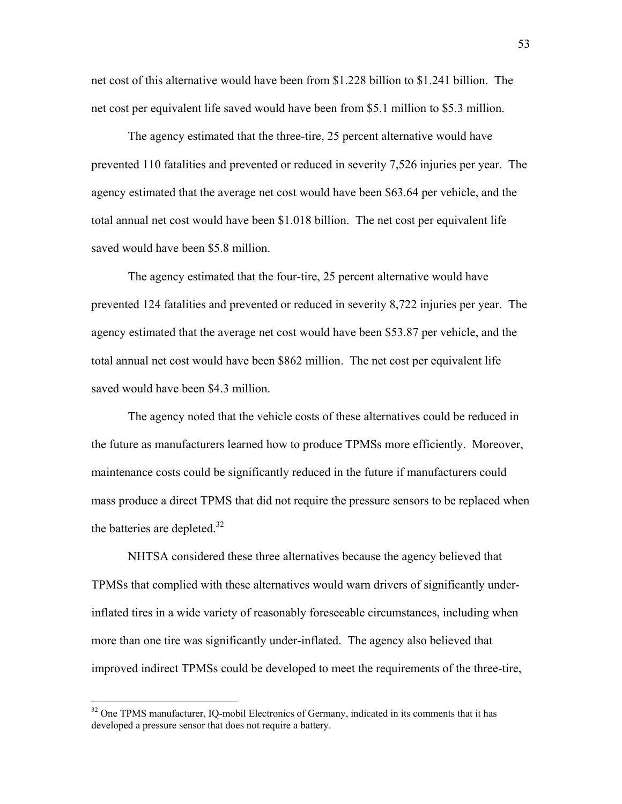net cost of this alternative would have been from \$1.228 billion to \$1.241 billion. The net cost per equivalent life saved would have been from \$5.1 million to \$5.3 million.

The agency estimated that the three-tire, 25 percent alternative would have prevented 110 fatalities and prevented or reduced in severity 7,526 injuries per year. The agency estimated that the average net cost would have been \$63.64 per vehicle, and the total annual net cost would have been \$1.018 billion. The net cost per equivalent life saved would have been \$5.8 million.

The agency estimated that the four-tire, 25 percent alternative would have prevented 124 fatalities and prevented or reduced in severity 8,722 injuries per year. The agency estimated that the average net cost would have been \$53.87 per vehicle, and the total annual net cost would have been \$862 million. The net cost per equivalent life saved would have been \$4.3 million.

The agency noted that the vehicle costs of these alternatives could be reduced in the future as manufacturers learned how to produce TPMSs more efficiently. Moreover, maintenance costs could be significantly reduced in the future if manufacturers could mass produce a direct TPMS that did not require the pressure sensors to be replaced when the batteries are depleted.<sup>[32](#page-52-0)</sup>

NHTSA considered these three alternatives because the agency believed that TPMSs that complied with these alternatives would warn drivers of significantly underinflated tires in a wide variety of reasonably foreseeable circumstances, including when more than one tire was significantly under-inflated. The agency also believed that improved indirect TPMSs could be developed to meet the requirements of the three-tire,

<span id="page-52-0"></span><sup>&</sup>lt;sup>32</sup> One TPMS manufacturer, IQ-mobil Electronics of Germany, indicated in its comments that it has developed a pressure sensor that does not require a battery.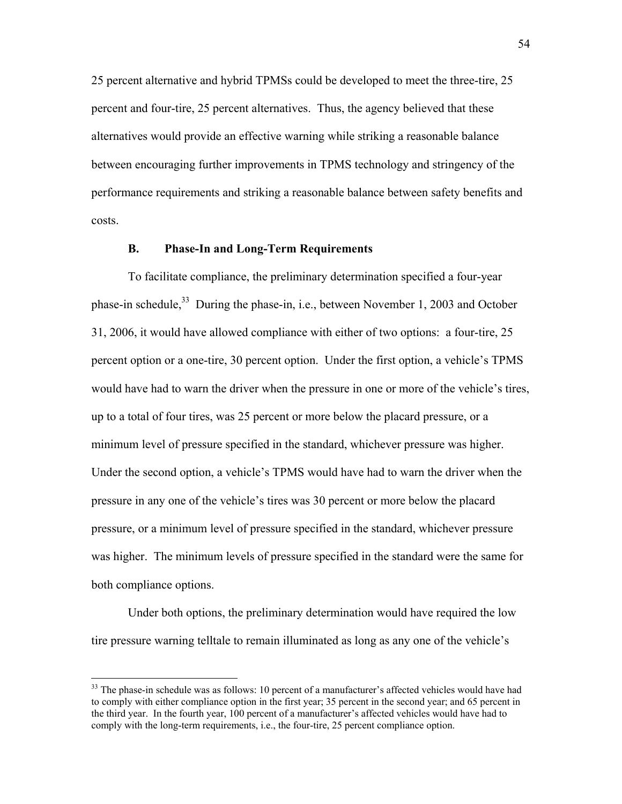25 percent alternative and hybrid TPMSs could be developed to meet the three-tire, 25 percent and four-tire, 25 percent alternatives. Thus, the agency believed that these alternatives would provide an effective warning while striking a reasonable balance between encouraging further improvements in TPMS technology and stringency of the performance requirements and striking a reasonable balance between safety benefits and costs.

## **B. Phase-In and Long-Term Requirements**

To facilitate compliance, the preliminary determination specified a four-year phase-in schedule,  $33$  During the phase-in, i.e., between November 1, 2003 and October 31, 2006, it would have allowed compliance with either of two options: a four-tire, 25 percent option or a one-tire, 30 percent option. Under the first option, a vehicle's TPMS would have had to warn the driver when the pressure in one or more of the vehicle's tires, up to a total of four tires, was 25 percent or more below the placard pressure, or a minimum level of pressure specified in the standard, whichever pressure was higher. Under the second option, a vehicle's TPMS would have had to warn the driver when the pressure in any one of the vehicle's tires was 30 percent or more below the placard pressure, or a minimum level of pressure specified in the standard, whichever pressure was higher. The minimum levels of pressure specified in the standard were the same for both compliance options.

Under both options, the preliminary determination would have required the low tire pressure warning telltale to remain illuminated as long as any one of the vehicle's

<span id="page-53-0"></span> $33$  The phase-in schedule was as follows: 10 percent of a manufacturer's affected vehicles would have had to comply with either compliance option in the first year; 35 percent in the second year; and 65 percent in the third year. In the fourth year, 100 percent of a manufacturer's affected vehicles would have had to comply with the long-term requirements, i.e., the four-tire, 25 percent compliance option.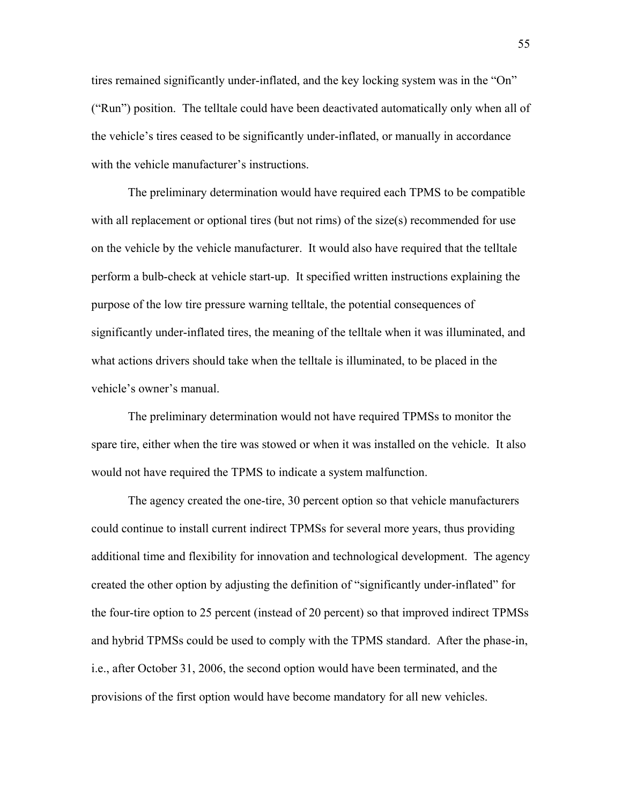tires remained significantly under-inflated, and the key locking system was in the "On" ("Run") position. The telltale could have been deactivated automatically only when all of the vehicle's tires ceased to be significantly under-inflated, or manually in accordance with the vehicle manufacturer's instructions.

The preliminary determination would have required each TPMS to be compatible with all replacement or optional tires (but not rims) of the size(s) recommended for use on the vehicle by the vehicle manufacturer. It would also have required that the telltale perform a bulb-check at vehicle start-up. It specified written instructions explaining the purpose of the low tire pressure warning telltale, the potential consequences of significantly under-inflated tires, the meaning of the telltale when it was illuminated, and what actions drivers should take when the telltale is illuminated, to be placed in the vehicle's owner's manual.

The preliminary determination would not have required TPMSs to monitor the spare tire, either when the tire was stowed or when it was installed on the vehicle. It also would not have required the TPMS to indicate a system malfunction.

The agency created the one-tire, 30 percent option so that vehicle manufacturers could continue to install current indirect TPMSs for several more years, thus providing additional time and flexibility for innovation and technological development. The agency created the other option by adjusting the definition of "significantly under-inflated" for the four-tire option to 25 percent (instead of 20 percent) so that improved indirect TPMSs and hybrid TPMSs could be used to comply with the TPMS standard. After the phase-in, i.e., after October 31, 2006, the second option would have been terminated, and the provisions of the first option would have become mandatory for all new vehicles.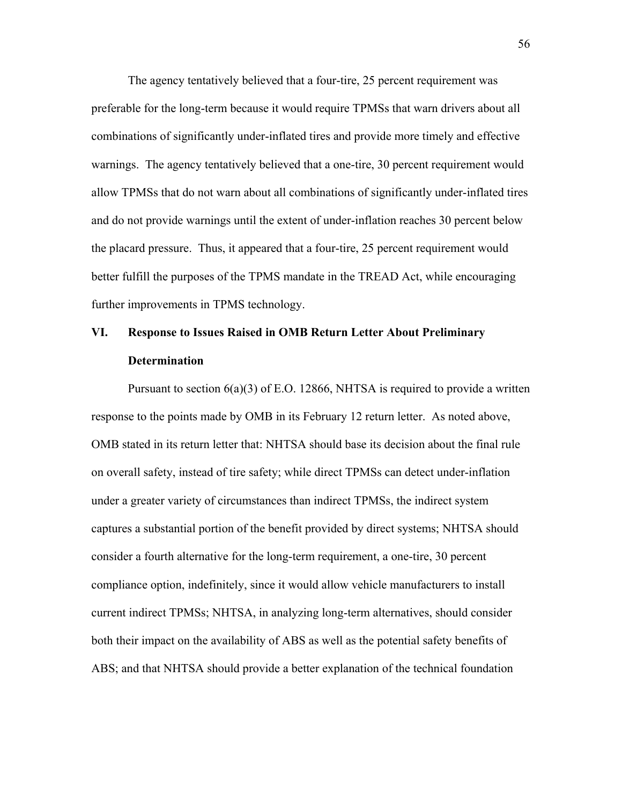The agency tentatively believed that a four-tire, 25 percent requirement was preferable for the long-term because it would require TPMSs that warn drivers about all combinations of significantly under-inflated tires and provide more timely and effective warnings. The agency tentatively believed that a one-tire, 30 percent requirement would allow TPMSs that do not warn about all combinations of significantly under-inflated tires and do not provide warnings until the extent of under-inflation reaches 30 percent below the placard pressure. Thus, it appeared that a four-tire, 25 percent requirement would better fulfill the purposes of the TPMS mandate in the TREAD Act, while encouraging further improvements in TPMS technology.

## **VI. Response to Issues Raised in OMB Return Letter About Preliminary Determination**

Pursuant to section  $6(a)(3)$  of E.O. 12866, NHTSA is required to provide a written response to the points made by OMB in its February 12 return letter. As noted above, OMB stated in its return letter that: NHTSA should base its decision about the final rule on overall safety, instead of tire safety; while direct TPMSs can detect under-inflation under a greater variety of circumstances than indirect TPMSs, the indirect system captures a substantial portion of the benefit provided by direct systems; NHTSA should consider a fourth alternative for the long-term requirement, a one-tire, 30 percent compliance option, indefinitely, since it would allow vehicle manufacturers to install current indirect TPMSs; NHTSA, in analyzing long-term alternatives, should consider both their impact on the availability of ABS as well as the potential safety benefits of ABS; and that NHTSA should provide a better explanation of the technical foundation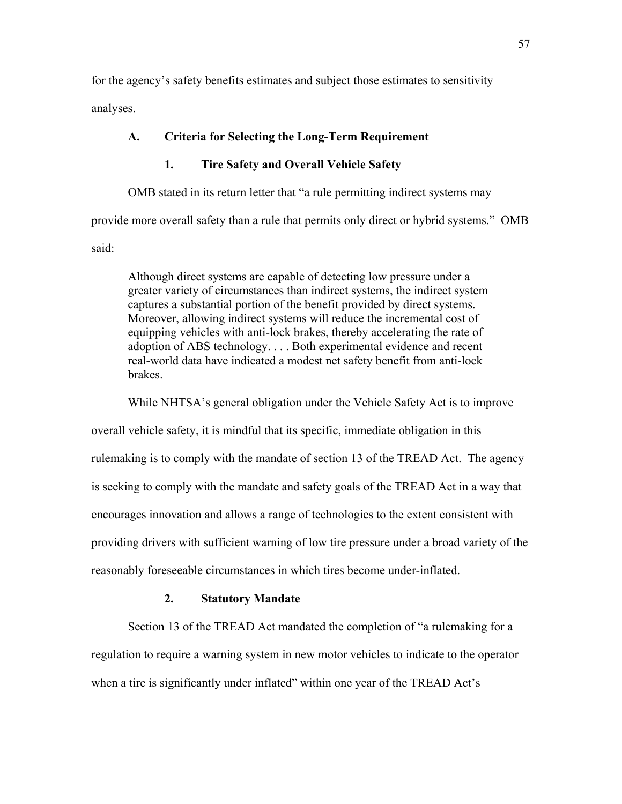for the agency's safety benefits estimates and subject those estimates to sensitivity analyses.

## **A. Criteria for Selecting the Long-Term Requirement**

## **1. Tire Safety and Overall Vehicle Safety**

OMB stated in its return letter that "a rule permitting indirect systems may

provide more overall safety than a rule that permits only direct or hybrid systems." OMB

said:

Although direct systems are capable of detecting low pressure under a greater variety of circumstances than indirect systems, the indirect system captures a substantial portion of the benefit provided by direct systems. Moreover, allowing indirect systems will reduce the incremental cost of equipping vehicles with anti-lock brakes, thereby accelerating the rate of adoption of ABS technology. . . . Both experimental evidence and recent real-world data have indicated a modest net safety benefit from anti-lock brakes.

While NHTSA's general obligation under the Vehicle Safety Act is to improve

overall vehicle safety, it is mindful that its specific, immediate obligation in this rulemaking is to comply with the mandate of section 13 of the TREAD Act. The agency is seeking to comply with the mandate and safety goals of the TREAD Act in a way that encourages innovation and allows a range of technologies to the extent consistent with providing drivers with sufficient warning of low tire pressure under a broad variety of the reasonably foreseeable circumstances in which tires become under-inflated.

## **2. Statutory Mandate**

Section 13 of the TREAD Act mandated the completion of "a rulemaking for a regulation to require a warning system in new motor vehicles to indicate to the operator when a tire is significantly under inflated" within one year of the TREAD Act's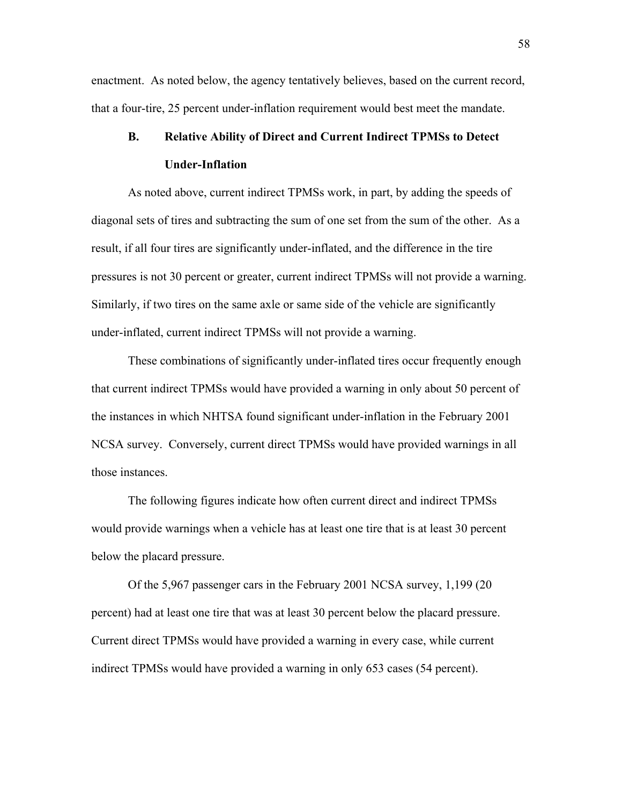enactment. As noted below, the agency tentatively believes, based on the current record, that a four-tire, 25 percent under-inflation requirement would best meet the mandate.

# **B. Relative Ability of Direct and Current Indirect TPMSs to Detect Under-Inflation**

 As noted above, current indirect TPMSs work, in part, by adding the speeds of diagonal sets of tires and subtracting the sum of one set from the sum of the other. As a result, if all four tires are significantly under-inflated, and the difference in the tire pressures is not 30 percent or greater, current indirect TPMSs will not provide a warning. Similarly, if two tires on the same axle or same side of the vehicle are significantly under-inflated, current indirect TPMSs will not provide a warning.

 These combinations of significantly under-inflated tires occur frequently enough that current indirect TPMSs would have provided a warning in only about 50 percent of the instances in which NHTSA found significant under-inflation in the February 2001 NCSA survey. Conversely, current direct TPMSs would have provided warnings in all those instances.

 The following figures indicate how often current direct and indirect TPMSs would provide warnings when a vehicle has at least one tire that is at least 30 percent below the placard pressure.

Of the 5,967 passenger cars in the February 2001 NCSA survey, 1,199 (20 percent) had at least one tire that was at least 30 percent below the placard pressure. Current direct TPMSs would have provided a warning in every case, while current indirect TPMSs would have provided a warning in only 653 cases (54 percent).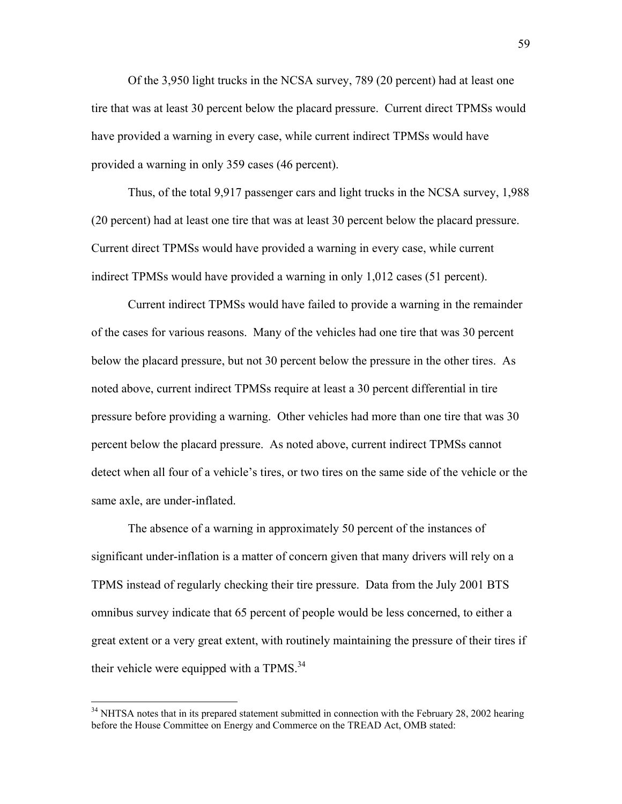<span id="page-58-0"></span>Of the 3,950 light trucks in the NCSA survey, 789 (20 percent) had at least one tire that was at least 30 percent below the placard pressure. Current direct TPMSs would have provided a warning in every case, while current indirect TPMSs would have provided a warning in only 359 cases (46 percent).

Thus, of the total 9,917 passenger cars and light trucks in the NCSA survey, 1,988 (20 percent) had at least one tire that was at least 30 percent below the placard pressure. Current direct TPMSs would have provided a warning in every case, while current indirect TPMSs would have provided a warning in only 1,012 cases (51 percent).

Current indirect TPMSs would have failed to provide a warning in the remainder of the cases for various reasons. Many of the vehicles had one tire that was 30 percent below the placard pressure, but not 30 percent below the pressure in the other tires. As noted above, current indirect TPMSs require at least a 30 percent differential in tire pressure before providing a warning. Other vehicles had more than one tire that was 30 percent below the placard pressure. As noted above, current indirect TPMSs cannot detect when all four of a vehicle's tires, or two tires on the same side of the vehicle or the same axle, are under-inflated.

 The absence of a warning in approximately 50 percent of the instances of significant under-inflation is a matter of concern given that many drivers will rely on a TPMS instead of regularly checking their tire pressure. Data from the July 2001 BTS omnibus survey indicate that 65 percent of people would be less concerned, to either a great extent or a very great extent, with routinely maintaining the pressure of their tires if their vehicle were equipped with a TPMS.<sup>[34](#page-58-0)</sup>

<sup>&</sup>lt;sup>34</sup> NHTSA notes that in its prepared statement submitted in connection with the February 28, 2002 hearing before the House Committee on Energy and Commerce on the TREAD Act, OMB stated: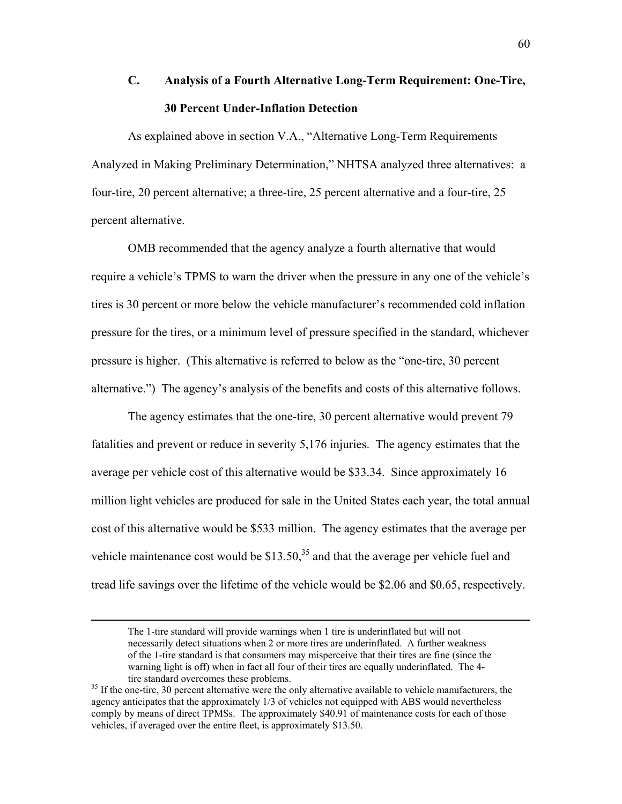# **C. Analysis of a Fourth Alternative Long-Term Requirement: One-Tire, 30 Percent Under-Inflation Detection**

As explained above in section V.A., "Alternative Long-Term Requirements" Analyzed in Making Preliminary Determination," NHTSA analyzed three alternatives: a four-tire, 20 percent alternative; a three-tire, 25 percent alternative and a four-tire, 25 percent alternative.

OMB recommended that the agency analyze a fourth alternative that would require a vehicle's TPMS to warn the driver when the pressure in any one of the vehicle's tires is 30 percent or more below the vehicle manufacturer's recommended cold inflation pressure for the tires, or a minimum level of pressure specified in the standard, whichever pressure is higher. (This alternative is referred to below as the "one-tire, 30 percent" alternative.") The agency's analysis of the benefits and costs of this alternative follows.

 The agency estimates that the one-tire, 30 percent alternative would prevent 79 fatalities and prevent or reduce in severity 5,176 injuries. The agency estimates that the average per vehicle cost of this alternative would be \$33.34. Since approximately 16 million light vehicles are produced for sale in the United States each year, the total annual cost of this alternative would be \$533 million. The agency estimates that the average per vehicle maintenance cost would be  $$13.50<sup>35</sup>$  and that the average per vehicle fuel and tread life savings over the lifetime of the vehicle would be \$2.06 and \$0.65, respectively.

The 1-tire standard will provide warnings when 1 tire is underinflated but will not necessarily detect situations when 2 or more tires are underinflated. A further weakness of the 1-tire standard is that consumers may misperceive that their tires are fine (since the warning light is off) when in fact all four of their tires are equally underinflated. The 4 tire standard overcomes these problems.<br><sup>35</sup> If the one-tire, 30 percent alternative were the only alternative available to vehicle manufacturers, the

<span id="page-59-0"></span>agency anticipates that the approximately 1/3 of vehicles not equipped with ABS would nevertheless comply by means of direct TPMSs. The approximately \$40.91 of maintenance costs for each of those vehicles, if averaged over the entire fleet, is approximately \$13.50.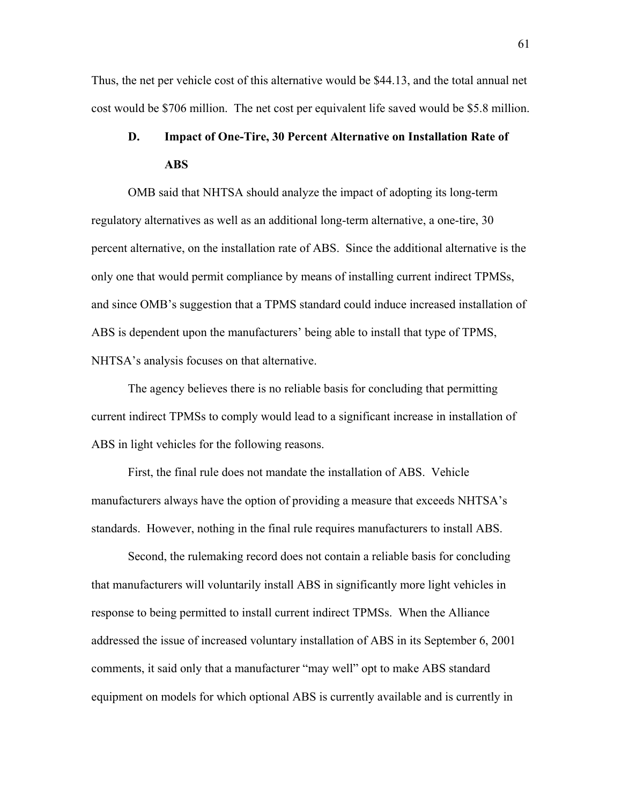Thus, the net per vehicle cost of this alternative would be \$44.13, and the total annual net cost would be \$706 million. The net cost per equivalent life saved would be \$5.8 million.

## **D. Impact of One-Tire, 30 Percent Alternative on Installation Rate of ABS**

 OMB said that NHTSA should analyze the impact of adopting its long-term regulatory alternatives as well as an additional long-term alternative, a one-tire, 30 percent alternative, on the installation rate of ABS. Since the additional alternative is the only one that would permit compliance by means of installing current indirect TPMSs, and since OMB's suggestion that a TPMS standard could induce increased installation of ABS is dependent upon the manufacturers' being able to install that type of TPMS, NHTSA's analysis focuses on that alternative.

 The agency believes there is no reliable basis for concluding that permitting current indirect TPMSs to comply would lead to a significant increase in installation of ABS in light vehicles for the following reasons.

 First, the final rule does not mandate the installation of ABS. Vehicle manufacturers always have the option of providing a measure that exceeds NHTSA's standards. However, nothing in the final rule requires manufacturers to install ABS.

 Second, the rulemaking record does not contain a reliable basis for concluding that manufacturers will voluntarily install ABS in significantly more light vehicles in response to being permitted to install current indirect TPMSs. When the Alliance addressed the issue of increased voluntary installation of ABS in its September 6, 2001 comments, it said only that a manufacturer "may well" opt to make ABS standard equipment on models for which optional ABS is currently available and is currently in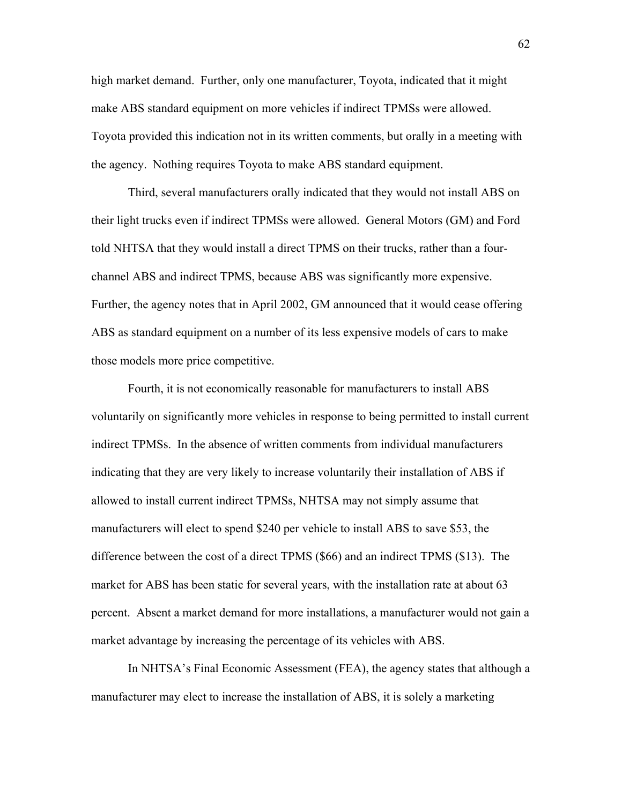high market demand. Further, only one manufacturer, Toyota, indicated that it might make ABS standard equipment on more vehicles if indirect TPMSs were allowed. Toyota provided this indication not in its written comments, but orally in a meeting with the agency. Nothing requires Toyota to make ABS standard equipment.

 Third, several manufacturers orally indicated that they would not install ABS on their light trucks even if indirect TPMSs were allowed. General Motors (GM) and Ford told NHTSA that they would install a direct TPMS on their trucks, rather than a fourchannel ABS and indirect TPMS, because ABS was significantly more expensive. Further, the agency notes that in April 2002, GM announced that it would cease offering ABS as standard equipment on a number of its less expensive models of cars to make those models more price competitive.

 Fourth, it is not economically reasonable for manufacturers to install ABS voluntarily on significantly more vehicles in response to being permitted to install current indirect TPMSs. In the absence of written comments from individual manufacturers indicating that they are very likely to increase voluntarily their installation of ABS if allowed to install current indirect TPMSs, NHTSA may not simply assume that manufacturers will elect to spend \$240 per vehicle to install ABS to save \$53, the difference between the cost of a direct TPMS (\$66) and an indirect TPMS (\$13). The market for ABS has been static for several years, with the installation rate at about 63 percent. Absent a market demand for more installations, a manufacturer would not gain a market advantage by increasing the percentage of its vehicles with ABS.

In NHTSA's Final Economic Assessment (FEA), the agency states that although a manufacturer may elect to increase the installation of ABS, it is solely a marketing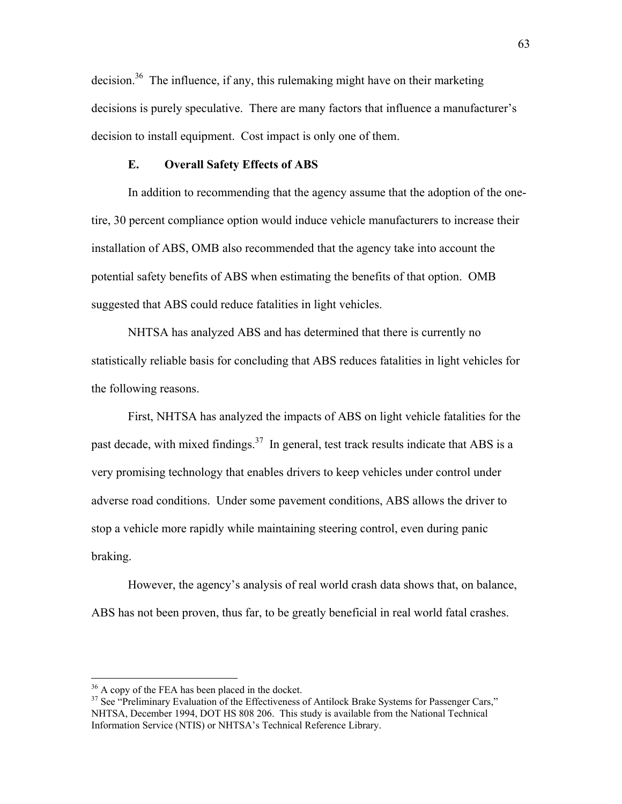decision.<sup>36</sup> The influence, if any, this rulemaking might have on their marketing decisions is purely speculative. There are many factors that influence a manufacturer's decision to install equipment. Cost impact is only one of them.

### **E. Overall Safety Effects of ABS**

 In addition to recommending that the agency assume that the adoption of the onetire, 30 percent compliance option would induce vehicle manufacturers to increase their installation of ABS, OMB also recommended that the agency take into account the potential safety benefits of ABS when estimating the benefits of that option. OMB suggested that ABS could reduce fatalities in light vehicles.

 NHTSA has analyzed ABS and has determined that there is currently no statistically reliable basis for concluding that ABS reduces fatalities in light vehicles for the following reasons.

 First, NHTSA has analyzed the impacts of ABS on light vehicle fatalities for the past decade, with mixed findings.<sup>37</sup> In general, test track results indicate that ABS is a very promising technology that enables drivers to keep vehicles under control under adverse road conditions. Under some pavement conditions, ABS allows the driver to stop a vehicle more rapidly while maintaining steering control, even during panic braking.

However, the agency's analysis of real world crash data shows that, on balance, ABS has not been proven, thus far, to be greatly beneficial in real world fatal crashes.

<span id="page-62-0"></span> $36$  A copy of the FEA has been placed in the docket.

<span id="page-62-1"></span><sup>&</sup>lt;sup>37</sup> See "Preliminary Evaluation of the Effectiveness of Antilock Brake Systems for Passenger Cars," NHTSA, December 1994, DOT HS 808 206. This study is available from the National Technical Information Service (NTIS) or NHTSA's Technical Reference Library.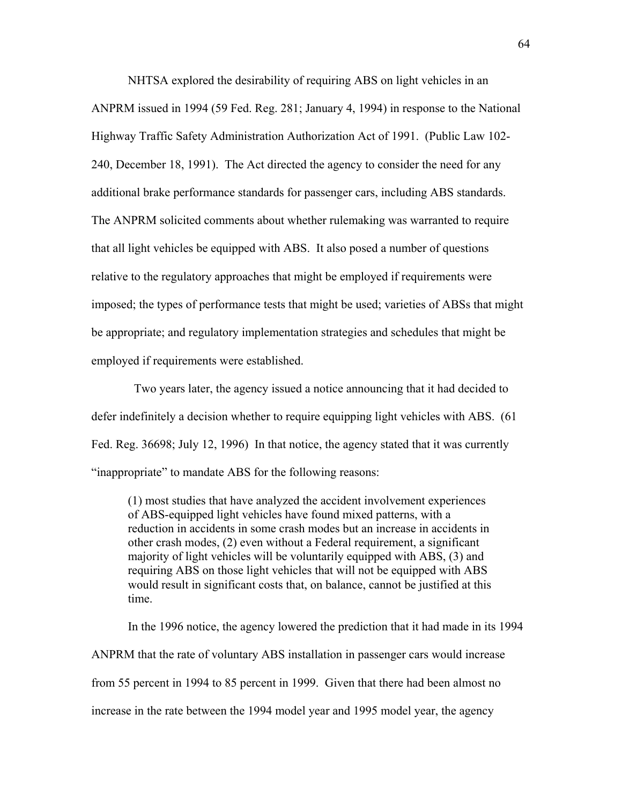NHTSA explored the desirability of requiring ABS on light vehicles in an ANPRM issued in 1994 (59 Fed. Reg. 281; January 4, 1994) in response to the National Highway Traffic Safety Administration Authorization Act of 1991. (Public Law 102- 240, December 18, 1991). The Act directed the agency to consider the need for any additional brake performance standards for passenger cars, including ABS standards. The ANPRM solicited comments about whether rulemaking was warranted to require that all light vehicles be equipped with ABS. It also posed a number of questions relative to the regulatory approaches that might be employed if requirements were imposed; the types of performance tests that might be used; varieties of ABSs that might be appropriate; and regulatory implementation strategies and schedules that might be employed if requirements were established.

 Two years later, the agency issued a notice announcing that it had decided to defer indefinitely a decision whether to require equipping light vehicles with ABS. (61 Fed. Reg. 36698; July 12, 1996) In that notice, the agency stated that it was currently "inappropriate" to mandate ABS for the following reasons:

(1) most studies that have analyzed the accident involvement experiences of ABS-equipped light vehicles have found mixed patterns, with a reduction in accidents in some crash modes but an increase in accidents in other crash modes, (2) even without a Federal requirement, a significant majority of light vehicles will be voluntarily equipped with ABS, (3) and requiring ABS on those light vehicles that will not be equipped with ABS would result in significant costs that, on balance, cannot be justified at this time.

In the 1996 notice, the agency lowered the prediction that it had made in its 1994 ANPRM that the rate of voluntary ABS installation in passenger cars would increase from 55 percent in 1994 to 85 percent in 1999. Given that there had been almost no increase in the rate between the 1994 model year and 1995 model year, the agency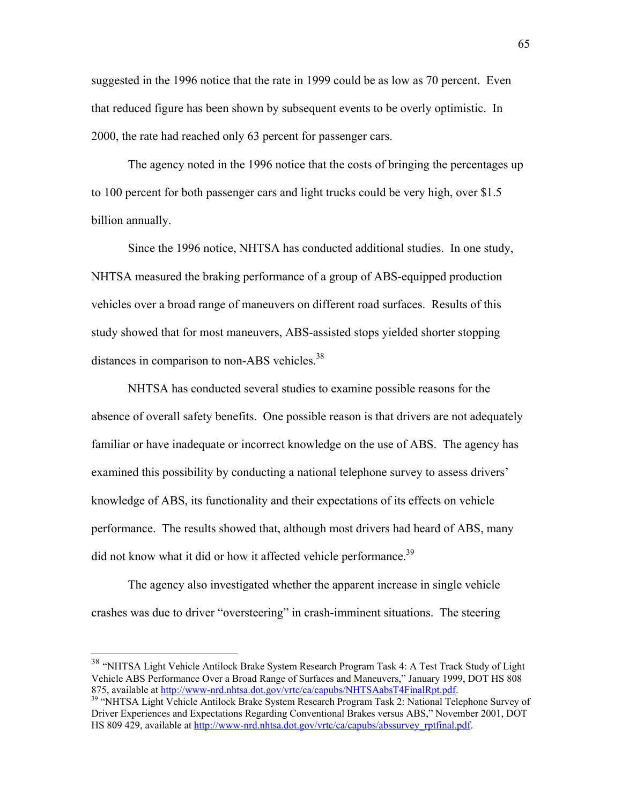suggested in the 1996 notice that the rate in 1999 could be as low as 70 percent. Even that reduced figure has been shown by subsequent events to be overly optimistic. In 2000, the rate had reached only 63 percent for passenger cars.

The agency noted in the 1996 notice that the costs of bringing the percentages up to 100 percent for both passenger cars and light trucks could be very high, over \$1.5 billion annually.

Since the 1996 notice, NHTSA has conducted additional studies. In one study, NHTSA measured the braking performance of a group of ABS-equipped production vehicles over a broad range of maneuvers on different road surfaces. Results of this study showed that for most maneuvers, ABS-assisted stops yielded shorter stopping distances in comparison to non-ABS vehicles.<sup>38</sup>

NHTSA has conducted several studies to examine possible reasons for the absence of overall safety benefits. One possible reason is that drivers are not adequately familiar or have inadequate or incorrect knowledge on the use of ABS. The agency has examined this possibility by conducting a national telephone survey to assess drivers' knowledge of ABS, its functionality and their expectations of its effects on vehicle performance. The results showed that, although most drivers had heard of ABS, many did not know what it did or how it affected vehicle performance.<sup>39</sup>

The agency also investigated whether the apparent increase in single vehicle crashes was due to driver "oversteering" in crash-imminent situations. The steering

1

<span id="page-64-0"></span><sup>&</sup>lt;sup>38</sup> "NHTSA Light Vehicle Antilock Brake System Research Program Task 4: A Test Track Study of Light Vehicle ABS Performance Over a Broad Range of Surfaces and Maneuvers," January 1999, DOT HS 808 875, available at [http://www-nrd.nhtsa.dot.gov/vrtc/ca/capubs/NHTSAabsT4FinalRpt.pdf.](http://www-nrd.nhtsa.dot.gov/vrtc/ca/capubs/NHTSAabsT4FinalRpt.pdf)<br><sup>39</sup> "NHTSA Light Vehicle Antilock Brake System Research Program Task 2: National Telephone Survey of

<span id="page-64-1"></span>Driver Experiences and Expectations Regarding Conventional Brakes versus ABS," November 2001, DOT HS 809 429, available at [http://www-nrd.nhtsa.dot.gov/vrtc/ca/capubs/abssurvey\\_rptfinal.pdf](http://www-nrd.nhtsa.dot.gov/vrtc/ca/capubs/abssurvey_rptfinal.pdf).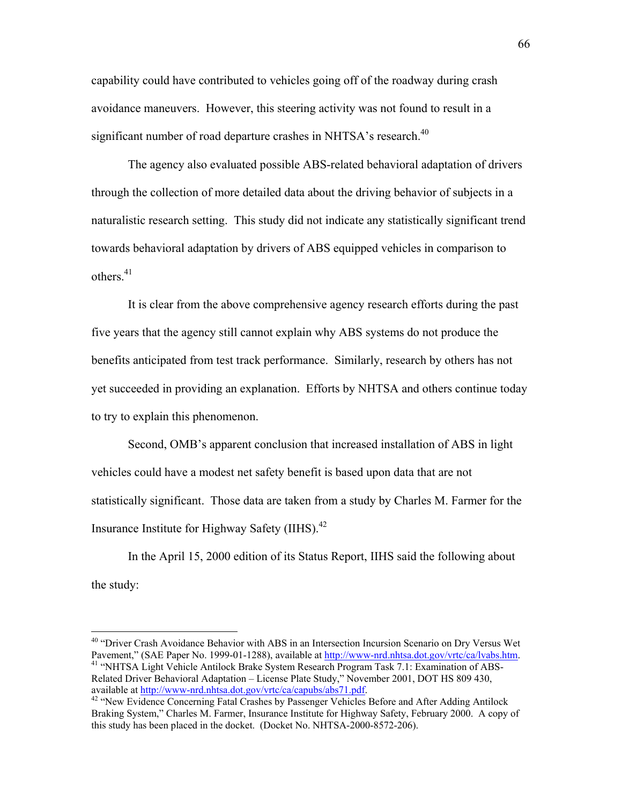capability could have contributed to vehicles going off of the roadway during crash avoidance maneuvers. However, this steering activity was not found to result in a significant number of road departure crashes in NHTSA's research.<sup>40</sup>

The agency also evaluated possible ABS-related behavioral adaptation of drivers through the collection of more detailed data about the driving behavior of subjects in a naturalistic research setting. This study did not indicate any statistically significant trend towards behavioral adaptation by drivers of ABS equipped vehicles in comparison to others $41$ 

It is clear from the above comprehensive agency research efforts during the past five years that the agency still cannot explain why ABS systems do not produce the benefits anticipated from test track performance. Similarly, research by others has not yet succeeded in providing an explanation. Efforts by NHTSA and others continue today to try to explain this phenomenon.

Second, OMB's apparent conclusion that increased installation of ABS in light vehicles could have a modest net safety benefit is based upon data that are not statistically significant. Those data are taken from a study by Charles M. Farmer for the Insurance Institute for Highway Safety  $(IIHS)$ .<sup>42</sup>

 In the April 15, 2000 edition of its Status Report, IIHS said the following about the study:

<span id="page-65-1"></span><span id="page-65-0"></span><sup>&</sup>lt;sup>40</sup> "Driver Crash Avoidance Behavior with ABS in an Intersection Incursion Scenario on Dry Versus Wet Pavement," (SAE Paper No. 1999-01-1288), available at  $\frac{http://www-nrd.nhtsa.dot.gov/vrtc/cal/vabs.htm}$ . <sup>41</sup> "NHTSA Light Vehicle Antilock Brake System Research Program Task 7.1: Examination of ABS-Related Driver Behavioral Adaptation – License Plate Study," November 2001, DOT HS 809 430, available at http://www-nrd.nhtsa.dot.gov/vrtc/ca/capubs/abs71.pdf.

<span id="page-65-2"></span><sup>&</sup>lt;sup>42</sup> "New Evidence Concerning Fatal Crashes by Passenger Vehicles Before and After Adding Antilock Braking System," Charles M. Farmer, Insurance Institute for Highway Safety, February 2000. A copy of this study has been placed in the docket. (Docket No. NHTSA-2000-8572-206).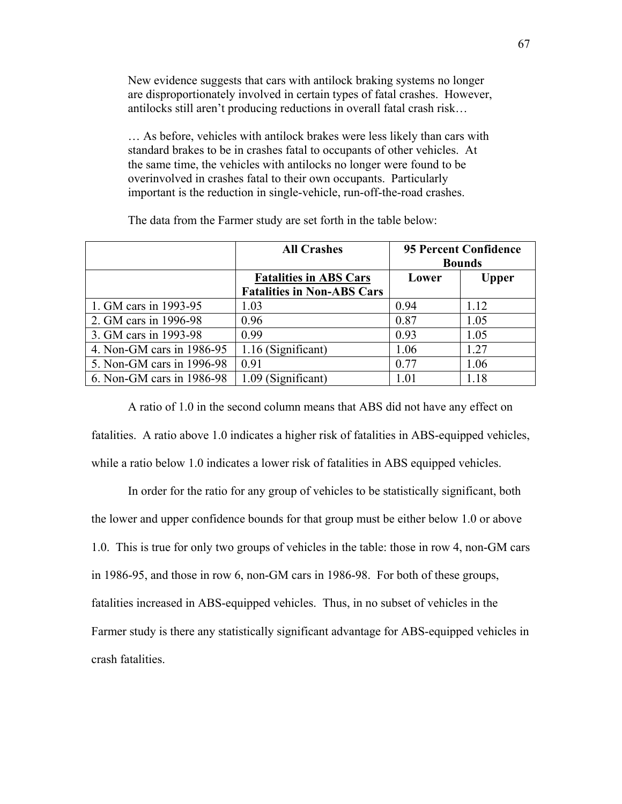New evidence suggests that cars with antilock braking systems no longer are disproportionately involved in certain types of fatal crashes. However, antilocks still aren't producing reductions in overall fatal crash risk...

 $\ldots$  As before, vehicles with antilock brakes were less likely than cars with standard brakes to be in crashes fatal to occupants of other vehicles. At the same time, the vehicles with antilocks no longer were found to be overinvolved in crashes fatal to their own occupants. Particularly important is the reduction in single-vehicle, run-off-the-road crashes.

|                           | <b>All Crashes</b>                                                 | <b>95 Percent Confidence</b><br><b>Bounds</b> |              |
|---------------------------|--------------------------------------------------------------------|-----------------------------------------------|--------------|
|                           | <b>Fatalities in ABS Cars</b><br><b>Fatalities in Non-ABS Cars</b> | Lower                                         | <b>Upper</b> |
| 1. GM cars in 1993-95     | 1.03                                                               | 0.94                                          | 1.12         |
| 2. GM cars in 1996-98     | 0.96                                                               | 0.87                                          | 1.05         |
| 3. GM cars in 1993-98     | 0.99                                                               | 0.93                                          | 1.05         |
| 4. Non-GM cars in 1986-95 | 1.16 (Significant)                                                 | 1.06                                          | 1.27         |
| 5. Non-GM cars in 1996-98 | 0.91                                                               | 0.77                                          | 1.06         |
| 6. Non-GM cars in 1986-98 | 1.09 (Significant)                                                 | 1.01                                          | 1.18         |

The data from the Farmer study are set forth in the table below:

 A ratio of 1.0 in the second column means that ABS did not have any effect on fatalities. A ratio above 1.0 indicates a higher risk of fatalities in ABS-equipped vehicles, while a ratio below 1.0 indicates a lower risk of fatalities in ABS equipped vehicles.

 In order for the ratio for any group of vehicles to be statistically significant, both the lower and upper confidence bounds for that group must be either below 1.0 or above 1.0. This is true for only two groups of vehicles in the table: those in row 4, non-GM cars in 1986-95, and those in row 6, non-GM cars in 1986-98. For both of these groups, fatalities increased in ABS-equipped vehicles. Thus, in no subset of vehicles in the Farmer study is there any statistically significant advantage for ABS-equipped vehicles in crash fatalities.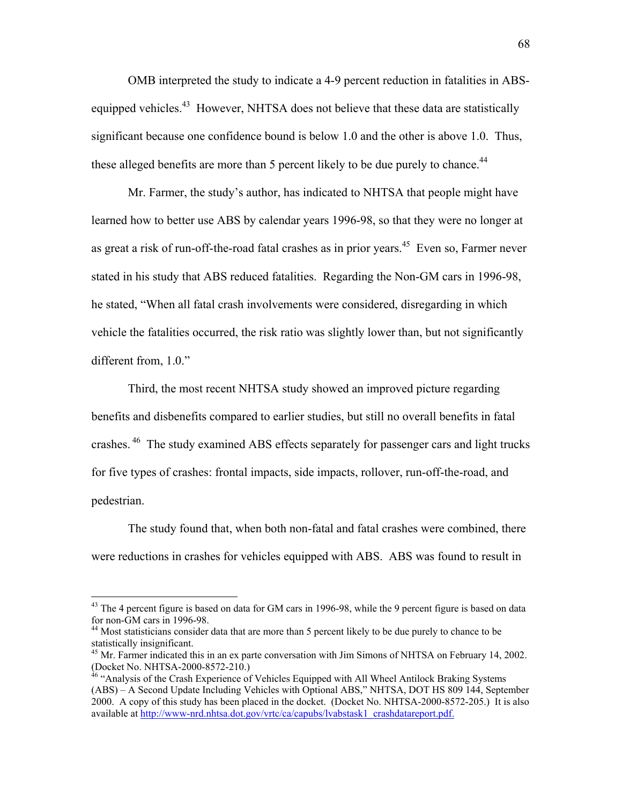OMB interpreted the study to indicate a 4-9 percent reduction in fatalities in ABSequipped vehicles.<sup>43</sup> However, NHTSA does not believe that these data are statistically significant because one confidence bound is below 1.0 and the other is above 1.0. Thus, these alleged benefits are more than 5 percent likely to be due purely to chance.<sup>44</sup>

Mr. Farmer, the study's author, has indicated to NHTSA that people might have learned how to better use ABS by calendar years 1996-98, so that they were no longer at as great a risk of run-off-the-road fatal crashes as in prior years.<sup>45</sup> Even so, Farmer never stated in his study that ABS reduced fatalities. Regarding the Non-GM cars in 1996-98, he stated, "When all fatal crash involvements were considered, disregarding in which vehicle the fatalities occurred, the risk ratio was slightly lower than, but not significantly different from,  $1.0$ ."

 Third, the most recent NHTSA study showed an improved picture regarding benefits and disbenefits compared to earlier studies, but still no overall benefits in fatal crashes.<sup>46</sup> The study examined ABS effects separately for passenger cars and light trucks for five types of crashes: frontal impacts, side impacts, rollover, run-off-the-road, and pedestrian.

 The study found that, when both non-fatal and fatal crashes were combined, there were reductions in crashes for vehicles equipped with ABS. ABS was found to result in

<span id="page-67-0"></span><sup>&</sup>lt;sup>43</sup> The 4 percent figure is based on data for GM cars in 1996-98, while the 9 percent figure is based on data for non-GM cars in 1996-98.

<span id="page-67-1"></span><sup>&</sup>lt;sup>44</sup> Most statisticians consider data that are more than 5 percent likely to be due purely to chance to be statistically insignificant.

<span id="page-67-2"></span> $^{45}$  Mr. Farmer indicated this in an ex parte conversation with Jim Simons of NHTSA on February 14, 2002. (Docket No. NHTSA-2000-8572-210.)

<span id="page-67-3"></span><sup>&</sup>lt;sup>46</sup> "Analysis of the Crash Experience of Vehicles Equipped with All Wheel Antilock Braking Systems (ABS) – A Second Update Including Vehicles with Optional ABS," NHTSA, DOT HS 809 144, September 2000. A copy of this study has been placed in the docket. (Docket No. NHTSA-2000-8572-205.) It is also available at http://www-nrd.nhtsa.dot.gov/vrtc/ca/capubs/lvabstask1\_crashdatareport.pdf.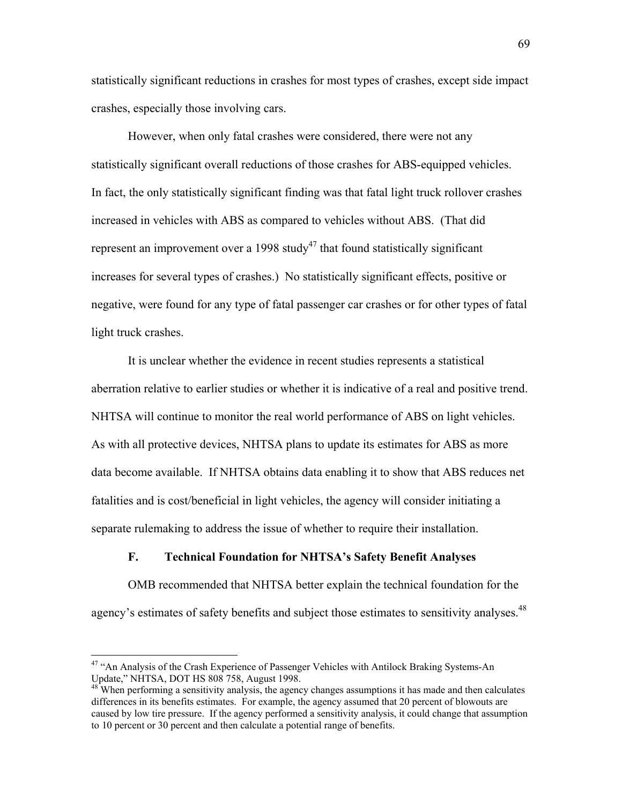statistically significant reductions in crashes for most types of crashes, except side impact crashes, especially those involving cars.

 However, when only fatal crashes were considered, there were not any statistically significant overall reductions of those crashes for ABS-equipped vehicles. In fact, the only statistically significant finding was that fatal light truck rollover crashes increased in vehicles with ABS as compared to vehicles without ABS. (That did represent an improvement over a 1998 study<sup>47</sup> that found statistically significant increases for several types of crashes.) No statistically significant effects, positive or negative, were found for any type of fatal passenger car crashes or for other types of fatal light truck crashes.

 It is unclear whether the evidence in recent studies represents a statistical aberration relative to earlier studies or whether it is indicative of a real and positive trend. NHTSA will continue to monitor the real world performance of ABS on light vehicles. As with all protective devices, NHTSA plans to update its estimates for ABS as more data become available. If NHTSA obtains data enabling it to show that ABS reduces net fatalities and is cost/beneficial in light vehicles, the agency will consider initiating a separate rulemaking to address the issue of whether to require their installation.

## **F. Technical Foundation for NHTSAís Safety Benefit Analyses**

 OMB recommended that NHTSA better explain the technical foundation for the agency's estimates of safety benefits and subject those estimates to sensitivity analyses.<sup>48</sup>

<span id="page-68-0"></span><sup>&</sup>lt;sup>47</sup> "An Analysis of the Crash Experience of Passenger Vehicles with Antilock Braking Systems-An Update," NHTSA, DOT HS 808 758, August 1998.

<span id="page-68-1"></span><sup>&</sup>lt;sup>48</sup> When performing a sensitivity analysis, the agency changes assumptions it has made and then calculates differences in its benefits estimates. For example, the agency assumed that 20 percent of blowouts are caused by low tire pressure. If the agency performed a sensitivity analysis, it could change that assumption to 10 percent or 30 percent and then calculate a potential range of benefits.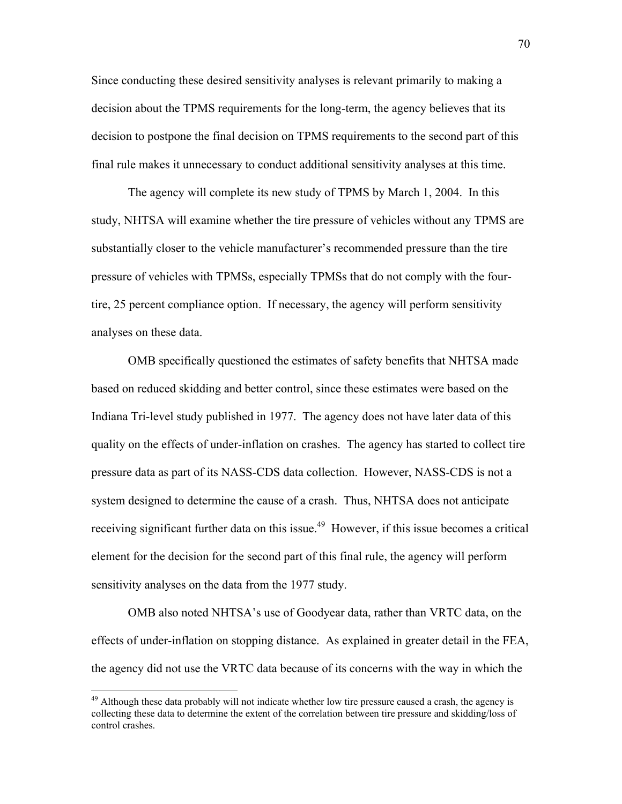Since conducting these desired sensitivity analyses is relevant primarily to making a decision about the TPMS requirements for the long-term, the agency believes that its decision to postpone the final decision on TPMS requirements to the second part of this final rule makes it unnecessary to conduct additional sensitivity analyses at this time.

 The agency will complete its new study of TPMS by March 1, 2004. In this study, NHTSA will examine whether the tire pressure of vehicles without any TPMS are substantially closer to the vehicle manufacturer's recommended pressure than the tire pressure of vehicles with TPMSs, especially TPMSs that do not comply with the fourtire, 25 percent compliance option. If necessary, the agency will perform sensitivity analyses on these data.

 OMB specifically questioned the estimates of safety benefits that NHTSA made based on reduced skidding and better control, since these estimates were based on the Indiana Tri-level study published in 1977. The agency does not have later data of this quality on the effects of under-inflation on crashes. The agency has started to collect tire pressure data as part of its NASS-CDS data collection. However, NASS-CDS is not a system designed to determine the cause of a crash. Thus, NHTSA does not anticipate receiving significant further data on this issue.<sup>49</sup> However, if this issue becomes a critical element for the decision for the second part of this final rule, the agency will perform sensitivity analyses on the data from the 1977 study.

OMB also noted NHTSA's use of Goodyear data, rather than VRTC data, on the effects of under-inflation on stopping distance. As explained in greater detail in the FEA, the agency did not use the VRTC data because of its concerns with the way in which the

<span id="page-69-0"></span><sup>&</sup>lt;sup>49</sup> Although these data probably will not indicate whether low tire pressure caused a crash, the agency is collecting these data to determine the extent of the correlation between tire pressure and skidding/loss of control crashes.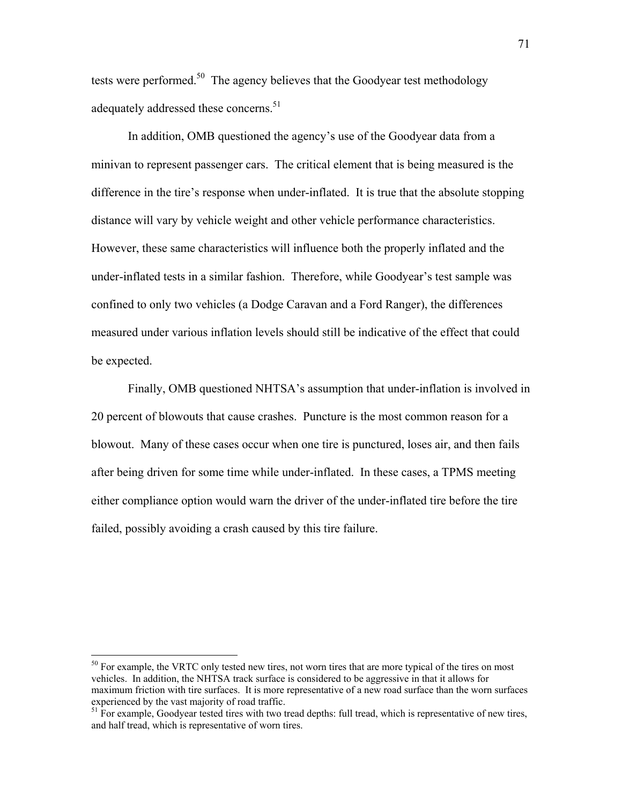tests were performed.<sup>50</sup> The agency believes that the Goodyear test methodology adequately addressed these concerns.<sup>[51](#page-70-1)</sup>

In addition, OMB questioned the agency's use of the Goodyear data from a minivan to represent passenger cars. The critical element that is being measured is the difference in the tire's response when under-inflated. It is true that the absolute stopping distance will vary by vehicle weight and other vehicle performance characteristics. However, these same characteristics will influence both the properly inflated and the under-inflated tests in a similar fashion. Therefore, while Goodyear's test sample was confined to only two vehicles (a Dodge Caravan and a Ford Ranger), the differences measured under various inflation levels should still be indicative of the effect that could be expected.

Finally, OMB questioned NHTSA's assumption that under-inflation is involved in 20 percent of blowouts that cause crashes. Puncture is the most common reason for a blowout. Many of these cases occur when one tire is punctured, loses air, and then fails after being driven for some time while under-inflated. In these cases, a TPMS meeting either compliance option would warn the driver of the under-inflated tire before the tire failed, possibly avoiding a crash caused by this tire failure.

<span id="page-70-0"></span> $50$  For example, the VRTC only tested new tires, not worn tires that are more typical of the tires on most vehicles. In addition, the NHTSA track surface is considered to be aggressive in that it allows for maximum friction with tire surfaces. It is more representative of a new road surface than the worn surfaces experienced by the vast majority of road traffic.

<span id="page-70-1"></span><sup>&</sup>lt;sup>51</sup> For example, Goodyear tested tires with two tread depths: full tread, which is representative of new tires, and half tread, which is representative of worn tires.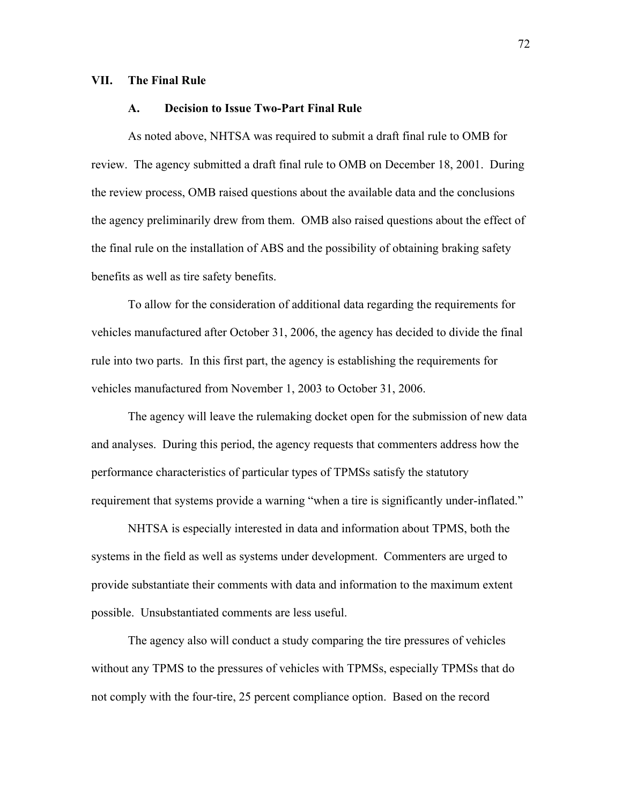#### **VII. The Final Rule**

### **A. Decision to Issue Two-Part Final Rule**

As noted above, NHTSA was required to submit a draft final rule to OMB for review. The agency submitted a draft final rule to OMB on December 18, 2001. During the review process, OMB raised questions about the available data and the conclusions the agency preliminarily drew from them. OMB also raised questions about the effect of the final rule on the installation of ABS and the possibility of obtaining braking safety benefits as well as tire safety benefits.

To allow for the consideration of additional data regarding the requirements for vehicles manufactured after October 31, 2006, the agency has decided to divide the final rule into two parts. In this first part, the agency is establishing the requirements for vehicles manufactured from November 1, 2003 to October 31, 2006.

The agency will leave the rulemaking docket open for the submission of new data and analyses. During this period, the agency requests that commenters address how the performance characteristics of particular types of TPMSs satisfy the statutory requirement that systems provide a warning "when a tire is significantly under-inflated."

 NHTSA is especially interested in data and information about TPMS, both the systems in the field as well as systems under development. Commenters are urged to provide substantiate their comments with data and information to the maximum extent possible. Unsubstantiated comments are less useful.

The agency also will conduct a study comparing the tire pressures of vehicles without any TPMS to the pressures of vehicles with TPMSs, especially TPMSs that do not comply with the four-tire, 25 percent compliance option. Based on the record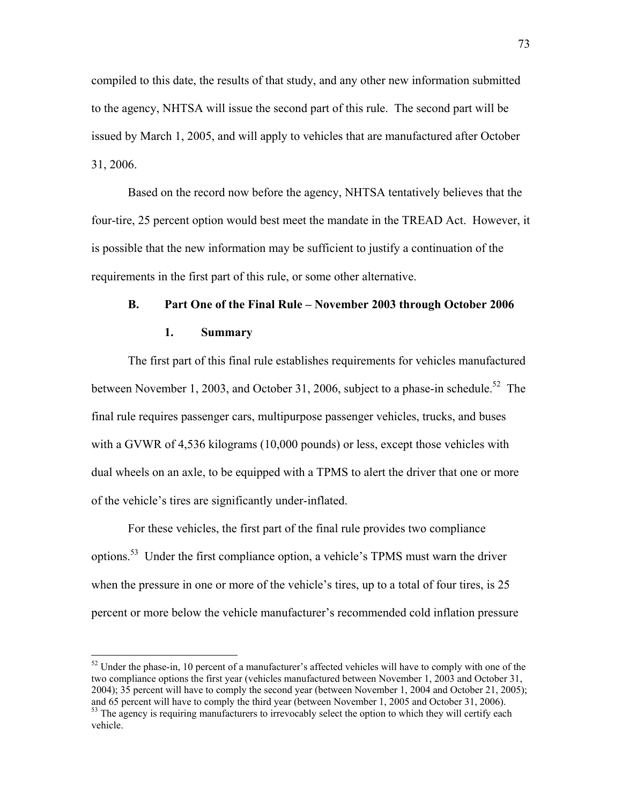compiled to this date, the results of that study, and any other new information submitted to the agency, NHTSA will issue the second part of this rule. The second part will be issued by March 1, 2005, and will apply to vehicles that are manufactured after October 31, 2006.

Based on the record now before the agency, NHTSA tentatively believes that the four-tire, 25 percent option would best meet the mandate in the TREAD Act. However, it is possible that the new information may be sufficient to justify a continuation of the requirements in the first part of this rule, or some other alternative.

# **B.** Part One of the Final Rule – November 2003 through October 2006

## **1. Summary**

 $\overline{a}$ 

The first part of this final rule establishes requirements for vehicles manufactured between November 1, 2003, and October 31, 2006, subject to a phase-in schedule.<sup>52</sup> The final rule requires passenger cars, multipurpose passenger vehicles, trucks, and buses with a GVWR of 4,536 kilograms (10,000 pounds) or less, except those vehicles with dual wheels on an axle, to be equipped with a TPMS to alert the driver that one or more of the vehicle's tires are significantly under-inflated.

For these vehicles, the first part of the final rule provides two compliance options.<sup>53</sup> Under the first compliance option, a vehicle's TPMS must warn the driver when the pressure in one or more of the vehicle's tires, up to a total of four tires, is 25 percent or more below the vehicle manufacturer's recommended cold inflation pressure

<span id="page-72-0"></span> $52$  Under the phase-in, 10 percent of a manufacturer's affected vehicles will have to comply with one of the two compliance options the first year (vehicles manufactured between November 1, 2003 and October 31, 2004); 35 percent will have to comply the second year (between November 1, 2004 and October 21, 2005); and 65 percent will have to comply the third year (between November 1, 2005 and October 31, 2006).

<span id="page-72-1"></span> $53$  The agency is requiring manufacturers to irrevocably select the option to which they will certify each vehicle.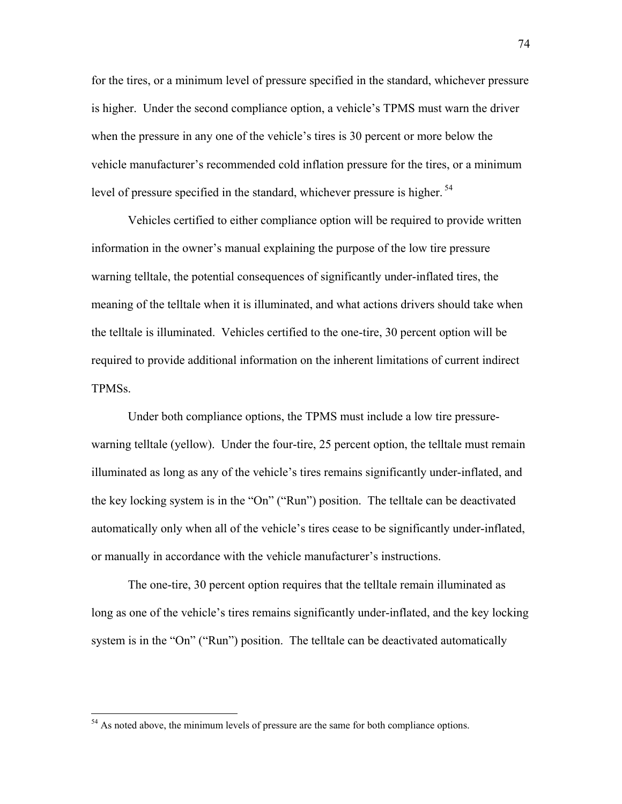for the tires, or a minimum level of pressure specified in the standard, whichever pressure is higher. Under the second compliance option, a vehicle's TPMS must warn the driver when the pressure in any one of the vehicle's tires is 30 percent or more below the vehicle manufacturer's recommended cold inflation pressure for the tires, or a minimum level of pressure specified in the standard, whichever pressure is higher.<sup>54</sup>

Vehicles certified to either compliance option will be required to provide written information in the owner's manual explaining the purpose of the low tire pressure warning telltale, the potential consequences of significantly under-inflated tires, the meaning of the telltale when it is illuminated, and what actions drivers should take when the telltale is illuminated. Vehicles certified to the one-tire, 30 percent option will be required to provide additional information on the inherent limitations of current indirect TPMSs.

Under both compliance options, the TPMS must include a low tire pressurewarning telltale (yellow). Under the four-tire, 25 percent option, the telltale must remain illuminated as long as any of the vehicle's tires remains significantly under-inflated, and the key locking system is in the "On" ("Run") position. The telltale can be deactivated automatically only when all of the vehicle's tires cease to be significantly under-inflated, or manually in accordance with the vehicle manufacturer's instructions.

 The one-tire, 30 percent option requires that the telltale remain illuminated as long as one of the vehicle's tires remains significantly under-inflated, and the key locking system is in the "On" ("Run") position. The telltale can be deactivated automatically

<span id="page-73-0"></span><sup>&</sup>lt;sup>54</sup> As noted above, the minimum levels of pressure are the same for both compliance options.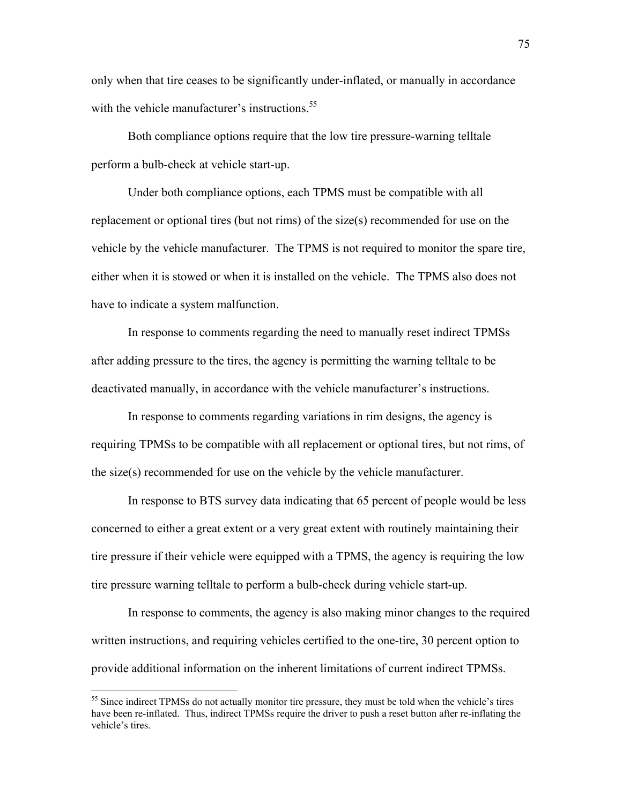only when that tire ceases to be significantly under-inflated, or manually in accordance with the vehicle manufacturer's instructions.<sup>55</sup>

 Both compliance options require that the low tire pressure-warning telltale perform a bulb-check at vehicle start-up.

Under both compliance options, each TPMS must be compatible with all replacement or optional tires (but not rims) of the size(s) recommended for use on the vehicle by the vehicle manufacturer. The TPMS is not required to monitor the spare tire, either when it is stowed or when it is installed on the vehicle. The TPMS also does not have to indicate a system malfunction.

In response to comments regarding the need to manually reset indirect TPMSs after adding pressure to the tires, the agency is permitting the warning telltale to be deactivated manually, in accordance with the vehicle manufacturer's instructions.

In response to comments regarding variations in rim designs, the agency is requiring TPMSs to be compatible with all replacement or optional tires, but not rims, of the size(s) recommended for use on the vehicle by the vehicle manufacturer.

In response to BTS survey data indicating that 65 percent of people would be less concerned to either a great extent or a very great extent with routinely maintaining their tire pressure if their vehicle were equipped with a TPMS, the agency is requiring the low tire pressure warning telltale to perform a bulb-check during vehicle start-up.

In response to comments, the agency is also making minor changes to the required written instructions, and requiring vehicles certified to the one-tire, 30 percent option to provide additional information on the inherent limitations of current indirect TPMSs.

<span id="page-74-0"></span><sup>&</sup>lt;sup>55</sup> Since indirect TPMSs do not actually monitor tire pressure, they must be told when the vehicle's tires have been re-inflated. Thus, indirect TPMSs require the driver to push a reset button after re-inflating the vehicle's tires.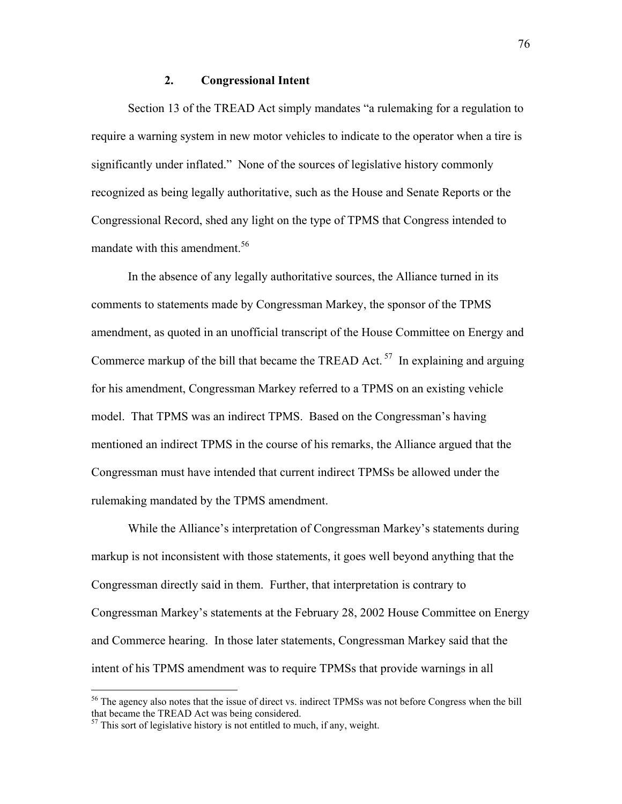#### **2. Congressional Intent**

Section 13 of the TREAD Act simply mandates "a rulemaking for a regulation to require a warning system in new motor vehicles to indicate to the operator when a tire is significantly under inflated." None of the sources of legislative history commonly recognized as being legally authoritative, such as the House and Senate Reports or the Congressional Record, shed any light on the type of TPMS that Congress intended to mandate with this amendment.<sup>56</sup>

In the absence of any legally authoritative sources, the Alliance turned in its comments to statements made by Congressman Markey, the sponsor of the TPMS amendment, as quoted in an unofficial transcript of the House Committee on Energy and Commerce markup of the bill that became the TREAD Act.<sup>57</sup> In explaining and arguing for his amendment, Congressman Markey referred to a TPMS on an existing vehicle model. That TPMS was an indirect TPMS. Based on the Congressman's having mentioned an indirect TPMS in the course of his remarks, the Alliance argued that the Congressman must have intended that current indirect TPMSs be allowed under the rulemaking mandated by the TPMS amendment.

While the Alliance's interpretation of Congressman Markey's statements during markup is not inconsistent with those statements, it goes well beyond anything that the Congressman directly said in them. Further, that interpretation is contrary to Congressman Markey's statements at the February 28, 2002 House Committee on Energy and Commerce hearing. In those later statements, Congressman Markey said that the intent of his TPMS amendment was to require TPMSs that provide warnings in all

1

<span id="page-75-0"></span><sup>&</sup>lt;sup>56</sup> The agency also notes that the issue of direct vs. indirect TPMSs was not before Congress when the bill that became the TREAD Act was being considered.

<span id="page-75-1"></span> $57$  This sort of legislative history is not entitled to much, if any, weight.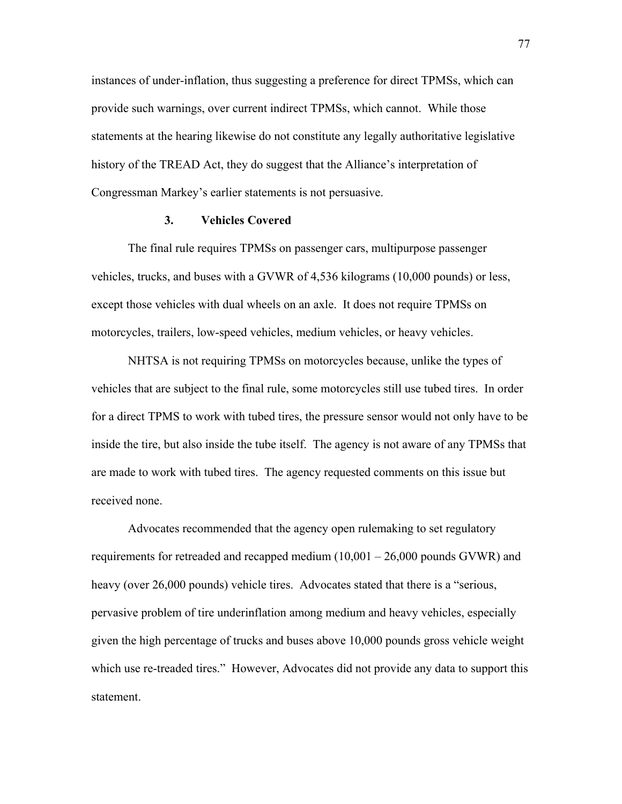instances of under-inflation, thus suggesting a preference for direct TPMSs, which can provide such warnings, over current indirect TPMSs, which cannot. While those statements at the hearing likewise do not constitute any legally authoritative legislative history of the TREAD Act, they do suggest that the Alliance's interpretation of Congressman Markey's earlier statements is not persuasive.

#### **3. Vehicles Covered**

The final rule requires TPMSs on passenger cars, multipurpose passenger vehicles, trucks, and buses with a GVWR of 4,536 kilograms (10,000 pounds) or less, except those vehicles with dual wheels on an axle. It does not require TPMSs on motorcycles, trailers, low-speed vehicles, medium vehicles, or heavy vehicles.

NHTSA is not requiring TPMSs on motorcycles because, unlike the types of vehicles that are subject to the final rule, some motorcycles still use tubed tires. In order for a direct TPMS to work with tubed tires, the pressure sensor would not only have to be inside the tire, but also inside the tube itself. The agency is not aware of any TPMSs that are made to work with tubed tires. The agency requested comments on this issue but received none.

Advocates recommended that the agency open rulemaking to set regulatory requirements for retreaded and recapped medium  $(10,001 - 26,000$  pounds GVWR) and heavy (over 26,000 pounds) vehicle tires. Advocates stated that there is a "serious, pervasive problem of tire underinflation among medium and heavy vehicles, especially given the high percentage of trucks and buses above 10,000 pounds gross vehicle weight which use re-treaded tires." However, Advocates did not provide any data to support this statement.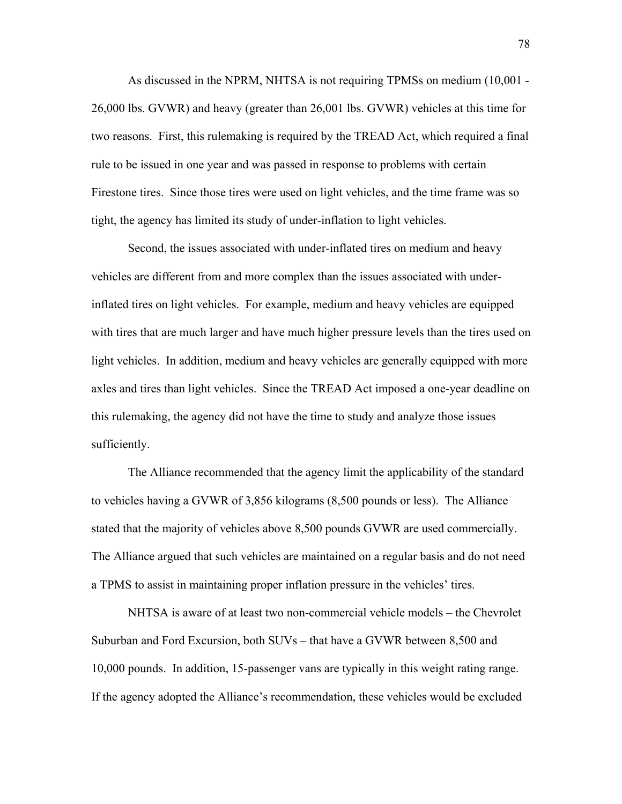As discussed in the NPRM, NHTSA is not requiring TPMSs on medium (10,001 - 26,000 lbs. GVWR) and heavy (greater than 26,001 lbs. GVWR) vehicles at this time for two reasons. First, this rulemaking is required by the TREAD Act, which required a final rule to be issued in one year and was passed in response to problems with certain Firestone tires. Since those tires were used on light vehicles, and the time frame was so tight, the agency has limited its study of under-inflation to light vehicles.

Second, the issues associated with under-inflated tires on medium and heavy vehicles are different from and more complex than the issues associated with underinflated tires on light vehicles. For example, medium and heavy vehicles are equipped with tires that are much larger and have much higher pressure levels than the tires used on light vehicles. In addition, medium and heavy vehicles are generally equipped with more axles and tires than light vehicles. Since the TREAD Act imposed a one-year deadline on this rulemaking, the agency did not have the time to study and analyze those issues sufficiently.

 The Alliance recommended that the agency limit the applicability of the standard to vehicles having a GVWR of 3,856 kilograms (8,500 pounds or less). The Alliance stated that the majority of vehicles above 8,500 pounds GVWR are used commercially. The Alliance argued that such vehicles are maintained on a regular basis and do not need a TPMS to assist in maintaining proper inflation pressure in the vehicles' tires.

NHTSA is aware of at least two non-commercial vehicle models – the Chevrolet Suburban and Ford Excursion, both SUVs – that have a GVWR between 8,500 and 10,000 pounds. In addition, 15-passenger vans are typically in this weight rating range. If the agency adopted the Alliance's recommendation, these vehicles would be excluded

78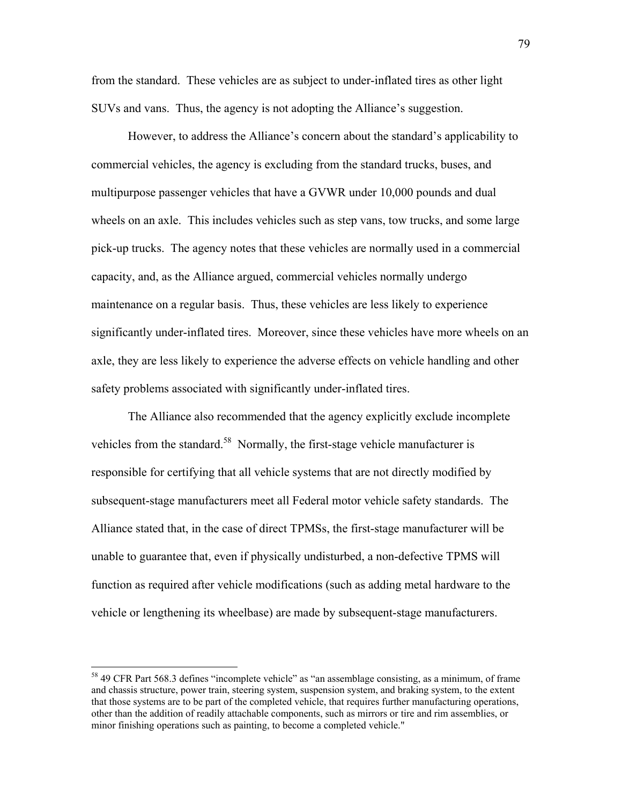from the standard. These vehicles are as subject to under-inflated tires as other light SUVs and vans. Thus, the agency is not adopting the Alliance's suggestion.

However, to address the Alliance's concern about the standard's applicability to commercial vehicles, the agency is excluding from the standard trucks, buses, and multipurpose passenger vehicles that have a GVWR under 10,000 pounds and dual wheels on an axle. This includes vehicles such as step vans, tow trucks, and some large pick-up trucks. The agency notes that these vehicles are normally used in a commercial capacity, and, as the Alliance argued, commercial vehicles normally undergo maintenance on a regular basis. Thus, these vehicles are less likely to experience significantly under-inflated tires. Moreover, since these vehicles have more wheels on an axle, they are less likely to experience the adverse effects on vehicle handling and other safety problems associated with significantly under-inflated tires.

 The Alliance also recommended that the agency explicitly exclude incomplete vehicles from the standard.<sup>58</sup> Normally, the first-stage vehicle manufacturer is responsible for certifying that all vehicle systems that are not directly modified by subsequent-stage manufacturers meet all Federal motor vehicle safety standards. The Alliance stated that, in the case of direct TPMSs, the first-stage manufacturer will be unable to guarantee that, even if physically undisturbed, a non-defective TPMS will function as required after vehicle modifications (such as adding metal hardware to the vehicle or lengthening its wheelbase) are made by subsequent-stage manufacturers.

<span id="page-78-0"></span><sup>&</sup>lt;sup>58</sup> 49 CFR Part 568.3 defines "incomplete vehicle" as "an assemblage consisting, as a minimum, of frame and chassis structure, power train, steering system, suspension system, and braking system, to the extent that those systems are to be part of the completed vehicle, that requires further manufacturing operations, other than the addition of readily attachable components, such as mirrors or tire and rim assemblies, or minor finishing operations such as painting, to become a completed vehicle."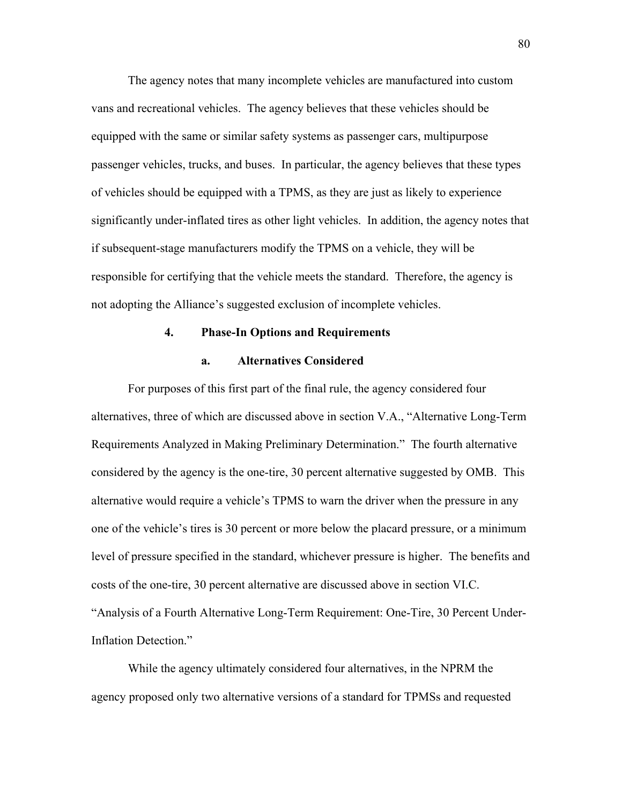The agency notes that many incomplete vehicles are manufactured into custom vans and recreational vehicles. The agency believes that these vehicles should be equipped with the same or similar safety systems as passenger cars, multipurpose passenger vehicles, trucks, and buses. In particular, the agency believes that these types of vehicles should be equipped with a TPMS, as they are just as likely to experience significantly under-inflated tires as other light vehicles. In addition, the agency notes that if subsequent-stage manufacturers modify the TPMS on a vehicle, they will be responsible for certifying that the vehicle meets the standard. Therefore, the agency is not adopting the Alliance's suggested exclusion of incomplete vehicles.

# **4. Phase-In Options and Requirements**

# **a. Alternatives Considered**

For purposes of this first part of the final rule, the agency considered four alternatives, three of which are discussed above in section V.A., "Alternative Long-Term Requirements Analyzed in Making Preliminary Determination." The fourth alternative considered by the agency is the one-tire, 30 percent alternative suggested by OMB. This alternative would require a vehicle's TPMS to warn the driver when the pressure in any one of the vehicle's tires is 30 percent or more below the placard pressure, or a minimum level of pressure specified in the standard, whichever pressure is higher. The benefits and costs of the one-tire, 30 percent alternative are discussed above in section VI.C. ìAnalysis of a Fourth Alternative Long-Term Requirement: One-Tire, 30 Percent Under-Inflation Detection."

While the agency ultimately considered four alternatives, in the NPRM the agency proposed only two alternative versions of a standard for TPMSs and requested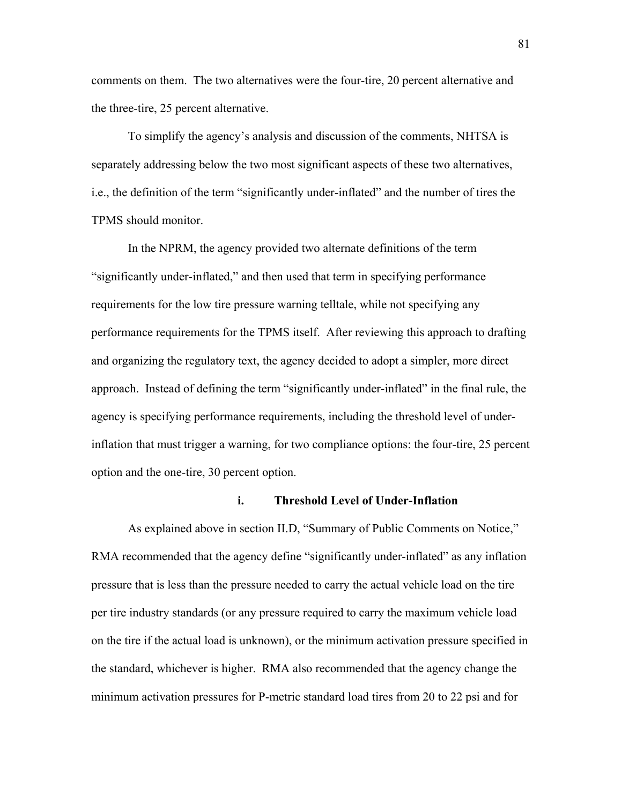comments on them. The two alternatives were the four-tire, 20 percent alternative and the three-tire, 25 percent alternative.

To simplify the agency's analysis and discussion of the comments, NHTSA is separately addressing below the two most significant aspects of these two alternatives, i.e., the definition of the term "significantly under-inflated" and the number of tires the TPMS should monitor.

In the NPRM, the agency provided two alternate definitions of the term "significantly under-inflated," and then used that term in specifying performance requirements for the low tire pressure warning telltale, while not specifying any performance requirements for the TPMS itself. After reviewing this approach to drafting and organizing the regulatory text, the agency decided to adopt a simpler, more direct approach. Instead of defining the term "significantly under-inflated" in the final rule, the agency is specifying performance requirements, including the threshold level of underinflation that must trigger a warning, for two compliance options: the four-tire, 25 percent option and the one-tire, 30 percent option.

#### **i. Threshold Level of Under-Inflation**

As explained above in section II.D, "Summary of Public Comments on Notice," RMA recommended that the agency define "significantly under-inflated" as any inflation pressure that is less than the pressure needed to carry the actual vehicle load on the tire per tire industry standards (or any pressure required to carry the maximum vehicle load on the tire if the actual load is unknown), or the minimum activation pressure specified in the standard, whichever is higher. RMA also recommended that the agency change the minimum activation pressures for P-metric standard load tires from 20 to 22 psi and for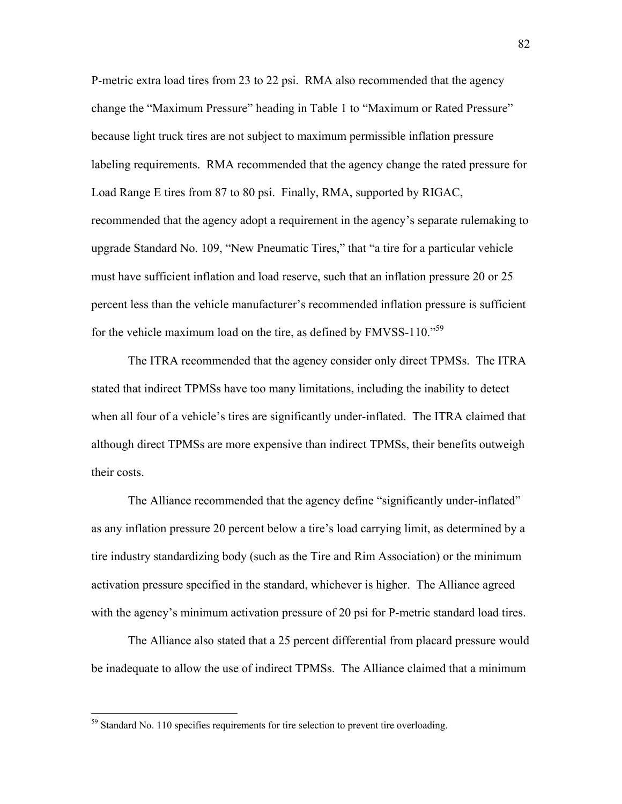P-metric extra load tires from 23 to 22 psi. RMA also recommended that the agency change the "Maximum Pressure" heading in Table 1 to "Maximum or Rated Pressure" because light truck tires are not subject to maximum permissible inflation pressure labeling requirements. RMA recommended that the agency change the rated pressure for Load Range E tires from 87 to 80 psi. Finally, RMA, supported by RIGAC, recommended that the agency adopt a requirement in the agency's separate rulemaking to upgrade Standard No. 109, "New Pneumatic Tires," that "a tire for a particular vehicle must have sufficient inflation and load reserve, such that an inflation pressure 20 or 25 percent less than the vehicle manufacturer's recommended inflation pressure is sufficient for the vehicle maximum load on the tire, as defined by  $FMVSS-110.^{59}$ 

 The ITRA recommended that the agency consider only direct TPMSs. The ITRA stated that indirect TPMSs have too many limitations, including the inability to detect when all four of a vehicle's tires are significantly under-inflated. The ITRA claimed that although direct TPMSs are more expensive than indirect TPMSs, their benefits outweigh their costs.

The Alliance recommended that the agency define "significantly under-inflated" as any inflation pressure 20 percent below a tire's load carrying limit, as determined by a tire industry standardizing body (such as the Tire and Rim Association) or the minimum activation pressure specified in the standard, whichever is higher. The Alliance agreed with the agency's minimum activation pressure of 20 psi for P-metric standard load tires.

The Alliance also stated that a 25 percent differential from placard pressure would be inadequate to allow the use of indirect TPMSs. The Alliance claimed that a minimum

<span id="page-81-0"></span><sup>&</sup>lt;sup>59</sup> Standard No. 110 specifies requirements for tire selection to prevent tire overloading.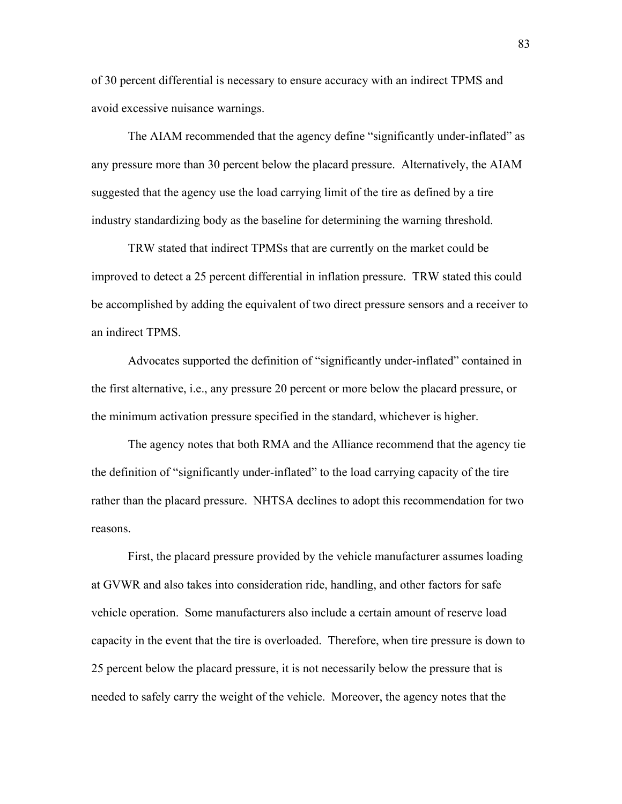of 30 percent differential is necessary to ensure accuracy with an indirect TPMS and avoid excessive nuisance warnings.

The AIAM recommended that the agency define "significantly under-inflated" as any pressure more than 30 percent below the placard pressure. Alternatively, the AIAM suggested that the agency use the load carrying limit of the tire as defined by a tire industry standardizing body as the baseline for determining the warning threshold.

TRW stated that indirect TPMSs that are currently on the market could be improved to detect a 25 percent differential in inflation pressure. TRW stated this could be accomplished by adding the equivalent of two direct pressure sensors and a receiver to an indirect TPMS.

Advocates supported the definition of "significantly under-inflated" contained in the first alternative, i.e., any pressure 20 percent or more below the placard pressure, or the minimum activation pressure specified in the standard, whichever is higher.

 The agency notes that both RMA and the Alliance recommend that the agency tie the definition of "significantly under-inflated" to the load carrying capacity of the tire rather than the placard pressure. NHTSA declines to adopt this recommendation for two reasons.

First, the placard pressure provided by the vehicle manufacturer assumes loading at GVWR and also takes into consideration ride, handling, and other factors for safe vehicle operation. Some manufacturers also include a certain amount of reserve load capacity in the event that the tire is overloaded. Therefore, when tire pressure is down to 25 percent below the placard pressure, it is not necessarily below the pressure that is needed to safely carry the weight of the vehicle. Moreover, the agency notes that the

83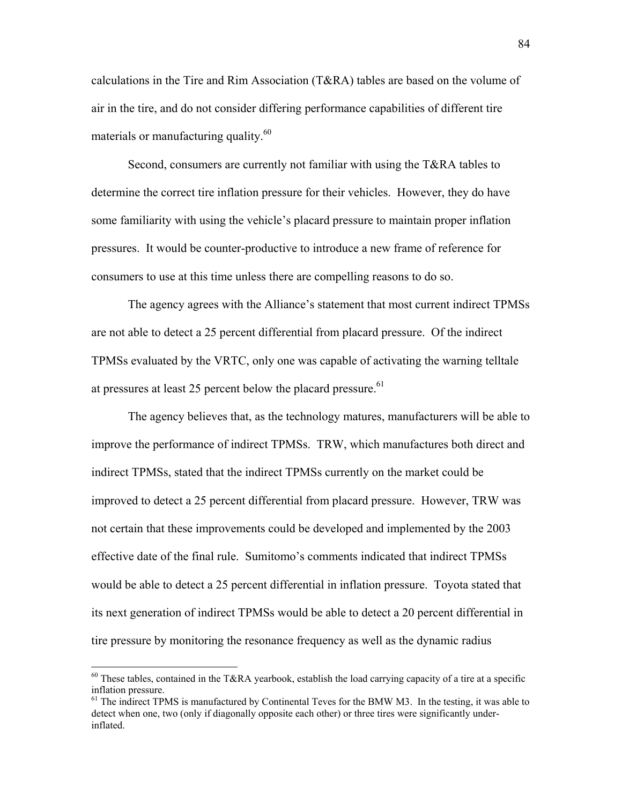calculations in the Tire and Rim Association (T&RA) tables are based on the volume of air in the tire, and do not consider differing performance capabilities of different tire materials or manufacturing quality.<sup>60</sup>

Second, consumers are currently not familiar with using the T&RA tables to determine the correct tire inflation pressure for their vehicles. However, they do have some familiarity with using the vehicle's placard pressure to maintain proper inflation pressures. It would be counter-productive to introduce a new frame of reference for consumers to use at this time unless there are compelling reasons to do so.

The agency agrees with the Alliance's statement that most current indirect TPMSs are not able to detect a 25 percent differential from placard pressure. Of the indirect TPMSs evaluated by the VRTC, only one was capable of activating the warning telltale at pressures at least 25 percent below the placard pressure.<sup>61</sup>

The agency believes that, as the technology matures, manufacturers will be able to improve the performance of indirect TPMSs. TRW, which manufactures both direct and indirect TPMSs, stated that the indirect TPMSs currently on the market could be improved to detect a 25 percent differential from placard pressure. However, TRW was not certain that these improvements could be developed and implemented by the 2003 effective date of the final rule. Sumitomo's comments indicated that indirect TPMSs would be able to detect a 25 percent differential in inflation pressure. Toyota stated that its next generation of indirect TPMSs would be able to detect a 20 percent differential in tire pressure by monitoring the resonance frequency as well as the dynamic radius

<span id="page-83-0"></span><sup>&</sup>lt;sup>60</sup> These tables, contained in the T&RA yearbook, establish the load carrying capacity of a tire at a specific inflation pressure.

<span id="page-83-1"></span> $<sup>61</sup>$  The indirect TPMS is manufactured by Continental Teves for the BMW M3. In the testing, it was able to</sup> detect when one, two (only if diagonally opposite each other) or three tires were significantly underinflated.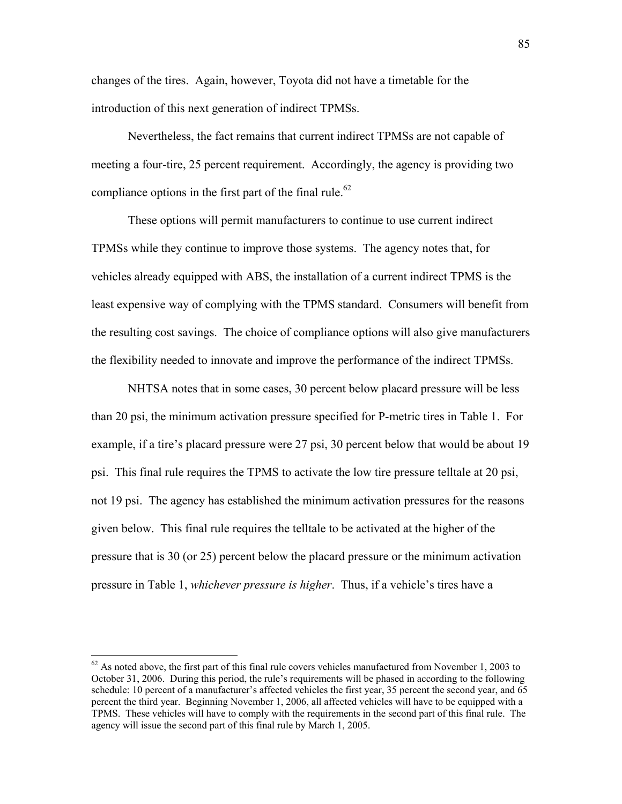changes of the tires. Again, however, Toyota did not have a timetable for the introduction of this next generation of indirect TPMSs.

Nevertheless, the fact remains that current indirect TPMSs are not capable of meeting a four-tire, 25 percent requirement. Accordingly, the agency is providing two compliance options in the first part of the final rule.<sup>62</sup>

These options will permit manufacturers to continue to use current indirect TPMSs while they continue to improve those systems. The agency notes that, for vehicles already equipped with ABS, the installation of a current indirect TPMS is the least expensive way of complying with the TPMS standard. Consumers will benefit from the resulting cost savings. The choice of compliance options will also give manufacturers the flexibility needed to innovate and improve the performance of the indirect TPMSs.

NHTSA notes that in some cases, 30 percent below placard pressure will be less than 20 psi, the minimum activation pressure specified for P-metric tires in Table 1. For example, if a tire's placard pressure were 27 psi, 30 percent below that would be about 19 psi. This final rule requires the TPMS to activate the low tire pressure telltale at 20 psi, not 19 psi. The agency has established the minimum activation pressures for the reasons given below. This final rule requires the telltale to be activated at the higher of the pressure that is 30 (or 25) percent below the placard pressure or the minimum activation pressure in Table 1, *whichever pressure is higher*. Thus, if a vehicle's tires have a

<span id="page-84-0"></span> $62$  As noted above, the first part of this final rule covers vehicles manufactured from November 1, 2003 to October 31, 2006. During this period, the rule's requirements will be phased in according to the following schedule: 10 percent of a manufacturer's affected vehicles the first year, 35 percent the second year, and 65 percent the third year. Beginning November 1, 2006, all affected vehicles will have to be equipped with a TPMS. These vehicles will have to comply with the requirements in the second part of this final rule. The agency will issue the second part of this final rule by March 1, 2005.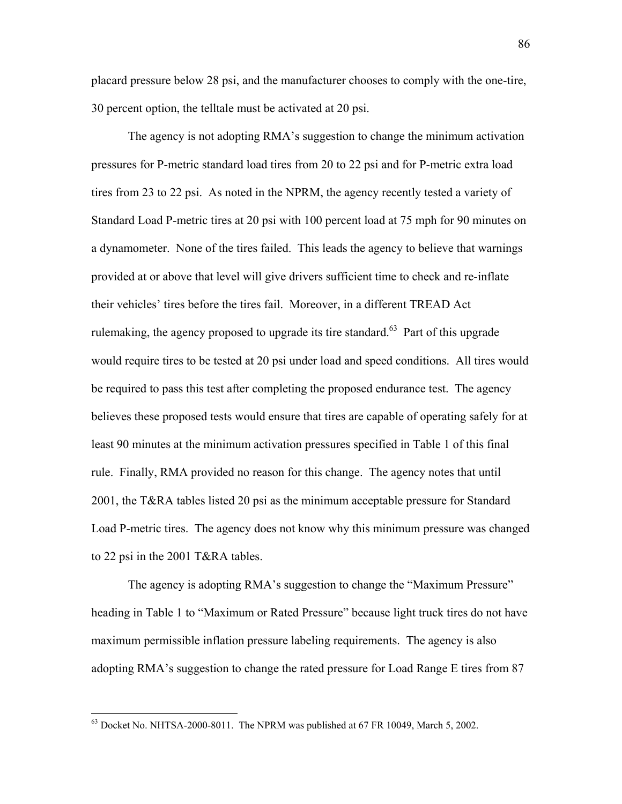placard pressure below 28 psi, and the manufacturer chooses to comply with the one-tire, 30 percent option, the telltale must be activated at 20 psi.

The agency is not adopting RMA's suggestion to change the minimum activation pressures for P-metric standard load tires from 20 to 22 psi and for P-metric extra load tires from 23 to 22 psi. As noted in the NPRM, the agency recently tested a variety of Standard Load P-metric tires at 20 psi with 100 percent load at 75 mph for 90 minutes on a dynamometer. None of the tires failed. This leads the agency to believe that warnings provided at or above that level will give drivers sufficient time to check and re-inflate their vehicles' tires before the tires fail. Moreover, in a different TREAD Act rulemaking, the agency proposed to upgrade its tire standard.<sup>63</sup> Part of this upgrade would require tires to be tested at 20 psi under load and speed conditions. All tires would be required to pass this test after completing the proposed endurance test. The agency believes these proposed tests would ensure that tires are capable of operating safely for at least 90 minutes at the minimum activation pressures specified in Table 1 of this final rule. Finally, RMA provided no reason for this change. The agency notes that until 2001, the T&RA tables listed 20 psi as the minimum acceptable pressure for Standard Load P-metric tires. The agency does not know why this minimum pressure was changed to 22 psi in the 2001 T&RA tables.

The agency is adopting RMA's suggestion to change the "Maximum Pressure" heading in Table 1 to "Maximum or Rated Pressure" because light truck tires do not have maximum permissible inflation pressure labeling requirements. The agency is also adopting RMA's suggestion to change the rated pressure for Load Range E tires from 87

<u>.</u>

<span id="page-85-0"></span> $63$  Docket No. NHTSA-2000-8011. The NPRM was published at 67 FR 10049, March 5, 2002.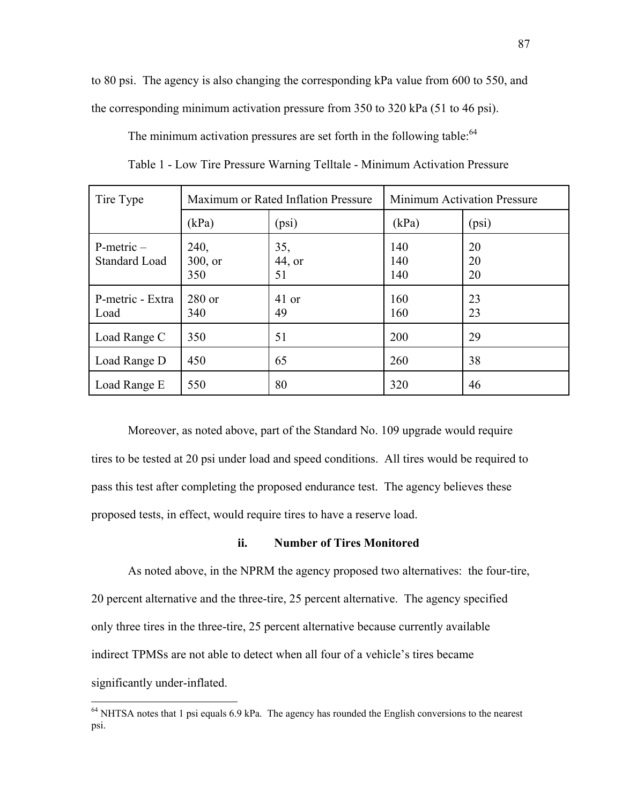to 80 psi. The agency is also changing the corresponding kPa value from 600 to 550, and the corresponding minimum activation pressure from 350 to 320 kPa (51 to 46 psi).

The minimum activation pressures are set forth in the following table:  $64$ 

| Tire Type                               | Maximum or Rated Inflation Pressure |                     | <b>Minimum Activation Pressure</b> |                |
|-----------------------------------------|-------------------------------------|---------------------|------------------------------------|----------------|
|                                         | (kPa)                               | (psi)               | (kPa)                              | (psi)          |
| $P$ -metric $-$<br><b>Standard Load</b> | 240,<br>$300$ , or<br>350           | 35,<br>44, or<br>51 | 140<br>140<br>140                  | 20<br>20<br>20 |
| P-metric - Extra<br>Load                | $280$ or<br>340                     | 41 or<br>49         | 160<br>160                         | 23<br>23       |
| Load Range C                            | 350                                 | 51                  | 200                                | 29             |
| Load Range D                            | 450                                 | 65                  | 260                                | 38             |
| Load Range E                            | 550                                 | 80                  | 320                                | 46             |

Table 1 - Low Tire Pressure Warning Telltale - Minimum Activation Pressure

Moreover, as noted above, part of the Standard No. 109 upgrade would require tires to be tested at 20 psi under load and speed conditions. All tires would be required to pass this test after completing the proposed endurance test. The agency believes these proposed tests, in effect, would require tires to have a reserve load.

## **ii. Number of Tires Monitored**

As noted above, in the NPRM the agency proposed two alternatives: the four-tire, 20 percent alternative and the three-tire, 25 percent alternative. The agency specified only three tires in the three-tire, 25 percent alternative because currently available indirect TPMSs are not able to detect when all four of a vehicle's tires became significantly under-inflated.

<span id="page-86-0"></span><sup>&</sup>lt;sup>64</sup> NHTSA notes that 1 psi equals 6.9 kPa. The agency has rounded the English conversions to the nearest psi.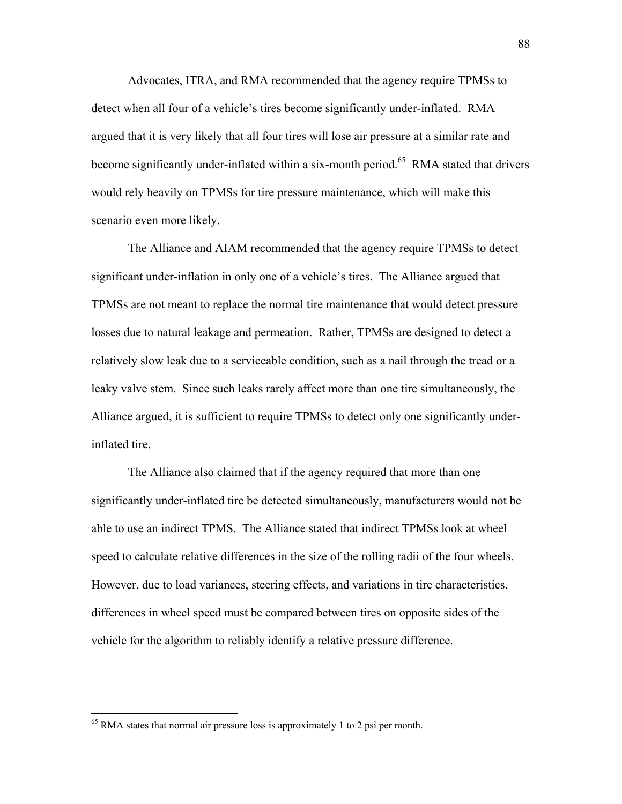Advocates, ITRA, and RMA recommended that the agency require TPMSs to detect when all four of a vehicle's tires become significantly under-inflated. RMA argued that it is very likely that all four tires will lose air pressure at a similar rate and become significantly under-inflated within a six-month period.<sup>65</sup> RMA stated that drivers would rely heavily on TPMSs for tire pressure maintenance, which will make this scenario even more likely.

The Alliance and AIAM recommended that the agency require TPMSs to detect significant under-inflation in only one of a vehicle's tires. The Alliance argued that TPMSs are not meant to replace the normal tire maintenance that would detect pressure losses due to natural leakage and permeation. Rather, TPMSs are designed to detect a relatively slow leak due to a serviceable condition, such as a nail through the tread or a leaky valve stem. Since such leaks rarely affect more than one tire simultaneously, the Alliance argued, it is sufficient to require TPMSs to detect only one significantly underinflated tire.

The Alliance also claimed that if the agency required that more than one significantly under-inflated tire be detected simultaneously, manufacturers would not be able to use an indirect TPMS. The Alliance stated that indirect TPMSs look at wheel speed to calculate relative differences in the size of the rolling radii of the four wheels. However, due to load variances, steering effects, and variations in tire characteristics, differences in wheel speed must be compared between tires on opposite sides of the vehicle for the algorithm to reliably identify a relative pressure difference.

<span id="page-87-0"></span><sup>&</sup>lt;sup>65</sup> RMA states that normal air pressure loss is approximately 1 to 2 psi per month.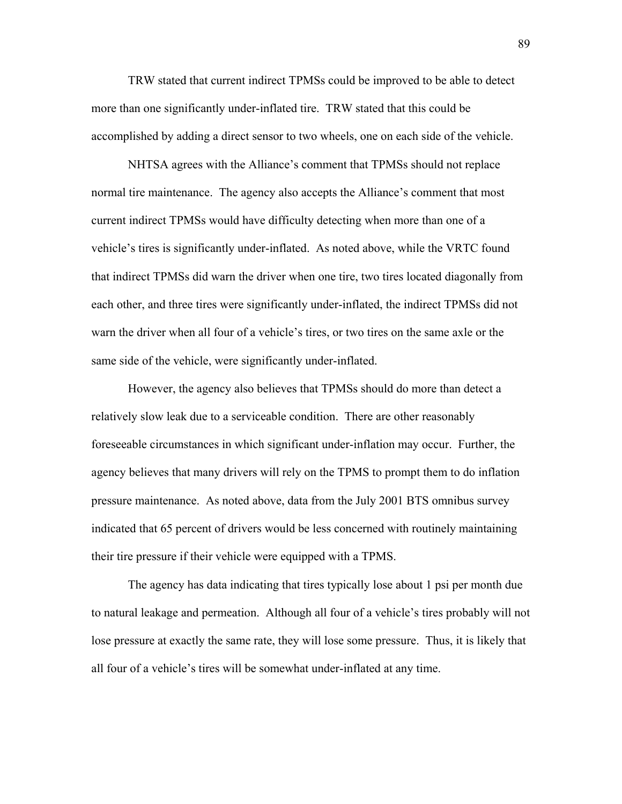TRW stated that current indirect TPMSs could be improved to be able to detect more than one significantly under-inflated tire. TRW stated that this could be accomplished by adding a direct sensor to two wheels, one on each side of the vehicle.

NHTSA agrees with the Alliance's comment that TPMSs should not replace normal tire maintenance. The agency also accepts the Alliance's comment that most current indirect TPMSs would have difficulty detecting when more than one of a vehicle's tires is significantly under-inflated. As noted above, while the VRTC found that indirect TPMSs did warn the driver when one tire, two tires located diagonally from each other, and three tires were significantly under-inflated, the indirect TPMSs did not warn the driver when all four of a vehicle's tires, or two tires on the same axle or the same side of the vehicle, were significantly under-inflated.

However, the agency also believes that TPMSs should do more than detect a relatively slow leak due to a serviceable condition. There are other reasonably foreseeable circumstances in which significant under-inflation may occur. Further, the agency believes that many drivers will rely on the TPMS to prompt them to do inflation pressure maintenance. As noted above, data from the July 2001 BTS omnibus survey indicated that 65 percent of drivers would be less concerned with routinely maintaining their tire pressure if their vehicle were equipped with a TPMS.

 The agency has data indicating that tires typically lose about 1 psi per month due to natural leakage and permeation. Although all four of a vehicle's tires probably will not lose pressure at exactly the same rate, they will lose some pressure. Thus, it is likely that all four of a vehicle's tires will be somewhat under-inflated at any time.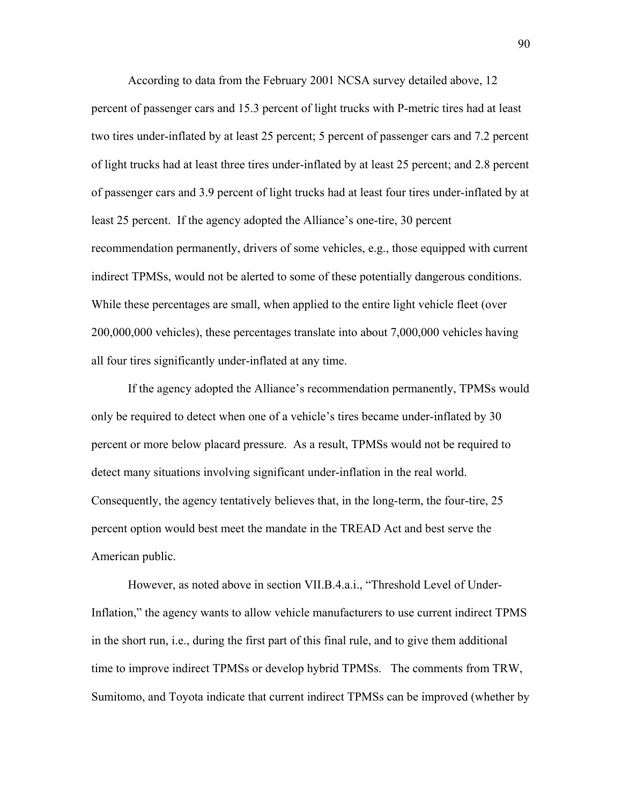According to data from the February 2001 NCSA survey detailed above, 12 percent of passenger cars and 15.3 percent of light trucks with P-metric tires had at least two tires under-inflated by at least 25 percent; 5 percent of passenger cars and 7.2 percent of light trucks had at least three tires under-inflated by at least 25 percent; and 2.8 percent of passenger cars and 3.9 percent of light trucks had at least four tires under-inflated by at least 25 percent. If the agency adopted the Alliance's one-tire, 30 percent recommendation permanently, drivers of some vehicles, e.g., those equipped with current indirect TPMSs, would not be alerted to some of these potentially dangerous conditions. While these percentages are small, when applied to the entire light vehicle fleet (over 200,000,000 vehicles), these percentages translate into about 7,000,000 vehicles having all four tires significantly under-inflated at any time.

If the agency adopted the Alliance's recommendation permanently, TPMSs would only be required to detect when one of a vehicle's tires became under-inflated by 30 percent or more below placard pressure. As a result, TPMSs would not be required to detect many situations involving significant under-inflation in the real world. Consequently, the agency tentatively believes that, in the long-term, the four-tire, 25 percent option would best meet the mandate in the TREAD Act and best serve the American public.

However, as noted above in section VII.B.4.a.i., "Threshold Level of Under-Inflation," the agency wants to allow vehicle manufacturers to use current indirect TPMS in the short run, i.e., during the first part of this final rule, and to give them additional time to improve indirect TPMSs or develop hybrid TPMSs. The comments from TRW, Sumitomo, and Toyota indicate that current indirect TPMSs can be improved (whether by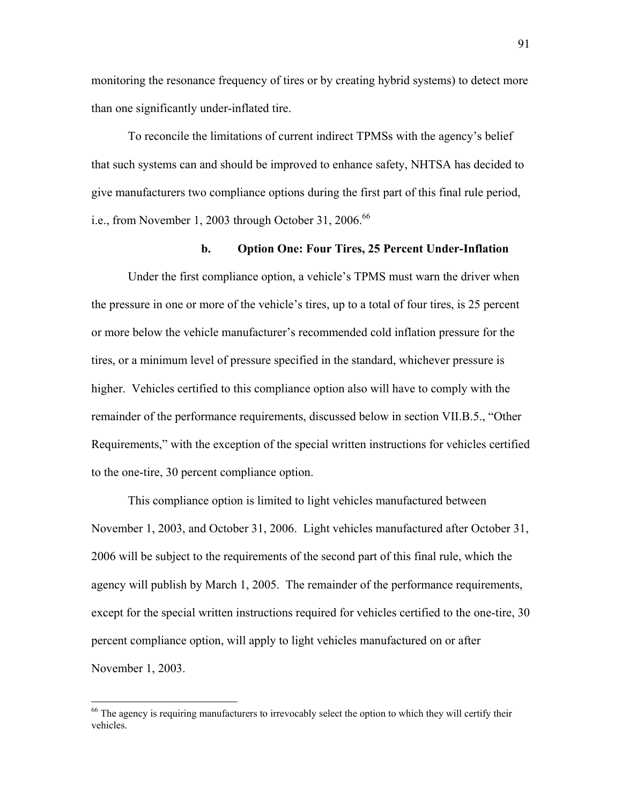monitoring the resonance frequency of tires or by creating hybrid systems) to detect more than one significantly under-inflated tire.

To reconcile the limitations of current indirect TPMSs with the agency's belief that such systems can and should be improved to enhance safety, NHTSA has decided to give manufacturers two compliance options during the first part of this final rule period, i.e., from November 1, 2003 through October 31, 2006.<sup>66</sup>

## **b. Option One: Four Tires, 25 Percent Under-Inflation**

Under the first compliance option, a vehicle's TPMS must warn the driver when the pressure in one or more of the vehicle's tires, up to a total of four tires, is 25 percent or more below the vehicle manufacturer's recommended cold inflation pressure for the tires, or a minimum level of pressure specified in the standard, whichever pressure is higher. Vehicles certified to this compliance option also will have to comply with the remainder of the performance requirements, discussed below in section VII.B.5., "Other Requirements," with the exception of the special written instructions for vehicles certified to the one-tire, 30 percent compliance option.

This compliance option is limited to light vehicles manufactured between November 1, 2003, and October 31, 2006. Light vehicles manufactured after October 31, 2006 will be subject to the requirements of the second part of this final rule, which the agency will publish by March 1, 2005. The remainder of the performance requirements, except for the special written instructions required for vehicles certified to the one-tire, 30 percent compliance option, will apply to light vehicles manufactured on or after November 1, 2003.

<span id="page-90-0"></span><sup>&</sup>lt;sup>66</sup> The agency is requiring manufacturers to irrevocably select the option to which they will certify their vehicles.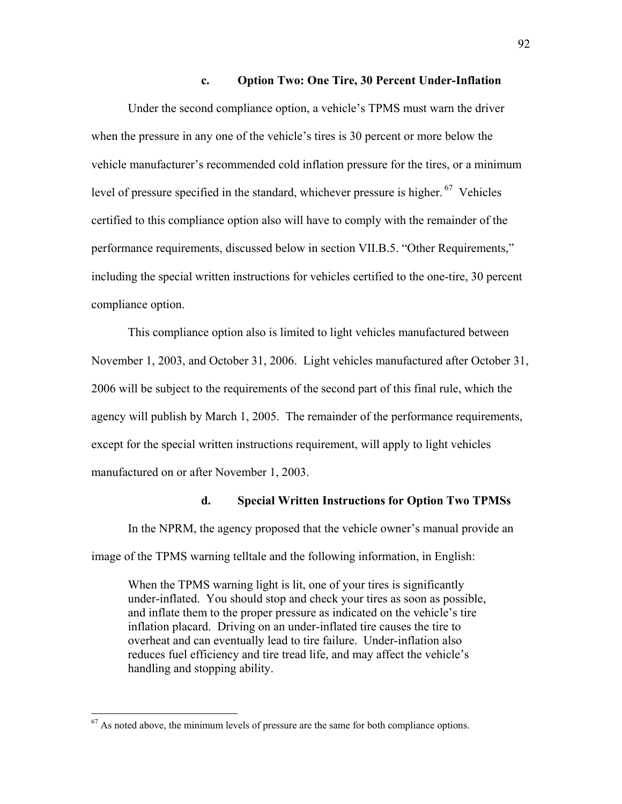#### **c. Option Two: One Tire, 30 Percent Under-Inflation**

Under the second compliance option, a vehicle's TPMS must warn the driver when the pressure in any one of the vehicle's tires is 30 percent or more below the vehicle manufacturer's recommended cold inflation pressure for the tires, or a minimum level of pressure specified in the standard, whichever pressure is higher.  $67$  Vehicles certified to this compliance option also will have to comply with the remainder of the performance requirements, discussed below in section VII.B.5. "Other Requirements," including the special written instructions for vehicles certified to the one-tire, 30 percent compliance option.

This compliance option also is limited to light vehicles manufactured between November 1, 2003, and October 31, 2006. Light vehicles manufactured after October 31, 2006 will be subject to the requirements of the second part of this final rule, which the agency will publish by March 1, 2005. The remainder of the performance requirements, except for the special written instructions requirement, will apply to light vehicles manufactured on or after November 1, 2003.

#### **d. Special Written Instructions for Option Two TPMSs**

In the NPRM, the agency proposed that the vehicle owner's manual provide an image of the TPMS warning telltale and the following information, in English:

When the TPMS warning light is lit, one of your tires is significantly under-inflated. You should stop and check your tires as soon as possible, and inflate them to the proper pressure as indicated on the vehicle's tire inflation placard. Driving on an under-inflated tire causes the tire to overheat and can eventually lead to tire failure. Under-inflation also reduces fuel efficiency and tire tread life, and may affect the vehicle's handling and stopping ability.

<span id="page-91-0"></span> $67$  As noted above, the minimum levels of pressure are the same for both compliance options.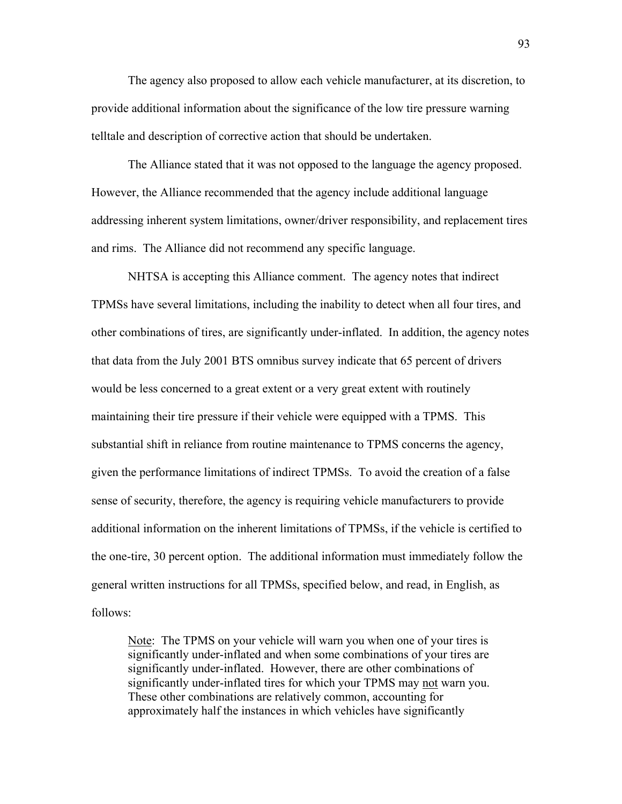The agency also proposed to allow each vehicle manufacturer, at its discretion, to provide additional information about the significance of the low tire pressure warning telltale and description of corrective action that should be undertaken.

The Alliance stated that it was not opposed to the language the agency proposed. However, the Alliance recommended that the agency include additional language addressing inherent system limitations, owner/driver responsibility, and replacement tires and rims. The Alliance did not recommend any specific language.

NHTSA is accepting this Alliance comment. The agency notes that indirect TPMSs have several limitations, including the inability to detect when all four tires, and other combinations of tires, are significantly under-inflated. In addition, the agency notes that data from the July 2001 BTS omnibus survey indicate that 65 percent of drivers would be less concerned to a great extent or a very great extent with routinely maintaining their tire pressure if their vehicle were equipped with a TPMS. This substantial shift in reliance from routine maintenance to TPMS concerns the agency, given the performance limitations of indirect TPMSs. To avoid the creation of a false sense of security, therefore, the agency is requiring vehicle manufacturers to provide additional information on the inherent limitations of TPMSs, if the vehicle is certified to the one-tire, 30 percent option. The additional information must immediately follow the general written instructions for all TPMSs, specified below, and read, in English, as follows:

Note: The TPMS on your vehicle will warn you when one of your tires is significantly under-inflated and when some combinations of your tires are significantly under-inflated. However, there are other combinations of significantly under-inflated tires for which your TPMS may not warn you. These other combinations are relatively common, accounting for approximately half the instances in which vehicles have significantly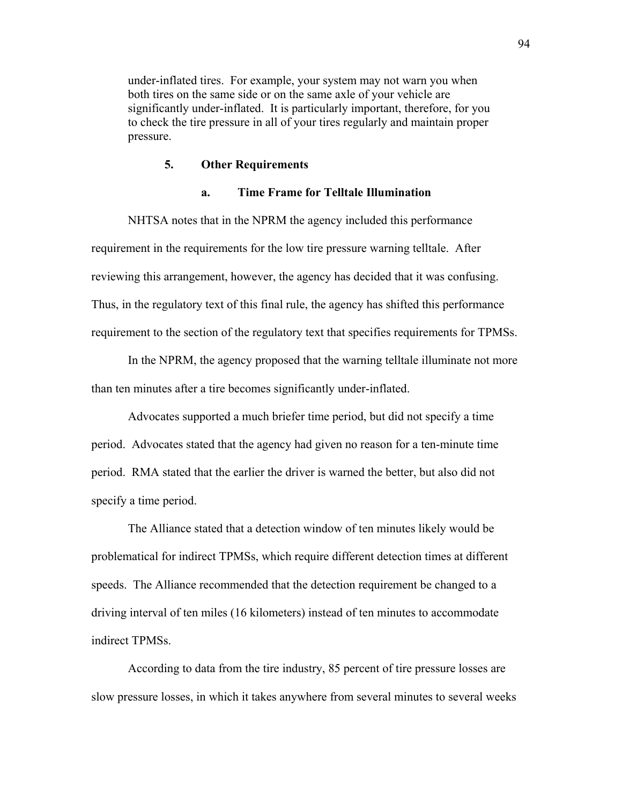under-inflated tires. For example, your system may not warn you when both tires on the same side or on the same axle of your vehicle are significantly under-inflated. It is particularly important, therefore, for you to check the tire pressure in all of your tires regularly and maintain proper pressure.

#### **5. Other Requirements**

#### **a. Time Frame for Telltale Illumination**

 NHTSA notes that in the NPRM the agency included this performance requirement in the requirements for the low tire pressure warning telltale. After reviewing this arrangement, however, the agency has decided that it was confusing. Thus, in the regulatory text of this final rule, the agency has shifted this performance requirement to the section of the regulatory text that specifies requirements for TPMSs.

 In the NPRM, the agency proposed that the warning telltale illuminate not more than ten minutes after a tire becomes significantly under-inflated.

 Advocates supported a much briefer time period, but did not specify a time period. Advocates stated that the agency had given no reason for a ten-minute time period. RMA stated that the earlier the driver is warned the better, but also did not specify a time period.

 The Alliance stated that a detection window of ten minutes likely would be problematical for indirect TPMSs, which require different detection times at different speeds. The Alliance recommended that the detection requirement be changed to a driving interval of ten miles (16 kilometers) instead of ten minutes to accommodate indirect TPMSs.

According to data from the tire industry, 85 percent of tire pressure losses are slow pressure losses, in which it takes anywhere from several minutes to several weeks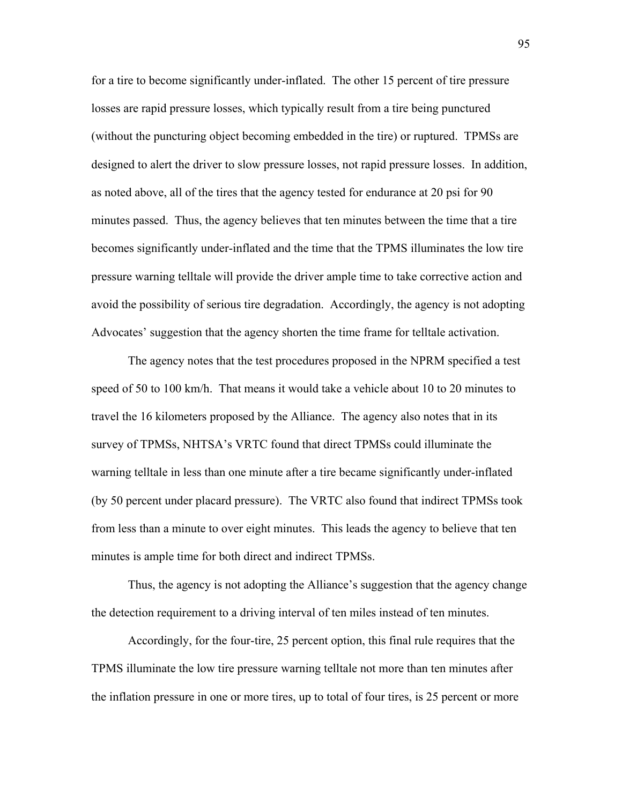for a tire to become significantly under-inflated. The other 15 percent of tire pressure losses are rapid pressure losses, which typically result from a tire being punctured (without the puncturing object becoming embedded in the tire) or ruptured. TPMSs are designed to alert the driver to slow pressure losses, not rapid pressure losses. In addition, as noted above, all of the tires that the agency tested for endurance at 20 psi for 90 minutes passed. Thus, the agency believes that ten minutes between the time that a tire becomes significantly under-inflated and the time that the TPMS illuminates the low tire pressure warning telltale will provide the driver ample time to take corrective action and avoid the possibility of serious tire degradation. Accordingly, the agency is not adopting Advocates' suggestion that the agency shorten the time frame for telltale activation.

 The agency notes that the test procedures proposed in the NPRM specified a test speed of 50 to 100 km/h. That means it would take a vehicle about 10 to 20 minutes to travel the 16 kilometers proposed by the Alliance. The agency also notes that in its survey of TPMSs, NHTSA's VRTC found that direct TPMSs could illuminate the warning telltale in less than one minute after a tire became significantly under-inflated (by 50 percent under placard pressure). The VRTC also found that indirect TPMSs took from less than a minute to over eight minutes. This leads the agency to believe that ten minutes is ample time for both direct and indirect TPMSs.

Thus, the agency is not adopting the Alliance's suggestion that the agency change the detection requirement to a driving interval of ten miles instead of ten minutes.

 Accordingly, for the four-tire, 25 percent option, this final rule requires that the TPMS illuminate the low tire pressure warning telltale not more than ten minutes after the inflation pressure in one or more tires, up to total of four tires, is 25 percent or more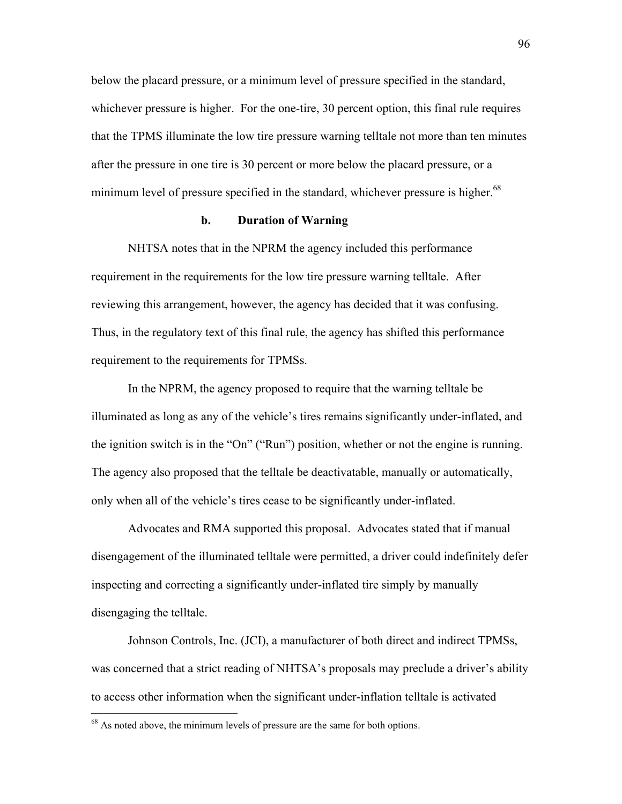below the placard pressure, or a minimum level of pressure specified in the standard, whichever pressure is higher. For the one-tire, 30 percent option, this final rule requires that the TPMS illuminate the low tire pressure warning telltale not more than ten minutes after the pressure in one tire is 30 percent or more below the placard pressure, or a minimum level of pressure specified in the standard, whichever pressure is higher.<sup>[68](#page-95-0)</sup>

#### **b. Duration of Warning**

 NHTSA notes that in the NPRM the agency included this performance requirement in the requirements for the low tire pressure warning telltale. After reviewing this arrangement, however, the agency has decided that it was confusing. Thus, in the regulatory text of this final rule, the agency has shifted this performance requirement to the requirements for TPMSs.

 In the NPRM, the agency proposed to require that the warning telltale be illuminated as long as any of the vehicle's tires remains significantly under-inflated, and the ignition switch is in the "On" ("Run") position, whether or not the engine is running. The agency also proposed that the telltale be deactivatable, manually or automatically, only when all of the vehicle's tires cease to be significantly under-inflated.

 Advocates and RMA supported this proposal. Advocates stated that if manual disengagement of the illuminated telltale were permitted, a driver could indefinitely defer inspecting and correcting a significantly under-inflated tire simply by manually disengaging the telltale.

 Johnson Controls, Inc. (JCI), a manufacturer of both direct and indirect TPMSs, was concerned that a strict reading of NHTSA's proposals may preclude a driver's ability to access other information when the significant under-inflation telltale is activated

<u>.</u>

<span id="page-95-0"></span><sup>&</sup>lt;sup>68</sup> As noted above, the minimum levels of pressure are the same for both options.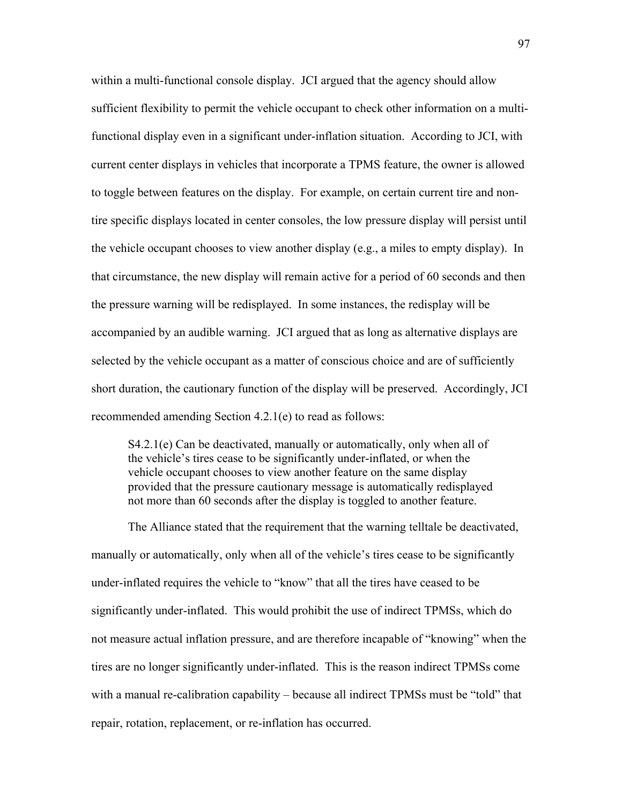within a multi-functional console display. JCI argued that the agency should allow sufficient flexibility to permit the vehicle occupant to check other information on a multifunctional display even in a significant under-inflation situation. According to JCI, with current center displays in vehicles that incorporate a TPMS feature, the owner is allowed to toggle between features on the display. For example, on certain current tire and nontire specific displays located in center consoles, the low pressure display will persist until the vehicle occupant chooses to view another display (e.g., a miles to empty display). In that circumstance, the new display will remain active for a period of 60 seconds and then the pressure warning will be redisplayed. In some instances, the redisplay will be accompanied by an audible warning. JCI argued that as long as alternative displays are selected by the vehicle occupant as a matter of conscious choice and are of sufficiently short duration, the cautionary function of the display will be preserved. Accordingly, JCI recommended amending Section 4.2.1(e) to read as follows:

S4.2.1(e) Can be deactivated, manually or automatically, only when all of the vehicle's tires cease to be significantly under-inflated, or when the vehicle occupant chooses to view another feature on the same display provided that the pressure cautionary message is automatically redisplayed not more than 60 seconds after the display is toggled to another feature.

 The Alliance stated that the requirement that the warning telltale be deactivated, manually or automatically, only when all of the vehicle's tires cease to be significantly under-inflated requires the vehicle to "know" that all the tires have ceased to be significantly under-inflated. This would prohibit the use of indirect TPMSs, which do not measure actual inflation pressure, and are therefore incapable of "knowing" when the tires are no longer significantly under-inflated. This is the reason indirect TPMSs come with a manual re-calibration capability  $-\overline{\text{because all}}$  indirect TPMSs must be "told" that repair, rotation, replacement, or re-inflation has occurred.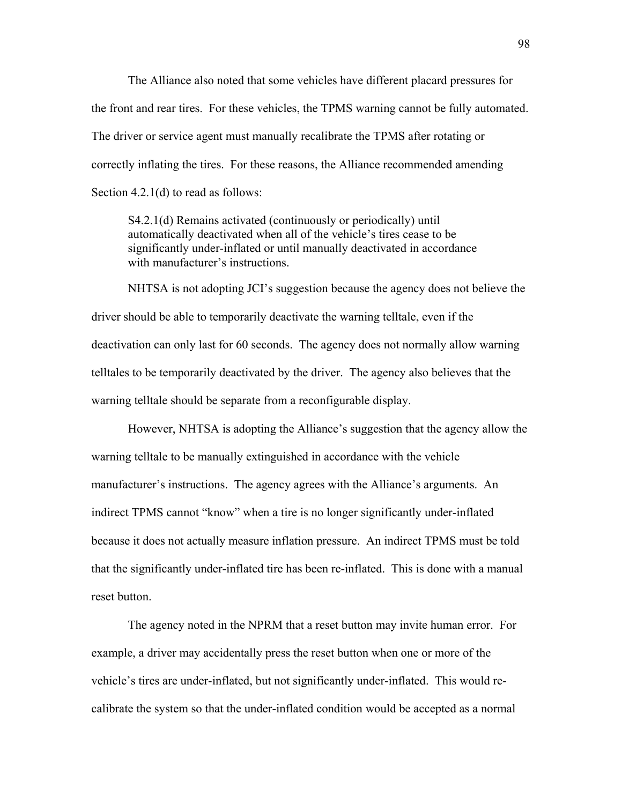The Alliance also noted that some vehicles have different placard pressures for the front and rear tires. For these vehicles, the TPMS warning cannot be fully automated. The driver or service agent must manually recalibrate the TPMS after rotating or correctly inflating the tires. For these reasons, the Alliance recommended amending Section 4.2.1(d) to read as follows:

S4.2.1(d) Remains activated (continuously or periodically) until automatically deactivated when all of the vehicle's tires cease to be significantly under-inflated or until manually deactivated in accordance with manufacturer's instructions.

NHTSA is not adopting JCI's suggestion because the agency does not believe the driver should be able to temporarily deactivate the warning telltale, even if the deactivation can only last for 60 seconds. The agency does not normally allow warning telltales to be temporarily deactivated by the driver. The agency also believes that the warning telltale should be separate from a reconfigurable display.

However, NHTSA is adopting the Alliance's suggestion that the agency allow the warning telltale to be manually extinguished in accordance with the vehicle manufacturer's instructions. The agency agrees with the Alliance's arguments. An indirect TPMS cannot "know" when a tire is no longer significantly under-inflated because it does not actually measure inflation pressure. An indirect TPMS must be told that the significantly under-inflated tire has been re-inflated. This is done with a manual reset button.

 The agency noted in the NPRM that a reset button may invite human error. For example, a driver may accidentally press the reset button when one or more of the vehicle's tires are under-inflated, but not significantly under-inflated. This would recalibrate the system so that the under-inflated condition would be accepted as a normal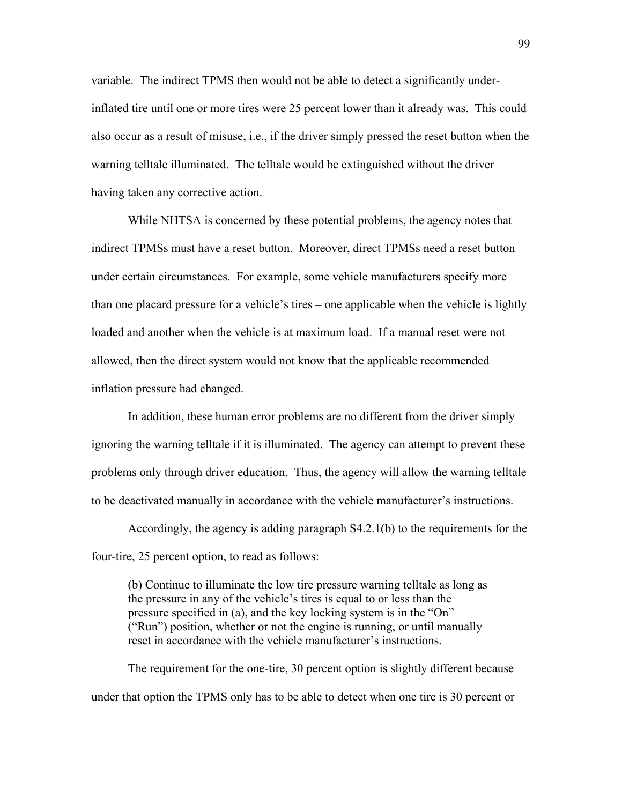variable. The indirect TPMS then would not be able to detect a significantly underinflated tire until one or more tires were 25 percent lower than it already was. This could also occur as a result of misuse, i.e., if the driver simply pressed the reset button when the warning telltale illuminated. The telltale would be extinguished without the driver having taken any corrective action.

While NHTSA is concerned by these potential problems, the agency notes that indirect TPMSs must have a reset button. Moreover, direct TPMSs need a reset button under certain circumstances. For example, some vehicle manufacturers specify more than one placard pressure for a vehicle's tires – one applicable when the vehicle is lightly loaded and another when the vehicle is at maximum load. If a manual reset were not allowed, then the direct system would not know that the applicable recommended inflation pressure had changed.

 In addition, these human error problems are no different from the driver simply ignoring the warning telltale if it is illuminated. The agency can attempt to prevent these problems only through driver education. Thus, the agency will allow the warning telltale to be deactivated manually in accordance with the vehicle manufacturer's instructions.

 Accordingly, the agency is adding paragraph S4.2.1(b) to the requirements for the four-tire, 25 percent option, to read as follows:

(b) Continue to illuminate the low tire pressure warning telltale as long as the pressure in any of the vehicle's tires is equal to or less than the pressure specified in (a), and the key locking system is in the  $\Omega$ <sup>"</sup>  $("Run")$  position, whether or not the engine is running, or until manually reset in accordance with the vehicle manufacturer's instructions.

 The requirement for the one-tire, 30 percent option is slightly different because under that option the TPMS only has to be able to detect when one tire is 30 percent or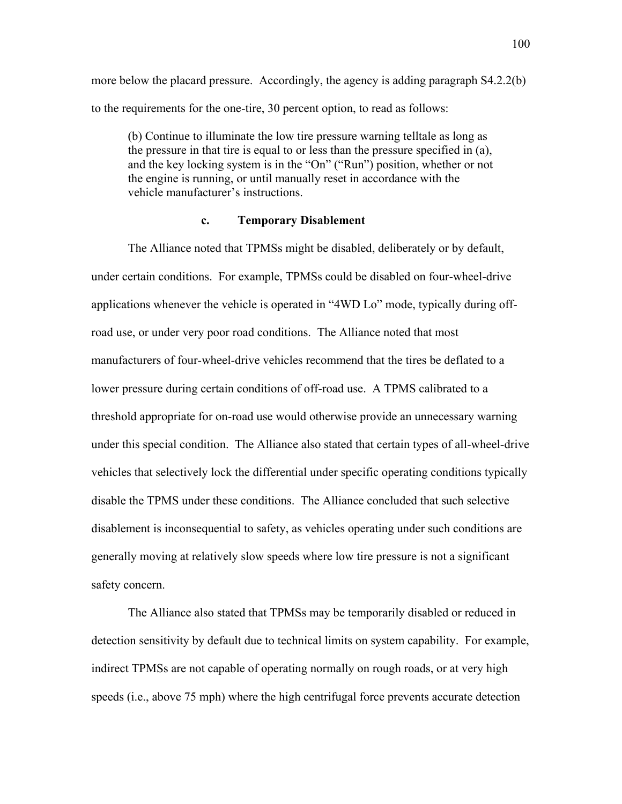more below the placard pressure. Accordingly, the agency is adding paragraph S4.2.2(b) to the requirements for the one-tire, 30 percent option, to read as follows:

(b) Continue to illuminate the low tire pressure warning telltale as long as the pressure in that tire is equal to or less than the pressure specified in (a), and the key locking system is in the "On" ("Run") position, whether or not the engine is running, or until manually reset in accordance with the vehicle manufacturer's instructions.

#### **c. Temporary Disablement**

The Alliance noted that TPMSs might be disabled, deliberately or by default, under certain conditions. For example, TPMSs could be disabled on four-wheel-drive applications whenever the vehicle is operated in "4WD Lo" mode, typically during offroad use, or under very poor road conditions. The Alliance noted that most manufacturers of four-wheel-drive vehicles recommend that the tires be deflated to a lower pressure during certain conditions of off-road use. A TPMS calibrated to a threshold appropriate for on-road use would otherwise provide an unnecessary warning under this special condition. The Alliance also stated that certain types of all-wheel-drive vehicles that selectively lock the differential under specific operating conditions typically disable the TPMS under these conditions. The Alliance concluded that such selective disablement is inconsequential to safety, as vehicles operating under such conditions are generally moving at relatively slow speeds where low tire pressure is not a significant safety concern.

The Alliance also stated that TPMSs may be temporarily disabled or reduced in detection sensitivity by default due to technical limits on system capability. For example, indirect TPMSs are not capable of operating normally on rough roads, or at very high speeds (i.e., above 75 mph) where the high centrifugal force prevents accurate detection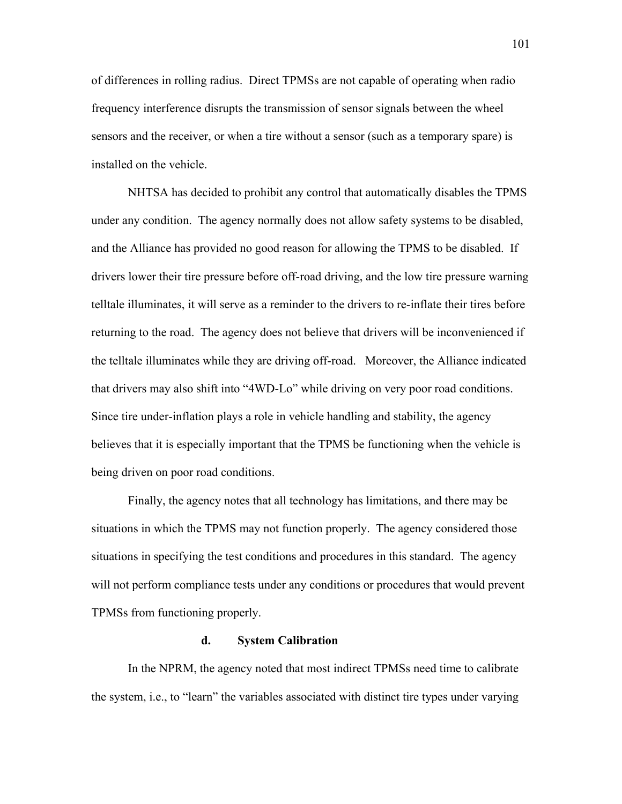of differences in rolling radius. Direct TPMSs are not capable of operating when radio frequency interference disrupts the transmission of sensor signals between the wheel sensors and the receiver, or when a tire without a sensor (such as a temporary spare) is installed on the vehicle.

NHTSA has decided to prohibit any control that automatically disables the TPMS under any condition. The agency normally does not allow safety systems to be disabled, and the Alliance has provided no good reason for allowing the TPMS to be disabled. If drivers lower their tire pressure before off-road driving, and the low tire pressure warning telltale illuminates, it will serve as a reminder to the drivers to re-inflate their tires before returning to the road. The agency does not believe that drivers will be inconvenienced if the telltale illuminates while they are driving off-road. Moreover, the Alliance indicated that drivers may also shift into "4WD-Lo" while driving on very poor road conditions. Since tire under-inflation plays a role in vehicle handling and stability, the agency believes that it is especially important that the TPMS be functioning when the vehicle is being driven on poor road conditions.

Finally, the agency notes that all technology has limitations, and there may be situations in which the TPMS may not function properly. The agency considered those situations in specifying the test conditions and procedures in this standard. The agency will not perform compliance tests under any conditions or procedures that would prevent TPMSs from functioning properly.

#### **d. System Calibration**

In the NPRM, the agency noted that most indirect TPMSs need time to calibrate the system, i.e., to "learn" the variables associated with distinct tire types under varying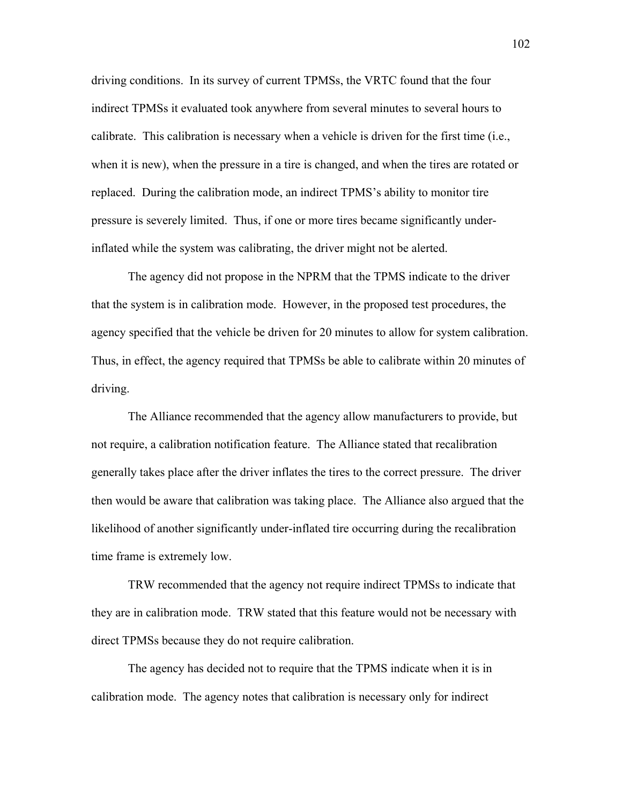driving conditions. In its survey of current TPMSs, the VRTC found that the four indirect TPMSs it evaluated took anywhere from several minutes to several hours to calibrate. This calibration is necessary when a vehicle is driven for the first time (i.e., when it is new), when the pressure in a tire is changed, and when the tires are rotated or replaced. During the calibration mode, an indirect TPMS's ability to monitor tire pressure is severely limited. Thus, if one or more tires became significantly underinflated while the system was calibrating, the driver might not be alerted.

The agency did not propose in the NPRM that the TPMS indicate to the driver that the system is in calibration mode. However, in the proposed test procedures, the agency specified that the vehicle be driven for 20 minutes to allow for system calibration. Thus, in effect, the agency required that TPMSs be able to calibrate within 20 minutes of driving.

The Alliance recommended that the agency allow manufacturers to provide, but not require, a calibration notification feature. The Alliance stated that recalibration generally takes place after the driver inflates the tires to the correct pressure. The driver then would be aware that calibration was taking place. The Alliance also argued that the likelihood of another significantly under-inflated tire occurring during the recalibration time frame is extremely low.

TRW recommended that the agency not require indirect TPMSs to indicate that they are in calibration mode. TRW stated that this feature would not be necessary with direct TPMSs because they do not require calibration.

The agency has decided not to require that the TPMS indicate when it is in calibration mode. The agency notes that calibration is necessary only for indirect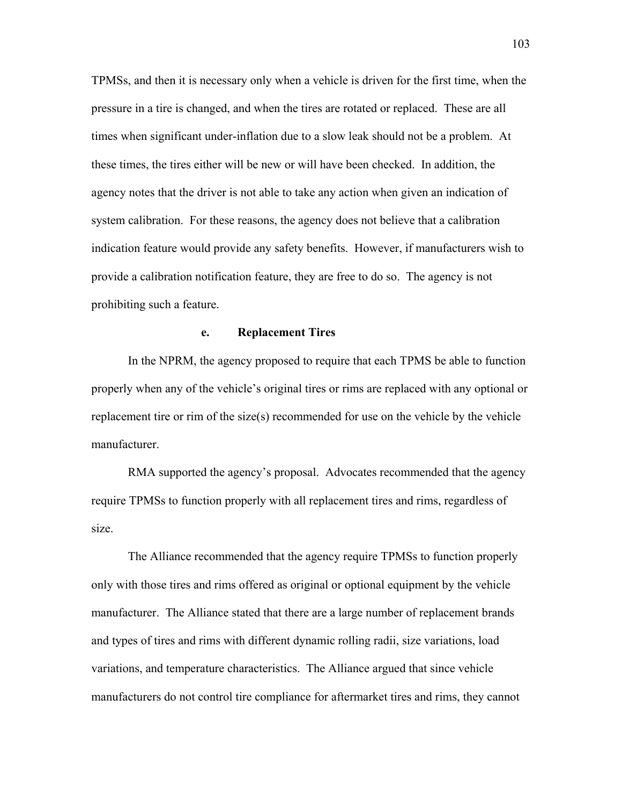TPMSs, and then it is necessary only when a vehicle is driven for the first time, when the pressure in a tire is changed, and when the tires are rotated or replaced. These are all times when significant under-inflation due to a slow leak should not be a problem. At these times, the tires either will be new or will have been checked. In addition, the agency notes that the driver is not able to take any action when given an indication of system calibration. For these reasons, the agency does not believe that a calibration indication feature would provide any safety benefits. However, if manufacturers wish to provide a calibration notification feature, they are free to do so. The agency is not prohibiting such a feature.

#### **e. Replacement Tires**

In the NPRM, the agency proposed to require that each TPMS be able to function properly when any of the vehicleís original tires or rims are replaced with any optional or replacement tire or rim of the size(s) recommended for use on the vehicle by the vehicle manufacturer.

RMA supported the agency's proposal. Advocates recommended that the agency require TPMSs to function properly with all replacement tires and rims, regardless of size.

The Alliance recommended that the agency require TPMSs to function properly only with those tires and rims offered as original or optional equipment by the vehicle manufacturer. The Alliance stated that there are a large number of replacement brands and types of tires and rims with different dynamic rolling radii, size variations, load variations, and temperature characteristics. The Alliance argued that since vehicle manufacturers do not control tire compliance for aftermarket tires and rims, they cannot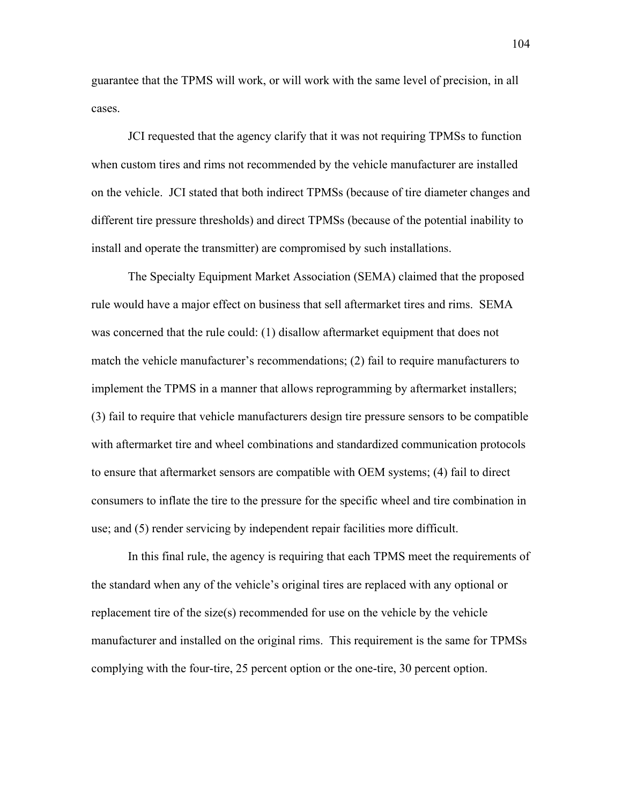guarantee that the TPMS will work, or will work with the same level of precision, in all cases.

JCI requested that the agency clarify that it was not requiring TPMSs to function when custom tires and rims not recommended by the vehicle manufacturer are installed on the vehicle. JCI stated that both indirect TPMSs (because of tire diameter changes and different tire pressure thresholds) and direct TPMSs (because of the potential inability to install and operate the transmitter) are compromised by such installations.

The Specialty Equipment Market Association (SEMA) claimed that the proposed rule would have a major effect on business that sell aftermarket tires and rims. SEMA was concerned that the rule could: (1) disallow aftermarket equipment that does not match the vehicle manufacturer's recommendations;  $(2)$  fail to require manufacturers to implement the TPMS in a manner that allows reprogramming by aftermarket installers; (3) fail to require that vehicle manufacturers design tire pressure sensors to be compatible with aftermarket tire and wheel combinations and standardized communication protocols to ensure that aftermarket sensors are compatible with OEM systems; (4) fail to direct consumers to inflate the tire to the pressure for the specific wheel and tire combination in use; and (5) render servicing by independent repair facilities more difficult.

In this final rule, the agency is requiring that each TPMS meet the requirements of the standard when any of the vehicle's original tires are replaced with any optional or replacement tire of the size(s) recommended for use on the vehicle by the vehicle manufacturer and installed on the original rims. This requirement is the same for TPMSs complying with the four-tire, 25 percent option or the one-tire, 30 percent option.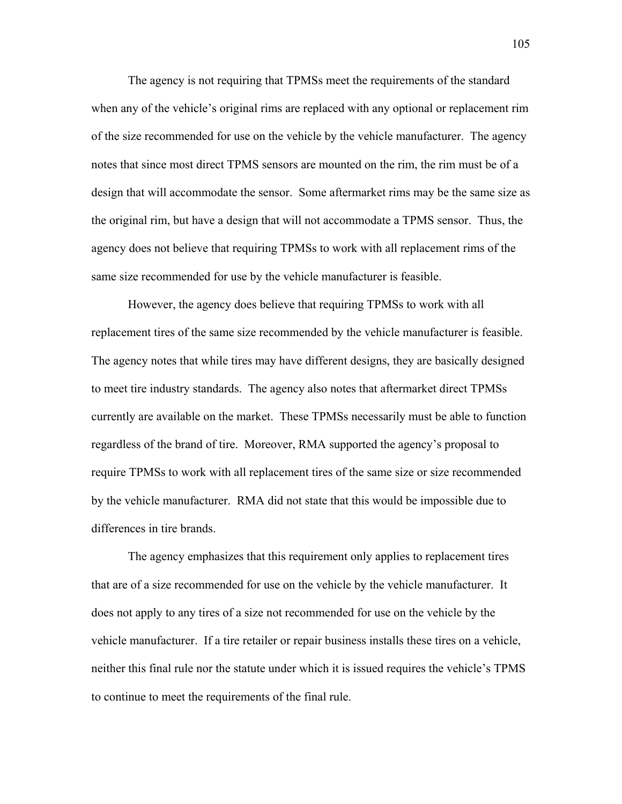The agency is not requiring that TPMSs meet the requirements of the standard when any of the vehicle's original rims are replaced with any optional or replacement rim of the size recommended for use on the vehicle by the vehicle manufacturer. The agency notes that since most direct TPMS sensors are mounted on the rim, the rim must be of a design that will accommodate the sensor. Some aftermarket rims may be the same size as the original rim, but have a design that will not accommodate a TPMS sensor. Thus, the agency does not believe that requiring TPMSs to work with all replacement rims of the same size recommended for use by the vehicle manufacturer is feasible.

However, the agency does believe that requiring TPMSs to work with all replacement tires of the same size recommended by the vehicle manufacturer is feasible. The agency notes that while tires may have different designs, they are basically designed to meet tire industry standards. The agency also notes that aftermarket direct TPMSs currently are available on the market. These TPMSs necessarily must be able to function regardless of the brand of tire. Moreover, RMA supported the agency's proposal to require TPMSs to work with all replacement tires of the same size or size recommended by the vehicle manufacturer. RMA did not state that this would be impossible due to differences in tire brands.

The agency emphasizes that this requirement only applies to replacement tires that are of a size recommended for use on the vehicle by the vehicle manufacturer. It does not apply to any tires of a size not recommended for use on the vehicle by the vehicle manufacturer. If a tire retailer or repair business installs these tires on a vehicle, neither this final rule nor the statute under which it is issued requires the vehicle's TPMS to continue to meet the requirements of the final rule.

105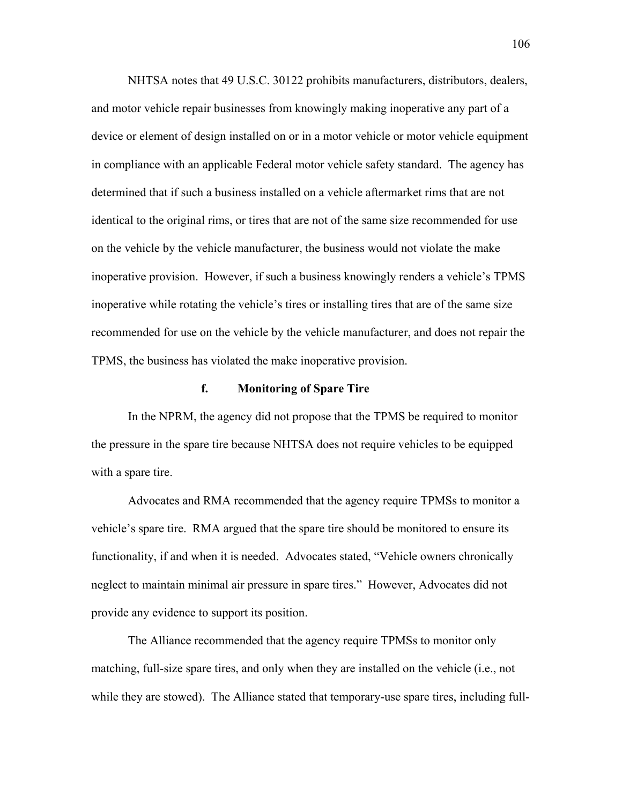NHTSA notes that 49 U.S.C. 30122 prohibits manufacturers, distributors, dealers, and motor vehicle repair businesses from knowingly making inoperative any part of a device or element of design installed on or in a motor vehicle or motor vehicle equipment in compliance with an applicable Federal motor vehicle safety standard. The agency has determined that if such a business installed on a vehicle aftermarket rims that are not identical to the original rims, or tires that are not of the same size recommended for use on the vehicle by the vehicle manufacturer, the business would not violate the make inoperative provision. However, if such a business knowingly renders a vehicle's TPMS inoperative while rotating the vehicle's tires or installing tires that are of the same size recommended for use on the vehicle by the vehicle manufacturer, and does not repair the TPMS, the business has violated the make inoperative provision.

#### **f. Monitoring of Spare Tire**

In the NPRM, the agency did not propose that the TPMS be required to monitor the pressure in the spare tire because NHTSA does not require vehicles to be equipped with a spare tire.

Advocates and RMA recommended that the agency require TPMSs to monitor a vehicle's spare tire. RMA argued that the spare tire should be monitored to ensure its functionality, if and when it is needed. Advocates stated, "Vehicle owners chronically neglect to maintain minimal air pressure in spare tires." However, Advocates did not provide any evidence to support its position.

The Alliance recommended that the agency require TPMSs to monitor only matching, full-size spare tires, and only when they are installed on the vehicle (i.e., not while they are stowed). The Alliance stated that temporary-use spare tires, including full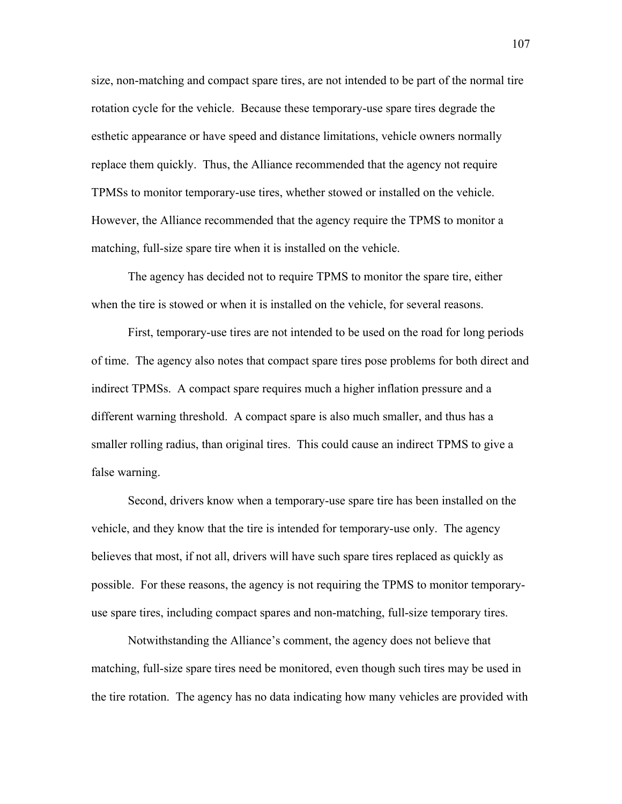size, non-matching and compact spare tires, are not intended to be part of the normal tire rotation cycle for the vehicle. Because these temporary-use spare tires degrade the esthetic appearance or have speed and distance limitations, vehicle owners normally replace them quickly. Thus, the Alliance recommended that the agency not require TPMSs to monitor temporary-use tires, whether stowed or installed on the vehicle. However, the Alliance recommended that the agency require the TPMS to monitor a matching, full-size spare tire when it is installed on the vehicle.

The agency has decided not to require TPMS to monitor the spare tire, either when the tire is stowed or when it is installed on the vehicle, for several reasons.

First, temporary-use tires are not intended to be used on the road for long periods of time. The agency also notes that compact spare tires pose problems for both direct and indirect TPMSs. A compact spare requires much a higher inflation pressure and a different warning threshold. A compact spare is also much smaller, and thus has a smaller rolling radius, than original tires. This could cause an indirect TPMS to give a false warning.

Second, drivers know when a temporary-use spare tire has been installed on the vehicle, and they know that the tire is intended for temporary-use only. The agency believes that most, if not all, drivers will have such spare tires replaced as quickly as possible. For these reasons, the agency is not requiring the TPMS to monitor temporaryuse spare tires, including compact spares and non-matching, full-size temporary tires.

Notwithstanding the Alliance's comment, the agency does not believe that matching, full-size spare tires need be monitored, even though such tires may be used in the tire rotation. The agency has no data indicating how many vehicles are provided with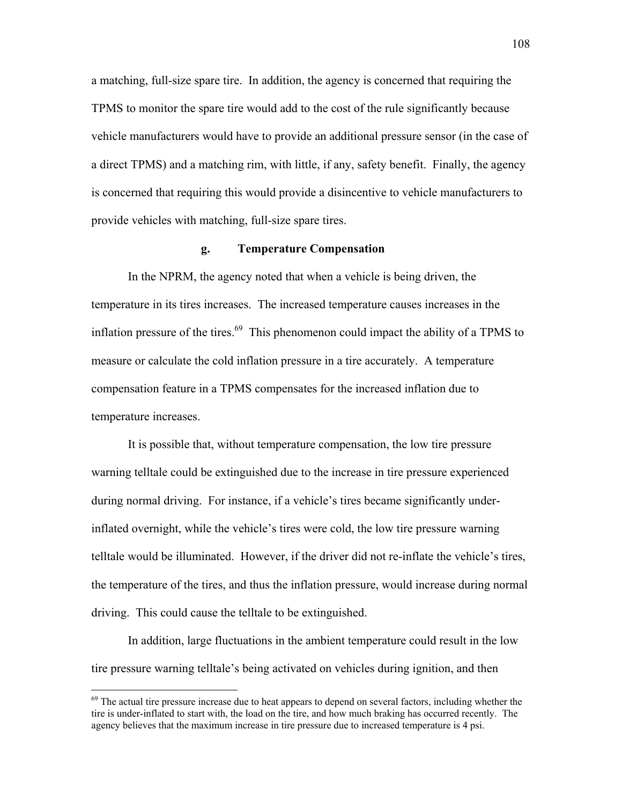a matching, full-size spare tire. In addition, the agency is concerned that requiring the TPMS to monitor the spare tire would add to the cost of the rule significantly because vehicle manufacturers would have to provide an additional pressure sensor (in the case of a direct TPMS) and a matching rim, with little, if any, safety benefit. Finally, the agency is concerned that requiring this would provide a disincentive to vehicle manufacturers to provide vehicles with matching, full-size spare tires.

#### **g. Temperature Compensation**

In the NPRM, the agency noted that when a vehicle is being driven, the temperature in its tires increases. The increased temperature causes increases in the inflation pressure of the tires. $69$  This phenomenon could impact the ability of a TPMS to measure or calculate the cold inflation pressure in a tire accurately. A temperature compensation feature in a TPMS compensates for the increased inflation due to temperature increases.

It is possible that, without temperature compensation, the low tire pressure warning telltale could be extinguished due to the increase in tire pressure experienced during normal driving. For instance, if a vehicle's tires became significantly underinflated overnight, while the vehicle's tires were cold, the low tire pressure warning telltale would be illuminated. However, if the driver did not re-inflate the vehicle's tires, the temperature of the tires, and thus the inflation pressure, would increase during normal driving. This could cause the telltale to be extinguished.

In addition, large fluctuations in the ambient temperature could result in the low tire pressure warning telltale's being activated on vehicles during ignition, and then

<span id="page-107-0"></span> $69$  The actual tire pressure increase due to heat appears to depend on several factors, including whether the tire is under-inflated to start with, the load on the tire, and how much braking has occurred recently. The agency believes that the maximum increase in tire pressure due to increased temperature is 4 psi.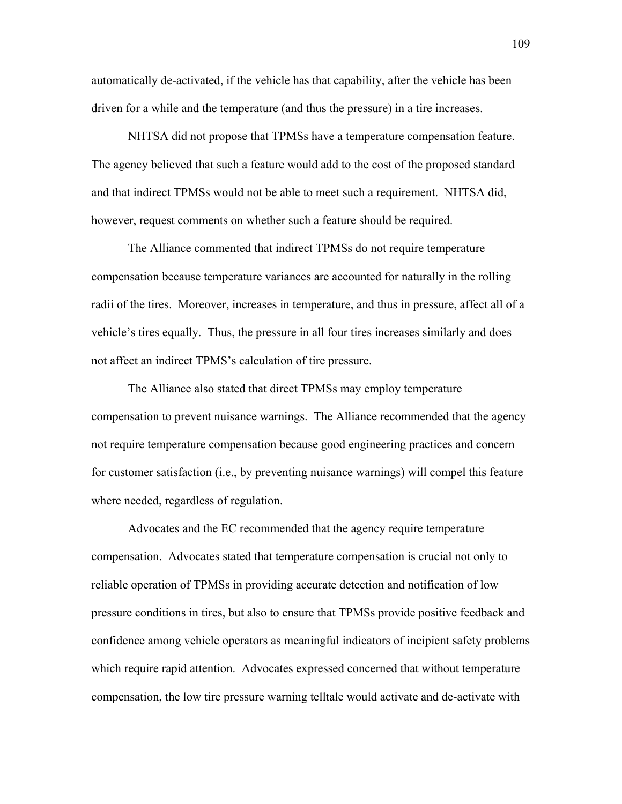automatically de-activated, if the vehicle has that capability, after the vehicle has been driven for a while and the temperature (and thus the pressure) in a tire increases.

NHTSA did not propose that TPMSs have a temperature compensation feature. The agency believed that such a feature would add to the cost of the proposed standard and that indirect TPMSs would not be able to meet such a requirement. NHTSA did, however, request comments on whether such a feature should be required.

The Alliance commented that indirect TPMSs do not require temperature compensation because temperature variances are accounted for naturally in the rolling radii of the tires. Moreover, increases in temperature, and thus in pressure, affect all of a vehicle's tires equally. Thus, the pressure in all four tires increases similarly and does not affect an indirect TPMS's calculation of tire pressure.

The Alliance also stated that direct TPMSs may employ temperature compensation to prevent nuisance warnings. The Alliance recommended that the agency not require temperature compensation because good engineering practices and concern for customer satisfaction (i.e., by preventing nuisance warnings) will compel this feature where needed, regardless of regulation.

Advocates and the EC recommended that the agency require temperature compensation. Advocates stated that temperature compensation is crucial not only to reliable operation of TPMSs in providing accurate detection and notification of low pressure conditions in tires, but also to ensure that TPMSs provide positive feedback and confidence among vehicle operators as meaningful indicators of incipient safety problems which require rapid attention. Advocates expressed concerned that without temperature compensation, the low tire pressure warning telltale would activate and de-activate with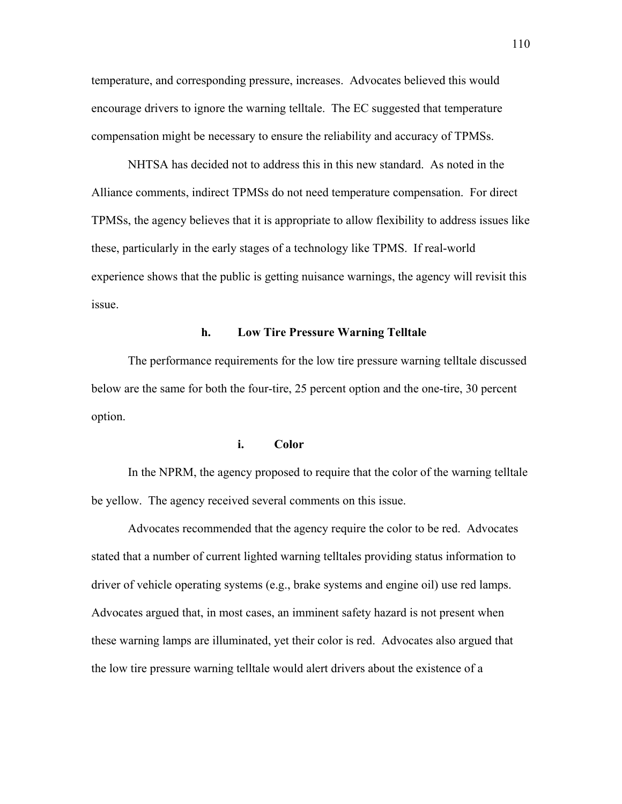temperature, and corresponding pressure, increases. Advocates believed this would encourage drivers to ignore the warning telltale. The EC suggested that temperature compensation might be necessary to ensure the reliability and accuracy of TPMSs.

NHTSA has decided not to address this in this new standard. As noted in the Alliance comments, indirect TPMSs do not need temperature compensation. For direct TPMSs, the agency believes that it is appropriate to allow flexibility to address issues like these, particularly in the early stages of a technology like TPMS. If real-world experience shows that the public is getting nuisance warnings, the agency will revisit this issue.

## **h. Low Tire Pressure Warning Telltale**

The performance requirements for the low tire pressure warning telltale discussed below are the same for both the four-tire, 25 percent option and the one-tire, 30 percent option.

## **i. Color**

 In the NPRM, the agency proposed to require that the color of the warning telltale be yellow. The agency received several comments on this issue.

 Advocates recommended that the agency require the color to be red. Advocates stated that a number of current lighted warning telltales providing status information to driver of vehicle operating systems (e.g., brake systems and engine oil) use red lamps. Advocates argued that, in most cases, an imminent safety hazard is not present when these warning lamps are illuminated, yet their color is red. Advocates also argued that the low tire pressure warning telltale would alert drivers about the existence of a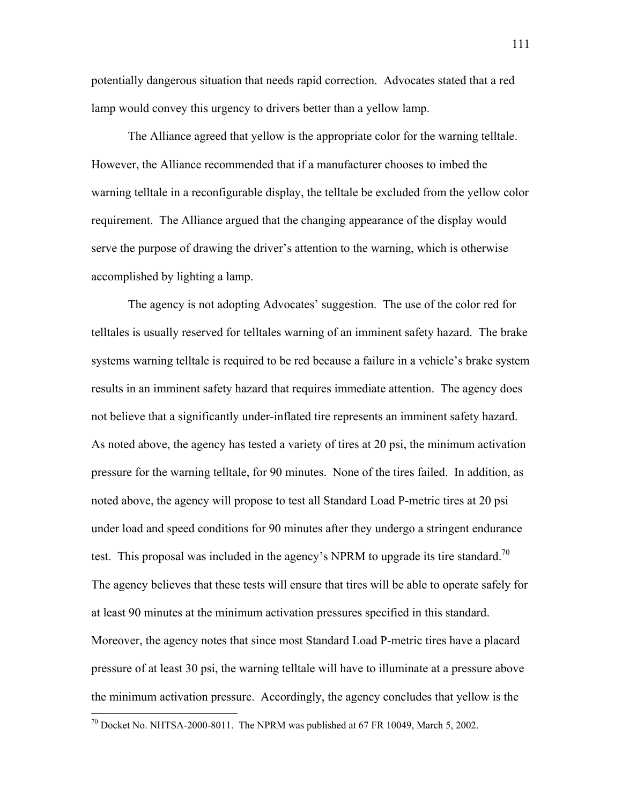potentially dangerous situation that needs rapid correction. Advocates stated that a red lamp would convey this urgency to drivers better than a yellow lamp.

 The Alliance agreed that yellow is the appropriate color for the warning telltale. However, the Alliance recommended that if a manufacturer chooses to imbed the warning telltale in a reconfigurable display, the telltale be excluded from the yellow color requirement. The Alliance argued that the changing appearance of the display would serve the purpose of drawing the driver's attention to the warning, which is otherwise accomplished by lighting a lamp.

The agency is not adopting Advocates' suggestion. The use of the color red for telltales is usually reserved for telltales warning of an imminent safety hazard. The brake systems warning telltale is required to be red because a failure in a vehicle's brake system results in an imminent safety hazard that requires immediate attention. The agency does not believe that a significantly under-inflated tire represents an imminent safety hazard. As noted above, the agency has tested a variety of tires at 20 psi, the minimum activation pressure for the warning telltale, for 90 minutes. None of the tires failed. In addition, as noted above, the agency will propose to test all Standard Load P-metric tires at 20 psi under load and speed conditions for 90 minutes after they undergo a stringent endurance test. This proposal was included in the agency's NPRM to upgrade its tire standard.<sup>70</sup> The agency believes that these tests will ensure that tires will be able to operate safely for at least 90 minutes at the minimum activation pressures specified in this standard. Moreover, the agency notes that since most Standard Load P-metric tires have a placard pressure of at least 30 psi, the warning telltale will have to illuminate at a pressure above the minimum activation pressure. Accordingly, the agency concludes that yellow is the

<u>.</u>

<span id="page-110-0"></span> $70$  Docket No. NHTSA-2000-8011. The NPRM was published at 67 FR 10049, March 5, 2002.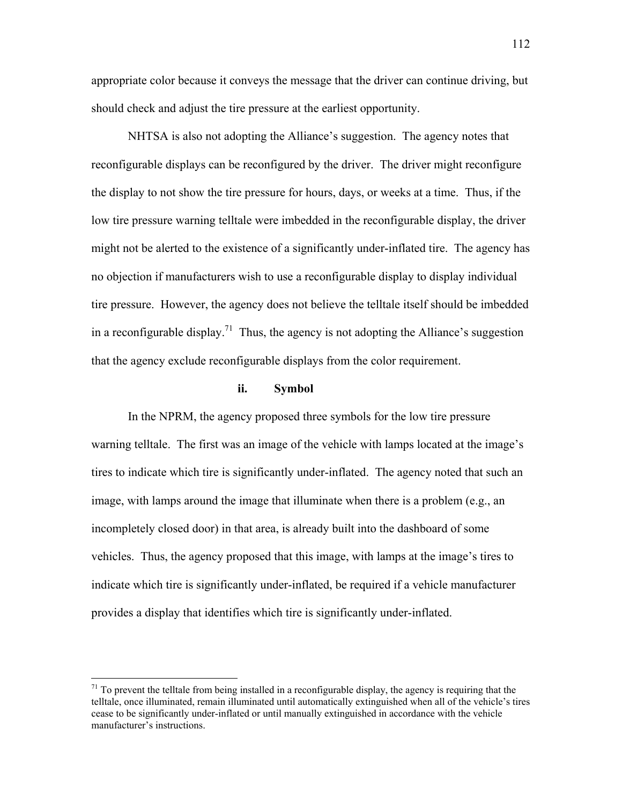appropriate color because it conveys the message that the driver can continue driving, but should check and adjust the tire pressure at the earliest opportunity.

NHTSA is also not adopting the Alliance's suggestion. The agency notes that reconfigurable displays can be reconfigured by the driver. The driver might reconfigure the display to not show the tire pressure for hours, days, or weeks at a time. Thus, if the low tire pressure warning telltale were imbedded in the reconfigurable display, the driver might not be alerted to the existence of a significantly under-inflated tire. The agency has no objection if manufacturers wish to use a reconfigurable display to display individual tire pressure. However, the agency does not believe the telltale itself should be imbedded in a reconfigurable display.<sup>71</sup> Thus, the agency is not adopting the Alliance's suggestion that the agency exclude reconfigurable displays from the color requirement.

## **ii. Symbol**

 In the NPRM, the agency proposed three symbols for the low tire pressure warning telltale. The first was an image of the vehicle with lamps located at the image's tires to indicate which tire is significantly under-inflated. The agency noted that such an image, with lamps around the image that illuminate when there is a problem (e.g., an incompletely closed door) in that area, is already built into the dashboard of some vehicles. Thus, the agency proposed that this image, with lamps at the image's tires to indicate which tire is significantly under-inflated, be required if a vehicle manufacturer provides a display that identifies which tire is significantly under-inflated.

<u>.</u>

<span id="page-111-0"></span> $71$  To prevent the telltale from being installed in a reconfigurable display, the agency is requiring that the telltale, once illuminated, remain illuminated until automatically extinguished when all of the vehicle's tires cease to be significantly under-inflated or until manually extinguished in accordance with the vehicle manufacturer's instructions.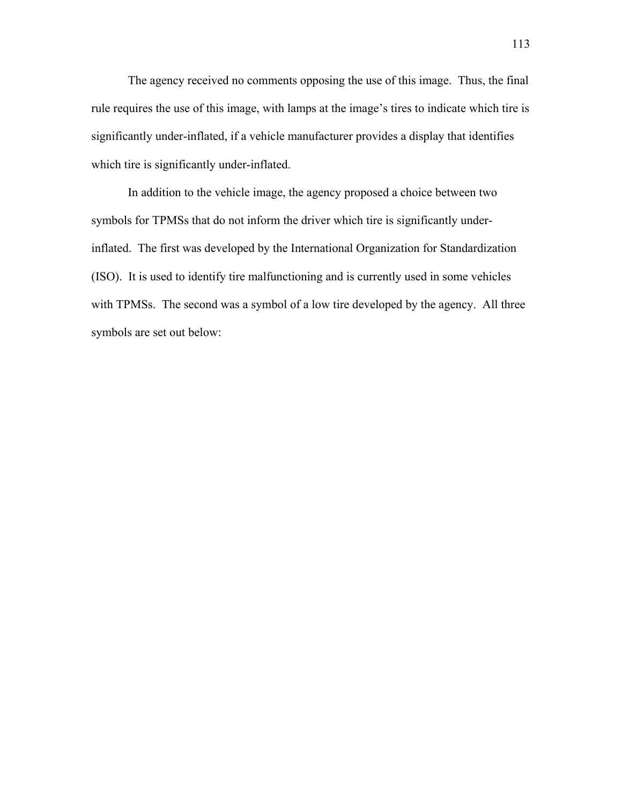The agency received no comments opposing the use of this image. Thus, the final rule requires the use of this image, with lamps at the image's tires to indicate which tire is significantly under-inflated, if a vehicle manufacturer provides a display that identifies which tire is significantly under-inflated.

 In addition to the vehicle image, the agency proposed a choice between two symbols for TPMSs that do not inform the driver which tire is significantly underinflated. The first was developed by the International Organization for Standardization (ISO). It is used to identify tire malfunctioning and is currently used in some vehicles with TPMSs. The second was a symbol of a low tire developed by the agency. All three symbols are set out below: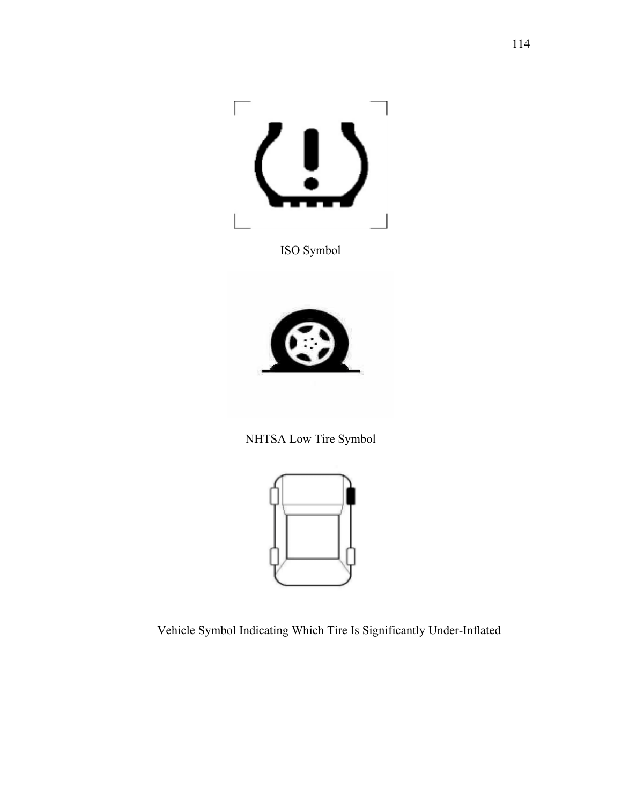

ISO Symbol



NHTSA Low Tire Symbol



Vehicle Symbol Indicating Which Tire Is Significantly Under-Inflated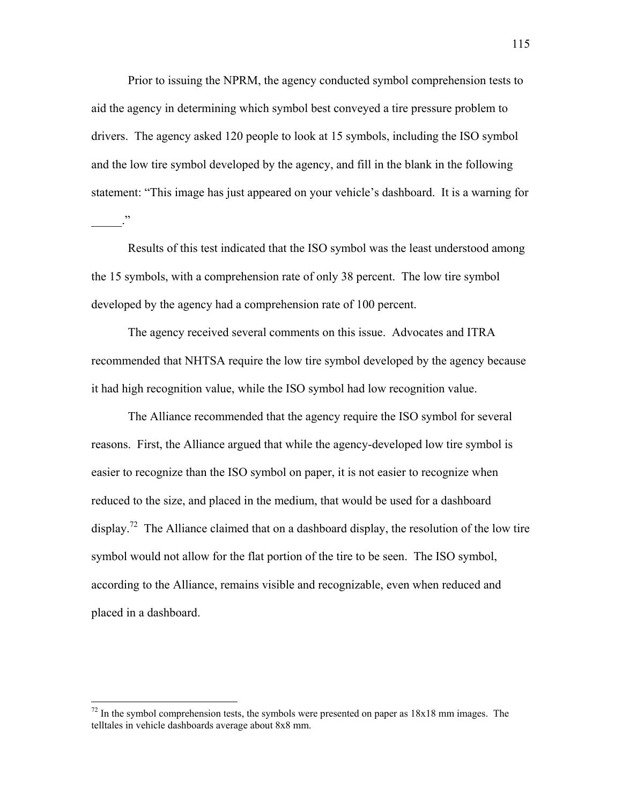Prior to issuing the NPRM, the agency conducted symbol comprehension tests to aid the agency in determining which symbol best conveyed a tire pressure problem to drivers. The agency asked 120 people to look at 15 symbols, including the ISO symbol and the low tire symbol developed by the agency, and fill in the blank in the following statement: "This image has just appeared on your vehicle's dashboard. It is a warning for  $\cdot$ <sup>22</sup>

 Results of this test indicated that the ISO symbol was the least understood among the 15 symbols, with a comprehension rate of only 38 percent. The low tire symbol developed by the agency had a comprehension rate of 100 percent.

 The agency received several comments on this issue. Advocates and ITRA recommended that NHTSA require the low tire symbol developed by the agency because it had high recognition value, while the ISO symbol had low recognition value.

 The Alliance recommended that the agency require the ISO symbol for several reasons. First, the Alliance argued that while the agency-developed low tire symbol is easier to recognize than the ISO symbol on paper, it is not easier to recognize when reduced to the size, and placed in the medium, that would be used for a dashboard display.<sup>72</sup> The Alliance claimed that on a dashboard display, the resolution of the low tire symbol would not allow for the flat portion of the tire to be seen. The ISO symbol, according to the Alliance, remains visible and recognizable, even when reduced and placed in a dashboard.

1

<span id="page-114-0"></span> $72$  In the symbol comprehension tests, the symbols were presented on paper as  $18x18$  mm images. The telltales in vehicle dashboards average about 8x8 mm.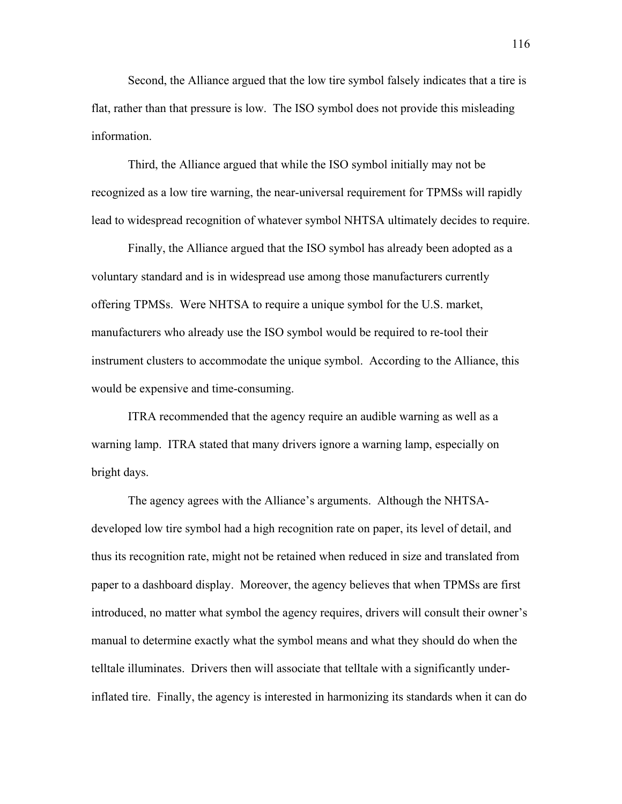Second, the Alliance argued that the low tire symbol falsely indicates that a tire is flat, rather than that pressure is low. The ISO symbol does not provide this misleading information.

 Third, the Alliance argued that while the ISO symbol initially may not be recognized as a low tire warning, the near-universal requirement for TPMSs will rapidly lead to widespread recognition of whatever symbol NHTSA ultimately decides to require.

 Finally, the Alliance argued that the ISO symbol has already been adopted as a voluntary standard and is in widespread use among those manufacturers currently offering TPMSs. Were NHTSA to require a unique symbol for the U.S. market, manufacturers who already use the ISO symbol would be required to re-tool their instrument clusters to accommodate the unique symbol. According to the Alliance, this would be expensive and time-consuming.

 ITRA recommended that the agency require an audible warning as well as a warning lamp. ITRA stated that many drivers ignore a warning lamp, especially on bright days.

The agency agrees with the Alliance's arguments. Although the NHTSAdeveloped low tire symbol had a high recognition rate on paper, its level of detail, and thus its recognition rate, might not be retained when reduced in size and translated from paper to a dashboard display. Moreover, the agency believes that when TPMSs are first introduced, no matter what symbol the agency requires, drivers will consult their owner's manual to determine exactly what the symbol means and what they should do when the telltale illuminates. Drivers then will associate that telltale with a significantly underinflated tire. Finally, the agency is interested in harmonizing its standards when it can do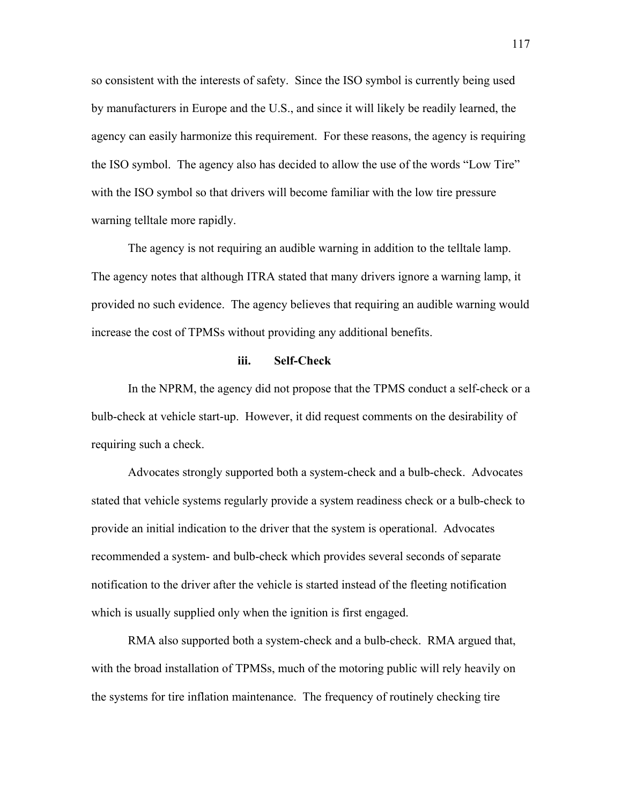so consistent with the interests of safety. Since the ISO symbol is currently being used by manufacturers in Europe and the U.S., and since it will likely be readily learned, the agency can easily harmonize this requirement. For these reasons, the agency is requiring the ISO symbol. The agency also has decided to allow the use of the words "Low Tire" with the ISO symbol so that drivers will become familiar with the low tire pressure warning telltale more rapidly.

 The agency is not requiring an audible warning in addition to the telltale lamp. The agency notes that although ITRA stated that many drivers ignore a warning lamp, it provided no such evidence. The agency believes that requiring an audible warning would increase the cost of TPMSs without providing any additional benefits.

## **iii. Self-Check**

In the NPRM, the agency did not propose that the TPMS conduct a self-check or a bulb-check at vehicle start-up. However, it did request comments on the desirability of requiring such a check.

Advocates strongly supported both a system-check and a bulb-check. Advocates stated that vehicle systems regularly provide a system readiness check or a bulb-check to provide an initial indication to the driver that the system is operational. Advocates recommended a system- and bulb-check which provides several seconds of separate notification to the driver after the vehicle is started instead of the fleeting notification which is usually supplied only when the ignition is first engaged.

RMA also supported both a system-check and a bulb-check. RMA argued that, with the broad installation of TPMSs, much of the motoring public will rely heavily on the systems for tire inflation maintenance. The frequency of routinely checking tire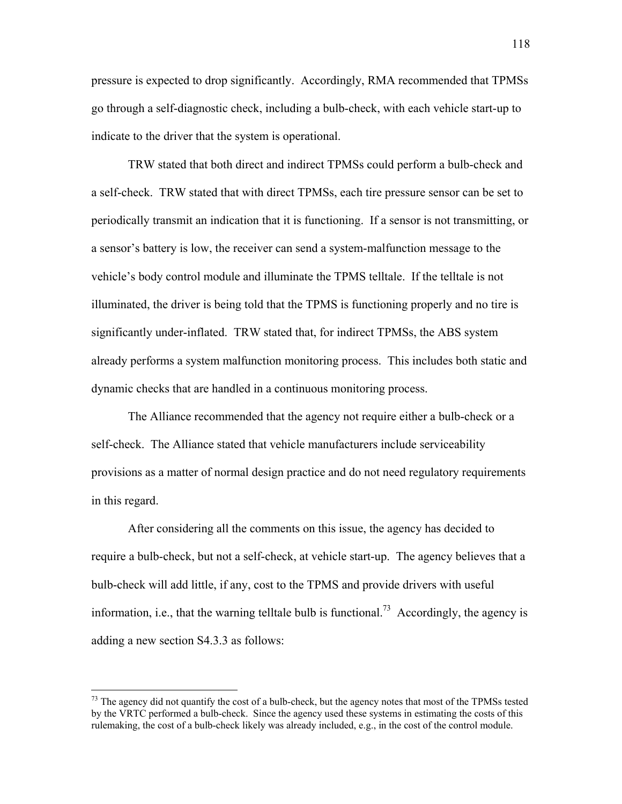pressure is expected to drop significantly. Accordingly, RMA recommended that TPMSs go through a self-diagnostic check, including a bulb-check, with each vehicle start-up to indicate to the driver that the system is operational.

TRW stated that both direct and indirect TPMSs could perform a bulb-check and a self-check. TRW stated that with direct TPMSs, each tire pressure sensor can be set to periodically transmit an indication that it is functioning. If a sensor is not transmitting, or a sensor's battery is low, the receiver can send a system-malfunction message to the vehicle's body control module and illuminate the TPMS telltale. If the telltale is not illuminated, the driver is being told that the TPMS is functioning properly and no tire is significantly under-inflated. TRW stated that, for indirect TPMSs, the ABS system already performs a system malfunction monitoring process. This includes both static and dynamic checks that are handled in a continuous monitoring process.

The Alliance recommended that the agency not require either a bulb-check or a self-check. The Alliance stated that vehicle manufacturers include serviceability provisions as a matter of normal design practice and do not need regulatory requirements in this regard.

After considering all the comments on this issue, the agency has decided to require a bulb-check, but not a self-check, at vehicle start-up. The agency believes that a bulb-check will add little, if any, cost to the TPMS and provide drivers with useful information, i.e., that the warning telltale bulb is functional.<sup>73</sup> Accordingly, the agency is adding a new section S4.3.3 as follows:

 $\overline{a}$ 

<span id="page-117-0"></span><sup>&</sup>lt;sup>73</sup> The agency did not quantify the cost of a bulb-check, but the agency notes that most of the TPMSs tested by the VRTC performed a bulb-check. Since the agency used these systems in estimating the costs of this rulemaking, the cost of a bulb-check likely was already included, e.g., in the cost of the control module.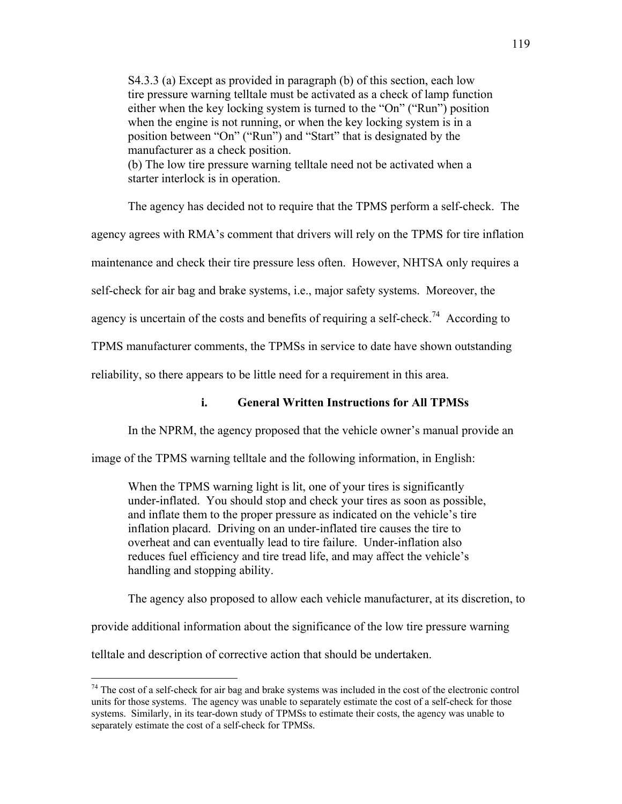S4.3.3 (a) Except as provided in paragraph (b) of this section, each low tire pressure warning telltale must be activated as a check of lamp function either when the key locking system is turned to the "On" ("Run") position when the engine is not running, or when the key locking system is in a position between "On" ("Run") and "Start" that is designated by the manufacturer as a check position.

(b) The low tire pressure warning telltale need not be activated when a starter interlock is in operation.

The agency has decided not to require that the TPMS perform a self-check. The

agency agrees with RMA's comment that drivers will rely on the TPMS for tire inflation

maintenance and check their tire pressure less often. However, NHTSA only requires a

self-check for air bag and brake systems, i.e., major safety systems. Moreover, the

agency is uncertain of the costs and benefits of requiring a self-check.<sup>74</sup> According to

TPMS manufacturer comments, the TPMSs in service to date have shown outstanding

reliability, so there appears to be little need for a requirement in this area.

# **i. General Written Instructions for All TPMSs**

In the NPRM, the agency proposed that the vehicle owner's manual provide an

image of the TPMS warning telltale and the following information, in English:

When the TPMS warning light is lit, one of your tires is significantly under-inflated. You should stop and check your tires as soon as possible, and inflate them to the proper pressure as indicated on the vehicle's tire inflation placard. Driving on an under-inflated tire causes the tire to overheat and can eventually lead to tire failure. Under-inflation also reduces fuel efficiency and tire tread life, and may affect the vehicle's handling and stopping ability.

The agency also proposed to allow each vehicle manufacturer, at its discretion, to

provide additional information about the significance of the low tire pressure warning

telltale and description of corrective action that should be undertaken.

 $\overline{a}$ 

<span id="page-118-0"></span> $74$  The cost of a self-check for air bag and brake systems was included in the cost of the electronic control units for those systems. The agency was unable to separately estimate the cost of a self-check for those systems. Similarly, in its tear-down study of TPMSs to estimate their costs, the agency was unable to separately estimate the cost of a self-check for TPMSs.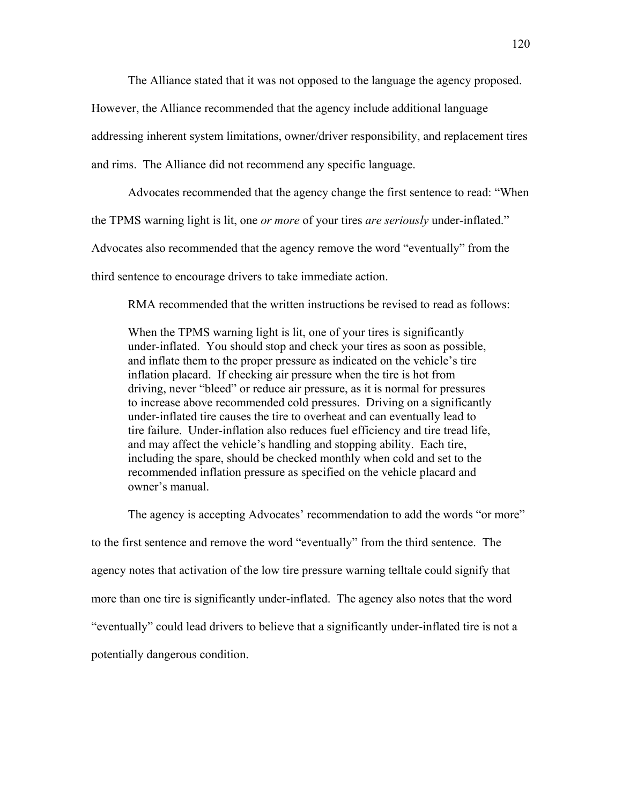The Alliance stated that it was not opposed to the language the agency proposed.

However, the Alliance recommended that the agency include additional language

addressing inherent system limitations, owner/driver responsibility, and replacement tires

and rims. The Alliance did not recommend any specific language.

Advocates recommended that the agency change the first sentence to read: "When

the TPMS warning light is lit, one *or more* of your tires *are seriously* under-inflated.î

Advocates also recommended that the agency remove the word "eventually" from the

third sentence to encourage drivers to take immediate action.

RMA recommended that the written instructions be revised to read as follows:

When the TPMS warning light is lit, one of your tires is significantly under-inflated. You should stop and check your tires as soon as possible, and inflate them to the proper pressure as indicated on the vehicle's tire inflation placard. If checking air pressure when the tire is hot from driving, never "bleed" or reduce air pressure, as it is normal for pressures to increase above recommended cold pressures. Driving on a significantly under-inflated tire causes the tire to overheat and can eventually lead to tire failure. Under-inflation also reduces fuel efficiency and tire tread life, and may affect the vehicle's handling and stopping ability. Each tire, including the spare, should be checked monthly when cold and set to the recommended inflation pressure as specified on the vehicle placard and owner's manual.

The agency is accepting Advocates' recommendation to add the words "or more" to the first sentence and remove the word "eventually" from the third sentence. The agency notes that activation of the low tire pressure warning telltale could signify that more than one tire is significantly under-inflated. The agency also notes that the word ìeventuallyî could lead drivers to believe that a significantly under-inflated tire is not a potentially dangerous condition.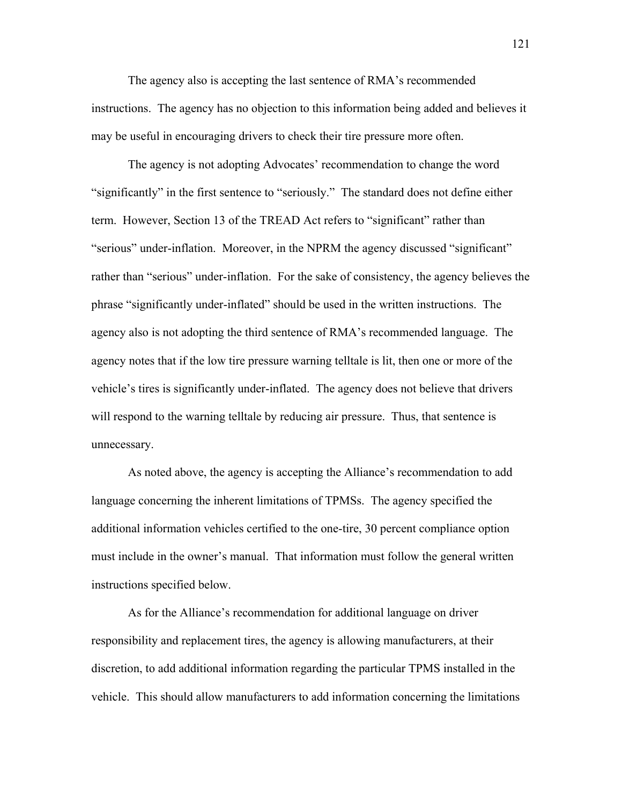The agency also is accepting the last sentence of RMA's recommended instructions. The agency has no objection to this information being added and believes it may be useful in encouraging drivers to check their tire pressure more often.

The agency is not adopting Advocates' recommendation to change the word "significantly" in the first sentence to "seriously." The standard does not define either term. However, Section 13 of the TREAD Act refers to "significant" rather than "serious" under-inflation. Moreover, in the NPRM the agency discussed "significant" rather than "serious" under-inflation. For the sake of consistency, the agency believes the phrase "significantly under-inflated" should be used in the written instructions. The agency also is not adopting the third sentence of RMA's recommended language. The agency notes that if the low tire pressure warning telltale is lit, then one or more of the vehicle's tires is significantly under-inflated. The agency does not believe that drivers will respond to the warning telltale by reducing air pressure. Thus, that sentence is unnecessary.

As noted above, the agency is accepting the Alliance's recommendation to add language concerning the inherent limitations of TPMSs. The agency specified the additional information vehicles certified to the one-tire, 30 percent compliance option must include in the owner's manual. That information must follow the general written instructions specified below.

As for the Alliance's recommendation for additional language on driver responsibility and replacement tires, the agency is allowing manufacturers, at their discretion, to add additional information regarding the particular TPMS installed in the vehicle. This should allow manufacturers to add information concerning the limitations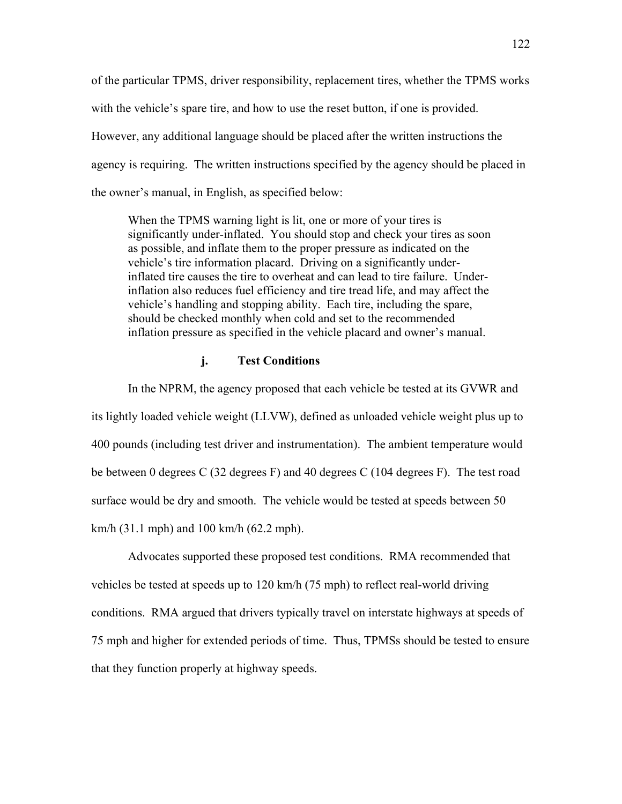of the particular TPMS, driver responsibility, replacement tires, whether the TPMS works with the vehicle's spare tire, and how to use the reset button, if one is provided. However, any additional language should be placed after the written instructions the agency is requiring. The written instructions specified by the agency should be placed in the owner's manual, in English, as specified below:

When the TPMS warning light is lit, one or more of your tires is significantly under-inflated. You should stop and check your tires as soon as possible, and inflate them to the proper pressure as indicated on the vehicle's tire information placard. Driving on a significantly underinflated tire causes the tire to overheat and can lead to tire failure. Underinflation also reduces fuel efficiency and tire tread life, and may affect the vehicle's handling and stopping ability. Each tire, including the spare, should be checked monthly when cold and set to the recommended inflation pressure as specified in the vehicle placard and owner's manual.

# **j. Test Conditions**

In the NPRM, the agency proposed that each vehicle be tested at its GVWR and its lightly loaded vehicle weight (LLVW), defined as unloaded vehicle weight plus up to 400 pounds (including test driver and instrumentation). The ambient temperature would be between 0 degrees C (32 degrees F) and 40 degrees C (104 degrees F). The test road surface would be dry and smooth. The vehicle would be tested at speeds between 50 km/h (31.1 mph) and 100 km/h (62.2 mph).

Advocates supported these proposed test conditions. RMA recommended that vehicles be tested at speeds up to 120 km/h (75 mph) to reflect real-world driving conditions. RMA argued that drivers typically travel on interstate highways at speeds of 75 mph and higher for extended periods of time. Thus, TPMSs should be tested to ensure that they function properly at highway speeds.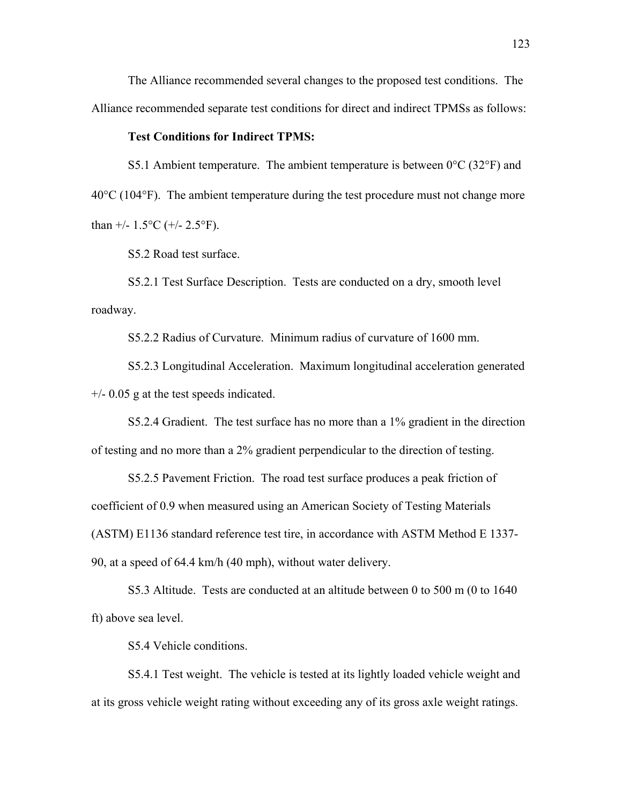The Alliance recommended several changes to the proposed test conditions. The Alliance recommended separate test conditions for direct and indirect TPMSs as follows:

#### **Test Conditions for Indirect TPMS:**

S5.1 Ambient temperature. The ambient temperature is between  $0^{\circ}$ C (32 $^{\circ}$ F) and 40°C (104°F). The ambient temperature during the test procedure must not change more than  $+/- 1.5$ °C ( $+/- 2.5$ °F).

S5.2 Road test surface.

S5.2.1 Test Surface Description. Tests are conducted on a dry, smooth level roadway.

S5.2.2 Radius of Curvature. Minimum radius of curvature of 1600 mm.

S5.2.3 Longitudinal Acceleration. Maximum longitudinal acceleration generated  $+/-$  0.05 g at the test speeds indicated.

S5.2.4 Gradient. The test surface has no more than a 1% gradient in the direction of testing and no more than a 2% gradient perpendicular to the direction of testing.

S5.2.5 Pavement Friction. The road test surface produces a peak friction of coefficient of 0.9 when measured using an American Society of Testing Materials (ASTM) E1136 standard reference test tire, in accordance with ASTM Method E 1337- 90, at a speed of 64.4 km/h (40 mph), without water delivery.

S5.3 Altitude. Tests are conducted at an altitude between 0 to 500 m (0 to 1640 ft) above sea level.

S5.4 Vehicle conditions.

S5.4.1 Test weight. The vehicle is tested at its lightly loaded vehicle weight and at its gross vehicle weight rating without exceeding any of its gross axle weight ratings.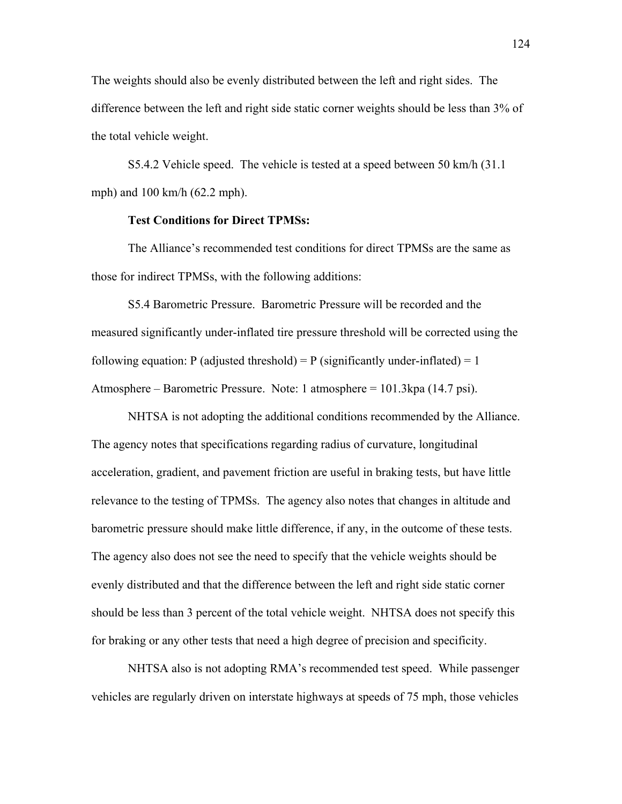The weights should also be evenly distributed between the left and right sides. The difference between the left and right side static corner weights should be less than 3% of the total vehicle weight.

S5.4.2 Vehicle speed. The vehicle is tested at a speed between 50 km/h (31.1 mph) and 100 km/h (62.2 mph).

#### **Test Conditions for Direct TPMSs:**

The Alliance's recommended test conditions for direct TPMSs are the same as those for indirect TPMSs, with the following additions:

S5.4 Barometric Pressure. Barometric Pressure will be recorded and the measured significantly under-inflated tire pressure threshold will be corrected using the following equation: P (adjusted threshold) = P (significantly under-inflated) = 1 Atmosphere – Barometric Pressure. Note: 1 atmosphere =  $101.3$ kpa (14.7 psi).

NHTSA is not adopting the additional conditions recommended by the Alliance. The agency notes that specifications regarding radius of curvature, longitudinal acceleration, gradient, and pavement friction are useful in braking tests, but have little relevance to the testing of TPMSs. The agency also notes that changes in altitude and barometric pressure should make little difference, if any, in the outcome of these tests. The agency also does not see the need to specify that the vehicle weights should be evenly distributed and that the difference between the left and right side static corner should be less than 3 percent of the total vehicle weight. NHTSA does not specify this for braking or any other tests that need a high degree of precision and specificity.

NHTSA also is not adopting RMA's recommended test speed. While passenger vehicles are regularly driven on interstate highways at speeds of 75 mph, those vehicles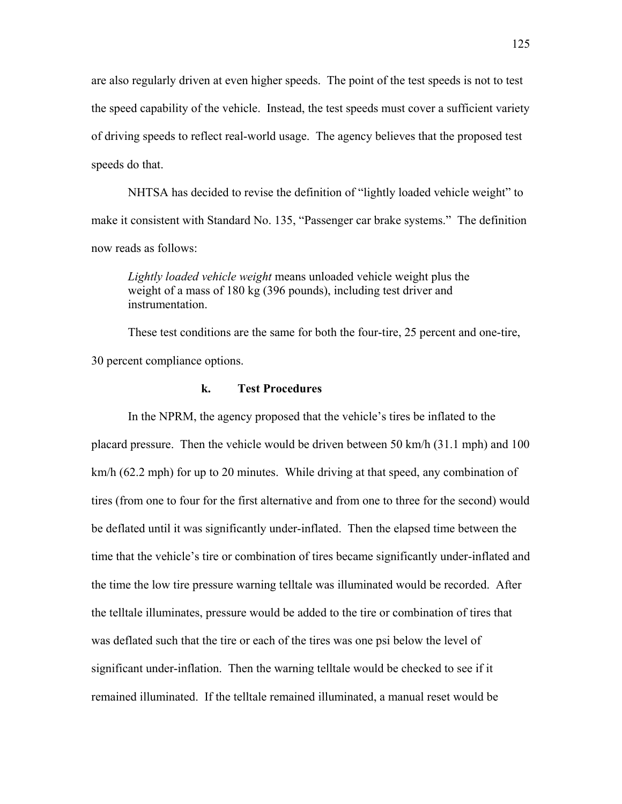are also regularly driven at even higher speeds. The point of the test speeds is not to test the speed capability of the vehicle. Instead, the test speeds must cover a sufficient variety of driving speeds to reflect real-world usage. The agency believes that the proposed test speeds do that.

NHTSA has decided to revise the definition of "lightly loaded vehicle weight" to make it consistent with Standard No. 135, "Passenger car brake systems." The definition now reads as follows:

*Lightly loaded vehicle weight* means unloaded vehicle weight plus the weight of a mass of 180 kg (396 pounds), including test driver and instrumentation.

These test conditions are the same for both the four-tire, 25 percent and one-tire, 30 percent compliance options.

## **k. Test Procedures**

In the NPRM, the agency proposed that the vehicle's tires be inflated to the placard pressure. Then the vehicle would be driven between 50 km/h (31.1 mph) and 100 km/h (62.2 mph) for up to 20 minutes. While driving at that speed, any combination of tires (from one to four for the first alternative and from one to three for the second) would be deflated until it was significantly under-inflated. Then the elapsed time between the time that the vehicle's tire or combination of tires became significantly under-inflated and the time the low tire pressure warning telltale was illuminated would be recorded. After the telltale illuminates, pressure would be added to the tire or combination of tires that was deflated such that the tire or each of the tires was one psi below the level of significant under-inflation. Then the warning telltale would be checked to see if it remained illuminated. If the telltale remained illuminated, a manual reset would be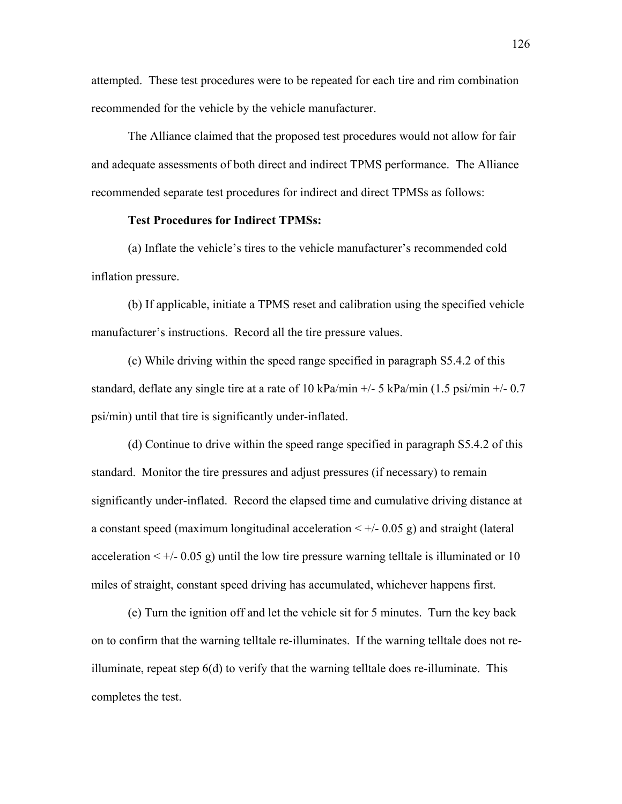attempted. These test procedures were to be repeated for each tire and rim combination recommended for the vehicle by the vehicle manufacturer.

 The Alliance claimed that the proposed test procedures would not allow for fair and adequate assessments of both direct and indirect TPMS performance. The Alliance recommended separate test procedures for indirect and direct TPMSs as follows:

## **Test Procedures for Indirect TPMSs:**

(a) Inflate the vehicle's tires to the vehicle manufacturer's recommended cold inflation pressure.

 (b) If applicable, initiate a TPMS reset and calibration using the specified vehicle manufacturer's instructions. Record all the tire pressure values.

 (c) While driving within the speed range specified in paragraph S5.4.2 of this standard, deflate any single tire at a rate of 10 kPa/min  $+/-$  5 kPa/min (1.5 psi/min  $+/-$  0.7 psi/min) until that tire is significantly under-inflated.

 (d) Continue to drive within the speed range specified in paragraph S5.4.2 of this standard. Monitor the tire pressures and adjust pressures (if necessary) to remain significantly under-inflated. Record the elapsed time and cumulative driving distance at a constant speed (maximum longitudinal acceleration  $\lt +/2$  0.05 g) and straight (lateral acceleration  $\lt +/-0.05$  g) until the low tire pressure warning telltale is illuminated or 10 miles of straight, constant speed driving has accumulated, whichever happens first.

 (e) Turn the ignition off and let the vehicle sit for 5 minutes. Turn the key back on to confirm that the warning telltale re-illuminates. If the warning telltale does not reilluminate, repeat step 6(d) to verify that the warning telltale does re-illuminate. This completes the test.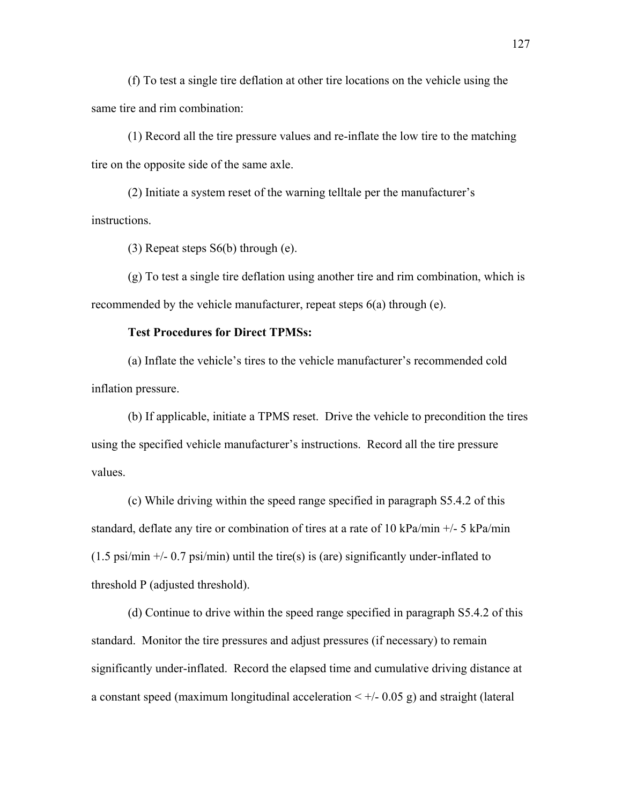(f) To test a single tire deflation at other tire locations on the vehicle using the same tire and rim combination:

 (1) Record all the tire pressure values and re-inflate the low tire to the matching tire on the opposite side of the same axle.

 $(2)$  Initiate a system reset of the warning telltale per the manufacturer's instructions.

(3) Repeat steps S6(b) through (e).

 (g) To test a single tire deflation using another tire and rim combination, which is recommended by the vehicle manufacturer, repeat steps 6(a) through (e).

# **Test Procedures for Direct TPMSs:**

(a) Inflate the vehicle's tires to the vehicle manufacturer's recommended cold inflation pressure.

 (b) If applicable, initiate a TPMS reset. Drive the vehicle to precondition the tires using the specified vehicle manufacturer's instructions. Record all the tire pressure values.

 (c) While driving within the speed range specified in paragraph S5.4.2 of this standard, deflate any tire or combination of tires at a rate of 10 kPa/min +/- 5 kPa/min  $(1.5 \text{ psi/min} +/- 0.7 \text{ psi/min})$  until the tire(s) is (are) significantly under-inflated to threshold P (adjusted threshold).

 (d) Continue to drive within the speed range specified in paragraph S5.4.2 of this standard. Monitor the tire pressures and adjust pressures (if necessary) to remain significantly under-inflated. Record the elapsed time and cumulative driving distance at a constant speed (maximum longitudinal acceleration  $\lt +/2$  0.05 g) and straight (lateral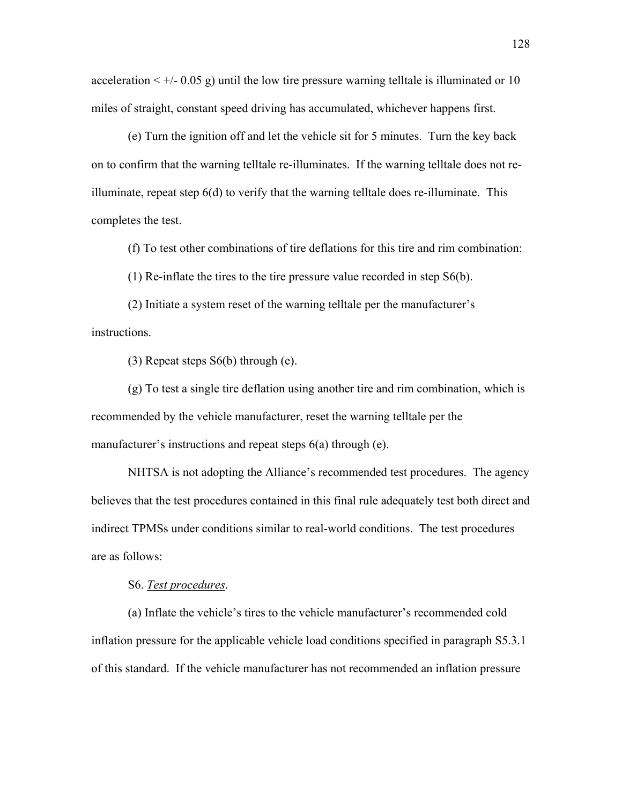acceleration  $\leq +/0.05$  g) until the low tire pressure warning telltale is illuminated or 10 miles of straight, constant speed driving has accumulated, whichever happens first.

 (e) Turn the ignition off and let the vehicle sit for 5 minutes. Turn the key back on to confirm that the warning telltale re-illuminates. If the warning telltale does not reilluminate, repeat step 6(d) to verify that the warning telltale does re-illuminate. This completes the test.

(f) To test other combinations of tire deflations for this tire and rim combination:

(1) Re-inflate the tires to the tire pressure value recorded in step S6(b).

 $(2)$  Initiate a system reset of the warning telltale per the manufacturer's instructions.

(3) Repeat steps S6(b) through (e).

 (g) To test a single tire deflation using another tire and rim combination, which is recommended by the vehicle manufacturer, reset the warning telltale per the manufacturer's instructions and repeat steps  $6(a)$  through (e).

NHTSA is not adopting the Alliance's recommended test procedures. The agency believes that the test procedures contained in this final rule adequately test both direct and indirect TPMSs under conditions similar to real-world conditions. The test procedures are as follows:

S6. *Test procedures*.

(a) Inflate the vehicle's tires to the vehicle manufacturer's recommended cold inflation pressure for the applicable vehicle load conditions specified in paragraph S5.3.1 of this standard. If the vehicle manufacturer has not recommended an inflation pressure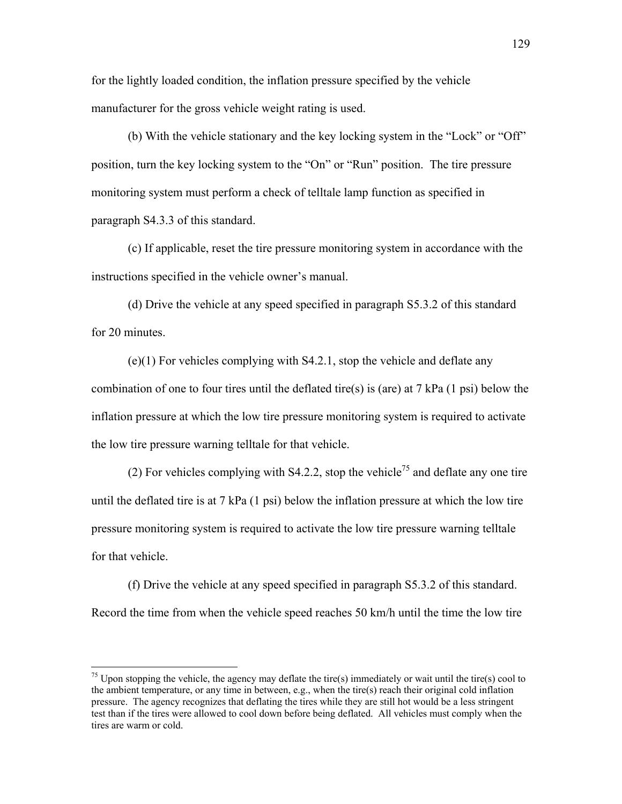for the lightly loaded condition, the inflation pressure specified by the vehicle manufacturer for the gross vehicle weight rating is used.

(b) With the vehicle stationary and the key locking system in the "Lock" or "Off" position, turn the key locking system to the "On" or "Run" position. The tire pressure monitoring system must perform a check of telltale lamp function as specified in paragraph S4.3.3 of this standard.

(c) If applicable, reset the tire pressure monitoring system in accordance with the instructions specified in the vehicle owner's manual.

(d) Drive the vehicle at any speed specified in paragraph S5.3.2 of this standard for 20 minutes

(e)(1) For vehicles complying with S4.2.1, stop the vehicle and deflate any combination of one to four tires until the deflated tire(s) is (are) at 7 kPa (1 psi) below the inflation pressure at which the low tire pressure monitoring system is required to activate the low tire pressure warning telltale for that vehicle.

(2) For vehicles complying with S4.2.2, stop the vehicle<sup>75</sup> and deflate any one tire until the deflated tire is at 7 kPa  $(1 \text{ psi})$  below the inflation pressure at which the low tire pressure monitoring system is required to activate the low tire pressure warning telltale for that vehicle.

(f) Drive the vehicle at any speed specified in paragraph S5.3.2 of this standard. Record the time from when the vehicle speed reaches 50 km/h until the time the low tire

 $\overline{a}$ 

<span id="page-128-0"></span><sup>&</sup>lt;sup>75</sup> Upon stopping the vehicle, the agency may deflate the tire(s) immediately or wait until the tire(s) cool to the ambient temperature, or any time in between, e.g., when the tire(s) reach their original cold inflation pressure. The agency recognizes that deflating the tires while they are still hot would be a less stringent test than if the tires were allowed to cool down before being deflated. All vehicles must comply when the tires are warm or cold.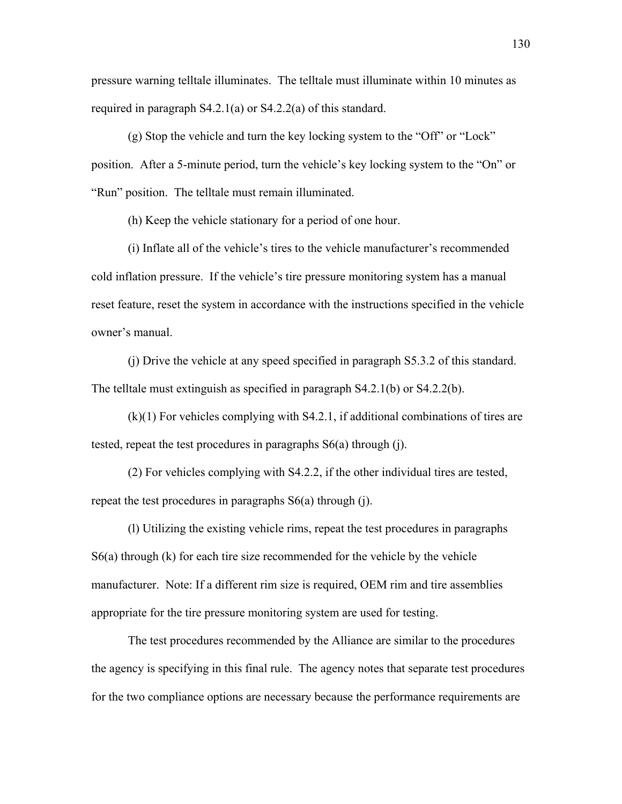pressure warning telltale illuminates. The telltale must illuminate within 10 minutes as required in paragraph S4.2.1(a) or S4.2.2(a) of this standard.

 $(g)$  Stop the vehicle and turn the key locking system to the "Off" or "Lock" position. After a 5-minute period, turn the vehicle's key locking system to the "On" or "Run" position. The telltale must remain illuminated.

(h) Keep the vehicle stationary for a period of one hour.

 $(i)$  Inflate all of the vehicle's tires to the vehicle manufacturer's recommended cold inflation pressure. If the vehicle's tire pressure monitoring system has a manual reset feature, reset the system in accordance with the instructions specified in the vehicle owner's manual.

 (j) Drive the vehicle at any speed specified in paragraph S5.3.2 of this standard. The telltale must extinguish as specified in paragraph S4.2.1(b) or S4.2.2(b).

 (k)(1) For vehicles complying with S4.2.1, if additional combinations of tires are tested, repeat the test procedures in paragraphs S6(a) through (j).

 (2) For vehicles complying with S4.2.2, if the other individual tires are tested, repeat the test procedures in paragraphs S6(a) through (j).

 (l) Utilizing the existing vehicle rims, repeat the test procedures in paragraphs S6(a) through (k) for each tire size recommended for the vehicle by the vehicle manufacturer. Note: If a different rim size is required, OEM rim and tire assemblies appropriate for the tire pressure monitoring system are used for testing.

 The test procedures recommended by the Alliance are similar to the procedures the agency is specifying in this final rule. The agency notes that separate test procedures for the two compliance options are necessary because the performance requirements are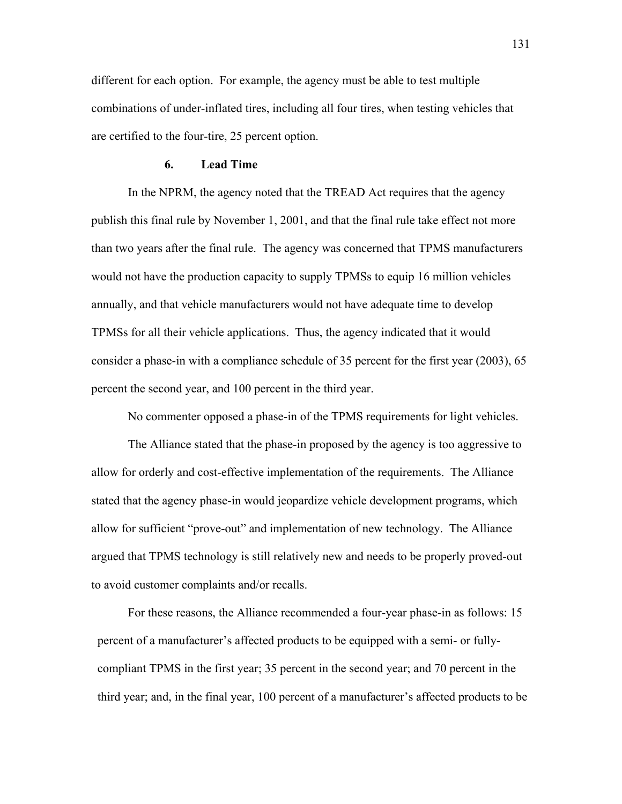different for each option. For example, the agency must be able to test multiple combinations of under-inflated tires, including all four tires, when testing vehicles that are certified to the four-tire, 25 percent option.

#### **6. Lead Time**

In the NPRM, the agency noted that the TREAD Act requires that the agency publish this final rule by November 1, 2001, and that the final rule take effect not more than two years after the final rule. The agency was concerned that TPMS manufacturers would not have the production capacity to supply TPMSs to equip 16 million vehicles annually, and that vehicle manufacturers would not have adequate time to develop TPMSs for all their vehicle applications. Thus, the agency indicated that it would consider a phase-in with a compliance schedule of 35 percent for the first year (2003), 65 percent the second year, and 100 percent in the third year.

No commenter opposed a phase-in of the TPMS requirements for light vehicles.

The Alliance stated that the phase-in proposed by the agency is too aggressive to allow for orderly and cost-effective implementation of the requirements. The Alliance stated that the agency phase-in would jeopardize vehicle development programs, which allow for sufficient "prove-out" and implementation of new technology. The Alliance argued that TPMS technology is still relatively new and needs to be properly proved-out to avoid customer complaints and/or recalls.

For these reasons, the Alliance recommended a four-year phase-in as follows: 15 percent of a manufacturer's affected products to be equipped with a semi- or fullycompliant TPMS in the first year; 35 percent in the second year; and 70 percent in the third year; and, in the final year, 100 percent of a manufacturer's affected products to be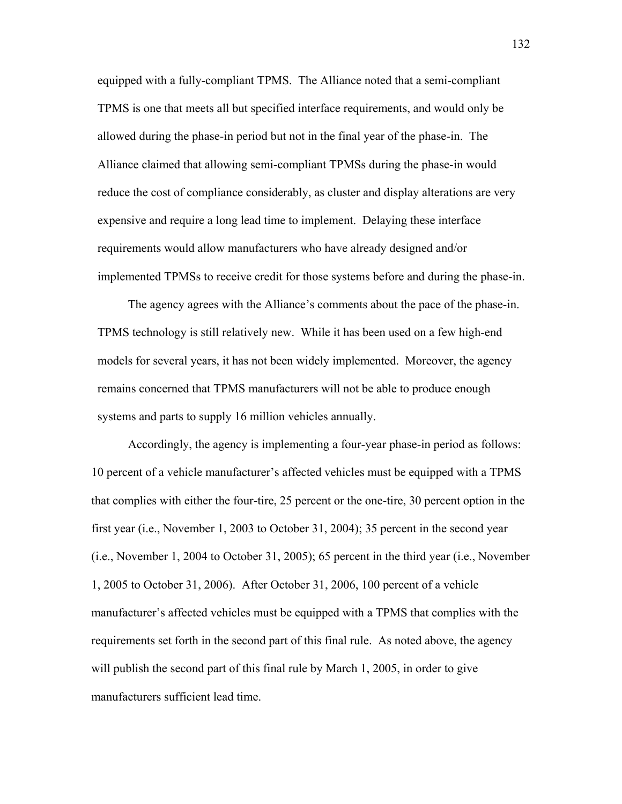equipped with a fully-compliant TPMS. The Alliance noted that a semi-compliant TPMS is one that meets all but specified interface requirements, and would only be allowed during the phase-in period but not in the final year of the phase-in. The Alliance claimed that allowing semi-compliant TPMSs during the phase-in would reduce the cost of compliance considerably, as cluster and display alterations are very expensive and require a long lead time to implement. Delaying these interface requirements would allow manufacturers who have already designed and/or implemented TPMSs to receive credit for those systems before and during the phase-in.

The agency agrees with the Alliance's comments about the pace of the phase-in. TPMS technology is still relatively new. While it has been used on a few high-end models for several years, it has not been widely implemented. Moreover, the agency remains concerned that TPMS manufacturers will not be able to produce enough systems and parts to supply 16 million vehicles annually.

Accordingly, the agency is implementing a four-year phase-in period as follows: 10 percent of a vehicle manufacturer's affected vehicles must be equipped with a TPMS that complies with either the four-tire, 25 percent or the one-tire, 30 percent option in the first year (i.e., November 1, 2003 to October 31, 2004); 35 percent in the second year (i.e., November 1, 2004 to October 31, 2005); 65 percent in the third year (i.e., November 1, 2005 to October 31, 2006). After October 31, 2006, 100 percent of a vehicle manufacturer's affected vehicles must be equipped with a TPMS that complies with the requirements set forth in the second part of this final rule. As noted above, the agency will publish the second part of this final rule by March 1, 2005, in order to give manufacturers sufficient lead time.

132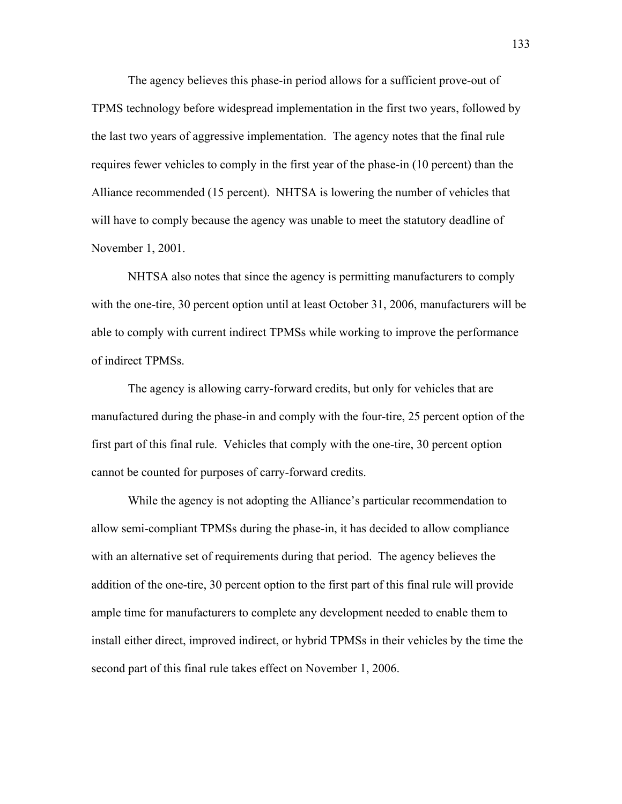The agency believes this phase-in period allows for a sufficient prove-out of TPMS technology before widespread implementation in the first two years, followed by the last two years of aggressive implementation. The agency notes that the final rule requires fewer vehicles to comply in the first year of the phase-in (10 percent) than the Alliance recommended (15 percent). NHTSA is lowering the number of vehicles that will have to comply because the agency was unable to meet the statutory deadline of November 1, 2001.

NHTSA also notes that since the agency is permitting manufacturers to comply with the one-tire, 30 percent option until at least October 31, 2006, manufacturers will be able to comply with current indirect TPMSs while working to improve the performance of indirect TPMSs.

The agency is allowing carry-forward credits, but only for vehicles that are manufactured during the phase-in and comply with the four-tire, 25 percent option of the first part of this final rule. Vehicles that comply with the one-tire, 30 percent option cannot be counted for purposes of carry-forward credits.

While the agency is not adopting the Alliance's particular recommendation to allow semi-compliant TPMSs during the phase-in, it has decided to allow compliance with an alternative set of requirements during that period. The agency believes the addition of the one-tire, 30 percent option to the first part of this final rule will provide ample time for manufacturers to complete any development needed to enable them to install either direct, improved indirect, or hybrid TPMSs in their vehicles by the time the second part of this final rule takes effect on November 1, 2006.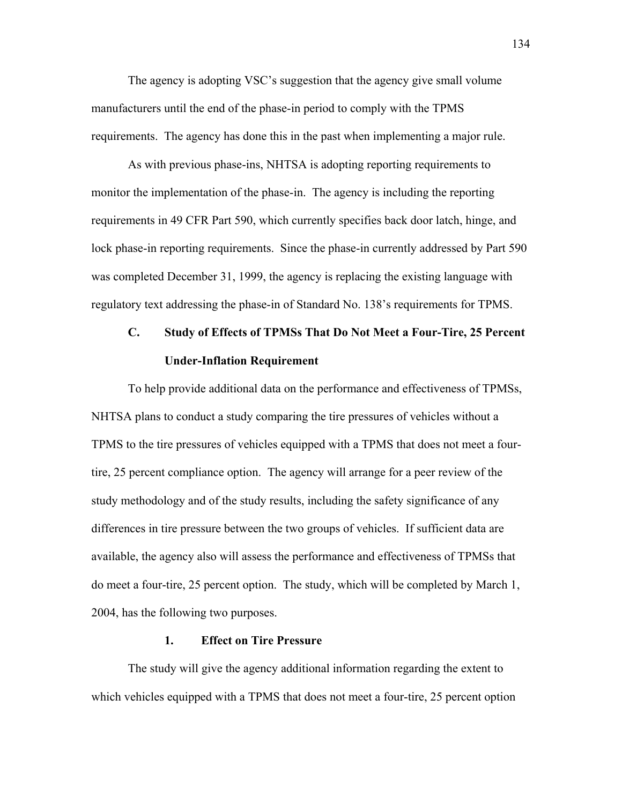The agency is adopting VSC's suggestion that the agency give small volume manufacturers until the end of the phase-in period to comply with the TPMS requirements. The agency has done this in the past when implementing a major rule.

As with previous phase-ins, NHTSA is adopting reporting requirements to monitor the implementation of the phase-in. The agency is including the reporting requirements in 49 CFR Part 590, which currently specifies back door latch, hinge, and lock phase-in reporting requirements. Since the phase-in currently addressed by Part 590 was completed December 31, 1999, the agency is replacing the existing language with regulatory text addressing the phase-in of Standard No. 138's requirements for TPMS.

# **C. Study of Effects of TPMSs That Do Not Meet a Four-Tire, 25 Percent Under-Inflation Requirement**

To help provide additional data on the performance and effectiveness of TPMSs, NHTSA plans to conduct a study comparing the tire pressures of vehicles without a TPMS to the tire pressures of vehicles equipped with a TPMS that does not meet a fourtire, 25 percent compliance option. The agency will arrange for a peer review of the study methodology and of the study results, including the safety significance of any differences in tire pressure between the two groups of vehicles. If sufficient data are available, the agency also will assess the performance and effectiveness of TPMSs that do meet a four-tire, 25 percent option. The study, which will be completed by March 1, 2004, has the following two purposes.

# **1. Effect on Tire Pressure**

The study will give the agency additional information regarding the extent to which vehicles equipped with a TPMS that does not meet a four-tire, 25 percent option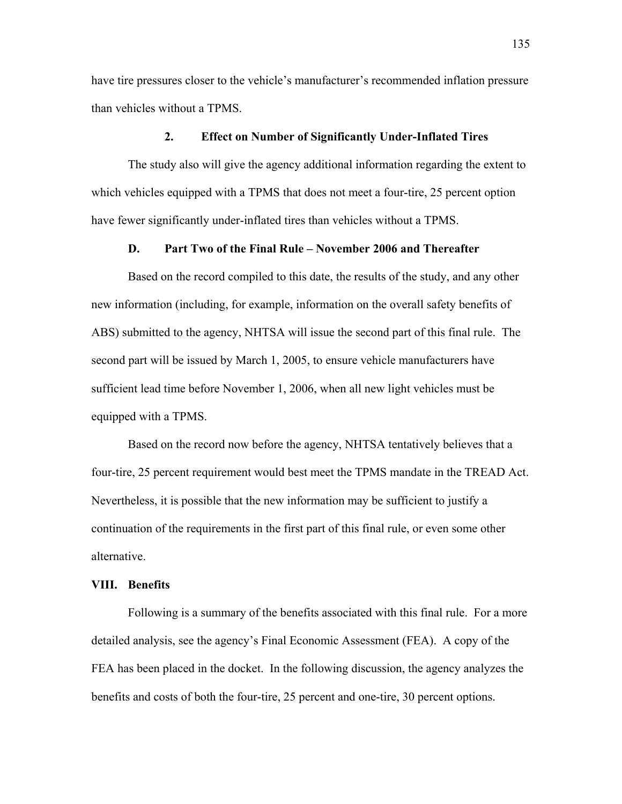have tire pressures closer to the vehicle's manufacturer's recommended inflation pressure than vehicles without a TPMS.

## **2. Effect on Number of Significantly Under-Inflated Tires**

The study also will give the agency additional information regarding the extent to which vehicles equipped with a TPMS that does not meet a four-tire, 25 percent option have fewer significantly under-inflated tires than vehicles without a TPMS.

## **D.** Part Two of the Final Rule – November 2006 and Thereafter

Based on the record compiled to this date, the results of the study, and any other new information (including, for example, information on the overall safety benefits of ABS) submitted to the agency, NHTSA will issue the second part of this final rule. The second part will be issued by March 1, 2005, to ensure vehicle manufacturers have sufficient lead time before November 1, 2006, when all new light vehicles must be equipped with a TPMS.

 Based on the record now before the agency, NHTSA tentatively believes that a four-tire, 25 percent requirement would best meet the TPMS mandate in the TREAD Act. Nevertheless, it is possible that the new information may be sufficient to justify a continuation of the requirements in the first part of this final rule, or even some other alternative.

#### **VIII. Benefits**

Following is a summary of the benefits associated with this final rule. For a more detailed analysis, see the agency's Final Economic Assessment (FEA). A copy of the FEA has been placed in the docket. In the following discussion, the agency analyzes the benefits and costs of both the four-tire, 25 percent and one-tire, 30 percent options.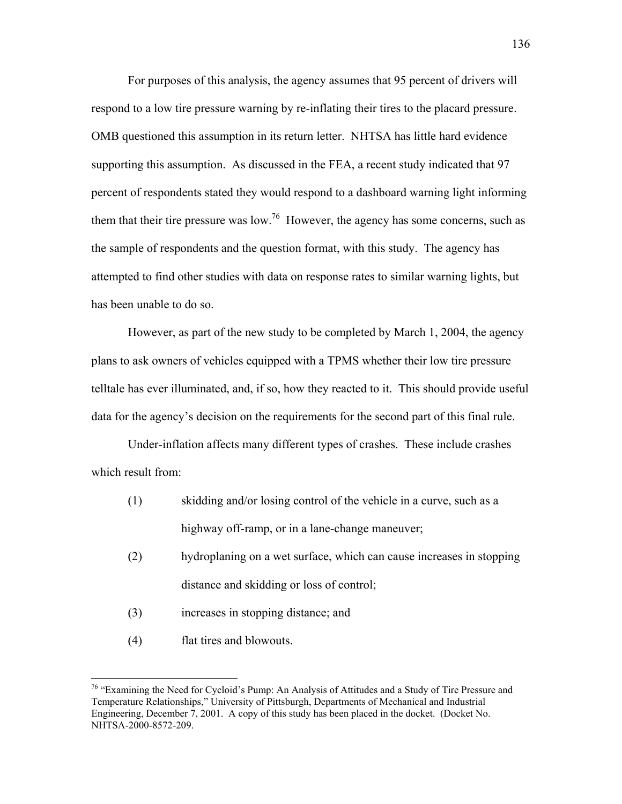For purposes of this analysis, the agency assumes that 95 percent of drivers will respond to a low tire pressure warning by re-inflating their tires to the placard pressure. OMB questioned this assumption in its return letter. NHTSA has little hard evidence supporting this assumption. As discussed in the FEA, a recent study indicated that 97 percent of respondents stated they would respond to a dashboard warning light informing them that their tire pressure was low.<sup>76</sup> However, the agency has some concerns, such as the sample of respondents and the question format, with this study. The agency has attempted to find other studies with data on response rates to similar warning lights, but has been unable to do so.

However, as part of the new study to be completed by March 1, 2004, the agency plans to ask owners of vehicles equipped with a TPMS whether their low tire pressure telltale has ever illuminated, and, if so, how they reacted to it. This should provide useful data for the agency's decision on the requirements for the second part of this final rule.

Under-inflation affects many different types of crashes. These include crashes which result from:

- (1) skidding and/or losing control of the vehicle in a curve, such as a highway off-ramp, or in a lane-change maneuver;
- (2) hydroplaning on a wet surface, which can cause increases in stopping distance and skidding or loss of control;
- (3) increases in stopping distance; and
- (4) flat tires and blowouts.

 $\overline{a}$ 

<span id="page-135-0"></span> $76$  "Examining the Need for Cycloid's Pump: An Analysis of Attitudes and a Study of Tire Pressure and Temperature Relationships," University of Pittsburgh, Departments of Mechanical and Industrial Engineering, December 7, 2001. A copy of this study has been placed in the docket. (Docket No. NHTSA-2000-8572-209.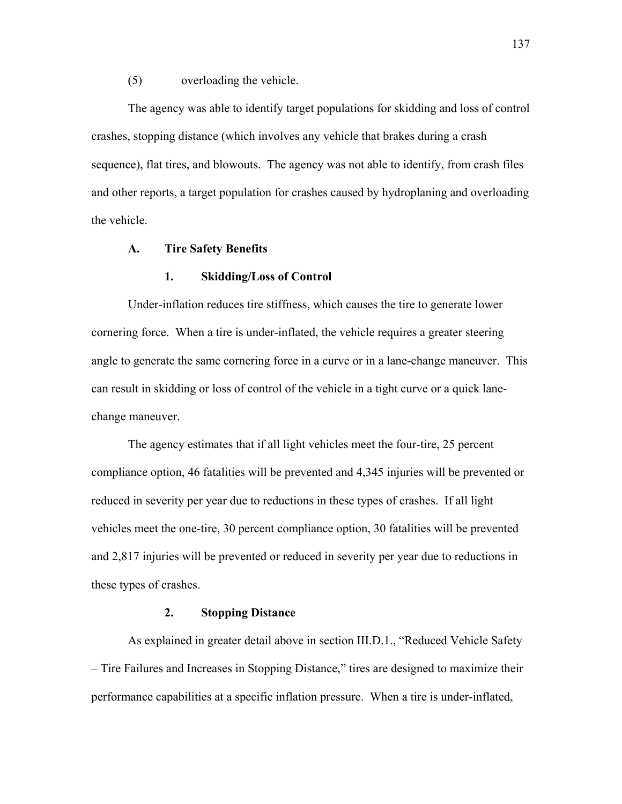#### (5) overloading the vehicle.

The agency was able to identify target populations for skidding and loss of control crashes, stopping distance (which involves any vehicle that brakes during a crash sequence), flat tires, and blowouts. The agency was not able to identify, from crash files and other reports, a target population for crashes caused by hydroplaning and overloading the vehicle.

### **A. Tire Safety Benefits**

## **1. Skidding/Loss of Control**

Under-inflation reduces tire stiffness, which causes the tire to generate lower cornering force. When a tire is under-inflated, the vehicle requires a greater steering angle to generate the same cornering force in a curve or in a lane-change maneuver. This can result in skidding or loss of control of the vehicle in a tight curve or a quick lanechange maneuver.

The agency estimates that if all light vehicles meet the four-tire, 25 percent compliance option, 46 fatalities will be prevented and 4,345 injuries will be prevented or reduced in severity per year due to reductions in these types of crashes. If all light vehicles meet the one-tire, 30 percent compliance option, 30 fatalities will be prevented and 2,817 injuries will be prevented or reduced in severity per year due to reductions in these types of crashes.

### **2. Stopping Distance**

As explained in greater detail above in section III.D.1., "Reduced Vehicle Safety – Tire Failures and Increases in Stopping Distance," tires are designed to maximize their performance capabilities at a specific inflation pressure. When a tire is under-inflated,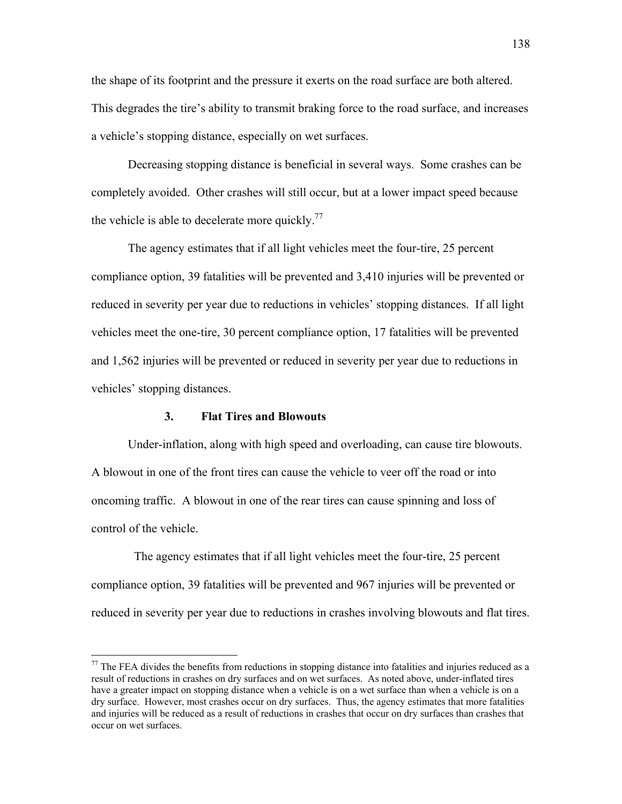the shape of its footprint and the pressure it exerts on the road surface are both altered. This degrades the tire's ability to transmit braking force to the road surface, and increases a vehicle's stopping distance, especially on wet surfaces.

Decreasing stopping distance is beneficial in several ways. Some crashes can be completely avoided. Other crashes will still occur, but at a lower impact speed because the vehicle is able to decelerate more quickly.<sup>[77](#page-137-0)</sup>

The agency estimates that if all light vehicles meet the four-tire, 25 percent compliance option, 39 fatalities will be prevented and 3,410 injuries will be prevented or reduced in severity per year due to reductions in vehicles' stopping distances. If all light vehicles meet the one-tire, 30 percent compliance option, 17 fatalities will be prevented and 1,562 injuries will be prevented or reduced in severity per year due to reductions in vehicles' stopping distances.

## **3. Flat Tires and Blowouts**

1

Under-inflation, along with high speed and overloading, can cause tire blowouts. A blowout in one of the front tires can cause the vehicle to veer off the road or into oncoming traffic. A blowout in one of the rear tires can cause spinning and loss of control of the vehicle.

 The agency estimates that if all light vehicles meet the four-tire, 25 percent compliance option, 39 fatalities will be prevented and 967 injuries will be prevented or reduced in severity per year due to reductions in crashes involving blowouts and flat tires.

<span id="page-137-0"></span> $77$  The FEA divides the benefits from reductions in stopping distance into fatalities and injuries reduced as a result of reductions in crashes on dry surfaces and on wet surfaces. As noted above, under-inflated tires have a greater impact on stopping distance when a vehicle is on a wet surface than when a vehicle is on a dry surface. However, most crashes occur on dry surfaces. Thus, the agency estimates that more fatalities and injuries will be reduced as a result of reductions in crashes that occur on dry surfaces than crashes that occur on wet surfaces.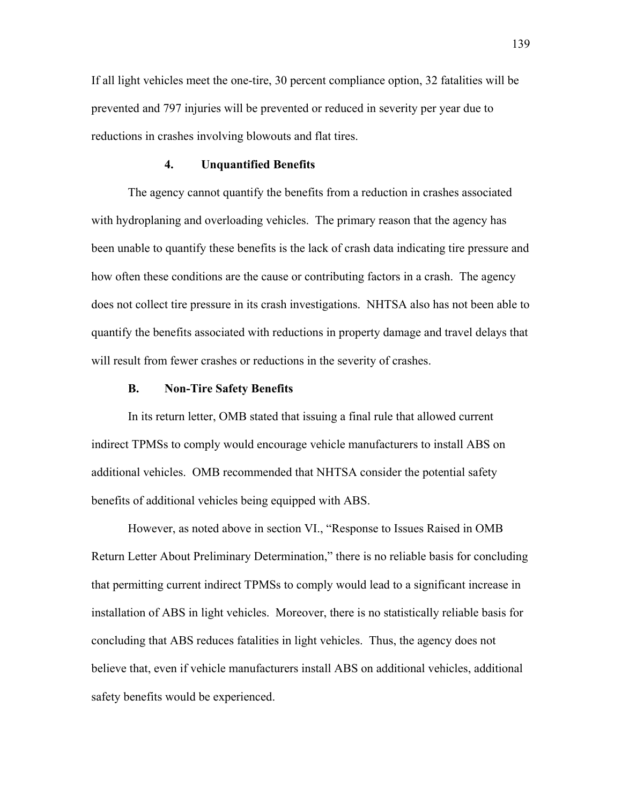If all light vehicles meet the one-tire, 30 percent compliance option, 32 fatalities will be prevented and 797 injuries will be prevented or reduced in severity per year due to reductions in crashes involving blowouts and flat tires.

#### **4. Unquantified Benefits**

The agency cannot quantify the benefits from a reduction in crashes associated with hydroplaning and overloading vehicles. The primary reason that the agency has been unable to quantify these benefits is the lack of crash data indicating tire pressure and how often these conditions are the cause or contributing factors in a crash. The agency does not collect tire pressure in its crash investigations. NHTSA also has not been able to quantify the benefits associated with reductions in property damage and travel delays that will result from fewer crashes or reductions in the severity of crashes.

## **B. Non-Tire Safety Benefits**

In its return letter, OMB stated that issuing a final rule that allowed current indirect TPMSs to comply would encourage vehicle manufacturers to install ABS on additional vehicles. OMB recommended that NHTSA consider the potential safety benefits of additional vehicles being equipped with ABS.

However, as noted above in section VI., "Response to Issues Raised in OMB Return Letter About Preliminary Determination," there is no reliable basis for concluding that permitting current indirect TPMSs to comply would lead to a significant increase in installation of ABS in light vehicles. Moreover, there is no statistically reliable basis for concluding that ABS reduces fatalities in light vehicles. Thus, the agency does not believe that, even if vehicle manufacturers install ABS on additional vehicles, additional safety benefits would be experienced.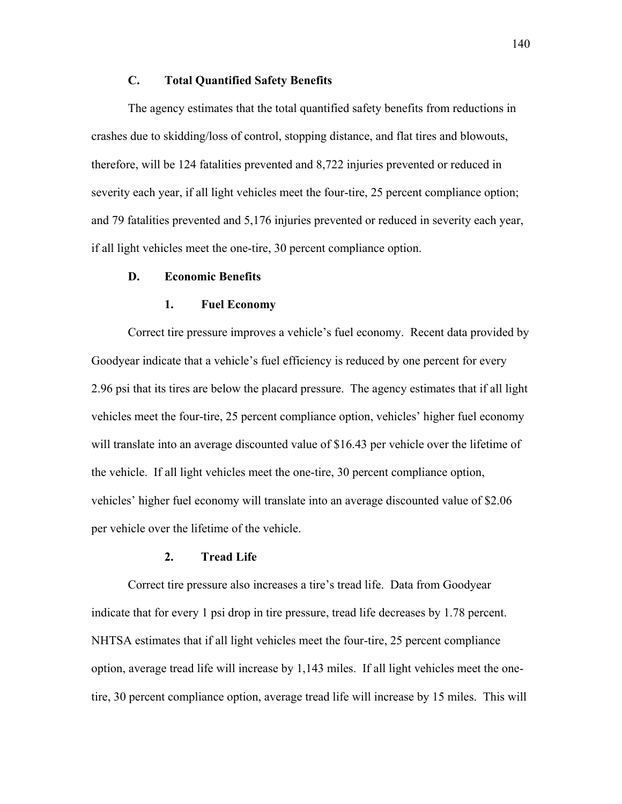## **C. Total Quantified Safety Benefits**

The agency estimates that the total quantified safety benefits from reductions in crashes due to skidding/loss of control, stopping distance, and flat tires and blowouts, therefore, will be 124 fatalities prevented and 8,722 injuries prevented or reduced in severity each year, if all light vehicles meet the four-tire, 25 percent compliance option; and 79 fatalities prevented and 5,176 injuries prevented or reduced in severity each year, if all light vehicles meet the one-tire, 30 percent compliance option.

## **D. Economic Benefits**

#### **1. Fuel Economy**

Correct tire pressure improves a vehicle's fuel economy. Recent data provided by Goodyear indicate that a vehicle's fuel efficiency is reduced by one percent for every 2.96 psi that its tires are below the placard pressure. The agency estimates that if all light vehicles meet the four-tire, 25 percent compliance option, vehicles' higher fuel economy will translate into an average discounted value of \$16.43 per vehicle over the lifetime of the vehicle. If all light vehicles meet the one-tire, 30 percent compliance option, vehiclesí higher fuel economy will translate into an average discounted value of \$2.06 per vehicle over the lifetime of the vehicle.

#### **2. Tread Life**

Correct tire pressure also increases a tire's tread life. Data from Goodyear indicate that for every 1 psi drop in tire pressure, tread life decreases by 1.78 percent. NHTSA estimates that if all light vehicles meet the four-tire, 25 percent compliance option, average tread life will increase by 1,143 miles. If all light vehicles meet the onetire, 30 percent compliance option, average tread life will increase by 15 miles. This will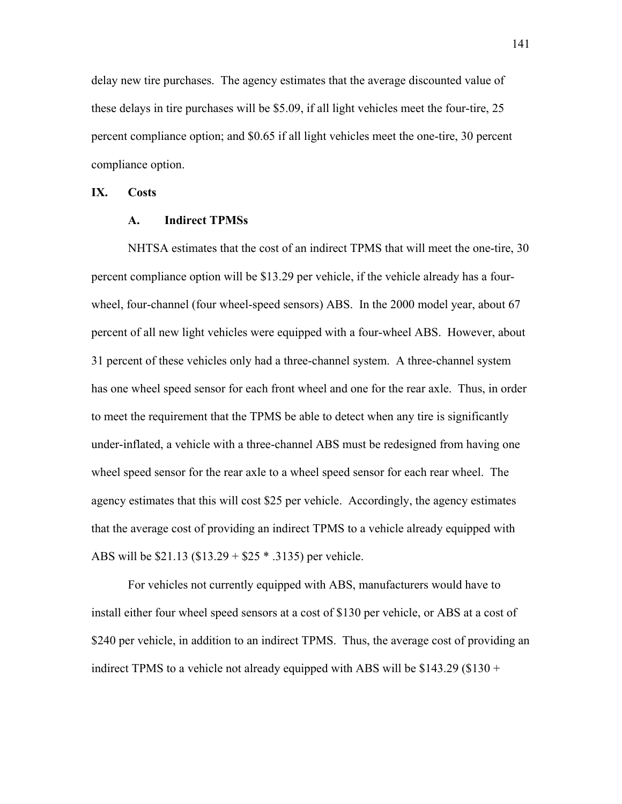delay new tire purchases. The agency estimates that the average discounted value of these delays in tire purchases will be \$5.09, if all light vehicles meet the four-tire, 25 percent compliance option; and \$0.65 if all light vehicles meet the one-tire, 30 percent compliance option.

# **IX. Costs**

## **A. Indirect TPMSs**

NHTSA estimates that the cost of an indirect TPMS that will meet the one-tire, 30 percent compliance option will be \$13.29 per vehicle, if the vehicle already has a fourwheel, four-channel (four wheel-speed sensors) ABS. In the 2000 model year, about 67 percent of all new light vehicles were equipped with a four-wheel ABS. However, about 31 percent of these vehicles only had a three-channel system. A three-channel system has one wheel speed sensor for each front wheel and one for the rear axle. Thus, in order to meet the requirement that the TPMS be able to detect when any tire is significantly under-inflated, a vehicle with a three-channel ABS must be redesigned from having one wheel speed sensor for the rear axle to a wheel speed sensor for each rear wheel. The agency estimates that this will cost \$25 per vehicle. Accordingly, the agency estimates that the average cost of providing an indirect TPMS to a vehicle already equipped with ABS will be \$21.13 (\$13.29 + \$25 \* .3135) per vehicle.

 For vehicles not currently equipped with ABS, manufacturers would have to install either four wheel speed sensors at a cost of \$130 per vehicle, or ABS at a cost of \$240 per vehicle, in addition to an indirect TPMS. Thus, the average cost of providing an indirect TPMS to a vehicle not already equipped with ABS will be  $$143.29$  ( $$130 +$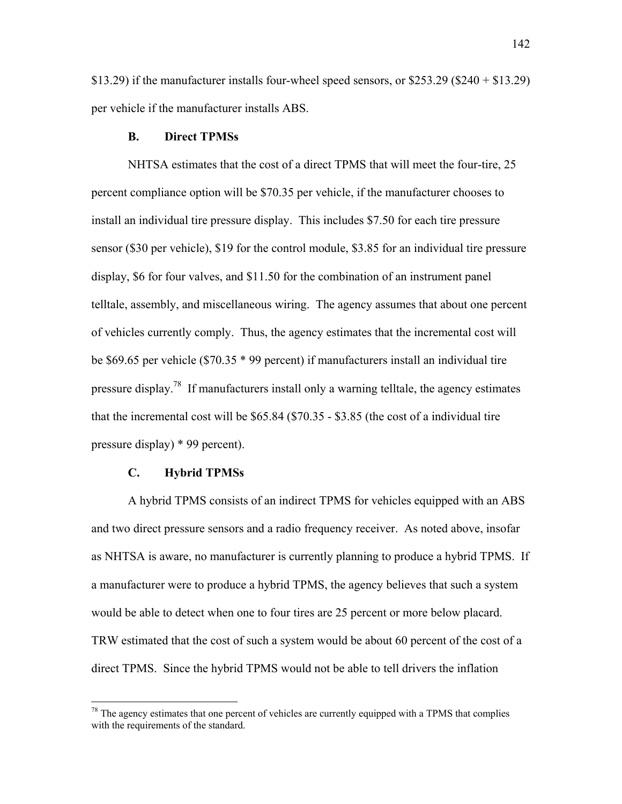\$13.29) if the manufacturer installs four-wheel speed sensors, or  $$253.29$  (\$240 + \$13.29) per vehicle if the manufacturer installs ABS.

#### **B. Direct TPMSs**

NHTSA estimates that the cost of a direct TPMS that will meet the four-tire, 25 percent compliance option will be \$70.35 per vehicle, if the manufacturer chooses to install an individual tire pressure display. This includes \$7.50 for each tire pressure sensor (\$30 per vehicle), \$19 for the control module, \$3.85 for an individual tire pressure display, \$6 for four valves, and \$11.50 for the combination of an instrument panel telltale, assembly, and miscellaneous wiring. The agency assumes that about one percent of vehicles currently comply. Thus, the agency estimates that the incremental cost will be \$69.65 per vehicle (\$70.35 \* 99 percent) if manufacturers install an individual tire pressure display.<sup>78</sup> If manufacturers install only a warning telltale, the agency estimates that the incremental cost will be \$65.84 (\$70.35 - \$3.85 (the cost of a individual tire pressure display) \* 99 percent).

#### **C. Hybrid TPMSs**

 $\overline{a}$ 

 A hybrid TPMS consists of an indirect TPMS for vehicles equipped with an ABS and two direct pressure sensors and a radio frequency receiver. As noted above, insofar as NHTSA is aware, no manufacturer is currently planning to produce a hybrid TPMS. If a manufacturer were to produce a hybrid TPMS, the agency believes that such a system would be able to detect when one to four tires are 25 percent or more below placard. TRW estimated that the cost of such a system would be about 60 percent of the cost of a direct TPMS. Since the hybrid TPMS would not be able to tell drivers the inflation

<span id="page-141-0"></span> $78$  The agency estimates that one percent of vehicles are currently equipped with a TPMS that complies with the requirements of the standard.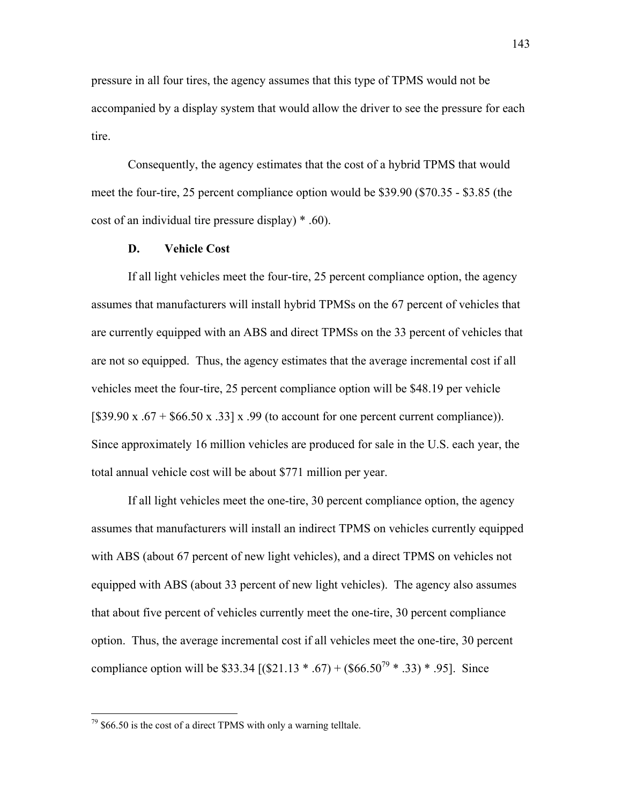pressure in all four tires, the agency assumes that this type of TPMS would not be accompanied by a display system that would allow the driver to see the pressure for each tire.

 Consequently, the agency estimates that the cost of a hybrid TPMS that would meet the four-tire, 25 percent compliance option would be \$39.90 (\$70.35 - \$3.85 (the cost of an individual tire pressure display) \* .60).

## **D. Vehicle Cost**

If all light vehicles meet the four-tire, 25 percent compliance option, the agency assumes that manufacturers will install hybrid TPMSs on the 67 percent of vehicles that are currently equipped with an ABS and direct TPMSs on the 33 percent of vehicles that are not so equipped. Thus, the agency estimates that the average incremental cost if all vehicles meet the four-tire, 25 percent compliance option will be \$48.19 per vehicle  $[$39.90 \times .67 + $66.50 \times .33] \times .99$  (to account for one percent current compliance)). Since approximately 16 million vehicles are produced for sale in the U.S. each year, the total annual vehicle cost will be about \$771 million per year.

If all light vehicles meet the one-tire, 30 percent compliance option, the agency assumes that manufacturers will install an indirect TPMS on vehicles currently equipped with ABS (about 67 percent of new light vehicles), and a direct TPMS on vehicles not equipped with ABS (about 33 percent of new light vehicles). The agency also assumes that about five percent of vehicles currently meet the one-tire, 30 percent compliance option. Thus, the average incremental cost if all vehicles meet the one-tire, 30 percent compliance option will be \$33.34 [(\$21.13  $*$  .67) + (\$66.50<sup>79</sup>  $*$  .33)  $*$  .95]. Since

 $\overline{a}$ 

<span id="page-142-0"></span> $79$  \$66.50 is the cost of a direct TPMS with only a warning telltale.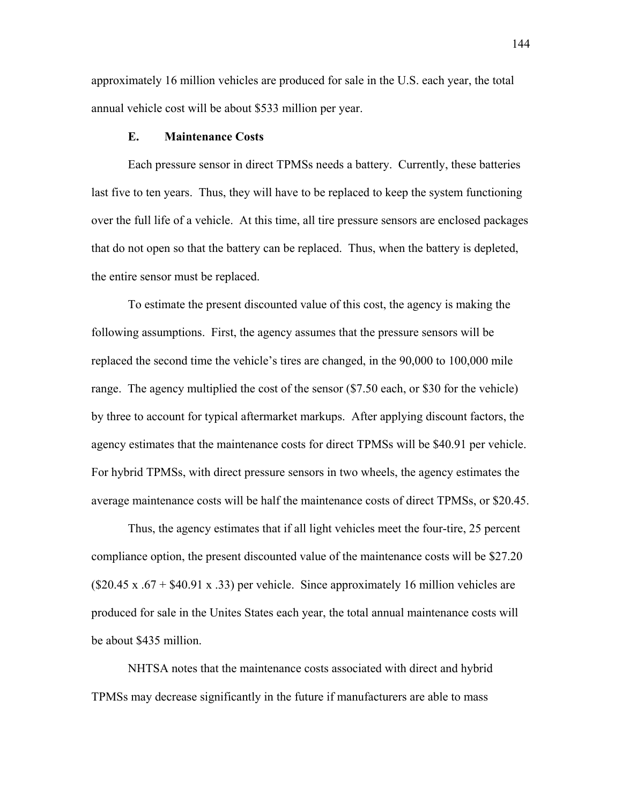approximately 16 million vehicles are produced for sale in the U.S. each year, the total annual vehicle cost will be about \$533 million per year.

#### **E. Maintenance Costs**

Each pressure sensor in direct TPMSs needs a battery. Currently, these batteries last five to ten years. Thus, they will have to be replaced to keep the system functioning over the full life of a vehicle. At this time, all tire pressure sensors are enclosed packages that do not open so that the battery can be replaced. Thus, when the battery is depleted, the entire sensor must be replaced.

To estimate the present discounted value of this cost, the agency is making the following assumptions. First, the agency assumes that the pressure sensors will be replaced the second time the vehicle's tires are changed, in the 90,000 to 100,000 mile range. The agency multiplied the cost of the sensor (\$7.50 each, or \$30 for the vehicle) by three to account for typical aftermarket markups. After applying discount factors, the agency estimates that the maintenance costs for direct TPMSs will be \$40.91 per vehicle. For hybrid TPMSs, with direct pressure sensors in two wheels, the agency estimates the average maintenance costs will be half the maintenance costs of direct TPMSs, or \$20.45.

Thus, the agency estimates that if all light vehicles meet the four-tire, 25 percent compliance option, the present discounted value of the maintenance costs will be \$27.20  $(\$20.45 \times .67 + \$40.91 \times .33)$  per vehicle. Since approximately 16 million vehicles are produced for sale in the Unites States each year, the total annual maintenance costs will be about \$435 million.

NHTSA notes that the maintenance costs associated with direct and hybrid TPMSs may decrease significantly in the future if manufacturers are able to mass

144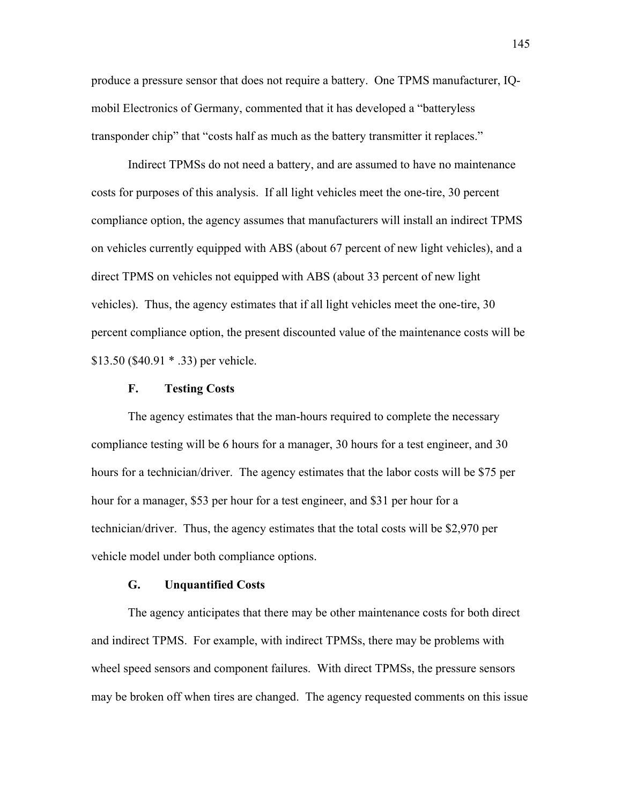produce a pressure sensor that does not require a battery. One TPMS manufacturer, IQmobil Electronics of Germany, commented that it has developed a "batteryless" transponder chip" that "costs half as much as the battery transmitter it replaces."

Indirect TPMSs do not need a battery, and are assumed to have no maintenance costs for purposes of this analysis. If all light vehicles meet the one-tire, 30 percent compliance option, the agency assumes that manufacturers will install an indirect TPMS on vehicles currently equipped with ABS (about 67 percent of new light vehicles), and a direct TPMS on vehicles not equipped with ABS (about 33 percent of new light vehicles). Thus, the agency estimates that if all light vehicles meet the one-tire, 30 percent compliance option, the present discounted value of the maintenance costs will be \$13.50 (\$40.91 \* .33) per vehicle.

# **F. Testing Costs**

The agency estimates that the man-hours required to complete the necessary compliance testing will be 6 hours for a manager, 30 hours for a test engineer, and 30 hours for a technician/driver. The agency estimates that the labor costs will be \$75 per hour for a manager, \$53 per hour for a test engineer, and \$31 per hour for a technician/driver. Thus, the agency estimates that the total costs will be \$2,970 per vehicle model under both compliance options.

# **G. Unquantified Costs**

The agency anticipates that there may be other maintenance costs for both direct and indirect TPMS. For example, with indirect TPMSs, there may be problems with wheel speed sensors and component failures. With direct TPMSs, the pressure sensors may be broken off when tires are changed. The agency requested comments on this issue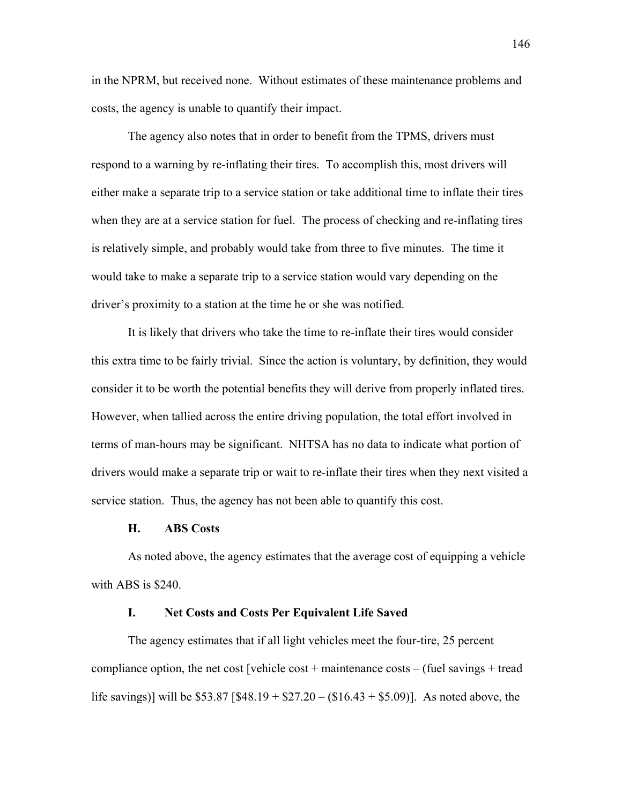in the NPRM, but received none. Without estimates of these maintenance problems and costs, the agency is unable to quantify their impact.

The agency also notes that in order to benefit from the TPMS, drivers must respond to a warning by re-inflating their tires. To accomplish this, most drivers will either make a separate trip to a service station or take additional time to inflate their tires when they are at a service station for fuel. The process of checking and re-inflating tires is relatively simple, and probably would take from three to five minutes. The time it would take to make a separate trip to a service station would vary depending on the driver's proximity to a station at the time he or she was notified.

It is likely that drivers who take the time to re-inflate their tires would consider this extra time to be fairly trivial. Since the action is voluntary, by definition, they would consider it to be worth the potential benefits they will derive from properly inflated tires. However, when tallied across the entire driving population, the total effort involved in terms of man-hours may be significant. NHTSA has no data to indicate what portion of drivers would make a separate trip or wait to re-inflate their tires when they next visited a service station. Thus, the agency has not been able to quantify this cost.

#### **H. ABS Costs**

As noted above, the agency estimates that the average cost of equipping a vehicle with ABS is \$240.

# **I. Net Costs and Costs Per Equivalent Life Saved**

The agency estimates that if all light vehicles meet the four-tire, 25 percent compliance option, the net cost [vehicle cost + maintenance costs – (fuel savings + tread life savings)] will be \$53.87 [\$48.19 + \$27.20 – (\$16.43 + \$5.09)]. As noted above, the

146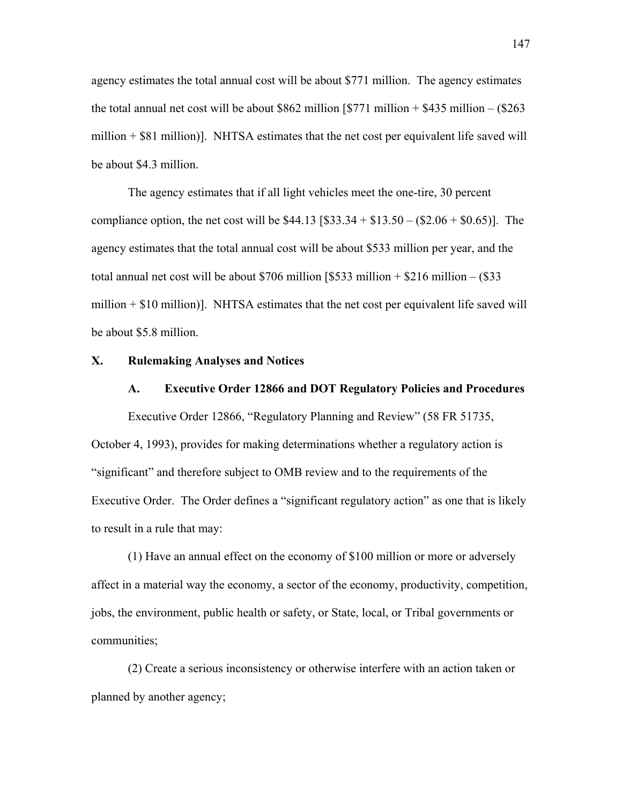agency estimates the total annual cost will be about \$771 million. The agency estimates the total annual net cost will be about \$862 million  $[$771$  million  $+ $435$  million  $- ($263$ million  $+$  \$81 million)]. NHTSA estimates that the net cost per equivalent life saved will be about \$4.3 million.

The agency estimates that if all light vehicles meet the one-tire, 30 percent compliance option, the net cost will be  $$44.13$  [ $$33.34 + $13.50 - ($2.06 + $0.65)$ ]. The agency estimates that the total annual cost will be about \$533 million per year, and the total annual net cost will be about \$706 million  $[$533$  million  $+ $216$  million  $- ($33$ million + \$10 million)]. NHTSA estimates that the net cost per equivalent life saved will be about \$5.8 million.

# **X. Rulemaking Analyses and Notices**

### **A. Executive Order 12866 and DOT Regulatory Policies and Procedures**

Executive Order 12866, "Regulatory Planning and Review" (58 FR 51735, October 4, 1993), provides for making determinations whether a regulatory action is ìsignificantî and therefore subject to OMB review and to the requirements of the Executive Order. The Order defines a "significant regulatory action" as one that is likely to result in a rule that may:

 (1) Have an annual effect on the economy of \$100 million or more or adversely affect in a material way the economy, a sector of the economy, productivity, competition, jobs, the environment, public health or safety, or State, local, or Tribal governments or communities;

 (2) Create a serious inconsistency or otherwise interfere with an action taken or planned by another agency;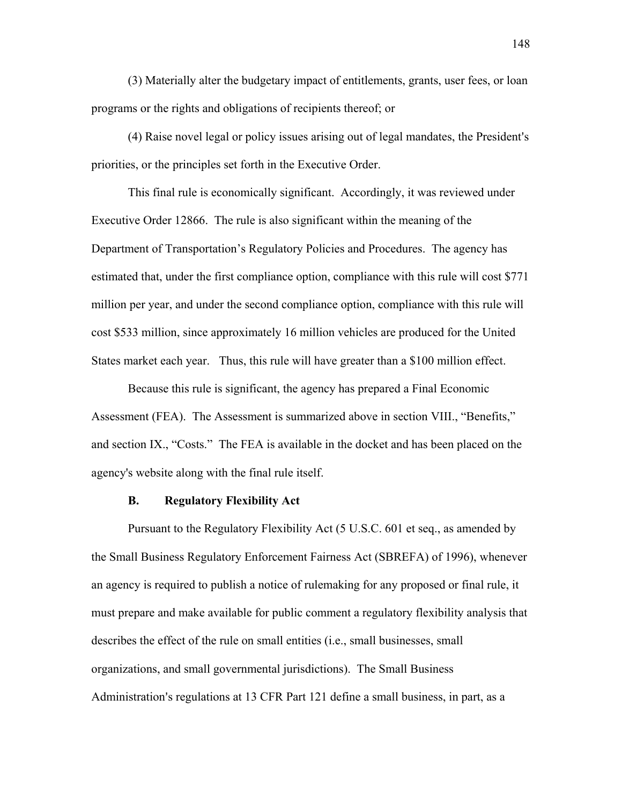(3) Materially alter the budgetary impact of entitlements, grants, user fees, or loan programs or the rights and obligations of recipients thereof; or

(4) Raise novel legal or policy issues arising out of legal mandates, the President's priorities, or the principles set forth in the Executive Order.

This final rule is economically significant. Accordingly, it was reviewed under Executive Order 12866. The rule is also significant within the meaning of the Department of Transportation's Regulatory Policies and Procedures. The agency has estimated that, under the first compliance option, compliance with this rule will cost \$771 million per year, and under the second compliance option, compliance with this rule will cost \$533 million, since approximately 16 million vehicles are produced for the United States market each year. Thus, this rule will have greater than a \$100 million effect.

Because this rule is significant, the agency has prepared a Final Economic Assessment (FEA). The Assessment is summarized above in section VIII., "Benefits," and section IX., "Costs." The FEA is available in the docket and has been placed on the agency's website along with the final rule itself.

# **B. Regulatory Flexibility Act**

 Pursuant to the Regulatory Flexibility Act (5 U.S.C. 601 et seq., as amended by the Small Business Regulatory Enforcement Fairness Act (SBREFA) of 1996), whenever an agency is required to publish a notice of rulemaking for any proposed or final rule, it must prepare and make available for public comment a regulatory flexibility analysis that describes the effect of the rule on small entities (i.e., small businesses, small organizations, and small governmental jurisdictions). The Small Business Administration's regulations at 13 CFR Part 121 define a small business, in part, as a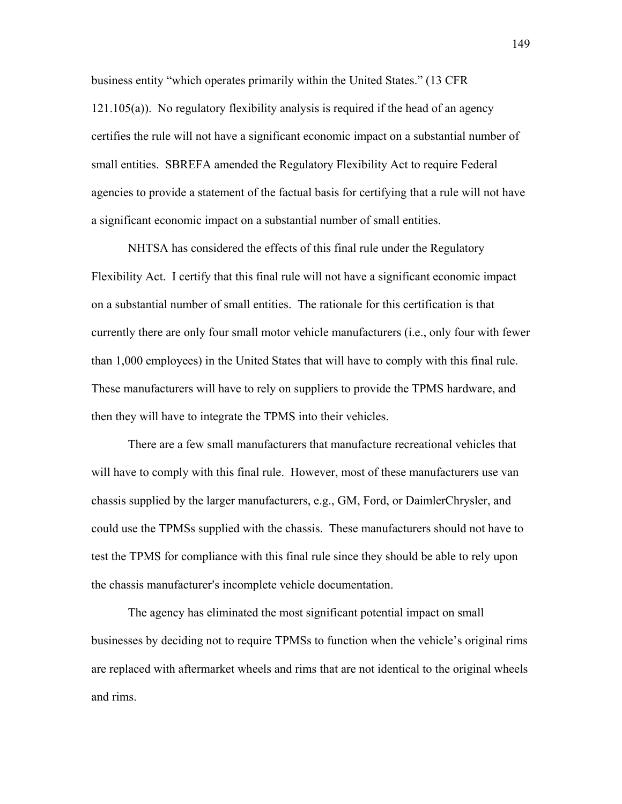business entity "which operates primarily within the United States." (13 CFR) 121.105(a)). No regulatory flexibility analysis is required if the head of an agency certifies the rule will not have a significant economic impact on a substantial number of small entities. SBREFA amended the Regulatory Flexibility Act to require Federal agencies to provide a statement of the factual basis for certifying that a rule will not have a significant economic impact on a substantial number of small entities.

NHTSA has considered the effects of this final rule under the Regulatory Flexibility Act. I certify that this final rule will not have a significant economic impact on a substantial number of small entities. The rationale for this certification is that currently there are only four small motor vehicle manufacturers (i.e., only four with fewer than 1,000 employees) in the United States that will have to comply with this final rule. These manufacturers will have to rely on suppliers to provide the TPMS hardware, and then they will have to integrate the TPMS into their vehicles.

There are a few small manufacturers that manufacture recreational vehicles that will have to comply with this final rule. However, most of these manufacturers use van chassis supplied by the larger manufacturers, e.g., GM, Ford, or DaimlerChrysler, and could use the TPMSs supplied with the chassis. These manufacturers should not have to test the TPMS for compliance with this final rule since they should be able to rely upon the chassis manufacturer's incomplete vehicle documentation.

The agency has eliminated the most significant potential impact on small businesses by deciding not to require TPMSs to function when the vehicle's original rims are replaced with aftermarket wheels and rims that are not identical to the original wheels and rims.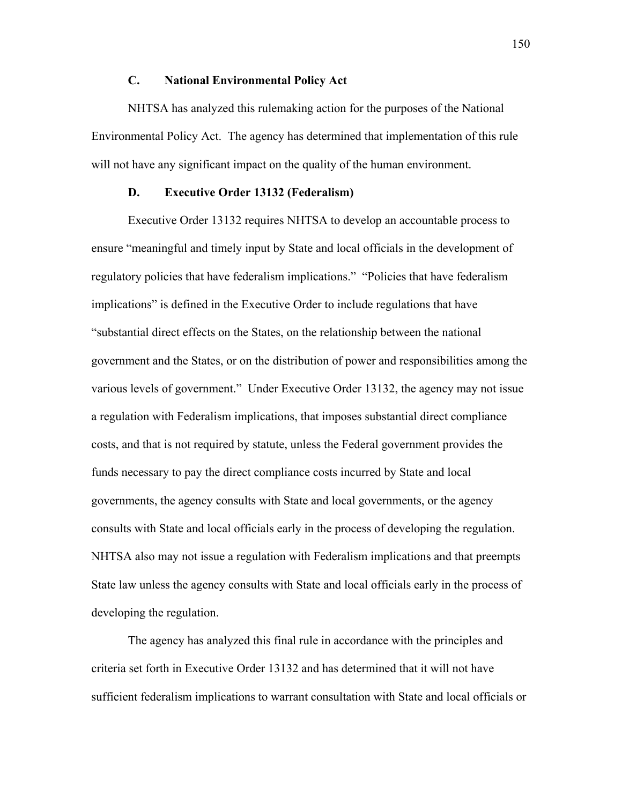# **C. National Environmental Policy Act**

NHTSA has analyzed this rulemaking action for the purposes of the National Environmental Policy Act. The agency has determined that implementation of this rule will not have any significant impact on the quality of the human environment.

# **D. Executive Order 13132 (Federalism)**

Executive Order 13132 requires NHTSA to develop an accountable process to ensure "meaningful and timely input by State and local officials in the development of regulatory policies that have federalism implications." "Policies that have federalism implications" is defined in the Executive Order to include regulations that have "substantial direct effects on the States, on the relationship between the national government and the States, or on the distribution of power and responsibilities among the various levels of government." Under Executive Order 13132, the agency may not issue a regulation with Federalism implications, that imposes substantial direct compliance costs, and that is not required by statute, unless the Federal government provides the funds necessary to pay the direct compliance costs incurred by State and local governments, the agency consults with State and local governments, or the agency consults with State and local officials early in the process of developing the regulation. NHTSA also may not issue a regulation with Federalism implications and that preempts State law unless the agency consults with State and local officials early in the process of developing the regulation.

The agency has analyzed this final rule in accordance with the principles and criteria set forth in Executive Order 13132 and has determined that it will not have sufficient federalism implications to warrant consultation with State and local officials or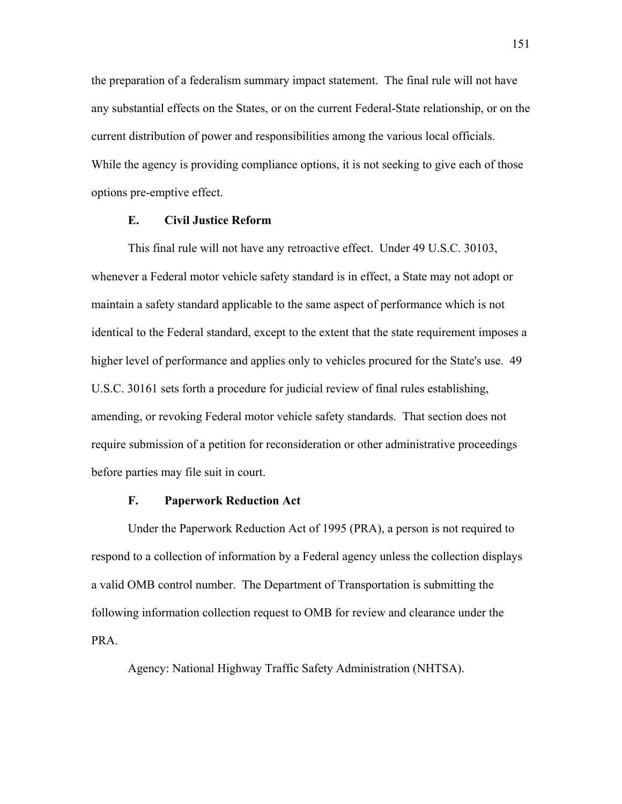the preparation of a federalism summary impact statement. The final rule will not have any substantial effects on the States, or on the current Federal-State relationship, or on the current distribution of power and responsibilities among the various local officials. While the agency is providing compliance options, it is not seeking to give each of those options pre-emptive effect.

# **E. Civil Justice Reform**

This final rule will not have any retroactive effect. Under 49 U.S.C. 30103, whenever a Federal motor vehicle safety standard is in effect, a State may not adopt or maintain a safety standard applicable to the same aspect of performance which is not identical to the Federal standard, except to the extent that the state requirement imposes a higher level of performance and applies only to vehicles procured for the State's use. 49 U.S.C. 30161 sets forth a procedure for judicial review of final rules establishing, amending, or revoking Federal motor vehicle safety standards. That section does not require submission of a petition for reconsideration or other administrative proceedings before parties may file suit in court.

# **F. Paperwork Reduction Act**

Under the Paperwork Reduction Act of 1995 (PRA), a person is not required to respond to a collection of information by a Federal agency unless the collection displays a valid OMB control number. The Department of Transportation is submitting the following information collection request to OMB for review and clearance under the PRA.

Agency: National Highway Traffic Safety Administration (NHTSA).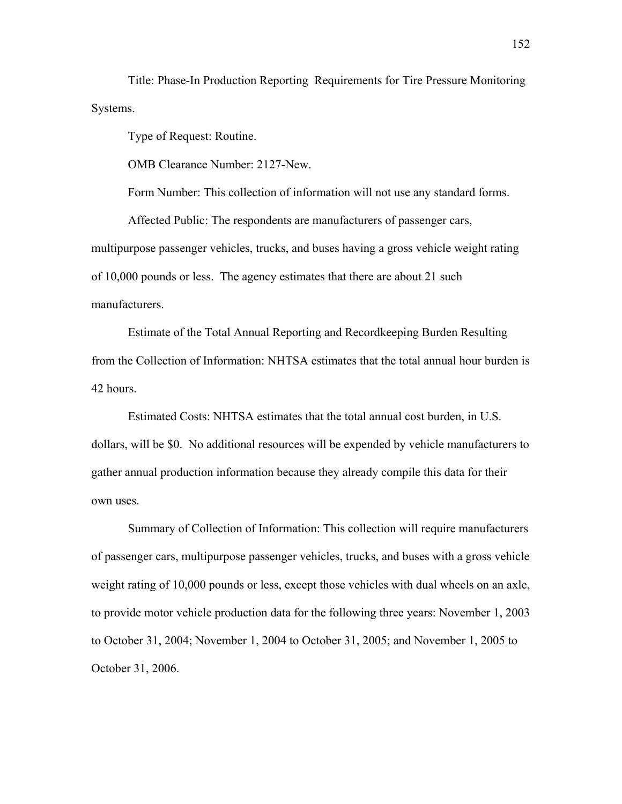Title: Phase-In Production Reporting Requirements for Tire Pressure Monitoring Systems.

Type of Request: Routine.

OMB Clearance Number: 2127-New.

Form Number: This collection of information will not use any standard forms.

Affected Public: The respondents are manufacturers of passenger cars, multipurpose passenger vehicles, trucks, and buses having a gross vehicle weight rating of 10,000 pounds or less. The agency estimates that there are about 21 such manufacturers.

Estimate of the Total Annual Reporting and Recordkeeping Burden Resulting from the Collection of Information: NHTSA estimates that the total annual hour burden is 42 hours.

Estimated Costs: NHTSA estimates that the total annual cost burden, in U.S. dollars, will be \$0. No additional resources will be expended by vehicle manufacturers to gather annual production information because they already compile this data for their own uses.

Summary of Collection of Information: This collection will require manufacturers of passenger cars, multipurpose passenger vehicles, trucks, and buses with a gross vehicle weight rating of 10,000 pounds or less, except those vehicles with dual wheels on an axle, to provide motor vehicle production data for the following three years: November 1, 2003 to October 31, 2004; November 1, 2004 to October 31, 2005; and November 1, 2005 to October 31, 2006.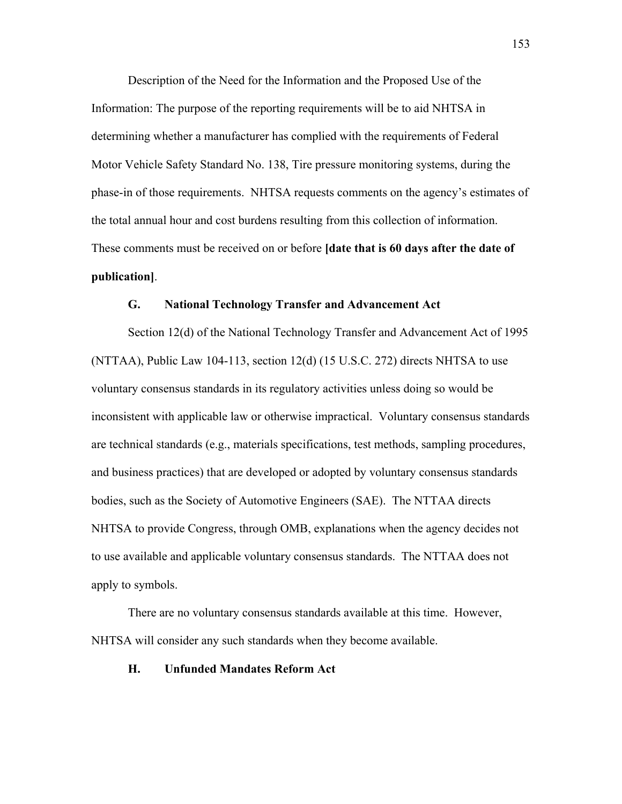Description of the Need for the Information and the Proposed Use of the Information: The purpose of the reporting requirements will be to aid NHTSA in determining whether a manufacturer has complied with the requirements of Federal Motor Vehicle Safety Standard No. 138, Tire pressure monitoring systems, during the phase-in of those requirements. NHTSA requests comments on the agency's estimates of the total annual hour and cost burdens resulting from this collection of information. These comments must be received on or before **[date that is 60 days after the date of publication]**.

#### **G. National Technology Transfer and Advancement Act**

 Section 12(d) of the National Technology Transfer and Advancement Act of 1995 (NTTAA), Public Law 104-113, section  $12(d)$  (15 U.S.C. 272) directs NHTSA to use voluntary consensus standards in its regulatory activities unless doing so would be inconsistent with applicable law or otherwise impractical. Voluntary consensus standards are technical standards (e.g., materials specifications, test methods, sampling procedures, and business practices) that are developed or adopted by voluntary consensus standards bodies, such as the Society of Automotive Engineers (SAE). The NTTAA directs NHTSA to provide Congress, through OMB, explanations when the agency decides not to use available and applicable voluntary consensus standards. The NTTAA does not apply to symbols.

There are no voluntary consensus standards available at this time. However, NHTSA will consider any such standards when they become available.

### **H. Unfunded Mandates Reform Act**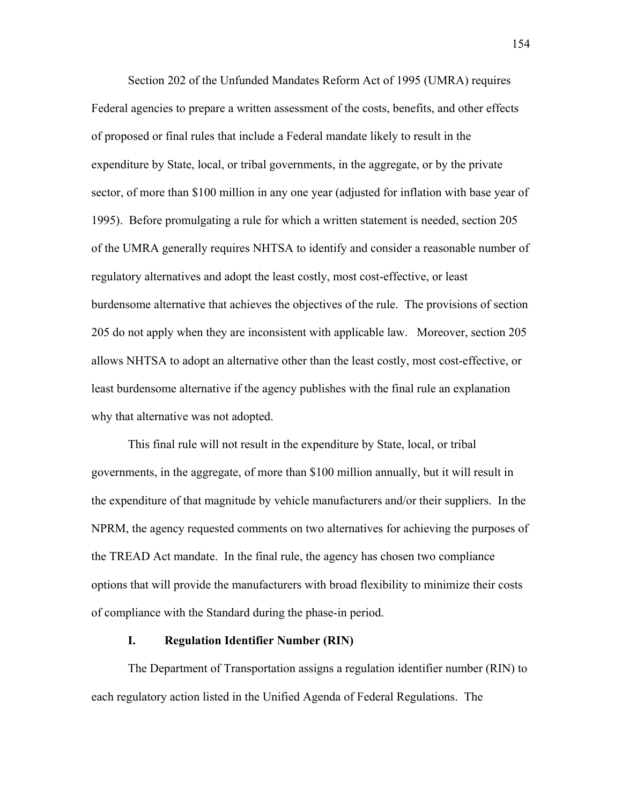Section 202 of the Unfunded Mandates Reform Act of 1995 (UMRA) requires Federal agencies to prepare a written assessment of the costs, benefits, and other effects of proposed or final rules that include a Federal mandate likely to result in the expenditure by State, local, or tribal governments, in the aggregate, or by the private sector, of more than \$100 million in any one year (adjusted for inflation with base year of 1995). Before promulgating a rule for which a written statement is needed, section 205 of the UMRA generally requires NHTSA to identify and consider a reasonable number of regulatory alternatives and adopt the least costly, most cost-effective, or least burdensome alternative that achieves the objectives of the rule. The provisions of section 205 do not apply when they are inconsistent with applicable law. Moreover, section 205 allows NHTSA to adopt an alternative other than the least costly, most cost-effective, or least burdensome alternative if the agency publishes with the final rule an explanation why that alternative was not adopted.

This final rule will not result in the expenditure by State, local, or tribal governments, in the aggregate, of more than \$100 million annually, but it will result in the expenditure of that magnitude by vehicle manufacturers and/or their suppliers. In the NPRM, the agency requested comments on two alternatives for achieving the purposes of the TREAD Act mandate. In the final rule, the agency has chosen two compliance options that will provide the manufacturers with broad flexibility to minimize their costs of compliance with the Standard during the phase-in period.

# **I. Regulation Identifier Number (RIN)**

 The Department of Transportation assigns a regulation identifier number (RIN) to each regulatory action listed in the Unified Agenda of Federal Regulations. The

154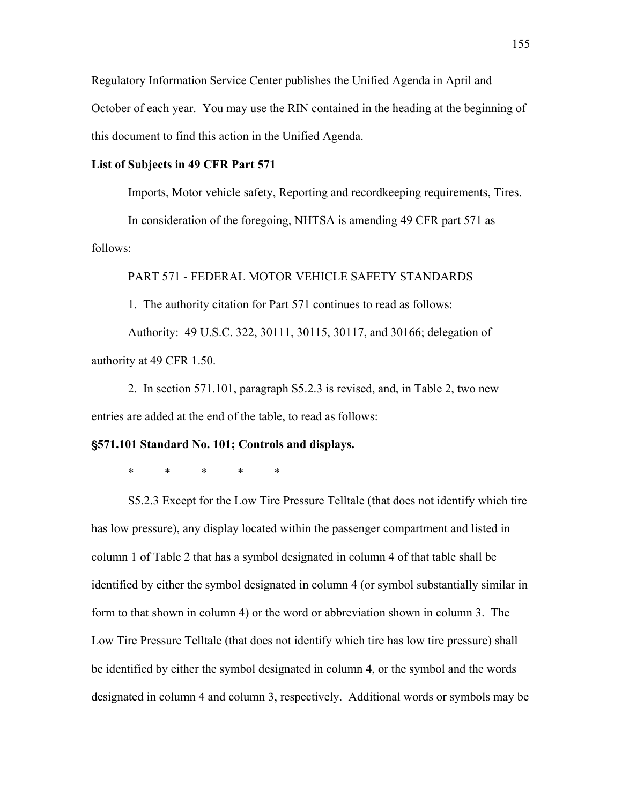Regulatory Information Service Center publishes the Unified Agenda in April and October of each year. You may use the RIN contained in the heading at the beginning of this document to find this action in the Unified Agenda.

# **List of Subjects in 49 CFR Part 571**

Imports, Motor vehicle safety, Reporting and recordkeeping requirements, Tires.

In consideration of the foregoing, NHTSA is amending 49 CFR part 571 as follows:

PART 571 - FEDERAL MOTOR VEHICLE SAFETY STANDARDS

1. The authority citation for Part 571 continues to read as follows:

Authority: 49 U.S.C. 322, 30111, 30115, 30117, and 30166; delegation of authority at 49 CFR 1.50.

2. In section 571.101, paragraph S5.2.3 is revised, and, in Table 2, two new entries are added at the end of the table, to read as follows:

# '**571.101 Standard No. 101; Controls and displays.**

\* \* \* \* \*

S5.2.3 Except for the Low Tire Pressure Telltale (that does not identify which tire has low pressure), any display located within the passenger compartment and listed in column 1 of Table 2 that has a symbol designated in column 4 of that table shall be identified by either the symbol designated in column 4 (or symbol substantially similar in form to that shown in column 4) or the word or abbreviation shown in column 3. The Low Tire Pressure Telltale (that does not identify which tire has low tire pressure) shall be identified by either the symbol designated in column 4, or the symbol and the words designated in column 4 and column 3, respectively. Additional words or symbols may be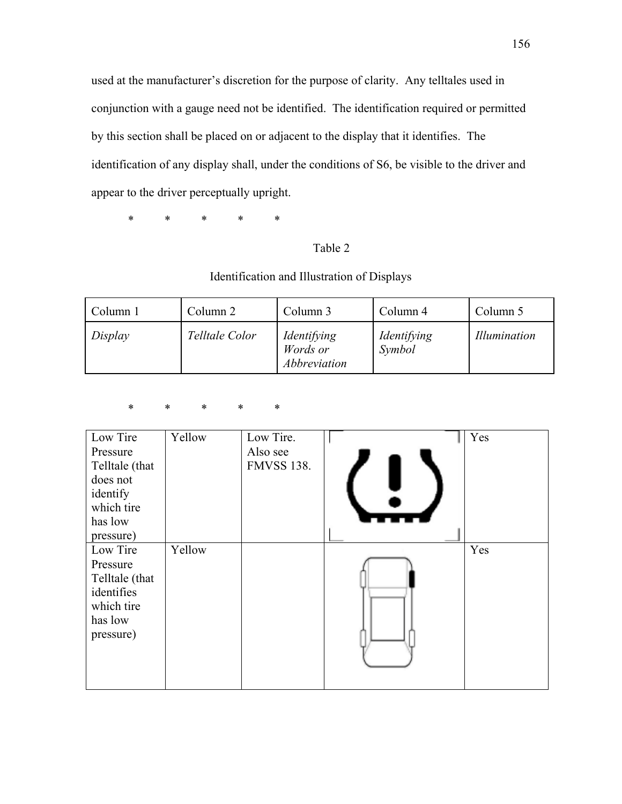used at the manufacturer's discretion for the purpose of clarity. Any telltales used in conjunction with a gauge need not be identified. The identification required or permitted by this section shall be placed on or adjacent to the display that it identifies. The identification of any display shall, under the conditions of S6, be visible to the driver and appear to the driver perceptually upright.

\* \* \* \* \*

# Table 2

# Identification and Illustration of Displays

| Column 1 | Column 2       | Column 3                                | Column 4              | Column 5            |
|----------|----------------|-----------------------------------------|-----------------------|---------------------|
| Display  | Telltale Color | Identifying<br>Words or<br>Abbreviation | Identifying<br>Symbol | <i>Illumination</i> |

| $\ast$ | $*$ * | $\star$ | $\ast$ |
|--------|-------|---------|--------|
|        |       |         |        |

| Low Tire       | Yellow | Low Tire.         | Yes |
|----------------|--------|-------------------|-----|
| Pressure       |        | Also see          |     |
| Telltale (that |        | <b>FMVSS 138.</b> |     |
| does not       |        |                   |     |
| identify       |        |                   |     |
| which tire     |        |                   |     |
| has low        |        |                   |     |
| pressure)      |        |                   |     |
| Low Tire       | Yellow |                   | Yes |
| Pressure       |        |                   |     |
| Telltale (that |        |                   |     |
| identifies     |        |                   |     |
| which tire     |        |                   |     |
| has low        |        |                   |     |
| pressure)      |        |                   |     |
|                |        |                   |     |
|                |        |                   |     |
|                |        |                   |     |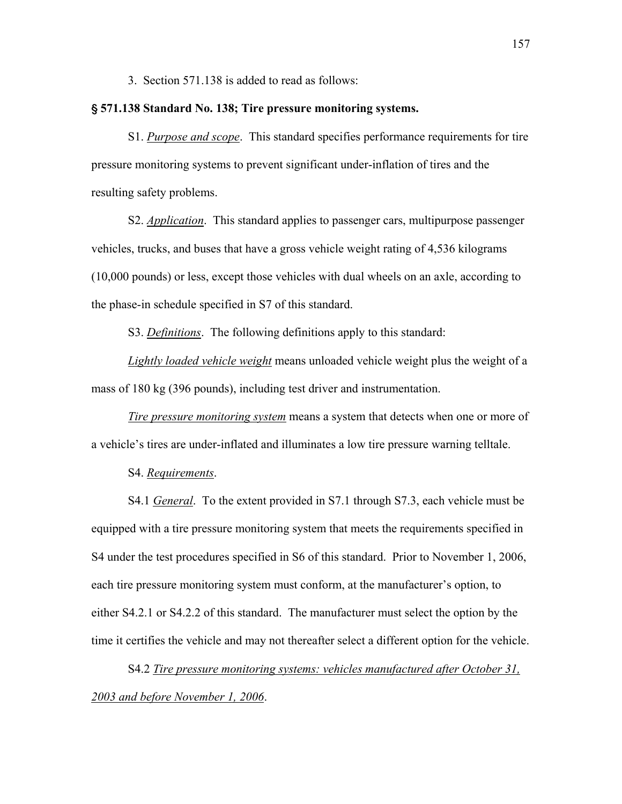3. Section 571.138 is added to read as follows:

## ' **571.138 Standard No. 138; Tire pressure monitoring systems.**

S1. *Purpose and scope*. This standard specifies performance requirements for tire pressure monitoring systems to prevent significant under-inflation of tires and the resulting safety problems.

S2. *Application*. This standard applies to passenger cars, multipurpose passenger vehicles, trucks, and buses that have a gross vehicle weight rating of 4,536 kilograms (10,000 pounds) or less, except those vehicles with dual wheels on an axle, according to the phase-in schedule specified in S7 of this standard.

S3. *Definitions*. The following definitions apply to this standard:

*Lightly loaded vehicle weight* means unloaded vehicle weight plus the weight of a mass of 180 kg (396 pounds), including test driver and instrumentation.

*Tire pressure monitoring system* means a system that detects when one or more of a vehicle's tires are under-inflated and illuminates a low tire pressure warning telltale.

S4. *Requirements*.

S4.1 *General*. To the extent provided in S7.1 through S7.3, each vehicle must be equipped with a tire pressure monitoring system that meets the requirements specified in S4 under the test procedures specified in S6 of this standard. Prior to November 1, 2006, each tire pressure monitoring system must conform, at the manufacturer's option, to either S4.2.1 or S4.2.2 of this standard. The manufacturer must select the option by the time it certifies the vehicle and may not thereafter select a different option for the vehicle.

S4.2 *Tire pressure monitoring systems: vehicles manufactured after October 31, 2003 and before November 1, 2006*.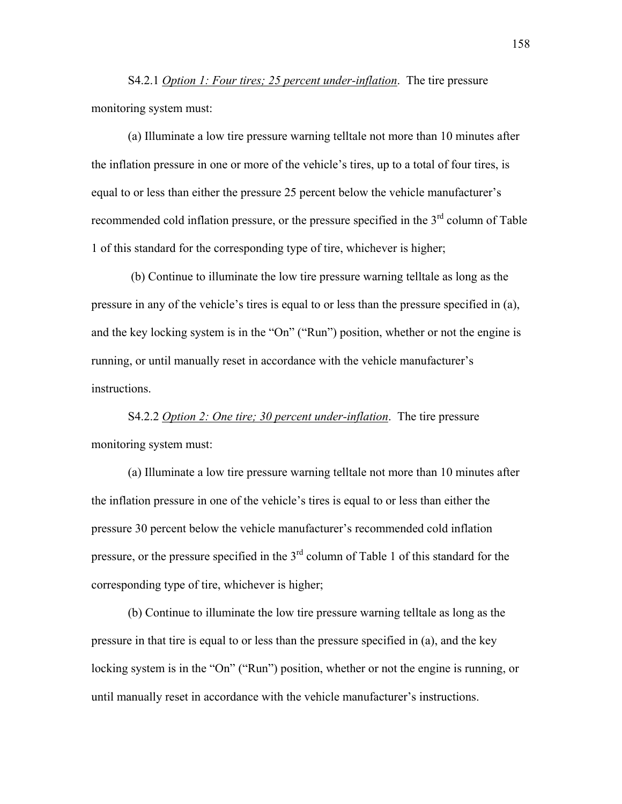S4.2.1 *Option 1: Four tires; 25 percent under-inflation*. The tire pressure monitoring system must:

(a) Illuminate a low tire pressure warning telltale not more than 10 minutes after the inflation pressure in one or more of the vehicle's tires, up to a total of four tires, is equal to or less than either the pressure 25 percent below the vehicle manufacturer's recommended cold inflation pressure, or the pressure specified in the  $3<sup>rd</sup>$  column of Table 1 of this standard for the corresponding type of tire, whichever is higher;

 (b) Continue to illuminate the low tire pressure warning telltale as long as the pressure in any of the vehicle's tires is equal to or less than the pressure specified in (a), and the key locking system is in the "On" ("Run") position, whether or not the engine is running, or until manually reset in accordance with the vehicle manufacturer's instructions.

S4.2.2 *Option 2: One tire; 30 percent under-inflation*. The tire pressure monitoring system must:

(a) Illuminate a low tire pressure warning telltale not more than 10 minutes after the inflation pressure in one of the vehicle's tires is equal to or less than either the pressure 30 percent below the vehicle manufacturer's recommended cold inflation pressure, or the pressure specified in the 3<sup>rd</sup> column of Table 1 of this standard for the corresponding type of tire, whichever is higher;

(b) Continue to illuminate the low tire pressure warning telltale as long as the pressure in that tire is equal to or less than the pressure specified in (a), and the key locking system is in the "On" ("Run") position, whether or not the engine is running, or until manually reset in accordance with the vehicle manufacturer's instructions.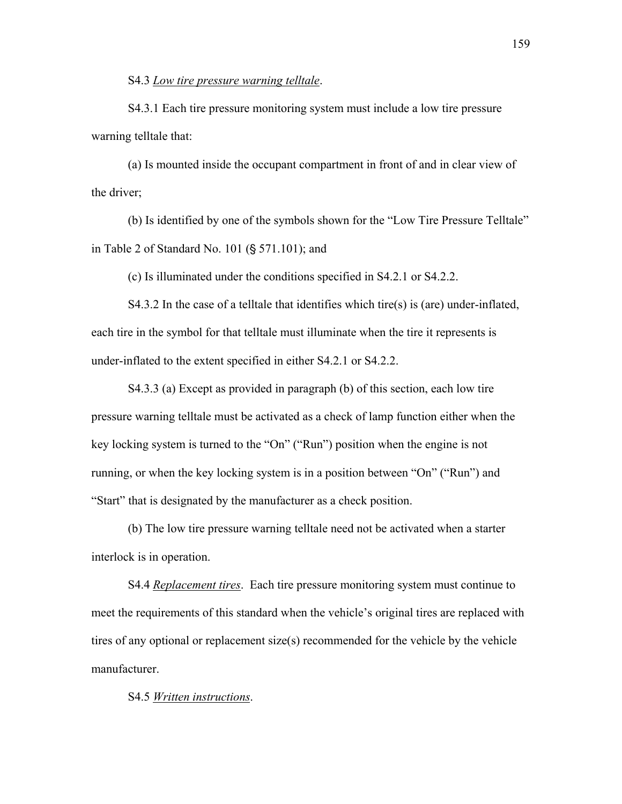S4.3 *Low tire pressure warning telltale*.

S4.3.1 Each tire pressure monitoring system must include a low tire pressure warning telltale that:

(a) Is mounted inside the occupant compartment in front of and in clear view of the driver;

(b) Is identified by one of the symbols shown for the "Low Tire Pressure Telltale" in Table 2 of Standard No.  $101$  (§ 571.101); and

(c) Is illuminated under the conditions specified in S4.2.1 or S4.2.2.

S4.3.2 In the case of a telltale that identifies which tire(s) is (are) under-inflated, each tire in the symbol for that telltale must illuminate when the tire it represents is under-inflated to the extent specified in either S4.2.1 or S4.2.2.

S4.3.3 (a) Except as provided in paragraph (b) of this section, each low tire pressure warning telltale must be activated as a check of lamp function either when the key locking system is turned to the "On" ("Run") position when the engine is not running, or when the key locking system is in a position between "On" ("Run") and "Start" that is designated by the manufacturer as a check position.

(b) The low tire pressure warning telltale need not be activated when a starter interlock is in operation.

S4.4 *Replacement tires*. Each tire pressure monitoring system must continue to meet the requirements of this standard when the vehicle's original tires are replaced with tires of any optional or replacement size(s) recommended for the vehicle by the vehicle manufacturer.

S4.5 *Written instructions*.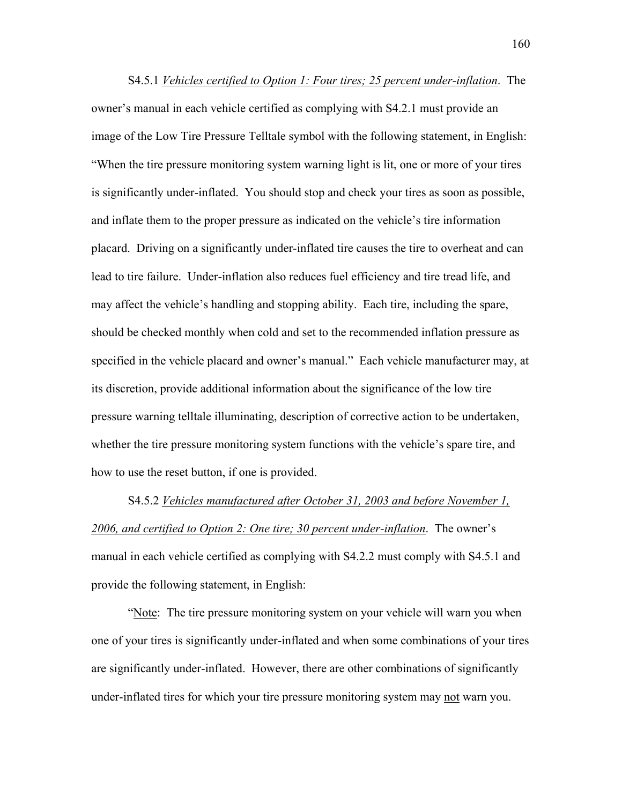S4.5.1 *Vehicles certified to Option 1: Four tires; 25 percent under-inflation*. The owner's manual in each vehicle certified as complying with S4.2.1 must provide an image of the Low Tire Pressure Telltale symbol with the following statement, in English: ìWhen the tire pressure monitoring system warning light is lit, one or more of your tires is significantly under-inflated. You should stop and check your tires as soon as possible, and inflate them to the proper pressure as indicated on the vehicle's tire information placard. Driving on a significantly under-inflated tire causes the tire to overheat and can lead to tire failure. Under-inflation also reduces fuel efficiency and tire tread life, and may affect the vehicle's handling and stopping ability. Each tire, including the spare, should be checked monthly when cold and set to the recommended inflation pressure as specified in the vehicle placard and owner's manual." Each vehicle manufacturer may, at its discretion, provide additional information about the significance of the low tire pressure warning telltale illuminating, description of corrective action to be undertaken, whether the tire pressure monitoring system functions with the vehicle's spare tire, and how to use the reset button, if one is provided.

S4.5.2 *Vehicles manufactured after October 31, 2003 and before November 1,*  2006, and certified to Option 2: One tire; 30 percent under-inflation. The owner's manual in each vehicle certified as complying with S4.2.2 must comply with S4.5.1 and provide the following statement, in English:

ìNote: The tire pressure monitoring system on your vehicle will warn you when one of your tires is significantly under-inflated and when some combinations of your tires are significantly under-inflated. However, there are other combinations of significantly under-inflated tires for which your tire pressure monitoring system may not warn you.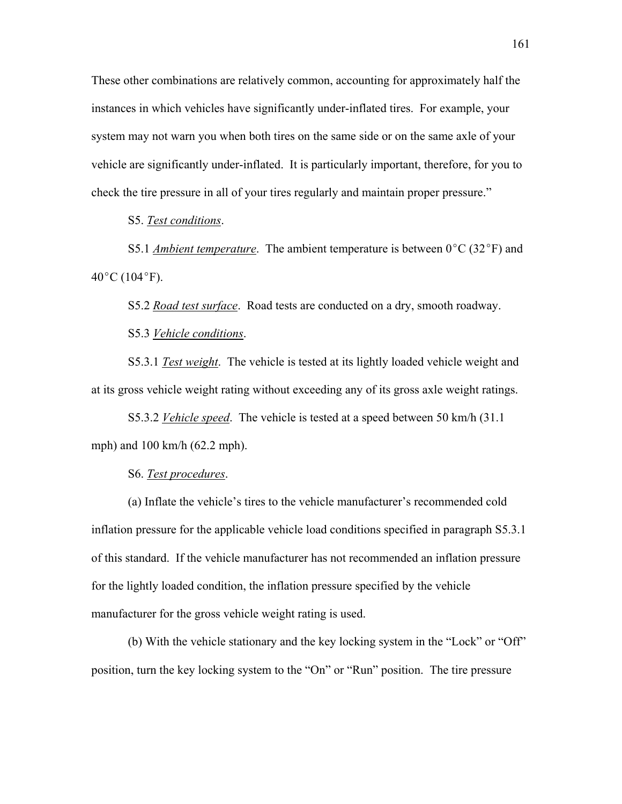These other combinations are relatively common, accounting for approximately half the instances in which vehicles have significantly under-inflated tires. For example, your system may not warn you when both tires on the same side or on the same axle of your vehicle are significantly under-inflated. It is particularly important, therefore, for you to check the tire pressure in all of your tires regularly and maintain proper pressure."

S5. *Test conditions*.

S5.1 *Ambient temperature*. The ambient temperature is between  $0^{\circ}C(32^{\circ}F)$  and  $40^{\circ}$ C (104 $^{\circ}$ F).

S5.2 *Road test surface*. Road tests are conducted on a dry, smooth roadway.

S5.3 *Vehicle conditions*.

S5.3.1 *Test weight*. The vehicle is tested at its lightly loaded vehicle weight and at its gross vehicle weight rating without exceeding any of its gross axle weight ratings.

S5.3.2 *Vehicle speed*. The vehicle is tested at a speed between 50 km/h (31.1 mph) and 100 km/h (62.2 mph).

S6. *Test procedures*.

(a) Inflate the vehicle's tires to the vehicle manufacturer's recommended cold inflation pressure for the applicable vehicle load conditions specified in paragraph S5.3.1 of this standard. If the vehicle manufacturer has not recommended an inflation pressure for the lightly loaded condition, the inflation pressure specified by the vehicle manufacturer for the gross vehicle weight rating is used.

(b) With the vehicle stationary and the key locking system in the "Lock" or "Off" position, turn the key locking system to the "On" or "Run" position. The tire pressure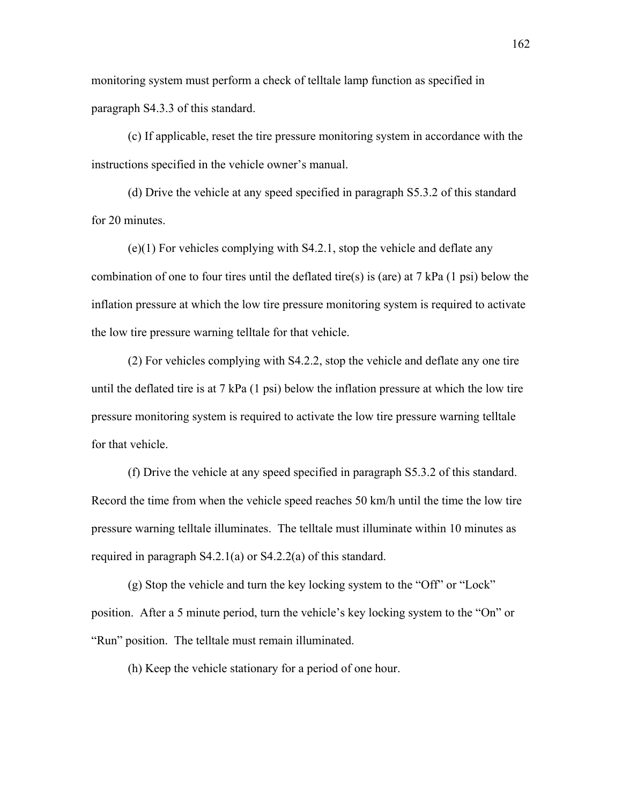monitoring system must perform a check of telltale lamp function as specified in paragraph S4.3.3 of this standard.

(c) If applicable, reset the tire pressure monitoring system in accordance with the instructions specified in the vehicle owner's manual.

(d) Drive the vehicle at any speed specified in paragraph S5.3.2 of this standard for 20 minutes.

(e)(1) For vehicles complying with S4.2.1, stop the vehicle and deflate any combination of one to four tires until the deflated tire(s) is (are) at 7 kPa (1 psi) below the inflation pressure at which the low tire pressure monitoring system is required to activate the low tire pressure warning telltale for that vehicle.

(2) For vehicles complying with S4.2.2, stop the vehicle and deflate any one tire until the deflated tire is at 7 kPa  $(1 \text{ psi})$  below the inflation pressure at which the low tire pressure monitoring system is required to activate the low tire pressure warning telltale for that vehicle.

(f) Drive the vehicle at any speed specified in paragraph S5.3.2 of this standard. Record the time from when the vehicle speed reaches 50 km/h until the time the low tire pressure warning telltale illuminates. The telltale must illuminate within 10 minutes as required in paragraph S4.2.1(a) or S4.2.2(a) of this standard.

 $(g)$  Stop the vehicle and turn the key locking system to the "Off" or "Lock" position. After a 5 minute period, turn the vehicle's key locking system to the "On" or "Run" position. The telltale must remain illuminated.

(h) Keep the vehicle stationary for a period of one hour.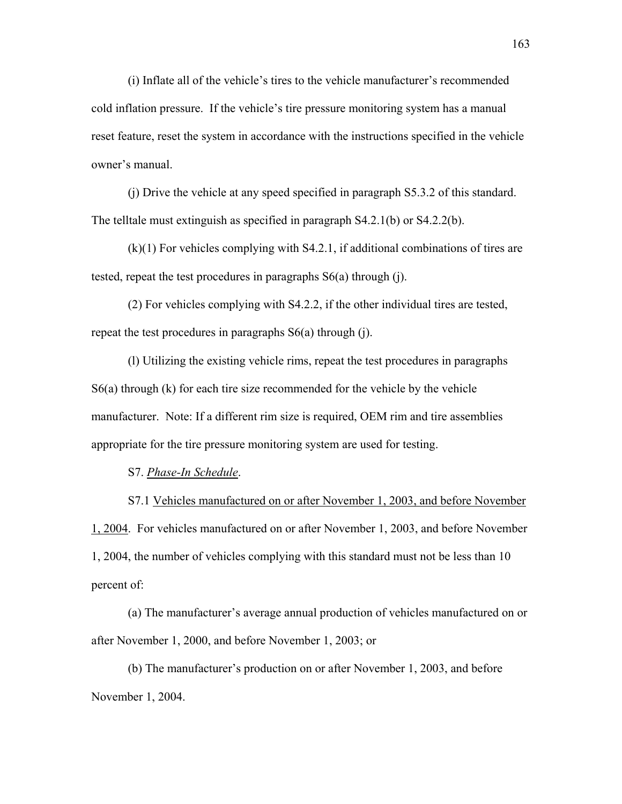$(i)$  Inflate all of the vehicle's tires to the vehicle manufacturer's recommended cold inflation pressure. If the vehicle's tire pressure monitoring system has a manual reset feature, reset the system in accordance with the instructions specified in the vehicle owner's manual.

 (j) Drive the vehicle at any speed specified in paragraph S5.3.2 of this standard. The telltale must extinguish as specified in paragraph S4.2.1(b) or S4.2.2(b).

 (k)(1) For vehicles complying with S4.2.1, if additional combinations of tires are tested, repeat the test procedures in paragraphs S6(a) through (j).

 (2) For vehicles complying with S4.2.2, if the other individual tires are tested, repeat the test procedures in paragraphs S6(a) through (j).

 (l) Utilizing the existing vehicle rims, repeat the test procedures in paragraphs  $S6(a)$  through (k) for each tire size recommended for the vehicle by the vehicle manufacturer. Note: If a different rim size is required, OEM rim and tire assemblies appropriate for the tire pressure monitoring system are used for testing.

S7. *Phase-In Schedule*.

 S7.1 Vehicles manufactured on or after November 1, 2003, and before November 1, 2004. For vehicles manufactured on or after November 1, 2003, and before November 1, 2004, the number of vehicles complying with this standard must not be less than 10 percent of:

(a) The manufacturer's average annual production of vehicles manufactured on or after November 1, 2000, and before November 1, 2003; or

(b) The manufacturer's production on or after November 1, 2003, and before November 1, 2004.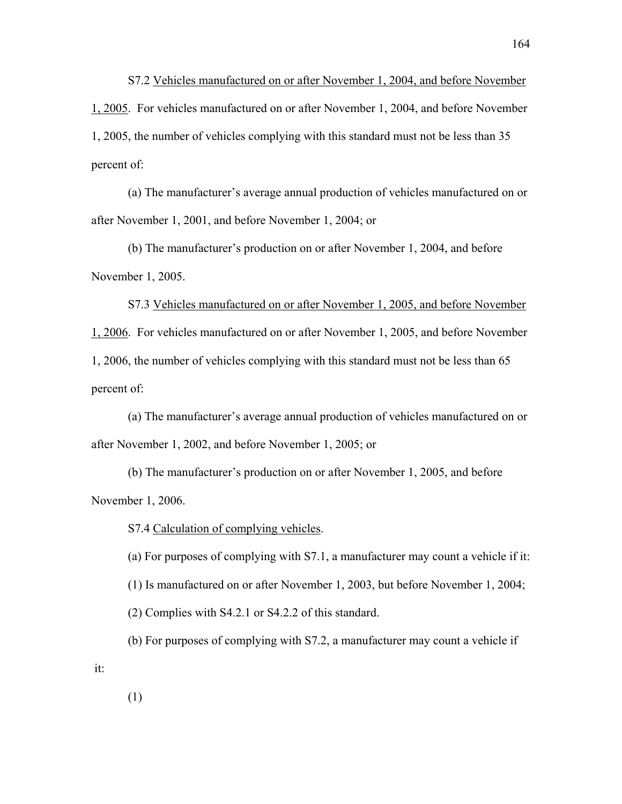S7.2 Vehicles manufactured on or after November 1, 2004, and before November 1, 2005. For vehicles manufactured on or after November 1, 2004, and before November 1, 2005, the number of vehicles complying with this standard must not be less than 35 percent of:

(a) The manufacturer's average annual production of vehicles manufactured on or after November 1, 2001, and before November 1, 2004; or

(b) The manufacturer's production on or after November 1, 2004, and before November 1, 2005.

 S7.3 Vehicles manufactured on or after November 1, 2005, and before November 1, 2006. For vehicles manufactured on or after November 1, 2005, and before November 1, 2006, the number of vehicles complying with this standard must not be less than 65 percent of:

(a) The manufacturer's average annual production of vehicles manufactured on or after November 1, 2002, and before November 1, 2005; or

(b) The manufacturer's production on or after November 1, 2005, and before November 1, 2006.

S7.4 Calculation of complying vehicles.

 (a) For purposes of complying with S7.1, a manufacturer may count a vehicle if it: (1) Is manufactured on or after November 1, 2003, but before November 1, 2004; (2) Complies with S4.2.1 or S4.2.2 of this standard.

 (b) For purposes of complying with S7.2, a manufacturer may count a vehicle if it:

(1)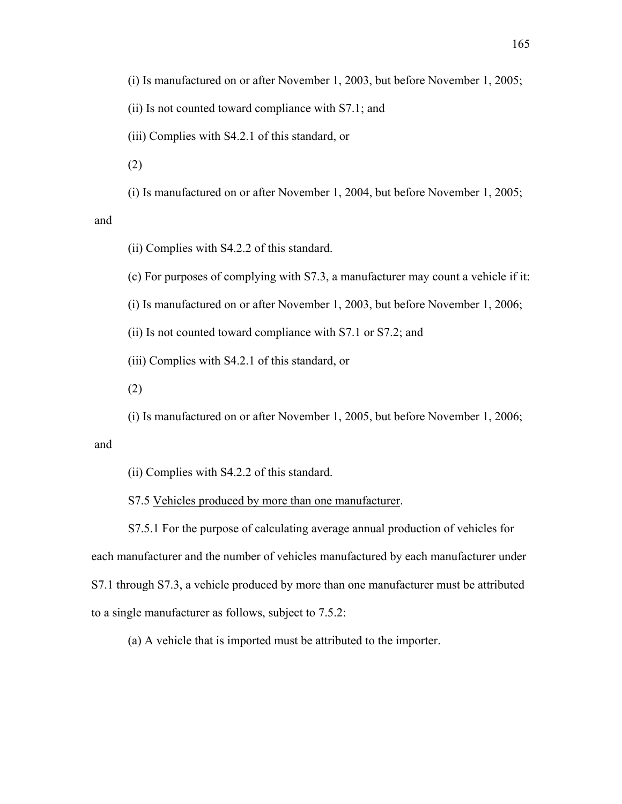(i) Is manufactured on or after November 1, 2003, but before November 1, 2005;

(ii) Is not counted toward compliance with S7.1; and

(iii) Complies with S4.2.1 of this standard, or

(2)

(i) Is manufactured on or after November 1, 2004, but before November 1, 2005;

and

(ii) Complies with S4.2.2 of this standard.

(c) For purposes of complying with S7.3, a manufacturer may count a vehicle if it:

(i) Is manufactured on or after November 1, 2003, but before November 1, 2006;

(ii) Is not counted toward compliance with S7.1 or S7.2; and

(iii) Complies with S4.2.1 of this standard, or

(2)

(i) Is manufactured on or after November 1, 2005, but before November 1, 2006;

and

(ii) Complies with S4.2.2 of this standard.

S7.5 Vehicles produced by more than one manufacturer.

 S7.5.1 For the purpose of calculating average annual production of vehicles for each manufacturer and the number of vehicles manufactured by each manufacturer under S7.1 through S7.3, a vehicle produced by more than one manufacturer must be attributed to a single manufacturer as follows, subject to 7.5.2:

(a) A vehicle that is imported must be attributed to the importer.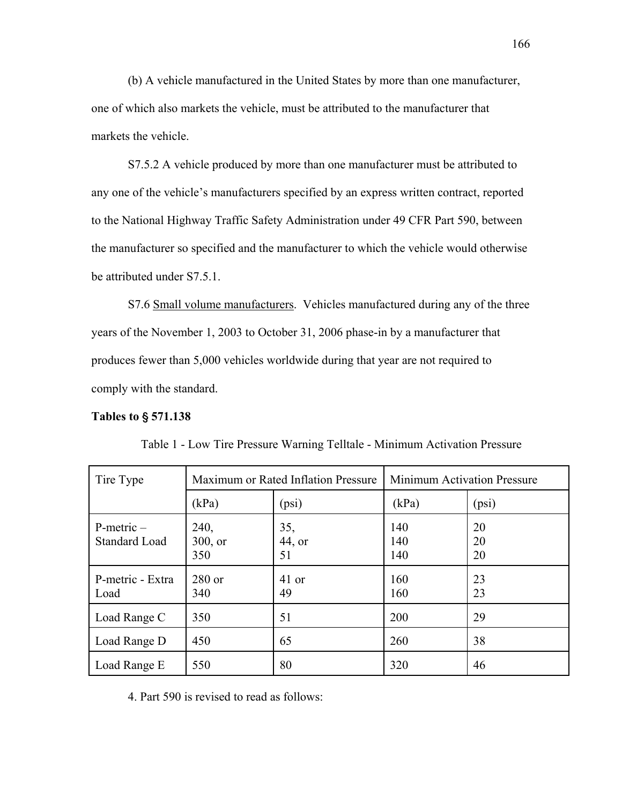(b) A vehicle manufactured in the United States by more than one manufacturer, one of which also markets the vehicle, must be attributed to the manufacturer that markets the vehicle.

 S7.5.2 A vehicle produced by more than one manufacturer must be attributed to any one of the vehicle's manufacturers specified by an express written contract, reported to the National Highway Traffic Safety Administration under 49 CFR Part 590, between the manufacturer so specified and the manufacturer to which the vehicle would otherwise be attributed under S7.5.1.

S7.6 Small volume manufacturers. Vehicles manufactured during any of the three years of the November 1, 2003 to October 31, 2006 phase-in by a manufacturer that produces fewer than 5,000 vehicles worldwide during that year are not required to comply with the standard.

# **Tables to** ' **571.138**

| Tire Type                               | Maximum or Rated Inflation Pressure |                     | <b>Minimum Activation Pressure</b> |                |
|-----------------------------------------|-------------------------------------|---------------------|------------------------------------|----------------|
|                                         | (kPa)                               | (psi)               | (kPa)                              | (psi)          |
| $P$ -metric $-$<br><b>Standard Load</b> | 240,<br>$300$ , or<br>350           | 35,<br>44, or<br>51 | 140<br>140<br>140                  | 20<br>20<br>20 |
| P-metric - Extra<br>Load                | $280$ or<br>340                     | 41 or<br>49         | 160<br>160                         | 23<br>23       |
| Load Range C                            | 350                                 | 51                  | 200                                | 29             |
| Load Range D                            | 450                                 | 65                  | 260                                | 38             |
| Load Range E                            | 550                                 | 80                  | 320                                | 46             |

Table 1 - Low Tire Pressure Warning Telltale - Minimum Activation Pressure

4. Part 590 is revised to read as follows: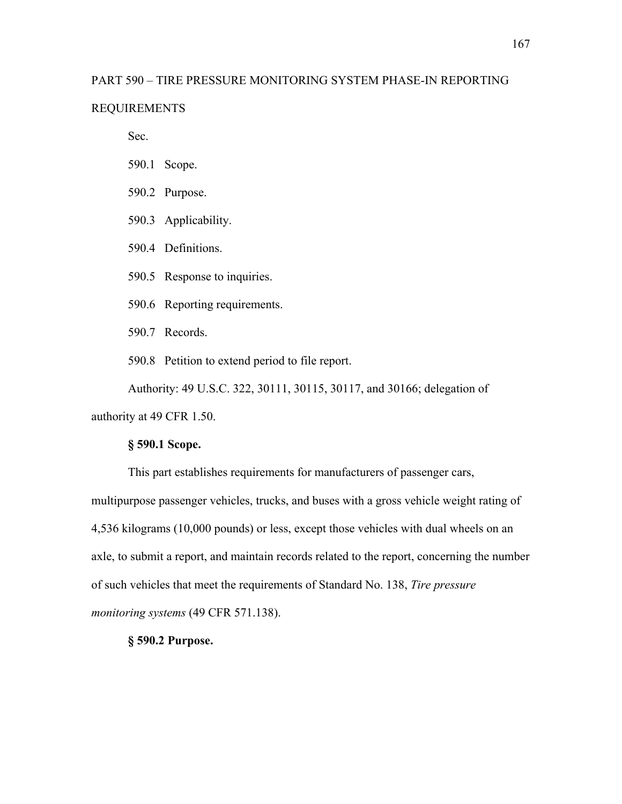# PART 590 – TIRE PRESSURE MONITORING SYSTEM PHASE-IN REPORTING

# REQUIREMENTS

Sec.

- 590.1 Scope.
- 590.2 Purpose.
- 590.3 Applicability.
- 590.4 Definitions.
- 590.5 Response to inquiries.
- 590.6 Reporting requirements.
- 590.7 Records.
- 590.8 Petition to extend period to file report.

Authority: 49 U.S.C. 322, 30111, 30115, 30117, and 30166; delegation of authority at 49 CFR 1.50.

# **ß 590.1 Scope.**

This part establishes requirements for manufacturers of passenger cars, multipurpose passenger vehicles, trucks, and buses with a gross vehicle weight rating of 4,536 kilograms (10,000 pounds) or less, except those vehicles with dual wheels on an axle, to submit a report, and maintain records related to the report, concerning the number of such vehicles that meet the requirements of Standard No. 138, *Tire pressure monitoring systems* (49 CFR 571.138).

# **ß 590.2 Purpose.**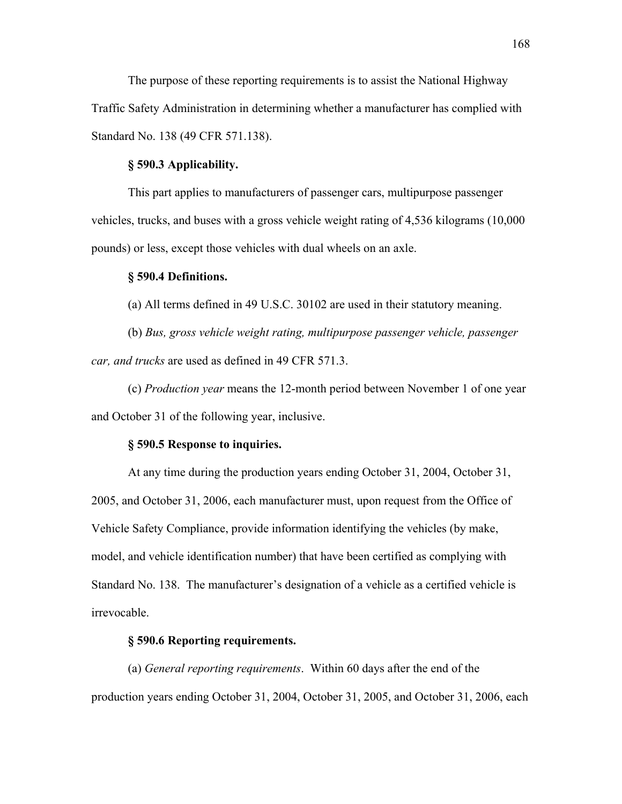The purpose of these reporting requirements is to assist the National Highway Traffic Safety Administration in determining whether a manufacturer has complied with Standard No. 138 (49 CFR 571.138).

# **ß 590.3 Applicability.**

This part applies to manufacturers of passenger cars, multipurpose passenger vehicles, trucks, and buses with a gross vehicle weight rating of 4,536 kilograms (10,000 pounds) or less, except those vehicles with dual wheels on an axle.

### **ß 590.4 Definitions.**

(a) All terms defined in 49 U.S.C. 30102 are used in their statutory meaning.

(b) *Bus, gross vehicle weight rating, multipurpose passenger vehicle, passenger car, and trucks* are used as defined in 49 CFR 571.3.

(c) *Production year* means the 12-month period between November 1 of one year and October 31 of the following year, inclusive.

#### **ß 590.5 Response to inquiries.**

At any time during the production years ending October 31, 2004, October 31, 2005, and October 31, 2006, each manufacturer must, upon request from the Office of Vehicle Safety Compliance, provide information identifying the vehicles (by make, model, and vehicle identification number) that have been certified as complying with Standard No. 138. The manufacturer's designation of a vehicle as a certified vehicle is irrevocable.

# **ß 590.6 Reporting requirements.**

(a) *General reporting requirements*. Within 60 days after the end of the production years ending October 31, 2004, October 31, 2005, and October 31, 2006, each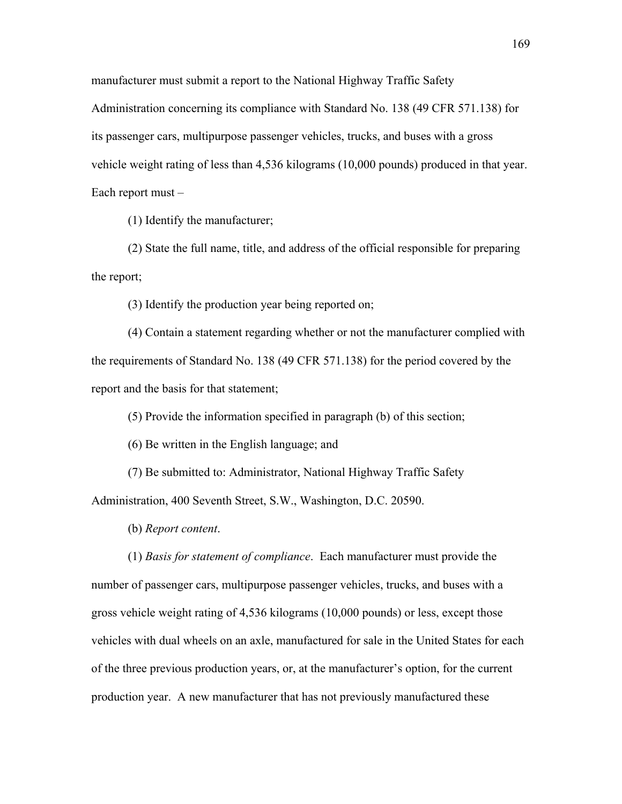manufacturer must submit a report to the National Highway Traffic Safety Administration concerning its compliance with Standard No. 138 (49 CFR 571.138) for its passenger cars, multipurpose passenger vehicles, trucks, and buses with a gross vehicle weight rating of less than 4,536 kilograms (10,000 pounds) produced in that year. Each report must  $-$ 

(1) Identify the manufacturer;

(2) State the full name, title, and address of the official responsible for preparing the report;

(3) Identify the production year being reported on;

(4) Contain a statement regarding whether or not the manufacturer complied with the requirements of Standard No. 138 (49 CFR 571.138) for the period covered by the report and the basis for that statement;

(5) Provide the information specified in paragraph (b) of this section;

(6) Be written in the English language; and

(7) Be submitted to: Administrator, National Highway Traffic Safety Administration, 400 Seventh Street, S.W., Washington, D.C. 20590.

(b) *Report content*.

(1) *Basis for statement of compliance*. Each manufacturer must provide the number of passenger cars, multipurpose passenger vehicles, trucks, and buses with a gross vehicle weight rating of 4,536 kilograms (10,000 pounds) or less, except those vehicles with dual wheels on an axle, manufactured for sale in the United States for each of the three previous production years, or, at the manufacturer's option, for the current production year. A new manufacturer that has not previously manufactured these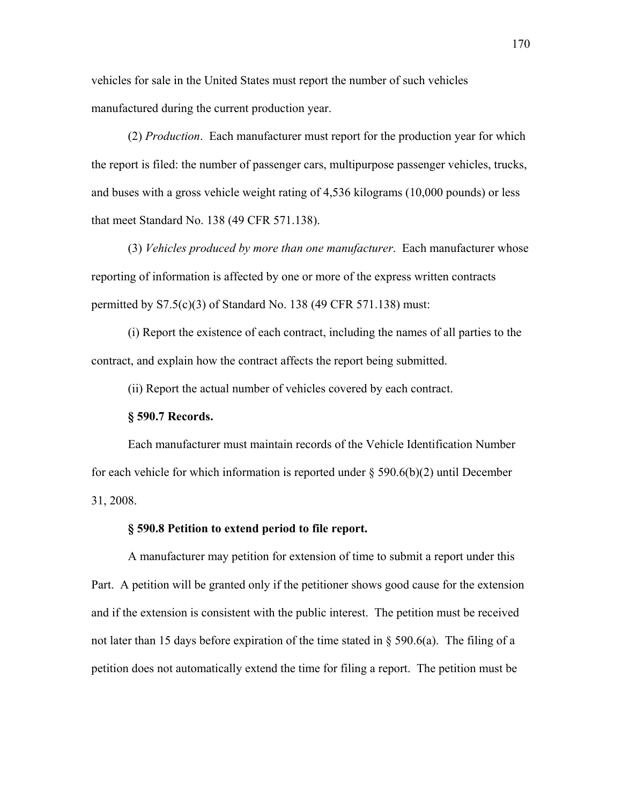vehicles for sale in the United States must report the number of such vehicles manufactured during the current production year.

(2) *Production*. Each manufacturer must report for the production year for which the report is filed: the number of passenger cars, multipurpose passenger vehicles, trucks, and buses with a gross vehicle weight rating of 4,536 kilograms (10,000 pounds) or less that meet Standard No. 138 (49 CFR 571.138).

(3) *Vehicles produced by more than one manufacturer*. Each manufacturer whose reporting of information is affected by one or more of the express written contracts permitted by S7.5(c)(3) of Standard No. 138 (49 CFR 571.138) must:

(i) Report the existence of each contract, including the names of all parties to the contract, and explain how the contract affects the report being submitted.

(ii) Report the actual number of vehicles covered by each contract.

#### **ß 590.7 Records.**

 Each manufacturer must maintain records of the Vehicle Identification Number for each vehicle for which information is reported under  $\S 590.6(b)(2)$  until December 31, 2008.

# **ß 590.8 Petition to extend period to file report.**

 A manufacturer may petition for extension of time to submit a report under this Part. A petition will be granted only if the petitioner shows good cause for the extension and if the extension is consistent with the public interest. The petition must be received not later than 15 days before expiration of the time stated in  $\S$  590.6(a). The filing of a petition does not automatically extend the time for filing a report. The petition must be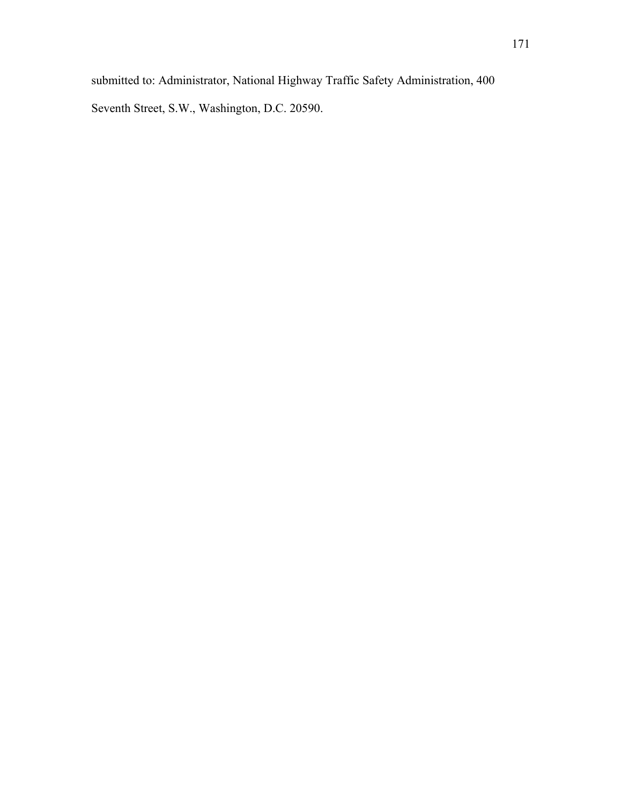submitted to: Administrator, National Highway Traffic Safety Administration, 400

Seventh Street, S.W., Washington, D.C. 20590.